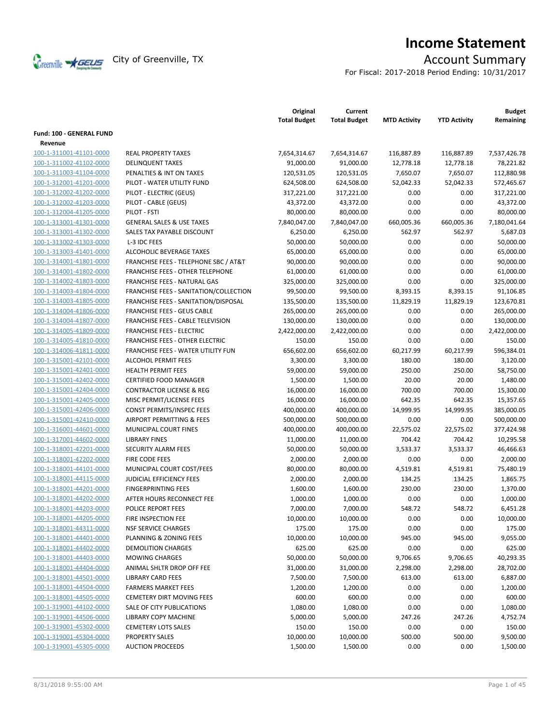

# **Income Statement**

For Fiscal: 2017-2018 Period Ending: 10/31/2017

|                                    |                                         | Original<br><b>Total Budget</b> | Current<br><b>Total Budget</b> | <b>MTD Activity</b> | <b>YTD Activity</b> | <b>Budget</b><br>Remaining |
|------------------------------------|-----------------------------------------|---------------------------------|--------------------------------|---------------------|---------------------|----------------------------|
| Fund: 100 - GENERAL FUND           |                                         |                                 |                                |                     |                     |                            |
| Revenue<br>100-1-311001-41101-0000 | <b>REAL PROPERTY TAXES</b>              |                                 | 7,654,314.67                   |                     |                     |                            |
|                                    |                                         | 7,654,314.67                    |                                | 116,887.89          | 116,887.89          | 7,537,426.78               |
| 100-1-311002-41102-0000            | <b>DELINQUENT TAXES</b>                 | 91,000.00                       | 91,000.00                      | 12,778.18           | 12,778.18           | 78,221.82                  |
| 100-1-311003-41104-0000            | PENALTIES & INT ON TAXES                | 120,531.05                      | 120,531.05                     | 7,650.07            | 7,650.07            | 112,880.98                 |
| 100-1-312001-41201-0000            | PILOT - WATER UTILITY FUND              | 624,508.00                      | 624,508.00                     | 52,042.33           | 52,042.33           | 572,465.67                 |
| 100-1-312002-41202-0000            | PILOT - ELECTRIC (GEUS)                 | 317,221.00                      | 317,221.00                     | 0.00                | 0.00                | 317,221.00                 |
| 100-1-312002-41203-0000            | PILOT - CABLE (GEUS)<br>PILOT - FSTI    | 43,372.00                       | 43,372.00                      | 0.00                | 0.00                | 43,372.00                  |
| 100-1-312004-41205-0000            |                                         | 80,000.00                       | 80,000.00                      | 0.00                | 0.00                | 80,000.00                  |
| 100-1-313001-41301-0000            | <b>GENERAL SALES &amp; USE TAXES</b>    | 7,840,047.00                    | 7,840,047.00                   | 660,005.36          | 660,005.36          | 7,180,041.64               |
| 100-1-313001-41302-0000            | SALES TAX PAYABLE DISCOUNT              | 6,250.00                        | 6,250.00                       | 562.97              | 562.97              | 5,687.03                   |
| 100-1-313002-41303-0000            | L-3 IDC FEES                            | 50,000.00                       | 50,000.00                      | 0.00                | 0.00                | 50,000.00                  |
| 100-1-313003-41401-0000            | ALCOHOLIC BEVERAGE TAXES                | 65,000.00                       | 65,000.00                      | 0.00                | 0.00                | 65,000.00                  |
| 100-1-314001-41801-0000            | FRANCHISE FEES - TELEPHONE SBC / AT&T   | 90,000.00                       | 90,000.00                      | 0.00                | 0.00                | 90,000.00                  |
| 100-1-314001-41802-0000            | <b>FRANCHISE FEES - OTHER TELEPHONE</b> | 61,000.00                       | 61,000.00                      | 0.00                | 0.00                | 61,000.00                  |
| 100-1-314002-41803-0000            | FRANCHISE FEES - NATURAL GAS            | 325,000.00                      | 325,000.00                     | 0.00                | 0.00                | 325,000.00                 |
| 100-1-314003-41804-0000            | FRANCHISE FEES - SANITATION/COLLECTION  | 99,500.00                       | 99,500.00                      | 8,393.15            | 8,393.15            | 91,106.85                  |
| 100-1-314003-41805-0000            | FRANCHISE FEES - SANITATION/DISPOSAL    | 135,500.00                      | 135,500.00                     | 11,829.19           | 11,829.19           | 123,670.81                 |
| 100-1-314004-41806-0000            | <b>FRANCHISE FEES - GEUS CABLE</b>      | 265,000.00                      | 265,000.00                     | 0.00                | 0.00                | 265,000.00                 |
| 100-1-314004-41807-0000            | FRANCHISE FEES - CABLE TELEVISION       | 130,000.00                      | 130,000.00                     | 0.00                | 0.00                | 130,000.00                 |
| 100-1-314005-41809-0000            | <b>FRANCHISE FEES - ELECTRIC</b>        | 2,422,000.00                    | 2,422,000.00                   | 0.00                | 0.00                | 2,422,000.00               |
| 100-1-314005-41810-0000            | <b>FRANCHISE FEES - OTHER ELECTRIC</b>  | 150.00                          | 150.00                         | 0.00                | 0.00                | 150.00                     |
| 100-1-314006-41811-0000            | FRANCHISE FEES - WATER UTILITY FUN      | 656,602.00                      | 656,602.00                     | 60,217.99           | 60,217.99           | 596,384.01                 |
| 100-1-315001-42101-0000            | <b>ALCOHOL PERMIT FEES</b>              | 3,300.00                        | 3,300.00                       | 180.00              | 180.00              | 3,120.00                   |
| 100-1-315001-42401-0000            | <b>HEALTH PERMIT FEES</b>               | 59,000.00                       | 59,000.00                      | 250.00              | 250.00              | 58,750.00                  |
| 100-1-315001-42402-0000            | <b>CERTIFIED FOOD MANAGER</b>           | 1,500.00                        | 1,500.00                       | 20.00               | 20.00               | 1,480.00                   |
| 100-1-315001-42404-0000            | <b>CONTRACTOR LICENSE &amp; REG</b>     | 16,000.00                       | 16,000.00                      | 700.00              | 700.00              | 15,300.00                  |
| 100-1-315001-42405-0000            | MISC PERMIT/LICENSE FEES                | 16,000.00                       | 16,000.00                      | 642.35              | 642.35              | 15,357.65                  |
| 100-1-315001-42406-0000            | CONST PERMITS/INSPEC FEES               | 400,000.00                      | 400,000.00                     | 14,999.95           | 14,999.95           | 385,000.05                 |
| 100-1-315001-42410-0000            | AIRPORT PERMITTING & FEES               | 500,000.00                      | 500,000.00                     | 0.00                | 0.00                | 500,000.00                 |
| 100-1-316001-44601-0000            | MUNICIPAL COURT FINES                   | 400,000.00                      | 400,000.00                     | 22,575.02           | 22,575.02           | 377,424.98                 |
| 100-1-317001-44602-0000            | <b>LIBRARY FINES</b>                    | 11,000.00                       | 11,000.00                      | 704.42              | 704.42              | 10,295.58                  |
| 100-1-318001-42201-0000            | SECURITY ALARM FEES                     | 50,000.00                       | 50,000.00                      | 3,533.37            | 3,533.37            | 46,466.63                  |
| 100-1-318001-42202-0000            | FIRE CODE FEES                          | 2,000.00                        | 2,000.00                       | 0.00                | 0.00                | 2,000.00                   |
| 100-1-318001-44101-0000            | MUNICIPAL COURT COST/FEES               | 80,000.00                       | 80,000.00                      | 4,519.81            | 4,519.81            | 75,480.19                  |
| 100-1-318001-44115-0000            | <b>JUDICIAL EFFICIENCY FEES</b>         | 2,000.00                        | 2,000.00                       | 134.25              | 134.25              | 1,865.75                   |
| 100-1-318001-44201-0000            | <b>FINGERPRINTING FEES</b>              | 1,600.00                        | 1,600.00                       | 230.00              | 230.00              | 1,370.00                   |
| 100-1-318001-44202-0000            | AFTER HOURS RECONNECT FEE               | 1,000.00                        | 1,000.00                       | 0.00                | 0.00                | 1,000.00                   |
| 100-1-318001-44203-0000            | POLICE REPORT FEES                      | 7,000.00                        | 7,000.00                       | 548.72              | 548.72              | 6,451.28                   |
| 100-1-318001-44205-0000            | FIRE INSPECTION FEE                     | 10,000.00                       | 10,000.00                      | 0.00                | 0.00                | 10,000.00                  |
| 100-1-318001-44311-0000            | <b>NSF SERVICE CHARGES</b>              | 175.00                          | 175.00                         | 0.00                | 0.00                | 175.00                     |
| 100-1-318001-44401-0000            | PLANNING & ZONING FEES                  | 10,000.00                       | 10,000.00                      | 945.00              | 945.00              | 9,055.00                   |
| 100-1-318001-44402-0000            | <b>DEMOLITION CHARGES</b>               | 625.00                          | 625.00                         | 0.00                | 0.00                | 625.00                     |
| 100-1-318001-44403-0000            | <b>MOWING CHARGES</b>                   | 50,000.00                       | 50,000.00                      | 9,706.65            | 9,706.65            | 40,293.35                  |
| 100-1-318001-44404-0000            | ANIMAL SHLTR DROP OFF FEE               | 31,000.00                       | 31,000.00                      | 2,298.00            | 2,298.00            | 28,702.00                  |
| 100-1-318001-44501-0000            | <b>LIBRARY CARD FEES</b>                | 7,500.00                        | 7,500.00                       | 613.00              | 613.00              | 6,887.00                   |
| 100-1-318001-44504-0000            | <b>FARMERS MARKET FEES</b>              | 1,200.00                        | 1,200.00                       | 0.00                | 0.00                | 1,200.00                   |
| 100-1-318001-44505-0000            | <b>CEMETERY DIRT MOVING FEES</b>        | 600.00                          | 600.00                         | 0.00                | 0.00                | 600.00                     |
| 100-1-319001-44102-0000            | SALE OF CITY PUBLICATIONS               | 1,080.00                        | 1,080.00                       | 0.00                | 0.00                | 1,080.00                   |
| 100-1-319001-44506-0000            | <b>LIBRARY COPY MACHINE</b>             | 5,000.00                        | 5,000.00                       | 247.26              | 247.26              | 4,752.74                   |
| 100-1-319001-45302-0000            | <b>CEMETERY LOTS SALES</b>              | 150.00                          | 150.00                         | 0.00                | 0.00                | 150.00                     |
| 100-1-319001-45304-0000            | <b>PROPERTY SALES</b>                   | 10,000.00                       | 10,000.00                      | 500.00              | 500.00              | 9,500.00                   |
| 100-1-319001-45305-0000            | <b>AUCTION PROCEEDS</b>                 | 1,500.00                        | 1,500.00                       | 0.00                | 0.00                | 1,500.00                   |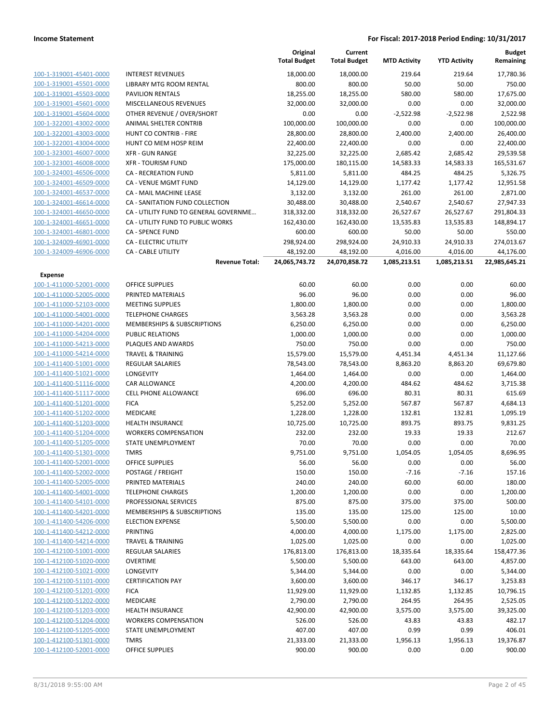|                                           |                                        | Original<br><b>Total Budget</b> | Current<br><b>Total Budget</b> | <b>MTD Activity</b> | <b>YTD Activity</b> | <b>Budget</b><br>Remaining |
|-------------------------------------------|----------------------------------------|---------------------------------|--------------------------------|---------------------|---------------------|----------------------------|
| 100-1-319001-45401-0000                   | <b>INTEREST REVENUES</b>               | 18,000.00                       | 18,000.00                      | 219.64              | 219.64              | 17,780.36                  |
| 100-1-319001-45501-0000                   | LIBRARY MTG ROOM RENTAL                | 800.00                          | 800.00                         | 50.00               | 50.00               | 750.00                     |
| 100-1-319001-45503-0000                   | <b>PAVILION RENTALS</b>                | 18,255.00                       | 18,255.00                      | 580.00              | 580.00              | 17,675.00                  |
| 100-1-319001-45601-0000                   | MISCELLANEOUS REVENUES                 | 32,000.00                       | 32,000.00                      | 0.00                | 0.00                | 32,000.00                  |
| 100-1-319001-45604-0000                   | OTHER REVENUE / OVER/SHORT             | 0.00                            | 0.00                           | $-2,522.98$         | $-2,522.98$         | 2,522.98                   |
| 100-1-322001-43002-0000                   | ANIMAL SHELTER CONTRIB                 | 100,000.00                      | 100,000.00                     | 0.00                | 0.00                | 100,000.00                 |
| 100-1-322001-43003-0000                   | HUNT CO CONTRIB - FIRE                 | 28,800.00                       | 28,800.00                      | 2,400.00            | 2,400.00            | 26,400.00                  |
| 100-1-322001-43004-0000                   | HUNT CO MEM HOSP REIM                  | 22,400.00                       | 22,400.00                      | 0.00                | 0.00                | 22,400.00                  |
| 100-1-323001-46007-0000                   | <b>XFR - GUN RANGE</b>                 | 32,225.00                       | 32,225.00                      | 2,685.42            | 2,685.42            | 29,539.58                  |
| 100-1-323001-46008-0000                   | <b>XFR - TOURISM FUND</b>              | 175,000.00                      | 180,115.00                     | 14,583.33           | 14,583.33           | 165,531.67                 |
| 100-1-324001-46506-0000                   | <b>CA - RECREATION FUND</b>            | 5,811.00                        | 5,811.00                       | 484.25              | 484.25              | 5,326.75                   |
| 100-1-324001-46509-0000                   | CA - VENUE MGMT FUND                   | 14,129.00                       | 14,129.00                      | 1,177.42            | 1,177.42            | 12,951.58                  |
| 100-1-324001-46537-0000                   | CA - MAIL MACHINE LEASE                | 3,132.00                        | 3,132.00                       | 261.00              | 261.00              | 2,871.00                   |
| 100-1-324001-46614-0000                   | CA - SANITATION FUND COLLECTION        | 30,488.00                       | 30,488.00                      | 2,540.67            | 2,540.67            | 27,947.33                  |
| 100-1-324001-46650-0000                   | CA - UTILITY FUND TO GENERAL GOVERNME  | 318,332.00                      | 318,332.00                     | 26,527.67           | 26,527.67           | 291,804.33                 |
| 100-1-324001-46651-0000                   | CA - UTILITY FUND TO PUBLIC WORKS      | 162,430.00                      | 162,430.00                     | 13,535.83           | 13,535.83           | 148,894.17                 |
| 100-1-324001-46801-0000                   | <b>CA - SPENCE FUND</b>                | 600.00                          | 600.00                         | 50.00               | 50.00               | 550.00                     |
| 100-1-324009-46901-0000                   | CA - ELECTRIC UTILITY                  | 298,924.00                      | 298,924.00                     | 24,910.33           | 24,910.33           | 274,013.67                 |
| 100-1-324009-46906-0000                   | CA - CABLE UTILITY                     | 48,192.00                       | 48,192.00                      | 4,016.00            | 4,016.00            | 44,176.00                  |
|                                           | <b>Revenue Total:</b>                  | 24,065,743.72                   | 24,070,858.72                  | 1,085,213.51        | 1,085,213.51        | 22,985,645.21              |
| <b>Expense</b><br>100-1-411000-52001-0000 | <b>OFFICE SUPPLIES</b>                 | 60.00                           | 60.00                          | 0.00                | 0.00                | 60.00                      |
| 100-1-411000-52005-0000                   | PRINTED MATERIALS                      | 96.00                           | 96.00                          | 0.00                | 0.00                | 96.00                      |
| 100-1-411000-52103-0000                   | <b>MEETING SUPPLIES</b>                | 1,800.00                        | 1,800.00                       | 0.00                | 0.00                | 1,800.00                   |
| 100-1-411000-54001-0000                   | <b>TELEPHONE CHARGES</b>               | 3,563.28                        | 3,563.28                       | 0.00                | 0.00                | 3,563.28                   |
| 100-1-411000-54201-0000                   | MEMBERSHIPS & SUBSCRIPTIONS            | 6,250.00                        | 6,250.00                       | 0.00                | 0.00                | 6,250.00                   |
| 100-1-411000-54204-0000                   | <b>PUBLIC RELATIONS</b>                | 1,000.00                        | 1,000.00                       | 0.00                | 0.00                | 1,000.00                   |
| 100-1-411000-54213-0000                   | PLAQUES AND AWARDS                     | 750.00                          | 750.00                         | 0.00                | 0.00                | 750.00                     |
| 100-1-411000-54214-0000                   | <b>TRAVEL &amp; TRAINING</b>           | 15,579.00                       | 15,579.00                      | 4,451.34            | 4,451.34            | 11,127.66                  |
| 100-1-411400-51001-0000                   | <b>REGULAR SALARIES</b>                | 78,543.00                       | 78,543.00                      | 8,863.20            | 8,863.20            | 69,679.80                  |
| 100-1-411400-51021-0000                   | LONGEVITY                              | 1,464.00                        | 1,464.00                       | 0.00                | 0.00                | 1,464.00                   |
| 100-1-411400-51116-0000                   | CAR ALLOWANCE                          | 4,200.00                        | 4,200.00                       | 484.62              | 484.62              | 3,715.38                   |
| 100-1-411400-51117-0000                   | <b>CELL PHONE ALLOWANCE</b>            | 696.00                          | 696.00                         | 80.31               | 80.31               | 615.69                     |
| 100-1-411400-51201-0000                   | <b>FICA</b>                            | 5,252.00                        | 5,252.00                       | 567.87              | 567.87              | 4,684.13                   |
| 100-1-411400-51202-0000                   | MEDICARE                               | 1,228.00                        | 1,228.00                       | 132.81              | 132.81              | 1,095.19                   |
| 100-1-411400-51203-0000                   | <b>HEALTH INSURANCE</b>                | 10,725.00                       | 10,725.00                      | 893.75              | 893.75              | 9,831.25                   |
| 100-1-411400-51204-0000                   | <b>WORKERS COMPENSATION</b>            | 232.00                          | 232.00                         | 19.33               | 19.33               | 212.67                     |
| 100-1-411400-51205-0000                   | STATE UNEMPLOYMENT                     | 70.00                           | 70.00                          | 0.00                | 0.00                | 70.00                      |
| 100-1-411400-51301-0000                   | <b>TMRS</b>                            | 9,751.00                        | 9,751.00                       | 1,054.05            | 1,054.05            | 8,696.95                   |
| 100-1-411400-52001-0000                   | <b>OFFICE SUPPLIES</b>                 | 56.00                           | 56.00                          | 0.00                | 0.00                | 56.00                      |
| 100-1-411400-52002-0000                   | POSTAGE / FREIGHT                      | 150.00                          | 150.00                         | $-7.16$             | $-7.16$             | 157.16                     |
| 100-1-411400-52005-0000                   | PRINTED MATERIALS                      | 240.00                          | 240.00                         | 60.00               | 60.00               | 180.00                     |
| 100-1-411400-54001-0000                   | <b>TELEPHONE CHARGES</b>               | 1,200.00                        | 1,200.00                       | 0.00                | 0.00                | 1,200.00                   |
| 100-1-411400-54101-0000                   | PROFESSIONAL SERVICES                  | 875.00                          | 875.00                         | 375.00              | 375.00              | 500.00                     |
| 100-1-411400-54201-0000                   | <b>MEMBERSHIPS &amp; SUBSCRIPTIONS</b> | 135.00                          | 135.00                         | 125.00              | 125.00              | 10.00                      |
| 100-1-411400-54206-0000                   | <b>ELECTION EXPENSE</b>                | 5,500.00                        | 5,500.00                       | 0.00                | 0.00                | 5,500.00                   |
| 100-1-411400-54212-0000                   | <b>PRINTING</b>                        | 4,000.00                        | 4,000.00                       | 1,175.00            | 1,175.00            | 2,825.00                   |
| 100-1-411400-54214-0000                   | <b>TRAVEL &amp; TRAINING</b>           | 1,025.00                        | 1,025.00                       | 0.00                | 0.00                | 1,025.00                   |
| 100-1-412100-51001-0000                   | <b>REGULAR SALARIES</b>                | 176,813.00                      | 176,813.00                     | 18,335.64           | 18,335.64           | 158,477.36                 |
| 100-1-412100-51020-0000                   | <b>OVERTIME</b>                        | 5,500.00                        | 5,500.00                       | 643.00              | 643.00              | 4,857.00                   |
| 100-1-412100-51021-0000                   | <b>LONGEVITY</b>                       | 5,344.00                        | 5,344.00                       | 0.00                | 0.00                | 5,344.00                   |
| 100-1-412100-51101-0000                   | <b>CERTIFICATION PAY</b>               | 3,600.00                        | 3,600.00                       | 346.17              | 346.17              | 3,253.83                   |
| 100-1-412100-51201-0000                   | <b>FICA</b>                            | 11,929.00                       | 11,929.00                      | 1,132.85            | 1,132.85            | 10,796.15                  |
| 100-1-412100-51202-0000                   | MEDICARE                               | 2,790.00                        | 2,790.00                       | 264.95              | 264.95              | 2,525.05                   |
| 100-1-412100-51203-0000                   | <b>HEALTH INSURANCE</b>                | 42,900.00                       | 42,900.00                      | 3,575.00            | 3,575.00            | 39,325.00                  |
| 100-1-412100-51204-0000                   | <b>WORKERS COMPENSATION</b>            | 526.00                          | 526.00                         | 43.83               | 43.83               | 482.17                     |
| 100-1-412100-51205-0000                   | STATE UNEMPLOYMENT                     | 407.00                          | 407.00                         | 0.99                | 0.99                | 406.01                     |
| 100-1-412100-51301-0000                   | <b>TMRS</b>                            | 21,333.00                       | 21,333.00                      | 1,956.13            | 1,956.13            | 19,376.87                  |
| 100-1-412100-52001-0000                   | <b>OFFICE SUPPLIES</b>                 | 900.00                          | 900.00                         | 0.00                | 0.00                | 900.00                     |
|                                           |                                        |                                 |                                |                     |                     |                            |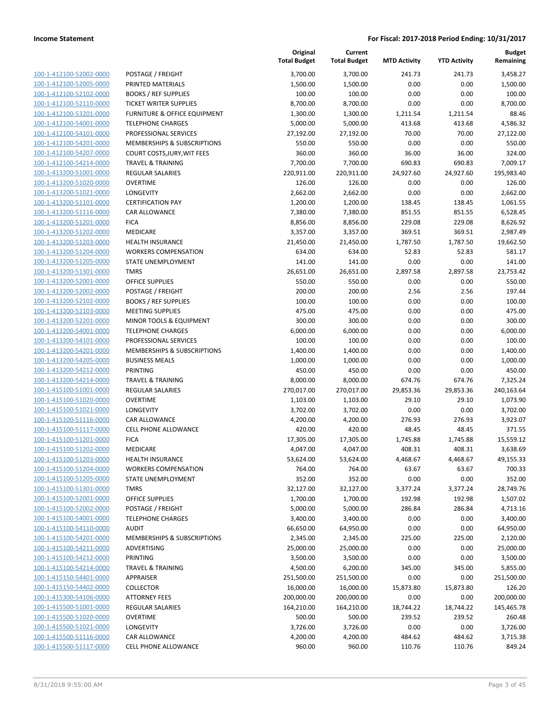| 100-1-412100-52002-0000        |
|--------------------------------|
| 100-1-412100-52005-0000        |
| 100-1-412100-52102-0000        |
| 100-1-412100-52110-0000        |
| 100-1-412100-53201-0000        |
| 100-1-412100-54001-0000        |
| 100-1-412100-54101-0000        |
| 100-1-412100-54201-0000        |
| 100-1-412100-54207-0000        |
| 100-1-412100-54214-0000        |
| 100-1-413200-51001-0000        |
| 100-1-413200-51020-0000        |
| 100-1-413200-51021-0000        |
| 100-1-413200-51101-0000        |
| <u>100-1-413200-51116-0000</u> |
| 100-1-413200-51201-0000        |
|                                |
| 100-1-413200-51202-0000        |
| 100-1-413200-51203-0000        |
| 100-1-413200-51204-0000        |
| 100-1-413200-51205-0000        |
| 100-1-413200-51301-0000        |
| 100-1-413200-52001-0000        |
| 100-1-413200-52002-0000        |
| 100-1-413200-52102-0000        |
| 100-1-413200-52103-0000        |
| 100-1-413200-52201-0000        |
| 100-1-413200-54001-0000        |
| 100-1-413200-54101-0000        |
| 100-1-413200-54201-0000        |
| <u>100-1-413200-54205-0000</u> |
| 100-1-413200-54212-0000        |
| 100-1-413200-54214-0000        |
| 100-1-415100-51001-0000        |
| 100-1-415100-51020-0000        |
| <u>100-1-415100-51021-0000</u> |
| 100-1-415100-51116-0000        |
| 100-1-415100-51117-0000        |
|                                |
| 100-1-415100-51201-0000        |
| 100-1-415100-51202-0000        |
| 100-1-415100-51203-0000        |
| 100-1-415100-51204-0000        |
| 100-1-415100-51205-0000        |
| 100-1-415100-51301-0000        |
| <u>100-1-415100-52001-0000</u> |
| <u>100-1-415100-52002-0000</u> |
| <u>100-1-415100-54001-0000</u> |
| 100-1-415100-54110-0000        |
| 100-1-415100-54201-0000        |
| 100-1-415100-54211-0000        |
| <u>100-1-415100-54212-0000</u> |
| <u>100-1-415100-54214-0000</u> |
| 100-1-415150-54401-0000        |
| 100-1-415150-54402-0000        |
| <u>100-1-415300-54106-0000</u> |
|                                |
| <u>100-1-415500-51001-0000</u> |
| <u>100-1-415500-51020-0000</u> |
| <u>100-1-415500-51021-0000</u> |
| 100-1-415500-51116-0000        |
| 100-1-415500-51117-0000        |

|                                                    |                                                                 | Original<br><b>Total Budget</b> | Current<br><b>Total Budget</b> | <b>MTD Activity</b> | <b>YTD Activity</b> | <b>Budget</b><br>Remaining |
|----------------------------------------------------|-----------------------------------------------------------------|---------------------------------|--------------------------------|---------------------|---------------------|----------------------------|
| 100-1-412100-52002-0000                            | POSTAGE / FREIGHT                                               | 3,700.00                        | 3,700.00                       | 241.73              | 241.73              | 3,458.27                   |
| 100-1-412100-52005-0000                            | PRINTED MATERIALS                                               | 1,500.00                        | 1,500.00                       | 0.00                | 0.00                | 1,500.00                   |
| 100-1-412100-52102-0000                            | <b>BOOKS / REF SUPPLIES</b>                                     | 100.00                          | 100.00                         | 0.00                | 0.00                | 100.00                     |
| 100-1-412100-52110-0000                            | <b>TICKET WRITER SUPPLIES</b>                                   | 8,700.00                        | 8,700.00                       | 0.00                | 0.00                | 8,700.00                   |
| 100-1-412100-53201-0000                            | FURNITURE & OFFICE EQUIPMENT                                    | 1,300.00                        | 1,300.00                       | 1,211.54            | 1,211.54            | 88.46                      |
| 100-1-412100-54001-0000                            | <b>TELEPHONE CHARGES</b>                                        | 5,000.00                        | 5,000.00                       | 413.68              | 413.68              | 4,586.32                   |
| 100-1-412100-54101-0000                            | PROFESSIONAL SERVICES                                           | 27,192.00                       | 27,192.00                      | 70.00               | 70.00               | 27,122.00                  |
| 100-1-412100-54201-0000                            | MEMBERSHIPS & SUBSCRIPTIONS                                     | 550.00                          | 550.00                         | 0.00                | 0.00                | 550.00                     |
| 100-1-412100-54207-0000                            | COURT COSTS, JURY, WIT FEES                                     | 360.00                          | 360.00                         | 36.00               | 36.00               | 324.00                     |
| 100-1-412100-54214-0000                            | <b>TRAVEL &amp; TRAINING</b>                                    | 7,700.00                        | 7,700.00                       | 690.83              | 690.83              | 7,009.17                   |
| 100-1-413200-51001-0000                            | <b>REGULAR SALARIES</b>                                         | 220,911.00                      | 220,911.00                     | 24,927.60           | 24,927.60           | 195,983.40                 |
| 100-1-413200-51020-0000                            | <b>OVERTIME</b>                                                 | 126.00                          | 126.00                         | 0.00                | 0.00                | 126.00                     |
| 100-1-413200-51021-0000                            | <b>LONGEVITY</b>                                                | 2,662.00                        | 2,662.00                       | 0.00                | 0.00                | 2,662.00                   |
| 100-1-413200-51101-0000                            | <b>CERTIFICATION PAY</b>                                        | 1,200.00                        | 1,200.00                       | 138.45              | 138.45              | 1,061.55                   |
| 100-1-413200-51116-0000                            | <b>CAR ALLOWANCE</b>                                            | 7,380.00                        | 7,380.00                       | 851.55              | 851.55              | 6,528.45                   |
| 100-1-413200-51201-0000                            | <b>FICA</b>                                                     | 8,856.00                        | 8,856.00                       | 229.08              | 229.08              | 8,626.92                   |
| 100-1-413200-51202-0000                            | MEDICARE                                                        | 3,357.00                        | 3,357.00                       | 369.51              | 369.51              | 2,987.49                   |
| 100-1-413200-51203-0000                            | <b>HEALTH INSURANCE</b>                                         | 21,450.00                       | 21,450.00                      | 1,787.50            | 1,787.50            | 19,662.50                  |
| 100-1-413200-51204-0000                            | <b>WORKERS COMPENSATION</b>                                     | 634.00                          | 634.00                         | 52.83               | 52.83               | 581.17                     |
| 100-1-413200-51205-0000                            | <b>STATE UNEMPLOYMENT</b>                                       | 141.00                          | 141.00                         | 0.00                | 0.00                | 141.00                     |
| 100-1-413200-51301-0000                            | <b>TMRS</b>                                                     | 26,651.00                       | 26,651.00                      | 2,897.58            | 2,897.58            | 23,753.42                  |
| 100-1-413200-52001-0000                            | <b>OFFICE SUPPLIES</b>                                          | 550.00                          | 550.00                         | 0.00                | 0.00                | 550.00                     |
| 100-1-413200-52002-0000                            | POSTAGE / FREIGHT                                               | 200.00                          | 200.00                         | 2.56                | 2.56                | 197.44                     |
| 100-1-413200-52102-0000                            | <b>BOOKS / REF SUPPLIES</b>                                     | 100.00                          | 100.00                         | 0.00                | 0.00                | 100.00                     |
| 100-1-413200-52103-0000                            | <b>MEETING SUPPLIES</b>                                         | 475.00                          | 475.00                         | 0.00                | 0.00                | 475.00                     |
| 100-1-413200-52201-0000                            | MINOR TOOLS & EQUIPMENT                                         | 300.00                          | 300.00                         | 0.00                | 0.00                | 300.00                     |
| 100-1-413200-54001-0000                            | <b>TELEPHONE CHARGES</b>                                        | 6,000.00                        | 6,000.00                       | 0.00                | 0.00                | 6,000.00                   |
| 100-1-413200-54101-0000<br>100-1-413200-54201-0000 | PROFESSIONAL SERVICES<br><b>MEMBERSHIPS &amp; SUBSCRIPTIONS</b> | 100.00                          | 100.00                         | 0.00<br>0.00        | 0.00<br>0.00        | 100.00<br>1,400.00         |
| 100-1-413200-54205-0000                            | <b>BUSINESS MEALS</b>                                           | 1,400.00<br>1,000.00            | 1,400.00<br>1,000.00           | 0.00                | 0.00                | 1,000.00                   |
| 100-1-413200-54212-0000                            | PRINTING                                                        | 450.00                          | 450.00                         | 0.00                | 0.00                | 450.00                     |
| 100-1-413200-54214-0000                            | <b>TRAVEL &amp; TRAINING</b>                                    | 8,000.00                        | 8,000.00                       | 674.76              | 674.76              | 7,325.24                   |
| 100-1-415100-51001-0000                            | <b>REGULAR SALARIES</b>                                         | 270,017.00                      | 270,017.00                     | 29,853.36           | 29,853.36           | 240,163.64                 |
| 100-1-415100-51020-0000                            | <b>OVERTIME</b>                                                 | 1,103.00                        | 1,103.00                       | 29.10               | 29.10               | 1,073.90                   |
| 100-1-415100-51021-0000                            | <b>LONGEVITY</b>                                                | 3,702.00                        | 3,702.00                       | 0.00                | 0.00                | 3,702.00                   |
| 100-1-415100-51116-0000                            | <b>CAR ALLOWANCE</b>                                            | 4,200.00                        | 4,200.00                       | 276.93              | 276.93              | 3,923.07                   |
| 100-1-415100-51117-0000                            | CELL PHONE ALLOWANCE                                            | 420.00                          | 420.00                         | 48.45               | 48.45               | 371.55                     |
| 100-1-415100-51201-0000                            | <b>FICA</b>                                                     | 17,305.00                       | 17,305.00                      | 1,745.88            | 1,745.88            | 15,559.12                  |
| 100-1-415100-51202-0000                            | MEDICARE                                                        | 4,047.00                        | 4,047.00                       | 408.31              | 408.31              | 3,638.69                   |
| 100-1-415100-51203-0000                            | <b>HEALTH INSURANCE</b>                                         | 53,624.00                       | 53,624.00                      | 4,468.67            | 4,468.67            | 49,155.33                  |
| 100-1-415100-51204-0000                            | <b>WORKERS COMPENSATION</b>                                     | 764.00                          | 764.00                         | 63.67               | 63.67               | 700.33                     |
| 100-1-415100-51205-0000                            | STATE UNEMPLOYMENT                                              | 352.00                          | 352.00                         | 0.00                | 0.00                | 352.00                     |
| 100-1-415100-51301-0000                            | <b>TMRS</b>                                                     | 32,127.00                       | 32,127.00                      | 3,377.24            | 3,377.24            | 28,749.76                  |
| 100-1-415100-52001-0000                            | <b>OFFICE SUPPLIES</b>                                          | 1,700.00                        | 1,700.00                       | 192.98              | 192.98              | 1,507.02                   |
| 100-1-415100-52002-0000                            | POSTAGE / FREIGHT                                               | 5,000.00                        | 5,000.00                       | 286.84              | 286.84              | 4,713.16                   |
| 100-1-415100-54001-0000                            | <b>TELEPHONE CHARGES</b>                                        | 3,400.00                        | 3,400.00                       | 0.00                | 0.00                | 3,400.00                   |
| 100-1-415100-54110-0000                            | <b>AUDIT</b>                                                    | 66,650.00                       | 64,950.00                      | 0.00                | 0.00                | 64,950.00                  |
| 100-1-415100-54201-0000                            | MEMBERSHIPS & SUBSCRIPTIONS                                     | 2,345.00                        | 2,345.00                       | 225.00              | 225.00              | 2,120.00                   |
| 100-1-415100-54211-0000                            | ADVERTISING                                                     | 25,000.00                       | 25,000.00                      | 0.00                | 0.00                | 25,000.00                  |
| 100-1-415100-54212-0000                            | <b>PRINTING</b>                                                 | 3,500.00                        | 3,500.00                       | 0.00                | 0.00                | 3,500.00                   |
| 100-1-415100-54214-0000                            | <b>TRAVEL &amp; TRAINING</b>                                    | 4,500.00                        | 6,200.00                       | 345.00              | 345.00              | 5,855.00                   |
| 100-1-415150-54401-0000                            | APPRAISER                                                       | 251,500.00                      | 251,500.00                     | 0.00                | 0.00                | 251,500.00                 |
| 100-1-415150-54402-0000                            | <b>COLLECTOR</b>                                                | 16,000.00                       | 16,000.00                      | 15,873.80           | 15,873.80           | 126.20                     |
| 100-1-415300-54106-0000                            | <b>ATTORNEY FEES</b>                                            | 200,000.00                      | 200,000.00                     | 0.00                | 0.00                | 200,000.00                 |
| 100-1-415500-51001-0000                            | REGULAR SALARIES                                                | 164,210.00                      | 164,210.00                     | 18,744.22           | 18,744.22           | 145,465.78                 |
| 100-1-415500-51020-0000                            | <b>OVERTIME</b>                                                 | 500.00                          | 500.00                         | 239.52              | 239.52              | 260.48                     |
| 100-1-415500-51021-0000                            | <b>LONGEVITY</b>                                                | 3,726.00                        | 3,726.00                       | 0.00                | 0.00                | 3,726.00                   |
| 100-1-415500-51116-0000                            | CAR ALLOWANCE                                                   | 4,200.00                        | 4,200.00                       | 484.62              | 484.62              | 3,715.38                   |
| 100-1-415500-51117-0000                            | CELL PHONE ALLOWANCE                                            | 960.00                          | 960.00                         | 110.76              | 110.76              | 849.24                     |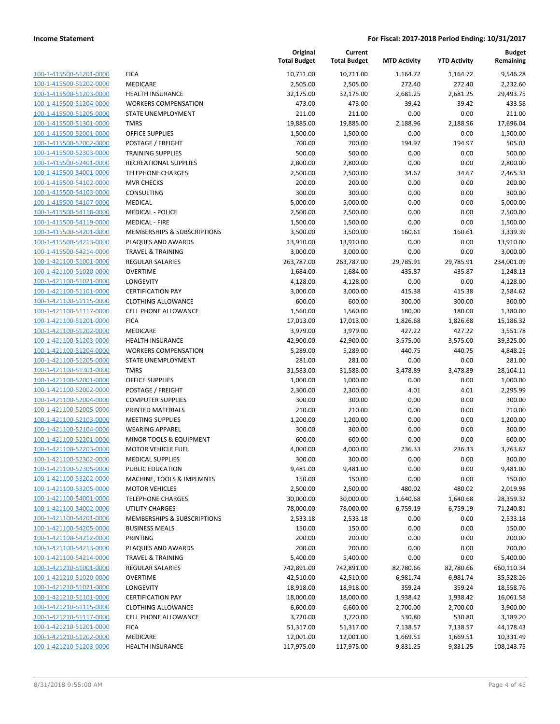| 100-1-415500-51201-0000        |
|--------------------------------|
| 100-1-415500-51202-0000        |
| 100-1-415500-51203-0000        |
| 100-1-415500-51204-0000        |
| 100-1-415500-51205-0000        |
| <u>100-1-415500-51301-0000</u> |
| 100-1-415500-52001-0000        |
| 100-1-415500-52002-0000        |
| 100-1-415500-52303-0000        |
| 100-1-415500-52401-0000        |
| 100-1-415500-54001-0000        |
| 100-1-415500-54102-0000        |
| 100-1-415500-54103-0000        |
| 100-1-415500-54107-0000        |
| 100-1-415500-54118-0000        |
| <u>100-1-415500-54119-0000</u> |
| 100-1-415500-54201-0000        |
| 100-1-415500-54213-0000        |
| 100-1-415500-54214-0000        |
| 100-1-421100-51001-0000        |
| 100-1-421100-51020-0000        |
| 100-1-421100-51021-0000        |
| 100-1-421100-51101-0000        |
| 100-1-421100-51115-0000        |
| 100-1-421100-51117-0000        |
| <u>100-1-421100-51201-0000</u> |
| 100-1-421100-51202-0000        |
| 100-1-421100-51203-0000        |
| 100-1-421100-51204-0000        |
| 100-1-421100-51205-0000        |
|                                |
| 100-1-421100-51301-0000        |
| 100-1-421100-52001-0000        |
| 100-1-421100-52002-0000        |
| 100-1-421100-52004-0000        |
| 100-1-421100-52005-0000        |
| <u>100-1-421100-52103-0000</u> |
| 100-1-421100-52104-0000        |
| 100-1-421100-52201-0000        |
| 100-1-421100-52203-0000        |
| 100-1-421100-52302-0000        |
| 100-1-421100-52305-0000        |
| <u>100-1-421100-53202-0000</u> |
| 100-1-421100-53205-0000        |
| 100-1-421100-54001-0000        |
| <u>100-1-421100-54002-0000</u> |
| <u>100-1-421100-54201-0000</u> |
| 100-1-421100-54205-0000        |
| 100-1-421100-54212-0000        |
| 100-1-421100-54213-0000        |
| 100-1-421100-54214-0000        |
| <u>100-1-421210-51001-0000</u> |
| <u>100-1-421210-51020-0000</u> |
| 100-1-421210-51021-0000        |
| 100-1-421210-51101-0000        |
| <u>100-1-421210-51115-0000</u> |
| 100-1-421210-51117-0000        |
| <u>100-1-421210-51201-0000</u> |
| 100-1-421210-51202-0000        |
| 100-1-421210-51203-0000        |
|                                |

|                         |                                    | Original<br><b>Total Budget</b> | Current<br><b>Total Budget</b> | <b>MTD Activity</b> | <b>YTD Activity</b> | <b>Budget</b><br>Remaining |
|-------------------------|------------------------------------|---------------------------------|--------------------------------|---------------------|---------------------|----------------------------|
| 100-1-415500-51201-0000 | <b>FICA</b>                        | 10,711.00                       | 10,711.00                      | 1,164.72            | 1,164.72            | 9,546.28                   |
| 100-1-415500-51202-0000 | MEDICARE                           | 2,505.00                        | 2,505.00                       | 272.40              | 272.40              | 2,232.60                   |
| 100-1-415500-51203-0000 | <b>HEALTH INSURANCE</b>            | 32,175.00                       | 32,175.00                      | 2,681.25            | 2,681.25            | 29,493.75                  |
| 100-1-415500-51204-0000 | <b>WORKERS COMPENSATION</b>        | 473.00                          | 473.00                         | 39.42               | 39.42               | 433.58                     |
| 100-1-415500-51205-0000 | <b>STATE UNEMPLOYMENT</b>          | 211.00                          | 211.00                         | 0.00                | 0.00                | 211.00                     |
| 100-1-415500-51301-0000 | <b>TMRS</b>                        | 19,885.00                       | 19,885.00                      | 2,188.96            | 2,188.96            | 17,696.04                  |
| 100-1-415500-52001-0000 | <b>OFFICE SUPPLIES</b>             | 1,500.00                        | 1,500.00                       | 0.00                | 0.00                | 1,500.00                   |
| 100-1-415500-52002-0000 | POSTAGE / FREIGHT                  | 700.00                          | 700.00                         | 194.97              | 194.97              | 505.03                     |
| 100-1-415500-52303-0000 | <b>TRAINING SUPPLIES</b>           | 500.00                          | 500.00                         | 0.00                | 0.00                | 500.00                     |
| 100-1-415500-52401-0000 | RECREATIONAL SUPPLIES              | 2,800.00                        | 2,800.00                       | 0.00                | 0.00                | 2,800.00                   |
| 100-1-415500-54001-0000 | <b>TELEPHONE CHARGES</b>           | 2,500.00                        | 2,500.00                       | 34.67               | 34.67               | 2,465.33                   |
| 100-1-415500-54102-0000 | <b>MVR CHECKS</b>                  | 200.00                          | 200.00                         | 0.00                | 0.00                | 200.00                     |
| 100-1-415500-54103-0000 | CONSULTING                         | 300.00                          | 300.00                         | 0.00                | 0.00                | 300.00                     |
| 100-1-415500-54107-0000 | <b>MEDICAL</b>                     | 5,000.00                        | 5,000.00                       | 0.00                | 0.00                | 5,000.00                   |
| 100-1-415500-54118-0000 | <b>MEDICAL - POLICE</b>            | 2,500.00                        | 2,500.00                       | 0.00                | 0.00                | 2,500.00                   |
| 100-1-415500-54119-0000 | <b>MEDICAL - FIRE</b>              | 1,500.00                        | 1,500.00                       | 0.00                | 0.00                | 1,500.00                   |
| 100-1-415500-54201-0000 | MEMBERSHIPS & SUBSCRIPTIONS        | 3,500.00                        | 3,500.00                       | 160.61              | 160.61              | 3,339.39                   |
| 100-1-415500-54213-0000 | PLAQUES AND AWARDS                 | 13,910.00                       | 13,910.00                      | 0.00                | 0.00                | 13,910.00                  |
| 100-1-415500-54214-0000 | <b>TRAVEL &amp; TRAINING</b>       | 3,000.00                        | 3,000.00                       | 0.00                | 0.00                | 3,000.00                   |
| 100-1-421100-51001-0000 | <b>REGULAR SALARIES</b>            | 263,787.00                      | 263,787.00                     | 29,785.91           | 29,785.91           | 234,001.09                 |
| 100-1-421100-51020-0000 | <b>OVERTIME</b>                    | 1,684.00                        | 1,684.00                       | 435.87              | 435.87              | 1,248.13                   |
| 100-1-421100-51021-0000 | LONGEVITY                          | 4,128.00                        | 4,128.00                       | 0.00                | 0.00                | 4,128.00                   |
| 100-1-421100-51101-0000 | <b>CERTIFICATION PAY</b>           | 3,000.00                        | 3,000.00                       | 415.38              | 415.38              | 2,584.62                   |
| 100-1-421100-51115-0000 | <b>CLOTHING ALLOWANCE</b>          | 600.00                          | 600.00                         | 300.00              | 300.00              | 300.00                     |
| 100-1-421100-51117-0000 | <b>CELL PHONE ALLOWANCE</b>        | 1,560.00                        | 1,560.00                       | 180.00              | 180.00              | 1,380.00                   |
| 100-1-421100-51201-0000 | <b>FICA</b>                        | 17,013.00                       | 17,013.00                      | 1,826.68            | 1,826.68            | 15,186.32                  |
| 100-1-421100-51202-0000 | MEDICARE                           | 3,979.00                        | 3,979.00                       | 427.22              | 427.22              | 3,551.78                   |
| 100-1-421100-51203-0000 | <b>HEALTH INSURANCE</b>            | 42,900.00                       | 42,900.00                      | 3,575.00            | 3,575.00            | 39,325.00                  |
| 100-1-421100-51204-0000 | <b>WORKERS COMPENSATION</b>        | 5,289.00                        | 5,289.00                       | 440.75              | 440.75              | 4,848.25                   |
| 100-1-421100-51205-0000 | STATE UNEMPLOYMENT                 | 281.00                          | 281.00                         | 0.00                | 0.00                | 281.00                     |
| 100-1-421100-51301-0000 | <b>TMRS</b>                        | 31,583.00                       | 31,583.00                      | 3,478.89            | 3,478.89            | 28,104.11                  |
| 100-1-421100-52001-0000 | <b>OFFICE SUPPLIES</b>             | 1,000.00                        | 1,000.00                       | 0.00                | 0.00                | 1,000.00                   |
| 100-1-421100-52002-0000 | POSTAGE / FREIGHT                  | 2,300.00                        | 2,300.00                       | 4.01                | 4.01                | 2,295.99                   |
| 100-1-421100-52004-0000 | <b>COMPUTER SUPPLIES</b>           | 300.00                          | 300.00                         | 0.00                | 0.00                | 300.00                     |
| 100-1-421100-52005-0000 | PRINTED MATERIALS                  | 210.00                          | 210.00                         | 0.00                | 0.00                | 210.00                     |
| 100-1-421100-52103-0000 | <b>MEETING SUPPLIES</b>            | 1,200.00                        | 1,200.00                       | 0.00                | 0.00                | 1,200.00                   |
| 100-1-421100-52104-0000 | <b>WEARING APPAREL</b>             | 300.00                          | 300.00                         | 0.00                | 0.00                | 300.00                     |
| 100-1-421100-52201-0000 | <b>MINOR TOOLS &amp; EQUIPMENT</b> | 600.00                          | 600.00                         | 0.00                | 0.00                | 600.00                     |
| 100-1-421100-52203-0000 | <b>MOTOR VEHICLE FUEL</b>          | 4,000.00                        | 4,000.00                       | 236.33              | 236.33              | 3,763.67                   |
| 100-1-421100-52302-0000 | <b>MEDICAL SUPPLIES</b>            | 300.00                          | 300.00                         | 0.00                | 0.00                | 300.00                     |
| 100-1-421100-52305-0000 | PUBLIC EDUCATION                   | 9,481.00                        | 9,481.00                       | 0.00                | 0.00                | 9,481.00                   |
| 100-1-421100-53202-0000 | MACHINE, TOOLS & IMPLMNTS          | 150.00                          | 150.00                         | 0.00                | 0.00                | 150.00                     |
| 100-1-421100-53205-0000 | <b>MOTOR VEHICLES</b>              | 2,500.00                        | 2,500.00                       | 480.02              | 480.02              | 2,019.98                   |
| 100-1-421100-54001-0000 | <b>TELEPHONE CHARGES</b>           | 30,000.00                       | 30,000.00                      | 1,640.68            | 1,640.68            | 28,359.32                  |
| 100-1-421100-54002-0000 | UTILITY CHARGES                    | 78,000.00                       | 78,000.00                      | 6,759.19            | 6,759.19            | 71,240.81                  |
| 100-1-421100-54201-0000 | MEMBERSHIPS & SUBSCRIPTIONS        | 2,533.18                        | 2,533.18                       | 0.00                | 0.00                | 2,533.18                   |
| 100-1-421100-54205-0000 | <b>BUSINESS MEALS</b>              | 150.00                          | 150.00                         | 0.00                | 0.00                | 150.00                     |
| 100-1-421100-54212-0000 | <b>PRINTING</b>                    | 200.00                          | 200.00                         | 0.00                | 0.00                | 200.00                     |
| 100-1-421100-54213-0000 | PLAQUES AND AWARDS                 | 200.00                          | 200.00                         | 0.00                | 0.00                | 200.00                     |
| 100-1-421100-54214-0000 | <b>TRAVEL &amp; TRAINING</b>       | 5,400.00                        | 5,400.00                       | 0.00                | 0.00                | 5,400.00                   |
| 100-1-421210-51001-0000 | <b>REGULAR SALARIES</b>            | 742,891.00                      | 742,891.00                     | 82,780.66           | 82,780.66           | 660,110.34                 |
| 100-1-421210-51020-0000 | <b>OVERTIME</b>                    | 42,510.00                       | 42,510.00                      | 6,981.74            | 6,981.74            | 35,528.26                  |
| 100-1-421210-51021-0000 | LONGEVITY                          | 18,918.00                       | 18,918.00                      | 359.24              | 359.24              | 18,558.76                  |
| 100-1-421210-51101-0000 | <b>CERTIFICATION PAY</b>           | 18,000.00                       | 18,000.00                      | 1,938.42            | 1,938.42            | 16,061.58                  |
| 100-1-421210-51115-0000 | <b>CLOTHING ALLOWANCE</b>          | 6,600.00                        | 6,600.00                       | 2,700.00            | 2,700.00            | 3,900.00                   |
| 100-1-421210-51117-0000 | <b>CELL PHONE ALLOWANCE</b>        | 3,720.00                        | 3,720.00                       | 530.80              | 530.80              | 3,189.20                   |
| 100-1-421210-51201-0000 | <b>FICA</b>                        | 51,317.00                       | 51,317.00                      | 7,138.57            | 7,138.57            | 44,178.43                  |
| 100-1-421210-51202-0000 | MEDICARE                           | 12,001.00                       | 12,001.00                      | 1,669.51            | 1,669.51            | 10,331.49                  |
| 100-1-421210-51203-0000 | HEALTH INSURANCE                   | 117,975.00                      | 117,975.00                     | 9,831.25            | 9,831.25            | 108,143.75                 |
|                         |                                    |                                 |                                |                     |                     |                            |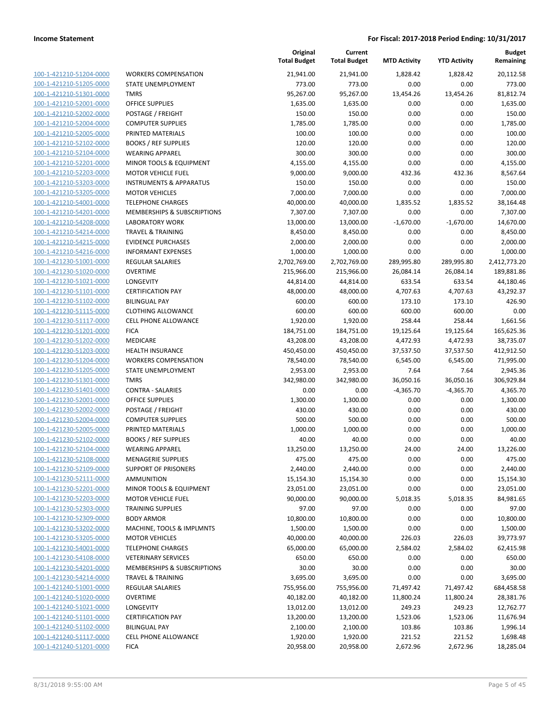**Budget**

100-1-421210-51204-0000 100-1-421210-51205-0000 100-1-421210-51301-0000 100-1-421210-52001-0000 100-1-421210-52002-0000 100-1-421210-52004-0000 100-1-421210-52005-0000 PRINTED MATERIALS 100.00 100.00 0.00 0.00 100.00 100-1-421210-52102-0000 100-1-421210-52104-0000 100-1-421210-52201-0000 100-1-421210-52203-0000 100-1-421210-53203-0000 100-1-421210-53205-0000 100-1-421210-54001-0000 100-1-421210-54201-0000 100-1-421210-54208-0000 100-1-421210-54214-0000 100-1-421210-54215-0000 100-1-421210-54216-0000 100-1-421230-51001-0000 100-1-421230-51020-0000 100-1-421230-51021-0000 100-1-421230-51101-0000 100-1-421230-51102-0000 BILINGUAL PAY 600.00 600.00 173.10 173.10 426.90 100-1-421230-51115-0000 100-1-421230-51117-0000 100-1-421230-51201-0000 100-1-421230-51202-0000 100-1-421230-51203-0000 100-1-421230-51204-0000 100-1-421230-51205-0000 100-1-421230-51301-0000 100-1-421230-51401-0000 100-1-421230-52001-0000 100-1-421230-52002-0000 100-1-421230-52004-0000 100-1-421230-52005-0000 100-1-421230-52102-0000 BOOKS / REF SUPPLIES 40.00 40.00 0.00 0.00 40.00 100-1-421230-52104-0000 100-1-421230-52108-0000 MENAGERIE SUPPLIES 475.00 475.00 0.00 0.00 475.00 100-1-421230-52109-0000 100-1-421230-52111-0000 100-1-421230-52201-0000 100-1-421230-52203-0000 100-1-421230-52303-0000 100-1-421230-52309-0000 100-1-421230-53202-0000 100-1-421230-53205-0000 100-1-421230-54001-0000 100-1-421230-54108-0000 100-1-421230-54201-0000 100-1-421230-54214-0000 100-1-421240-51001-0000 100-1-421240-51020-0000 100-1-421240-51021-0000 100-1-421240-51101-0000 100-1-421240-51102-0000 100-1-421240-51117-0000 100-1-421240-51201-0000

|                                    | Original<br><b>Total Budget</b> | Current<br><b>Total Budget</b> | <b>MTD Activity</b> | <b>YTD Activity</b> | <b>Budget</b><br>Remaining |
|------------------------------------|---------------------------------|--------------------------------|---------------------|---------------------|----------------------------|
| <b>WORKERS COMPENSATION</b>        | 21,941.00                       | 21,941.00                      | 1,828.42            | 1,828.42            | 20,112.58                  |
| STATE UNEMPLOYMENT                 | 773.00                          | 773.00                         | 0.00                | 0.00                | 773.00                     |
| <b>TMRS</b>                        | 95,267.00                       | 95,267.00                      | 13,454.26           | 13,454.26           | 81,812.74                  |
| <b>OFFICE SUPPLIES</b>             | 1,635.00                        | 1,635.00                       | 0.00                | 0.00                | 1,635.00                   |
| POSTAGE / FREIGHT                  | 150.00                          | 150.00                         | 0.00                | 0.00                | 150.00                     |
| <b>COMPUTER SUPPLIES</b>           | 1,785.00                        | 1,785.00                       | 0.00                | 0.00                | 1,785.00                   |
| PRINTED MATERIALS                  | 100.00                          | 100.00                         | 0.00                | 0.00                | 100.00                     |
| <b>BOOKS / REF SUPPLIES</b>        | 120.00                          | 120.00                         | 0.00                | 0.00                | 120.00                     |
| <b>WEARING APPAREL</b>             | 300.00                          | 300.00                         | 0.00                | 0.00                | 300.00                     |
| MINOR TOOLS & EQUIPMENT            | 4,155.00                        | 4,155.00                       | 0.00                | 0.00                | 4,155.00                   |
| <b>MOTOR VEHICLE FUEL</b>          | 9,000.00                        | 9,000.00                       | 432.36              | 432.36              | 8,567.64                   |
| <b>INSTRUMENTS &amp; APPARATUS</b> | 150.00                          | 150.00                         | 0.00                | 0.00                | 150.00                     |
| <b>MOTOR VEHICLES</b>              | 7,000.00                        | 7,000.00                       | 0.00                | 0.00                | 7,000.00                   |
| <b>TELEPHONE CHARGES</b>           | 40,000.00                       | 40,000.00                      | 1,835.52            | 1,835.52            | 38,164.48                  |
| MEMBERSHIPS & SUBSCRIPTIONS        | 7,307.00                        | 7,307.00                       | 0.00                | 0.00                | 7,307.00                   |
| <b>LABORATORY WORK</b>             | 13,000.00                       | 13,000.00                      | $-1,670.00$         | $-1,670.00$         | 14,670.00                  |
| <b>TRAVEL &amp; TRAINING</b>       | 8,450.00                        | 8,450.00                       | 0.00                | 0.00                | 8,450.00                   |
| <b>EVIDENCE PURCHASES</b>          | 2,000.00                        | 2,000.00                       | 0.00                | 0.00                | 2,000.00                   |
| <b>INFORMANT EXPENSES</b>          | 1,000.00                        | 1,000.00                       | 0.00                | 0.00                | 1,000.00                   |
| <b>REGULAR SALARIES</b>            | 2,702,769.00                    | 2,702,769.00                   | 289,995.80          | 289,995.80          | 2,412,773.20               |
| <b>OVERTIME</b>                    | 215,966.00                      | 215,966.00                     | 26,084.14           | 26,084.14           | 189,881.86                 |
| LONGEVITY                          | 44,814.00                       | 44,814.00                      | 633.54              | 633.54              | 44,180.46                  |
| <b>CERTIFICATION PAY</b>           | 48,000.00                       | 48,000.00                      | 4,707.63            | 4,707.63            | 43,292.37                  |
| <b>BILINGUAL PAY</b>               | 600.00                          | 600.00                         | 173.10              | 173.10              | 426.90                     |
| <b>CLOTHING ALLOWANCE</b>          | 600.00                          | 600.00                         | 600.00              | 600.00              | 0.00                       |
| <b>CELL PHONE ALLOWANCE</b>        | 1,920.00                        | 1,920.00                       | 258.44              | 258.44              | 1,661.56                   |
| <b>FICA</b>                        | 184,751.00                      | 184,751.00                     | 19,125.64           | 19,125.64           | 165,625.36                 |
| MEDICARE                           | 43,208.00                       | 43,208.00                      | 4,472.93            | 4,472.93            | 38,735.07                  |
| <b>HEALTH INSURANCE</b>            | 450,450.00                      | 450,450.00                     | 37,537.50           | 37,537.50           | 412,912.50                 |
| <b>WORKERS COMPENSATION</b>        | 78,540.00                       | 78,540.00                      | 6,545.00            | 6,545.00            | 71,995.00                  |
| STATE UNEMPLOYMENT                 | 2,953.00                        | 2,953.00                       | 7.64                | 7.64                | 2,945.36                   |
| <b>TMRS</b>                        | 342,980.00                      | 342,980.00                     | 36,050.16           | 36,050.16           | 306,929.84                 |
| <b>CONTRA - SALARIES</b>           | 0.00                            | 0.00                           | $-4,365.70$         | $-4,365.70$         | 4,365.70                   |
| <b>OFFICE SUPPLIES</b>             | 1,300.00                        | 1,300.00                       | 0.00                | 0.00                | 1,300.00                   |
| POSTAGE / FREIGHT                  | 430.00                          | 430.00                         | 0.00                | 0.00                | 430.00                     |
| <b>COMPUTER SUPPLIES</b>           | 500.00                          | 500.00                         | 0.00                | 0.00                | 500.00                     |
| PRINTED MATERIALS                  | 1,000.00                        | 1,000.00                       | 0.00                | 0.00                | 1,000.00                   |
| <b>BOOKS / REF SUPPLIES</b>        | 40.00                           | 40.00                          | 0.00                | 0.00                | 40.00                      |
| <b>WEARING APPAREL</b>             | 13,250.00                       | 13,250.00                      | 24.00               | 24.00               | 13,226.00                  |
| <b>MENAGERIE SUPPLIES</b>          | 475.00                          | 475.00                         | 0.00                | 0.00                | 475.00                     |
| SUPPORT OF PRISONERS               | 2,440.00                        | 2,440.00                       | 0.00                | 0.00                | 2,440.00                   |
| <b>AMMUNITION</b>                  | 15,154.30                       | 15,154.30                      | 0.00                | 0.00                | 15,154.30                  |
| MINOR TOOLS & EQUIPMENT            | 23,051.00                       | 23,051.00                      | 0.00                | 0.00                | 23,051.00                  |
| <b>MOTOR VEHICLE FUEL</b>          | 90,000.00                       | 90,000.00                      | 5,018.35            | 5,018.35            | 84,981.65                  |
| <b>TRAINING SUPPLIES</b>           | 97.00                           | 97.00                          | 0.00                | 0.00                | 97.00                      |
| <b>BODY ARMOR</b>                  | 10,800.00                       | 10,800.00                      | 0.00                | 0.00                | 10,800.00                  |
| MACHINE, TOOLS & IMPLMNTS          | 1,500.00                        | 1,500.00                       | 0.00                | 0.00                | 1,500.00                   |
| <b>MOTOR VEHICLES</b>              | 40,000.00                       | 40,000.00                      | 226.03              | 226.03              | 39,773.97                  |
| <b>TELEPHONE CHARGES</b>           | 65,000.00                       | 65,000.00                      | 2,584.02            | 2,584.02            | 62,415.98                  |
| <b>VETERINARY SERVICES</b>         | 650.00                          | 650.00                         | 0.00                | 0.00                | 650.00                     |
| MEMBERSHIPS & SUBSCRIPTIONS        | 30.00                           | 30.00                          | 0.00                | 0.00                | 30.00                      |
| <b>TRAVEL &amp; TRAINING</b>       | 3,695.00                        | 3,695.00                       | 0.00                | 0.00                | 3,695.00                   |
| <b>REGULAR SALARIES</b>            | 755,956.00                      | 755,956.00                     | 71,497.42           | 71,497.42           | 684,458.58                 |
| <b>OVERTIME</b>                    | 40,182.00                       | 40,182.00                      | 11,800.24           | 11,800.24           | 28,381.76                  |
| LONGEVITY                          | 13,012.00                       | 13,012.00                      | 249.23              | 249.23              | 12,762.77                  |
| <b>CERTIFICATION PAY</b>           | 13,200.00                       | 13,200.00                      | 1,523.06            | 1,523.06            | 11,676.94                  |
| <b>BILINGUAL PAY</b>               | 2,100.00                        | 2,100.00                       | 103.86              | 103.86              | 1,996.14                   |
| CELL PHONE ALLOWANCE               | 1,920.00                        | 1,920.00                       | 221.52              | 221.52              | 1,698.48                   |
| <b>FICA</b>                        | 20,958.00                       | 20,958.00                      | 2,672.96            | 2,672.96            | 18,285.04                  |

**Original**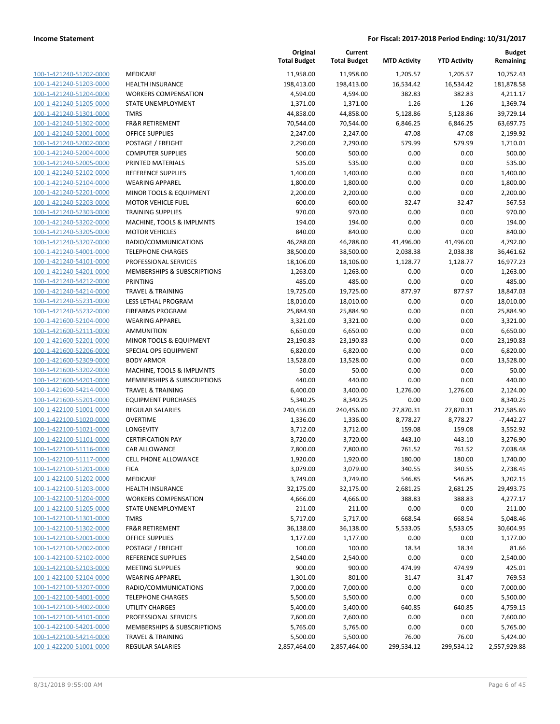| 100-1-421240-51202-0000        | M              |
|--------------------------------|----------------|
| 100-1-421240-51203-0000        | Н              |
|                                |                |
| 100-1-421240-51204-0000        | W              |
| 100-1-421240-51205-0000        | S1             |
| 100-1-421240-51301-0000        | TI             |
| 100-1-421240-51302-0000        | FF             |
| 100-1-421240-52001-0000        | 0              |
| 100-1-421240-52002-0000        | P <sub>(</sub> |
| 100-1-421240-52004-0000        | C١             |
| 100-1-421240-52005-0000        | PI             |
| 100-1-421240-52102-0000        | R              |
| 100-1-421240-52104-0000        | W              |
| 100-1-421240-52201-0000        | M              |
| 100-1-421240-52203-0000        | M              |
| 100-1-421240-52303-0000        | TI             |
| 100-1-421240-53202-0000        | N              |
| 100-1-421240-53205-0000        | M              |
|                                |                |
| 100-1-421240-53207-0000        | R,             |
| 100-1-421240-54001-0000        | T              |
| 100-1-421240-54101-0000        | PI             |
| 100-1-421240-54201-0000        | M              |
| 100-1-421240-54212-0000        | PI             |
| 100-1-421240-54214-0000        | ΤF             |
| 100-1-421240-55231-0000        | LE             |
| 100-1-421240-55232-0000        | FI             |
| 100-1-421600-52104-0000        | W              |
| 100-1-421600-52111-0000        | A              |
| 100-1-421600-52201-0000        | M              |
| 100-1-421600-52206-0000        | SI             |
| 100-1-421600-52309-0000        | Β              |
| 100-1-421600-53202-0000        | N              |
| 100-1-421600-54201-0000        | M              |
| 100-1-421600-54214-0000        | TI             |
| 100-1-421600-55201-0000        | E)             |
| 100-1-422100-51001-0000        | R              |
| 100-1-422100-51020-0000        | Ο              |
| 100-1-422100-51021-0000        | L              |
|                                | CI             |
| 100-1-422100-51101-0000        |                |
| 100-1-422100-51116-0000        | C,             |
| 100-1-422100-51117-0000        | CI             |
| 100-1-422100-51201-0000        | FI             |
| <u>100-1-422100-51202-0000</u> | M              |
| 100-1-422100-51203-0000        | н              |
| 100-1-422100-51204-0000        |                |
| 100-1-422100-51205-0000        | S1             |
| 100-1-422100-51301-0000        | ΤI             |
| <u>100-1-422100-51302-0000</u> | Ff             |
| 100-1-422100-52001-0000        | O              |
| 100-1-422100-52002-0000        | P              |
| 100-1-422100-52102-0000        | RI             |
| 100-1-422100-52103-0000        | M              |
| <u>100-1-422100-52104-0000</u> | W              |
| 100-1-422100-53207-0000        | R,             |
| 100-1-422100-54001-0000        | ΤI             |
| 100-1-422100-54002-0000        | U              |
| 100-1-422100-54101-0000        | PI             |
|                                |                |
| <u>100-1-422100-54201-0000</u> | M              |
| 100-1-422100-54214-0000        | ΤI             |
| 100-1-422200-51001-0000        | RI             |
|                                |                |

|                                                    |                                                   | Original<br><b>Total Budget</b> | Current<br><b>Total Budget</b> | <b>MTD Activity</b>  | <b>YTD Activity</b>  | Budget<br>Remaining    |
|----------------------------------------------------|---------------------------------------------------|---------------------------------|--------------------------------|----------------------|----------------------|------------------------|
| 100-1-421240-51202-0000                            | MEDICARE                                          | 11,958.00                       | 11,958.00                      | 1,205.57             | 1,205.57             | 10,752.43              |
| 100-1-421240-51203-0000                            | <b>HEALTH INSURANCE</b>                           | 198,413.00                      | 198,413.00                     | 16,534.42            | 16,534.42            | 181,878.58             |
| 100-1-421240-51204-0000                            | <b>WORKERS COMPENSATION</b>                       | 4,594.00                        | 4,594.00                       | 382.83               | 382.83               | 4,211.17               |
| 100-1-421240-51205-0000                            | STATE UNEMPLOYMENT                                | 1,371.00                        | 1,371.00                       | 1.26                 | 1.26                 | 1,369.74               |
| 100-1-421240-51301-0000                            | <b>TMRS</b>                                       | 44,858.00                       | 44,858.00                      | 5,128.86             | 5,128.86             | 39,729.14              |
| 100-1-421240-51302-0000                            | <b>FR&amp;R RETIREMENT</b>                        | 70,544.00                       | 70,544.00                      | 6,846.25             | 6,846.25             | 63,697.75              |
| 100-1-421240-52001-0000                            | <b>OFFICE SUPPLIES</b>                            | 2,247.00                        | 2,247.00                       | 47.08                | 47.08                | 2,199.92               |
| 100-1-421240-52002-0000                            | POSTAGE / FREIGHT                                 | 2,290.00                        | 2,290.00                       | 579.99               | 579.99               | 1,710.01               |
| 100-1-421240-52004-0000                            | <b>COMPUTER SUPPLIES</b>                          | 500.00                          | 500.00                         | 0.00                 | 0.00                 | 500.00                 |
| 100-1-421240-52005-0000                            | PRINTED MATERIALS                                 | 535.00                          | 535.00                         | 0.00                 | 0.00                 | 535.00                 |
| 100-1-421240-52102-0000                            | <b>REFERENCE SUPPLIES</b>                         | 1,400.00                        | 1,400.00                       | 0.00                 | 0.00                 | 1,400.00               |
| 100-1-421240-52104-0000                            | <b>WEARING APPAREL</b>                            | 1,800.00                        | 1,800.00                       | 0.00                 | 0.00                 | 1,800.00               |
| 100-1-421240-52201-0000                            | MINOR TOOLS & EQUIPMENT                           | 2,200.00                        | 2,200.00                       | 0.00                 | 0.00                 | 2,200.00               |
| 100-1-421240-52203-0000                            | <b>MOTOR VEHICLE FUEL</b>                         | 600.00                          | 600.00                         | 32.47                | 32.47                | 567.53                 |
| 100-1-421240-52303-0000                            | <b>TRAINING SUPPLIES</b>                          | 970.00                          | 970.00                         | 0.00                 | 0.00                 | 970.00                 |
| 100-1-421240-53202-0000                            | MACHINE, TOOLS & IMPLMNTS                         | 194.00                          | 194.00                         | 0.00                 | 0.00                 | 194.00                 |
| 100-1-421240-53205-0000<br>100-1-421240-53207-0000 | <b>MOTOR VEHICLES</b>                             | 840.00                          | 840.00                         | 0.00                 | 0.00                 | 840.00                 |
| 100-1-421240-54001-0000                            | RADIO/COMMUNICATIONS                              | 46,288.00                       | 46,288.00                      | 41,496.00            | 41,496.00            | 4,792.00               |
| 100-1-421240-54101-0000                            | <b>TELEPHONE CHARGES</b><br>PROFESSIONAL SERVICES | 38,500.00<br>18,106.00          | 38,500.00<br>18,106.00         | 2,038.38<br>1,128.77 | 2,038.38<br>1,128.77 | 36,461.62<br>16,977.23 |
| 100-1-421240-54201-0000                            | MEMBERSHIPS & SUBSCRIPTIONS                       | 1,263.00                        |                                | 0.00                 | 0.00                 | 1,263.00               |
| 100-1-421240-54212-0000                            | PRINTING                                          | 485.00                          | 1,263.00<br>485.00             | 0.00                 | 0.00                 | 485.00                 |
| 100-1-421240-54214-0000                            | <b>TRAVEL &amp; TRAINING</b>                      | 19,725.00                       | 19,725.00                      | 877.97               | 877.97               | 18,847.03              |
| 100-1-421240-55231-0000                            | LESS LETHAL PROGRAM                               | 18,010.00                       | 18,010.00                      | 0.00                 | 0.00                 | 18,010.00              |
| 100-1-421240-55232-0000                            | <b>FIREARMS PROGRAM</b>                           | 25,884.90                       | 25,884.90                      | 0.00                 | 0.00                 | 25,884.90              |
| 100-1-421600-52104-0000                            | <b>WEARING APPAREL</b>                            | 3,321.00                        | 3,321.00                       | 0.00                 | 0.00                 | 3,321.00               |
| 100-1-421600-52111-0000                            | AMMUNITION                                        | 6,650.00                        | 6,650.00                       | 0.00                 | 0.00                 | 6,650.00               |
| 100-1-421600-52201-0000                            | MINOR TOOLS & EQUIPMENT                           | 23,190.83                       | 23,190.83                      | 0.00                 | 0.00                 | 23,190.83              |
| 100-1-421600-52206-0000                            | SPECIAL OPS EQUIPMENT                             | 6,820.00                        | 6,820.00                       | 0.00                 | 0.00                 | 6,820.00               |
| 100-1-421600-52309-0000                            | <b>BODY ARMOR</b>                                 | 13,528.00                       | 13,528.00                      | 0.00                 | 0.00                 | 13,528.00              |
| 100-1-421600-53202-0000                            | MACHINE, TOOLS & IMPLMNTS                         | 50.00                           | 50.00                          | 0.00                 | 0.00                 | 50.00                  |
| 100-1-421600-54201-0000                            | MEMBERSHIPS & SUBSCRIPTIONS                       | 440.00                          | 440.00                         | 0.00                 | 0.00                 | 440.00                 |
| 100-1-421600-54214-0000                            | <b>TRAVEL &amp; TRAINING</b>                      | 6,400.00                        | 3,400.00                       | 1,276.00             | 1,276.00             | 2,124.00               |
| 100-1-421600-55201-0000                            | <b>EQUIPMENT PURCHASES</b>                        | 5,340.25                        | 8,340.25                       | 0.00                 | 0.00                 | 8,340.25               |
| 100-1-422100-51001-0000                            | <b>REGULAR SALARIES</b>                           | 240,456.00                      | 240,456.00                     | 27,870.31            | 27,870.31            | 212,585.69             |
| 100-1-422100-51020-0000                            | <b>OVERTIME</b>                                   | 1,336.00                        | 1,336.00                       | 8,778.27             | 8,778.27             | $-7,442.27$            |
| 100-1-422100-51021-0000                            | LONGEVITY                                         | 3,712.00                        | 3,712.00                       | 159.08               | 159.08               | 3,552.92               |
| 100-1-422100-51101-0000                            | <b>CERTIFICATION PAY</b>                          | 3,720.00                        | 3,720.00                       | 443.10               | 443.10               | 3,276.90               |
| 100-1-422100-51116-0000                            | <b>CAR ALLOWANCE</b>                              | 7,800.00                        | 7,800.00                       | 761.52               | 761.52               | 7,038.48               |
| 100-1-422100-51117-0000                            | <b>CELL PHONE ALLOWANCE</b>                       | 1,920.00                        | 1,920.00                       | 180.00               | 180.00               | 1,740.00               |
| 100-1-422100-51201-0000                            | <b>FICA</b>                                       | 3,079.00                        | 3,079.00                       | 340.55               | 340.55               | 2,738.45               |
| 100-1-422100-51202-0000                            | MEDICARE                                          | 3,749.00                        | 3,749.00                       | 546.85               | 546.85               | 3,202.15               |
| 100-1-422100-51203-0000                            | <b>HEALTH INSURANCE</b>                           | 32,175.00                       | 32,175.00                      | 2,681.25             | 2,681.25             | 29,493.75              |
| 100-1-422100-51204-0000                            | <b>WORKERS COMPENSATION</b>                       | 4,666.00                        | 4,666.00                       | 388.83               | 388.83               | 4,277.17               |
| 100-1-422100-51205-0000                            | STATE UNEMPLOYMENT                                | 211.00                          | 211.00                         | 0.00                 | 0.00                 | 211.00                 |
| 100-1-422100-51301-0000                            | <b>TMRS</b>                                       | 5,717.00                        | 5,717.00                       | 668.54               | 668.54               | 5,048.46               |
| 100-1-422100-51302-0000                            | <b>FR&amp;R RETIREMENT</b>                        | 36,138.00                       | 36,138.00                      | 5,533.05             | 5,533.05             | 30,604.95              |
| 100-1-422100-52001-0000                            | <b>OFFICE SUPPLIES</b>                            | 1,177.00                        | 1,177.00                       | 0.00                 | 0.00                 | 1,177.00               |
| 100-1-422100-52002-0000                            | POSTAGE / FREIGHT                                 | 100.00                          | 100.00                         | 18.34                | 18.34                | 81.66                  |
| 100-1-422100-52102-0000                            | REFERENCE SUPPLIES                                | 2,540.00                        | 2,540.00                       | 0.00                 | 0.00                 | 2,540.00               |
| 100-1-422100-52103-0000                            | <b>MEETING SUPPLIES</b>                           | 900.00                          | 900.00                         | 474.99               | 474.99               | 425.01                 |
| 100-1-422100-52104-0000                            | <b>WEARING APPAREL</b>                            | 1,301.00                        | 801.00                         | 31.47                | 31.47                | 769.53                 |
| 100-1-422100-53207-0000                            | RADIO/COMMUNICATIONS                              | 7,000.00                        | 7,000.00                       | 0.00                 | 0.00                 | 7,000.00               |
| 100-1-422100-54001-0000                            | <b>TELEPHONE CHARGES</b>                          | 5,500.00                        | 5,500.00                       | 0.00                 | 0.00                 | 5,500.00               |
| 100-1-422100-54002-0000                            | <b>UTILITY CHARGES</b>                            | 5,400.00                        | 5,400.00                       | 640.85               | 640.85               | 4,759.15               |
| 100-1-422100-54101-0000                            | PROFESSIONAL SERVICES                             | 7,600.00                        | 7,600.00                       | 0.00                 | 0.00                 | 7,600.00               |
| 100-1-422100-54201-0000                            | MEMBERSHIPS & SUBSCRIPTIONS                       | 5,765.00                        | 5,765.00                       | 0.00                 | 0.00                 | 5,765.00               |
| 100-1-422100-54214-0000                            | <b>TRAVEL &amp; TRAINING</b>                      | 5,500.00                        | 5,500.00                       | 76.00                | 76.00                | 5,424.00               |
| 100-1-422200-51001-0000                            | <b>REGULAR SALARIES</b>                           | 2,857,464.00                    | 2,857,464.00                   | 299,534.12           | 299,534.12           | 2,557,929.88           |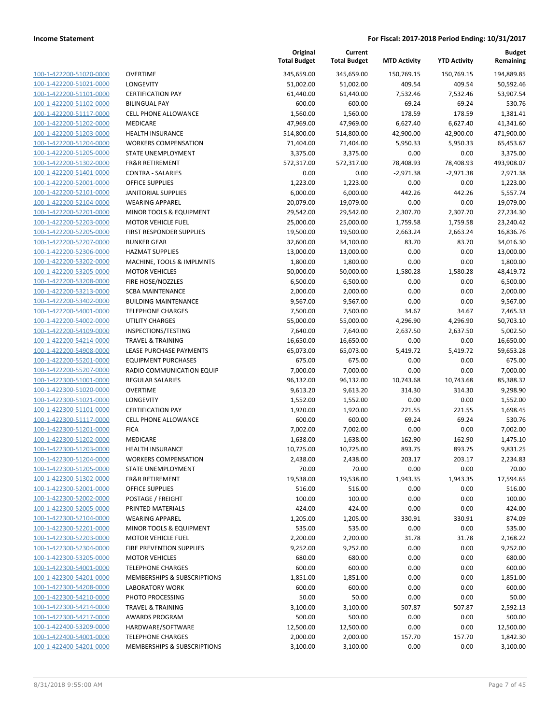| 100-1-422200-51020-0000        |
|--------------------------------|
| 100-1-422200-51021-0000        |
| 100-1-422200-51101-0000        |
| <u>100-1-422200-51102-0000</u> |
| 100-1-422200-51117-0000        |
| 100-1-422200-51202-0000        |
| 100-1-422200-51203-0000        |
| 100-1-422200-51204-0000        |
| 100-1-422200-51205-0000        |
| 100-1-422200-51302-0000        |
| 100-1-422200-51401-0000        |
| 100-1-422200-52001-0000        |
| 100-1-422200-52101-0000        |
| <u>100-1-422200-52104-0000</u> |
| 100-1-422200-52201-0000        |
| 100-1-422200-52203-0000        |
| 100-1-422200-52205-0000        |
| 100-1-422200-52207-0000        |
| 100-1-422200-52306-0000        |
| 100-1-422200-53202-0000        |
| 100-1-422200-53205-0000        |
| 100-1-422200-53208-0000        |
|                                |
| 100-1-422200-53213-0000        |
| 100-1-422200-53402-0000        |
| 100-1-422200-54001-0000        |
| 100-1-422200-54002-0000        |
| 100-1-422200-54109-0000        |
| 100-1-422200-54214-0000        |
| 100-1-422200-54908-0000        |
| 100-1-422200-55201-0000        |
| 100-1-422200-55207-0000        |
| 100-1-422300-51001-0000        |
| 100-1-422300-51020-0000        |
| <u>100-1-422300-51021-0000</u> |
| 100-1-422300-51101-0000        |
| 100-1-422300-51117-0000        |
| 100-1-422300-51201-0000        |
| 100-1-422300-51202-0000        |
| 100-1-422300-51203-0000        |
| 100-1-422300-51204-0000        |
| 100-1-422300-51205-0000        |
| 100-1-422300-51302-0000        |
| <u>100-1-422300-52001-0000</u> |
| <u>100-1-422300-52002-0000</u> |
| 100-1-422300-52005-0000        |
| 100-1-422300-52104-0000        |
| 100-1-422300-52201-0000        |
| <u>100-1-422300-52203-0000</u> |
| <u>100-1-422300-52304-0000</u> |
| 100-1-422300-53205-0000        |
| 100-1-422300-54001-0000        |
|                                |
| 100-1-422300-54201-0000        |
| 100-1-422300-54208-0000        |
| <u>100-1-422300-54210-0000</u> |
| <u>100-1-422300-54214-0000</u> |
| 100-1-422300-54217-0000        |
| 100-1-422400-53209-0000        |
| <u>100-1-422400-54001-0000</u> |
| <u>100-1-422400-54201-0000</u> |
|                                |

|                         |                                 | Original<br><b>Total Budget</b> | Current<br><b>Total Budget</b> | <b>MTD Activity</b> | <b>YTD Activity</b> | <b>Budget</b><br>Remaining |
|-------------------------|---------------------------------|---------------------------------|--------------------------------|---------------------|---------------------|----------------------------|
| 100-1-422200-51020-0000 | <b>OVERTIME</b>                 | 345,659.00                      | 345,659.00                     | 150,769.15          | 150,769.15          | 194,889.85                 |
| 100-1-422200-51021-0000 | LONGEVITY                       | 51,002.00                       | 51,002.00                      | 409.54              | 409.54              | 50,592.46                  |
| 100-1-422200-51101-0000 | <b>CERTIFICATION PAY</b>        | 61,440.00                       | 61,440.00                      | 7,532.46            | 7,532.46            | 53,907.54                  |
| 100-1-422200-51102-0000 | <b>BILINGUAL PAY</b>            | 600.00                          | 600.00                         | 69.24               | 69.24               | 530.76                     |
| 100-1-422200-51117-0000 | CELL PHONE ALLOWANCE            | 1,560.00                        | 1,560.00                       | 178.59              | 178.59              | 1,381.41                   |
| 100-1-422200-51202-0000 | MEDICARE                        | 47,969.00                       | 47,969.00                      | 6,627.40            | 6,627.40            | 41,341.60                  |
| 100-1-422200-51203-0000 | <b>HEALTH INSURANCE</b>         | 514,800.00                      | 514,800.00                     | 42,900.00           | 42,900.00           | 471,900.00                 |
| 100-1-422200-51204-0000 | <b>WORKERS COMPENSATION</b>     | 71,404.00                       | 71,404.00                      | 5,950.33            | 5,950.33            | 65,453.67                  |
| 100-1-422200-51205-0000 | STATE UNEMPLOYMENT              | 3,375.00                        | 3,375.00                       | 0.00                | 0.00                | 3,375.00                   |
| 100-1-422200-51302-0000 | <b>FR&amp;R RETIREMENT</b>      | 572,317.00                      | 572,317.00                     | 78,408.93           | 78,408.93           | 493,908.07                 |
| 100-1-422200-51401-0000 | <b>CONTRA - SALARIES</b>        | 0.00                            | 0.00                           | $-2,971.38$         | $-2,971.38$         | 2,971.38                   |
| 100-1-422200-52001-0000 | <b>OFFICE SUPPLIES</b>          | 1,223.00                        | 1,223.00                       | 0.00                | 0.00                | 1,223.00                   |
| 100-1-422200-52101-0000 | <b>JANITORIAL SUPPLIES</b>      | 6,000.00                        | 6,000.00                       | 442.26              | 442.26              | 5,557.74                   |
| 100-1-422200-52104-0000 | <b>WEARING APPAREL</b>          | 20,079.00                       | 19,079.00                      | 0.00                | 0.00                | 19,079.00                  |
| 100-1-422200-52201-0000 | MINOR TOOLS & EQUIPMENT         | 29,542.00                       | 29,542.00                      | 2,307.70            | 2,307.70            | 27,234.30                  |
| 100-1-422200-52203-0000 | <b>MOTOR VEHICLE FUEL</b>       | 25,000.00                       | 25,000.00                      | 1,759.58            | 1,759.58            | 23,240.42                  |
| 100-1-422200-52205-0000 | FIRST RESPONDER SUPPLIES        | 19,500.00                       | 19,500.00                      | 2,663.24            | 2,663.24            | 16,836.76                  |
| 100-1-422200-52207-0000 | <b>BUNKER GEAR</b>              | 32,600.00                       | 34,100.00                      | 83.70               | 83.70               | 34,016.30                  |
| 100-1-422200-52306-0000 | <b>HAZMAT SUPPLIES</b>          | 13,000.00                       | 13,000.00                      | 0.00                | 0.00                | 13,000.00                  |
| 100-1-422200-53202-0000 | MACHINE, TOOLS & IMPLMNTS       | 1,800.00                        | 1,800.00                       | 0.00                | 0.00                | 1,800.00                   |
| 100-1-422200-53205-0000 | <b>MOTOR VEHICLES</b>           | 50,000.00                       | 50,000.00                      | 1,580.28            | 1,580.28            | 48,419.72                  |
| 100-1-422200-53208-0000 | FIRE HOSE/NOZZLES               | 6,500.00                        | 6,500.00                       | 0.00                | 0.00                | 6,500.00                   |
| 100-1-422200-53213-0000 | <b>SCBA MAINTENANCE</b>         | 2,000.00                        | 2,000.00                       | 0.00                | 0.00                | 2,000.00                   |
| 100-1-422200-53402-0000 | <b>BUILDING MAINTENANCE</b>     | 9,567.00                        | 9,567.00                       | 0.00                | 0.00                | 9,567.00                   |
| 100-1-422200-54001-0000 | <b>TELEPHONE CHARGES</b>        | 7,500.00                        | 7,500.00                       | 34.67               | 34.67               | 7,465.33                   |
| 100-1-422200-54002-0000 | <b>UTILITY CHARGES</b>          | 55,000.00                       | 55,000.00                      | 4,296.90            | 4,296.90            | 50,703.10                  |
| 100-1-422200-54109-0000 | INSPECTIONS/TESTING             | 7,640.00                        | 7,640.00                       | 2,637.50            | 2,637.50            | 5,002.50                   |
| 100-1-422200-54214-0000 | <b>TRAVEL &amp; TRAINING</b>    | 16,650.00                       | 16,650.00                      | 0.00                | 0.00                | 16,650.00                  |
| 100-1-422200-54908-0000 | LEASE PURCHASE PAYMENTS         | 65,073.00                       | 65,073.00                      | 5,419.72            | 5,419.72            | 59,653.28                  |
| 100-1-422200-55201-0000 | <b>EQUIPMENT PURCHASES</b>      | 675.00                          | 675.00                         | 0.00                | 0.00                | 675.00                     |
| 100-1-422200-55207-0000 | RADIO COMMUNICATION EQUIP       | 7,000.00                        | 7,000.00                       | 0.00                | 0.00                | 7,000.00                   |
| 100-1-422300-51001-0000 | <b>REGULAR SALARIES</b>         | 96,132.00                       | 96,132.00                      | 10,743.68           | 10,743.68           | 85,388.32                  |
| 100-1-422300-51020-0000 | <b>OVERTIME</b>                 | 9,613.20                        | 9,613.20                       | 314.30              | 314.30              | 9,298.90                   |
| 100-1-422300-51021-0000 | <b>LONGEVITY</b>                | 1,552.00                        | 1,552.00                       | 0.00                | 0.00                | 1,552.00                   |
| 100-1-422300-51101-0000 | <b>CERTIFICATION PAY</b>        | 1,920.00                        | 1,920.00                       | 221.55              | 221.55              | 1,698.45                   |
| 100-1-422300-51117-0000 | <b>CELL PHONE ALLOWANCE</b>     | 600.00                          | 600.00                         | 69.24               | 69.24               | 530.76                     |
| 100-1-422300-51201-0000 | <b>FICA</b>                     | 7,002.00                        | 7,002.00                       | 0.00                | 0.00                | 7,002.00                   |
| 100-1-422300-51202-0000 | MEDICARE                        | 1,638.00                        | 1,638.00                       | 162.90              | 162.90              | 1,475.10                   |
| 100-1-422300-51203-0000 | <b>HEALTH INSURANCE</b>         | 10,725.00                       | 10,725.00                      | 893.75              | 893.75              | 9,831.25                   |
| 100-1-422300-51204-0000 | <b>WORKERS COMPENSATION</b>     | 2,438.00                        | 2,438.00                       | 203.17              | 203.17              | 2,234.83                   |
| 100-1-422300-51205-0000 | STATE UNEMPLOYMENT              | 70.00                           | 70.00                          | 0.00                | 0.00                | 70.00                      |
| 100-1-422300-51302-0000 | <b>FR&amp;R RETIREMENT</b>      | 19,538.00                       | 19,538.00                      | 1,943.35            | 1,943.35            | 17,594.65                  |
| 100-1-422300-52001-0000 | <b>OFFICE SUPPLIES</b>          | 516.00                          | 516.00                         | 0.00                | 0.00                | 516.00                     |
| 100-1-422300-52002-0000 | POSTAGE / FREIGHT               | 100.00                          | 100.00                         | 0.00                | 0.00                | 100.00                     |
| 100-1-422300-52005-0000 | PRINTED MATERIALS               | 424.00                          | 424.00                         | 0.00                | 0.00                | 424.00                     |
| 100-1-422300-52104-0000 | <b>WEARING APPAREL</b>          | 1,205.00                        | 1,205.00                       | 330.91              | 330.91              | 874.09                     |
| 100-1-422300-52201-0000 | MINOR TOOLS & EQUIPMENT         | 535.00                          | 535.00                         | 0.00                | 0.00                | 535.00                     |
| 100-1-422300-52203-0000 | <b>MOTOR VEHICLE FUEL</b>       | 2,200.00                        | 2,200.00                       | 31.78               | 31.78               | 2,168.22                   |
| 100-1-422300-52304-0000 | <b>FIRE PREVENTION SUPPLIES</b> | 9,252.00                        | 9,252.00                       | 0.00                | 0.00                | 9,252.00                   |
| 100-1-422300-53205-0000 | <b>MOTOR VEHICLES</b>           | 680.00                          | 680.00                         | 0.00                | 0.00                | 680.00                     |
| 100-1-422300-54001-0000 | <b>TELEPHONE CHARGES</b>        | 600.00                          | 600.00                         | 0.00                | 0.00                | 600.00                     |
| 100-1-422300-54201-0000 | MEMBERSHIPS & SUBSCRIPTIONS     | 1,851.00                        | 1,851.00                       | 0.00                | 0.00                | 1,851.00                   |
| 100-1-422300-54208-0000 | <b>LABORATORY WORK</b>          | 600.00                          | 600.00                         | 0.00                | 0.00                | 600.00                     |
| 100-1-422300-54210-0000 | PHOTO PROCESSING                | 50.00                           | 50.00                          | 0.00                | 0.00                | 50.00                      |
| 100-1-422300-54214-0000 | TRAVEL & TRAINING               | 3,100.00                        | 3,100.00                       | 507.87              | 507.87              | 2,592.13                   |
| 100-1-422300-54217-0000 | <b>AWARDS PROGRAM</b>           | 500.00                          | 500.00                         | 0.00                | 0.00                | 500.00                     |
| 100-1-422400-53209-0000 | HARDWARE/SOFTWARE               | 12,500.00                       | 12,500.00                      | 0.00                | 0.00                | 12,500.00                  |
| 100-1-422400-54001-0000 | <b>TELEPHONE CHARGES</b>        | 2,000.00                        | 2,000.00                       | 157.70              | 157.70              | 1,842.30                   |
| 100-1-422400-54201-0000 | MEMBERSHIPS & SUBSCRIPTIONS     | 3,100.00                        | 3,100.00                       | 0.00                | 0.00                | 3,100.00                   |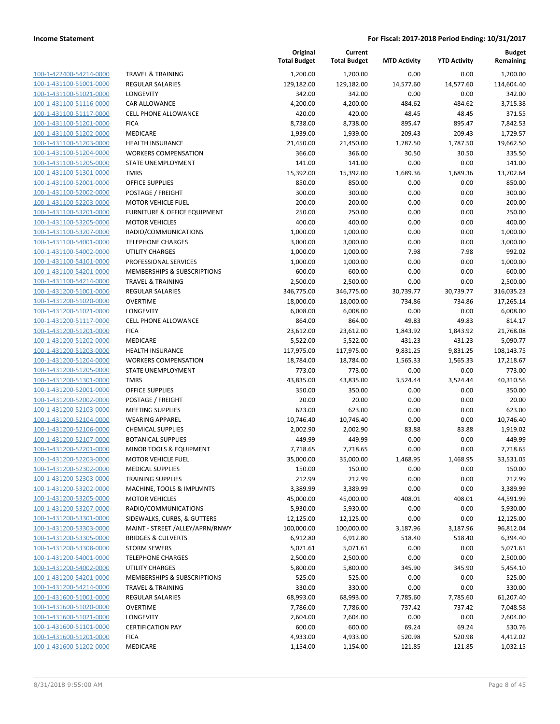| 100-1-422400-54214-0000                                   |
|-----------------------------------------------------------|
| 100-1-431100-51001-0000                                   |
| 100-1-431100-51021-0000                                   |
| <u>100-1-431100-51116-0000</u>                            |
| 100-1-431100-51117-0000                                   |
| 100-1-431100-51201-0000                                   |
| 100-1-431100-51202-0000                                   |
| 100-1-431100-51203-0000                                   |
| 100-1-431100-51204-0000                                   |
| 100-1-431100-51205-0000                                   |
| $100 - 1$<br>$-431100 - 51301$<br>-0000                   |
| 100-1-431100-52001-0000                                   |
| 100-1-431100-52002-0000                                   |
| 100-1-431100-52203-0000                                   |
| 100-1-431100-53201-0000                                   |
| -431100-53205-0000<br>$100 - 1$                           |
| 100-1-431100-53207-0000                                   |
| 100-1-431100-54001-0000                                   |
| 100-1-431100-54002-0000                                   |
| 100-1-431100-54101-0000                                   |
| $100 - 1$<br>$-431100 - 54201$<br>-0000                   |
| 100-1-431100-54214-0000                                   |
| 100-1-431200-51001-0000                                   |
| 100-1-431200-51020-0000                                   |
| 100-1-431200-51021-0000                                   |
| -431200-51117-0000<br>$100 - 1$                           |
| 100-1-431200-51201-0000                                   |
| 100-1-431200-51202-0000                                   |
| 100-1-431200-51203-0000                                   |
| 100-1-431200-51204-0000                                   |
| 431200-51205-0000<br>$100 - 1$                            |
| 100-1-431200-51301-0000                                   |
| 100-1-431200-52001-0000                                   |
|                                                           |
| <u>100-1-431200-52002-0000</u><br>100-1-431200-52103-0000 |
| 100-1-431200-52104-0000                                   |
|                                                           |
| 100-1-431200-52106-0000                                   |
| 100-1-431200-52107-0000                                   |
| 100-1-431200-52201-0000                                   |
| 100-1-431200-52203-0000                                   |
| 100-1-431200-52302-0000                                   |
| <u>100-1-431200-52303-0000</u>                            |
| <u>100-1-431200-53202-0000</u>                            |
| 100-1-431200-53205-0000                                   |
| 100-1-431200-53207-0000                                   |
| <u>100-1-431200-53301-0000</u>                            |
| 100-1-431200-53303-0000                                   |
| 100-1-431200-53305-0000                                   |
| <u>100-1-431200-53308-0000</u>                            |
| <u>100-1-431200-54001-0000</u>                            |
| 100-1-431200-54002-0000                                   |
| 100-1-431200-54201-0000                                   |
| <u>100-1-431200-54214-0000</u>                            |
| 100-1-431600-51001-0000                                   |
| 100-1-431600-51020-0000                                   |
| <u>100-1-431600-51021-0000</u>                            |
| 100-1-431600-51101-0000                                   |
| 100-1-431600-51201-0000                                   |
| <u>100-1-431600-51202-0000</u>                            |
|                                                           |

|                                                    |                                              | Original<br><b>Total Budget</b> | Current<br><b>Total Budget</b> | <b>MTD Activity</b> | <b>YTD Activity</b> | <b>Budget</b><br>Remaining |
|----------------------------------------------------|----------------------------------------------|---------------------------------|--------------------------------|---------------------|---------------------|----------------------------|
| 100-1-422400-54214-0000                            | <b>TRAVEL &amp; TRAINING</b>                 | 1,200.00                        | 1,200.00                       | 0.00                | 0.00                | 1,200.00                   |
| 100-1-431100-51001-0000                            | <b>REGULAR SALARIES</b>                      | 129,182.00                      | 129,182.00                     | 14,577.60           | 14,577.60           | 114,604.40                 |
| 100-1-431100-51021-0000                            | LONGEVITY                                    | 342.00                          | 342.00                         | 0.00                | 0.00                | 342.00                     |
| 100-1-431100-51116-0000                            | <b>CAR ALLOWANCE</b>                         | 4,200.00                        | 4,200.00                       | 484.62              | 484.62              | 3,715.38                   |
| 100-1-431100-51117-0000                            | <b>CELL PHONE ALLOWANCE</b>                  | 420.00                          | 420.00                         | 48.45               | 48.45               | 371.55                     |
| 100-1-431100-51201-0000                            | <b>FICA</b>                                  | 8,738.00                        | 8,738.00                       | 895.47              | 895.47              | 7,842.53                   |
| 100-1-431100-51202-0000                            | MEDICARE                                     | 1,939.00                        | 1,939.00                       | 209.43              | 209.43              | 1,729.57                   |
| 100-1-431100-51203-0000                            | <b>HEALTH INSURANCE</b>                      | 21,450.00                       | 21,450.00                      | 1,787.50            | 1,787.50            | 19,662.50                  |
| 100-1-431100-51204-0000                            | <b>WORKERS COMPENSATION</b>                  | 366.00                          | 366.00                         | 30.50               | 30.50               | 335.50                     |
| 100-1-431100-51205-0000                            | STATE UNEMPLOYMENT                           | 141.00                          | 141.00                         | 0.00                | 0.00                | 141.00                     |
| 100-1-431100-51301-0000                            | <b>TMRS</b>                                  | 15,392.00                       | 15,392.00                      | 1,689.36            | 1,689.36            | 13,702.64                  |
| 100-1-431100-52001-0000                            | <b>OFFICE SUPPLIES</b>                       | 850.00                          | 850.00                         | 0.00                | 0.00                | 850.00                     |
| 100-1-431100-52002-0000                            | POSTAGE / FREIGHT                            | 300.00                          | 300.00                         | 0.00                | 0.00                | 300.00                     |
| 100-1-431100-52203-0000                            | <b>MOTOR VEHICLE FUEL</b>                    | 200.00                          | 200.00                         | 0.00                | 0.00                | 200.00                     |
| 100-1-431100-53201-0000                            | FURNITURE & OFFICE EQUIPMENT                 | 250.00                          | 250.00                         | 0.00                | 0.00                | 250.00                     |
| 100-1-431100-53205-0000                            | <b>MOTOR VEHICLES</b>                        | 400.00                          | 400.00                         | 0.00                | 0.00                | 400.00                     |
| 100-1-431100-53207-0000                            | RADIO/COMMUNICATIONS                         | 1,000.00                        | 1,000.00                       | 0.00                | 0.00                | 1,000.00                   |
| 100-1-431100-54001-0000                            | <b>TELEPHONE CHARGES</b>                     | 3,000.00                        | 3,000.00                       | 0.00                | 0.00                | 3,000.00                   |
| 100-1-431100-54002-0000                            | <b>UTILITY CHARGES</b>                       | 1,000.00                        | 1,000.00                       | 7.98                | 7.98                | 992.02                     |
| 100-1-431100-54101-0000                            | PROFESSIONAL SERVICES                        | 1,000.00                        | 1,000.00                       | 0.00                | 0.00                | 1,000.00                   |
| 100-1-431100-54201-0000                            | MEMBERSHIPS & SUBSCRIPTIONS                  | 600.00                          | 600.00                         | 0.00                | 0.00                | 600.00                     |
| 100-1-431100-54214-0000                            | <b>TRAVEL &amp; TRAINING</b>                 | 2,500.00                        | 2,500.00                       | 0.00                | 0.00                | 2,500.00                   |
| 100-1-431200-51001-0000                            | <b>REGULAR SALARIES</b>                      | 346,775.00                      | 346,775.00                     | 30,739.77           | 30,739.77           | 316,035.23                 |
| 100-1-431200-51020-0000                            | <b>OVERTIME</b>                              | 18,000.00                       | 18,000.00                      | 734.86              | 734.86              | 17,265.14                  |
| 100-1-431200-51021-0000                            | LONGEVITY                                    | 6,008.00                        | 6,008.00                       | 0.00                | 0.00                | 6,008.00                   |
| 100-1-431200-51117-0000                            | <b>CELL PHONE ALLOWANCE</b>                  | 864.00                          | 864.00                         | 49.83               | 49.83               | 814.17                     |
| 100-1-431200-51201-0000                            | <b>FICA</b>                                  | 23,612.00                       | 23,612.00                      | 1,843.92            | 1,843.92            | 21,768.08                  |
| 100-1-431200-51202-0000                            | MEDICARE                                     | 5,522.00                        | 5,522.00                       | 431.23              | 431.23              | 5,090.77                   |
| 100-1-431200-51203-0000                            | <b>HEALTH INSURANCE</b>                      | 117,975.00                      | 117,975.00                     | 9,831.25            | 9,831.25            | 108,143.75                 |
| 100-1-431200-51204-0000                            | <b>WORKERS COMPENSATION</b>                  | 18,784.00                       | 18,784.00                      | 1,565.33            | 1,565.33            | 17,218.67                  |
| 100-1-431200-51205-0000                            | STATE UNEMPLOYMENT                           | 773.00                          | 773.00                         | 0.00                | 0.00                | 773.00                     |
| 100-1-431200-51301-0000                            | <b>TMRS</b>                                  | 43,835.00                       | 43,835.00                      | 3,524.44            | 3,524.44            | 40,310.56                  |
| 100-1-431200-52001-0000<br>100-1-431200-52002-0000 | <b>OFFICE SUPPLIES</b>                       | 350.00                          | 350.00                         | 0.00<br>0.00        | 0.00                | 350.00                     |
| 100-1-431200-52103-0000                            | POSTAGE / FREIGHT<br><b>MEETING SUPPLIES</b> | 20.00<br>623.00                 | 20.00<br>623.00                | 0.00                | 0.00<br>0.00        | 20.00<br>623.00            |
| 100-1-431200-52104-0000                            | <b>WEARING APPAREL</b>                       | 10,746.40                       | 10,746.40                      | 0.00                | 0.00                | 10,746.40                  |
| 100-1-431200-52106-0000                            | <b>CHEMICAL SUPPLIES</b>                     | 2,002.90                        | 2,002.90                       | 83.88               | 83.88               | 1,919.02                   |
| 100-1-431200-52107-0000                            | <b>BOTANICAL SUPPLIES</b>                    | 449.99                          | 449.99                         | 0.00                | 0.00                | 449.99                     |
| 100-1-431200-52201-0000                            | MINOR TOOLS & EQUIPMENT                      | 7,718.65                        | 7,718.65                       | 0.00                | 0.00                | 7,718.65                   |
| 100-1-431200-52203-0000                            | <b>MOTOR VEHICLE FUEL</b>                    | 35,000.00                       | 35,000.00                      | 1,468.95            | 1,468.95            | 33,531.05                  |
| 100-1-431200-52302-0000                            | <b>MEDICAL SUPPLIES</b>                      | 150.00                          | 150.00                         | 0.00                | 0.00                | 150.00                     |
| 100-1-431200-52303-0000                            | <b>TRAINING SUPPLIES</b>                     | 212.99                          | 212.99                         | 0.00                | 0.00                | 212.99                     |
| 100-1-431200-53202-0000                            | MACHINE, TOOLS & IMPLMNTS                    | 3,389.99                        | 3,389.99                       | 0.00                | 0.00                | 3,389.99                   |
| 100-1-431200-53205-0000                            | <b>MOTOR VEHICLES</b>                        | 45,000.00                       | 45,000.00                      | 408.01              | 408.01              | 44,591.99                  |
| 100-1-431200-53207-0000                            | RADIO/COMMUNICATIONS                         | 5,930.00                        | 5,930.00                       | 0.00                | 0.00                | 5,930.00                   |
| 100-1-431200-53301-0000                            | SIDEWALKS, CURBS, & GUTTERS                  | 12,125.00                       | 12,125.00                      | 0.00                | 0.00                | 12,125.00                  |
| 100-1-431200-53303-0000                            | MAINT - STREET /ALLEY/APRN/RNWY              | 100,000.00                      | 100,000.00                     | 3,187.96            | 3,187.96            | 96,812.04                  |
| 100-1-431200-53305-0000                            | <b>BRIDGES &amp; CULVERTS</b>                | 6,912.80                        | 6,912.80                       | 518.40              | 518.40              | 6,394.40                   |
| 100-1-431200-53308-0000                            | <b>STORM SEWERS</b>                          | 5,071.61                        | 5,071.61                       | 0.00                | 0.00                | 5,071.61                   |
| 100-1-431200-54001-0000                            | <b>TELEPHONE CHARGES</b>                     | 2,500.00                        | 2,500.00                       | 0.00                | 0.00                | 2,500.00                   |
| 100-1-431200-54002-0000                            | UTILITY CHARGES                              | 5,800.00                        | 5,800.00                       | 345.90              | 345.90              | 5,454.10                   |
| 100-1-431200-54201-0000                            | MEMBERSHIPS & SUBSCRIPTIONS                  | 525.00                          | 525.00                         | 0.00                | 0.00                | 525.00                     |
| 100-1-431200-54214-0000                            | <b>TRAVEL &amp; TRAINING</b>                 | 330.00                          | 330.00                         | 0.00                | 0.00                | 330.00                     |
| 100-1-431600-51001-0000                            | REGULAR SALARIES                             | 68,993.00                       | 68,993.00                      | 7,785.60            | 7,785.60            | 61,207.40                  |
| 100-1-431600-51020-0000                            | <b>OVERTIME</b>                              | 7,786.00                        | 7,786.00                       | 737.42              | 737.42              | 7,048.58                   |
| 100-1-431600-51021-0000                            | LONGEVITY                                    | 2,604.00                        | 2,604.00                       | 0.00                | 0.00                | 2,604.00                   |
| 100-1-431600-51101-0000                            | <b>CERTIFICATION PAY</b>                     | 600.00                          | 600.00                         | 69.24               | 69.24               | 530.76                     |
| 100-1-431600-51201-0000                            | <b>FICA</b>                                  | 4,933.00                        | 4,933.00                       | 520.98              | 520.98              | 4,412.02                   |
| 100-1-431600-51202-0000                            | MEDICARE                                     | 1,154.00                        | 1,154.00                       | 121.85              | 121.85              | 1,032.15                   |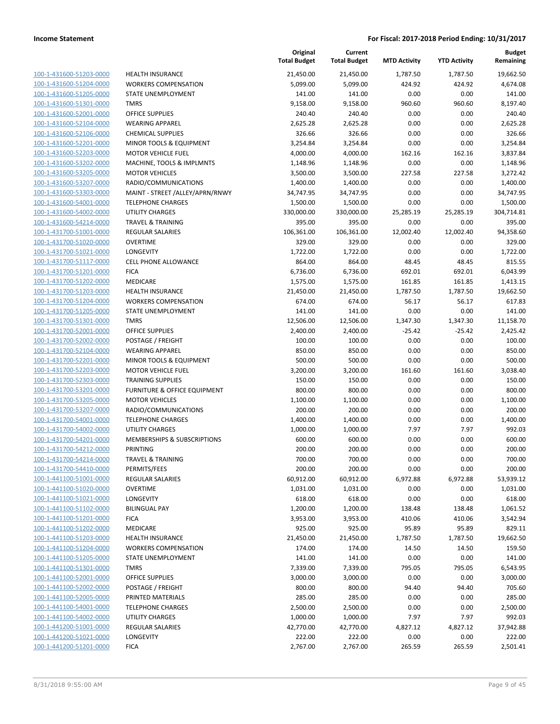| 100-1-431600-51203-0000                                   |
|-----------------------------------------------------------|
| 100-1-431600-51204-0000                                   |
| 100-1-431600-51205-0000                                   |
| <u>100-1-431600-51301-0000</u>                            |
| <u>100-1-431600-52001-0000</u>                            |
| 100-1-431600-52104-0000                                   |
| 100-1-431600-52106-0000                                   |
| 100-1-431600-52201-0000                                   |
| <u>100-1-431600-52203-0000</u>                            |
| 100-1-431600-53202-0000                                   |
| 100-1-431600-53205-0000                                   |
| 100-1-431600-53207-0000                                   |
| 100-1-431600-53303-0000                                   |
| <u>100-1-431600-54001-0000</u>                            |
| 100-1-431600-54002-0000                                   |
| 100-1-431600-54214-0000                                   |
| 100-1-431700-51001-0000                                   |
| 100-1-431700-51020-0000                                   |
| 100-1-431700-51021-0000                                   |
| 100-1-431700-51117-0000                                   |
| 100-1-431700-51201-0000                                   |
| 100-1-431700-51202-0000                                   |
| 100-1-431700-51203-0000                                   |
| 100-1-431700-51204-0000                                   |
| 100-1-431700-51205-0000                                   |
| 100-1-431700-51301-0000                                   |
| 100-1-431700-52001-0000                                   |
| 100-1-431700-52002-0000                                   |
| <u>100-1-431700-52104-0000</u>                            |
| 100-1-431700-52201-0000                                   |
| <u>100-1-431700-52203-0000</u>                            |
| 100-1-431700-52303-0000                                   |
| 100-1-431700-53201-0000                                   |
| <u>100-1-431700-53205-0000</u>                            |
| <u>100-1-431700-53207-0000</u>                            |
| 100-1-431700-54001-0000                                   |
| 100-1-431700-54002-0000                                   |
| 100-1-431700-54201-0000                                   |
| 100-1-431700-54212-0000                                   |
| 100-1-431700-54214-0000                                   |
| 100-1-431700-54410-0000                                   |
| <u>100-1-441100-51001-0000</u>                            |
| 100-1-441100-51020-0000                                   |
| 100-1-441100-51021-0000                                   |
| <u>100-1-441100-51102-0000</u>                            |
| <u>100-1-441100-51201-0000</u>                            |
| <u>100-1-441100-51202-0000</u>                            |
| 100-1-441100-51203-0000                                   |
| 100-1-441100-51204-0000                                   |
| <u>100-1-441100-51205-0000</u>                            |
| <u>100-1-441100-51301-0000</u>                            |
| 100-1-441100-52001-0000                                   |
| 100-1-441100-52002-0000                                   |
| 100-1-441100-52005-0000                                   |
| <u>100-1-441100-54001-0000</u>                            |
| 100-1-441100-54002-0000                                   |
| <u>100-1-441200-51001-0000</u><br>100-1-441200-51021-0000 |
|                                                           |
| <u>100-1-441200-51201-0000</u>                            |

|                                                    |                                 | Original<br><b>Total Budget</b> | Current<br><b>Total Budget</b> | <b>MTD Activity</b> | <b>YTD Activity</b> | <b>Budget</b><br>Remaining |
|----------------------------------------------------|---------------------------------|---------------------------------|--------------------------------|---------------------|---------------------|----------------------------|
| 100-1-431600-51203-0000                            | <b>HEALTH INSURANCE</b>         | 21,450.00                       | 21,450.00                      | 1,787.50            | 1,787.50            | 19,662.50                  |
| 100-1-431600-51204-0000                            | <b>WORKERS COMPENSATION</b>     | 5,099.00                        | 5,099.00                       | 424.92              | 424.92              | 4,674.08                   |
| 100-1-431600-51205-0000                            | <b>STATE UNEMPLOYMENT</b>       | 141.00                          | 141.00                         | 0.00                | 0.00                | 141.00                     |
| 100-1-431600-51301-0000                            | <b>TMRS</b>                     | 9,158.00                        | 9,158.00                       | 960.60              | 960.60              | 8,197.40                   |
| 100-1-431600-52001-0000                            | OFFICE SUPPLIES                 | 240.40                          | 240.40                         | 0.00                | 0.00                | 240.40                     |
| 100-1-431600-52104-0000                            | <b>WEARING APPAREL</b>          | 2,625.28                        | 2,625.28                       | 0.00                | 0.00                | 2,625.28                   |
| 100-1-431600-52106-0000                            | <b>CHEMICAL SUPPLIES</b>        | 326.66                          | 326.66                         | 0.00                | 0.00                | 326.66                     |
| 100-1-431600-52201-0000                            | MINOR TOOLS & EQUIPMENT         | 3,254.84                        | 3,254.84                       | 0.00                | 0.00                | 3,254.84                   |
| 100-1-431600-52203-0000                            | <b>MOTOR VEHICLE FUEL</b>       | 4,000.00                        | 4,000.00                       | 162.16              | 162.16              | 3,837.84                   |
| 100-1-431600-53202-0000                            | MACHINE, TOOLS & IMPLMNTS       | 1,148.96                        | 1,148.96                       | 0.00                | 0.00                | 1,148.96                   |
| 100-1-431600-53205-0000                            | <b>MOTOR VEHICLES</b>           | 3,500.00                        | 3,500.00                       | 227.58              | 227.58              | 3,272.42                   |
| 100-1-431600-53207-0000                            | RADIO/COMMUNICATIONS            | 1,400.00                        | 1,400.00                       | 0.00                | 0.00                | 1,400.00                   |
| 100-1-431600-53303-0000                            | MAINT - STREET /ALLEY/APRN/RNWY | 34,747.95                       | 34,747.95                      | 0.00                | 0.00                | 34,747.95                  |
| 100-1-431600-54001-0000                            | <b>TELEPHONE CHARGES</b>        | 1,500.00                        | 1,500.00                       | 0.00                | 0.00                | 1,500.00                   |
| 100-1-431600-54002-0000                            | UTILITY CHARGES                 | 330,000.00                      | 330,000.00                     | 25,285.19           | 25,285.19           | 304,714.81                 |
| 100-1-431600-54214-0000                            | <b>TRAVEL &amp; TRAINING</b>    | 395.00                          | 395.00                         | 0.00                | 0.00                | 395.00                     |
| 100-1-431700-51001-0000                            | <b>REGULAR SALARIES</b>         | 106,361.00                      | 106,361.00                     | 12,002.40           | 12,002.40           | 94,358.60                  |
| 100-1-431700-51020-0000                            | <b>OVERTIME</b>                 | 329.00                          | 329.00                         | 0.00                | 0.00                | 329.00                     |
| 100-1-431700-51021-0000                            | <b>LONGEVITY</b>                | 1,722.00                        | 1,722.00                       | 0.00                | 0.00                | 1,722.00                   |
| 100-1-431700-51117-0000                            | CELL PHONE ALLOWANCE            | 864.00                          | 864.00                         | 48.45               | 48.45               | 815.55                     |
| 100-1-431700-51201-0000                            | <b>FICA</b>                     | 6,736.00                        | 6,736.00                       | 692.01              | 692.01              | 6,043.99                   |
| 100-1-431700-51202-0000                            | <b>MEDICARE</b>                 | 1,575.00                        | 1,575.00                       | 161.85              | 161.85              | 1,413.15                   |
| 100-1-431700-51203-0000                            | <b>HEALTH INSURANCE</b>         | 21,450.00                       | 21,450.00                      | 1,787.50            | 1,787.50            | 19,662.50                  |
| 100-1-431700-51204-0000                            | <b>WORKERS COMPENSATION</b>     | 674.00                          | 674.00                         | 56.17               | 56.17               | 617.83                     |
| 100-1-431700-51205-0000                            | STATE UNEMPLOYMENT              | 141.00                          | 141.00                         | 0.00                | 0.00                | 141.00                     |
| 100-1-431700-51301-0000                            | <b>TMRS</b>                     | 12,506.00                       | 12,506.00                      | 1,347.30            | 1,347.30            | 11,158.70                  |
| 100-1-431700-52001-0000                            | <b>OFFICE SUPPLIES</b>          | 2,400.00                        | 2,400.00                       | $-25.42$            | $-25.42$            | 2,425.42                   |
| 100-1-431700-52002-0000                            | POSTAGE / FREIGHT               | 100.00                          | 100.00                         | 0.00                | 0.00                | 100.00                     |
| 100-1-431700-52104-0000                            | <b>WEARING APPAREL</b>          | 850.00                          | 850.00                         | 0.00                | 0.00                | 850.00                     |
| 100-1-431700-52201-0000                            | MINOR TOOLS & EQUIPMENT         | 500.00                          | 500.00                         | 0.00                | 0.00                | 500.00                     |
| 100-1-431700-52203-0000                            | <b>MOTOR VEHICLE FUEL</b>       | 3,200.00                        | 3,200.00                       | 161.60              | 161.60              | 3,038.40                   |
| 100-1-431700-52303-0000                            | <b>TRAINING SUPPLIES</b>        | 150.00                          | 150.00                         | 0.00                | 0.00                | 150.00                     |
| 100-1-431700-53201-0000                            | FURNITURE & OFFICE EQUIPMENT    | 800.00                          | 800.00                         | 0.00                | 0.00                | 800.00                     |
| 100-1-431700-53205-0000                            | <b>MOTOR VEHICLES</b>           | 1,100.00                        | 1,100.00                       | 0.00                | 0.00                | 1,100.00                   |
| 100-1-431700-53207-0000                            | RADIO/COMMUNICATIONS            | 200.00                          | 200.00                         | 0.00                | 0.00                | 200.00                     |
| 100-1-431700-54001-0000                            | <b>TELEPHONE CHARGES</b>        | 1,400.00                        | 1,400.00                       | 0.00                | 0.00                | 1,400.00                   |
| 100-1-431700-54002-0000                            | <b>UTILITY CHARGES</b>          | 1,000.00                        | 1,000.00                       | 7.97                | 7.97                | 992.03                     |
| 100-1-431700-54201-0000                            | MEMBERSHIPS & SUBSCRIPTIONS     | 600.00                          | 600.00                         | 0.00                | 0.00                | 600.00                     |
| 100-1-431700-54212-0000                            | PRINTING                        | 200.00                          | 200.00                         | 0.00                | 0.00                | 200.00                     |
| 100-1-431700-54214-0000                            | <b>TRAVEL &amp; TRAINING</b>    | 700.00                          | 700.00                         | 0.00                | 0.00                | 700.00                     |
| 100-1-431700-54410-0000                            | PERMITS/FEES                    | 200.00                          | 200.00                         | 0.00                | 0.00                | 200.00                     |
| 100-1-441100-51001-0000                            | <b>REGULAR SALARIES</b>         | 60,912.00                       | 60,912.00                      | 6,972.88            | 6,972.88            | 53,939.12                  |
| 100-1-441100-51020-0000<br>100-1-441100-51021-0000 | <b>OVERTIME</b>                 | 1,031.00                        | 1,031.00                       | 0.00                | 0.00                | 1,031.00                   |
|                                                    | <b>LONGEVITY</b>                | 618.00                          | 618.00                         | 0.00                | 0.00                | 618.00                     |
| 100-1-441100-51102-0000                            | <b>BILINGUAL PAY</b>            | 1,200.00                        | 1,200.00                       | 138.48              | 138.48              | 1,061.52                   |
| 100-1-441100-51201-0000                            | <b>FICA</b>                     | 3,953.00                        | 3,953.00                       | 410.06              | 410.06              | 3,542.94                   |
| 100-1-441100-51202-0000                            | MEDICARE                        | 925.00                          | 925.00                         | 95.89               | 95.89               | 829.11                     |
| 100-1-441100-51203-0000                            | <b>HEALTH INSURANCE</b>         | 21,450.00                       | 21,450.00                      | 1,787.50            | 1,787.50            | 19,662.50                  |
| 100-1-441100-51204-0000                            | <b>WORKERS COMPENSATION</b>     | 174.00                          | 174.00                         | 14.50               | 14.50               | 159.50                     |
| 100-1-441100-51205-0000                            | STATE UNEMPLOYMENT              | 141.00                          | 141.00                         | 0.00                | 0.00                | 141.00                     |
| 100-1-441100-51301-0000                            | <b>TMRS</b>                     | 7,339.00                        | 7,339.00                       | 795.05              | 795.05              | 6,543.95                   |
| 100-1-441100-52001-0000                            | OFFICE SUPPLIES                 | 3,000.00                        | 3,000.00                       | 0.00                | 0.00                | 3,000.00                   |
| 100-1-441100-52002-0000                            | POSTAGE / FREIGHT               | 800.00                          | 800.00                         | 94.40               | 94.40               | 705.60                     |
| 100-1-441100-52005-0000                            | PRINTED MATERIALS               | 285.00                          | 285.00                         | 0.00                | 0.00                | 285.00                     |
| 100-1-441100-54001-0000                            | <b>TELEPHONE CHARGES</b>        | 2,500.00                        | 2,500.00                       | 0.00                | 0.00                | 2,500.00                   |
| 100-1-441100-54002-0000                            | UTILITY CHARGES                 | 1,000.00                        | 1,000.00                       | 7.97                | 7.97                | 992.03                     |
| 100-1-441200-51001-0000                            | <b>REGULAR SALARIES</b>         | 42,770.00                       | 42,770.00                      | 4,827.12            | 4,827.12            | 37,942.88                  |
| 100-1-441200-51021-0000                            | LONGEVITY                       | 222.00                          | 222.00                         | 0.00                | 0.00                | 222.00                     |
| 100-1-441200-51201-0000                            | <b>FICA</b>                     | 2,767.00                        | 2,767.00                       | 265.59              | 265.59              | 2,501.41                   |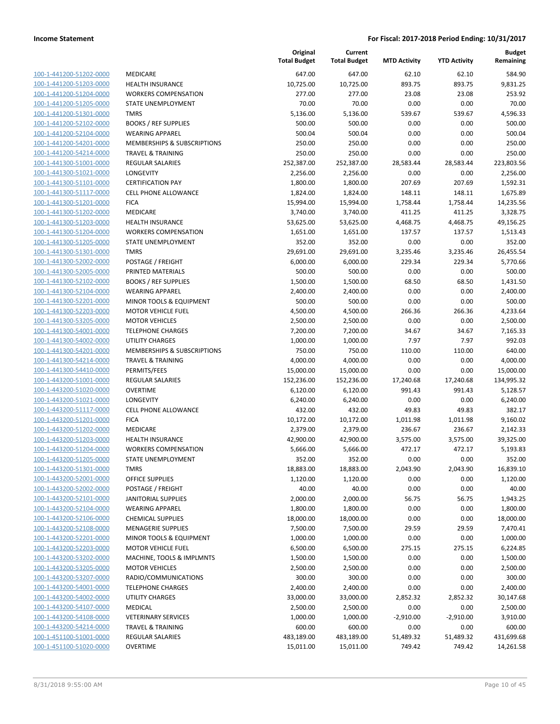| 100-1-441200-51202-0000        | ľ                       |
|--------------------------------|-------------------------|
| 100-1-441200-51203-0000        | ŀ                       |
| 100-1-441200-51204-0000        | ١                       |
| <u>100-1-441200-51205-0000</u> | Ś                       |
| 100-1-441200-51301-0000        | Ī                       |
| 100-1-441200-52102-0000        | E                       |
| 100-1-441200-52104-0000        | ١                       |
| 100-1-441200-54201-0000        | ľ                       |
| <u>100-1-441200-54214-0000</u> | Ī                       |
| 100-1-441300-51001-0000        | f                       |
| 100-1-441300-51021-0000        | l                       |
| 100-1-441300-51101-0000        | O                       |
| 100-1-441300-51117-0000        | O                       |
| <u>100-1-441300-51201-0000</u> | F                       |
| 100-1-441300-51202-0000        | ľ                       |
| 100-1-441300-51203-0000        | ŀ                       |
| 100-1-441300-51204-0000        | ١                       |
| 100-1-441300-51205-0000        | S                       |
| 100-1-441300-51301-0000        | Ī                       |
| 100-1-441300-52002-0000        | f                       |
| 100-1-441300-52005-0000        | f                       |
| 100-1-441300-52102-0000        | E                       |
| 100-1-441300-52104-0000        | ١                       |
| <u>100-1-441300-52201-0000</u> | ľ                       |
| 100-1-441300-52203-0000        | ľ                       |
| 100-1-441300-53205-0000        | ľ                       |
| 100-1-441300-54001-0000        | J                       |
| 100-1-441300-54002-0000        | ι                       |
| <u>100-1-441300-54201-0000</u> | ľ                       |
| 100-1-441300-54214-0000        | J                       |
| 100-1-441300-54410-0000        | f                       |
| 100-1-443200-51001-0000        | F                       |
| 100-1-443200-51020-0000        | $\overline{\mathbf{C}}$ |
| 100-1-443200-51021-0000        | l                       |
| 100-1-443200-51117-0000        | O                       |
| 100-1-443200-51201-0000        | f                       |
| 100-1-443200-51202-0000        | ľ                       |
| 100-1-443200-51203-0000        | ŀ                       |
| 100-1-443200-51204-0000        | ١                       |
| 100-1-443200-51205-0000        | S                       |
| 100-1-443200-51301-0000        | ٦                       |
| 100-1-443200-52001-0000        | (                       |
| 100-1-443200-52002-0000        | F                       |
| <u>100-1-443200-52101-0000</u> | J                       |
| 100-1-443200-52104-0000        | ١                       |
| 100-1-443200-52106-0000        | O                       |
| 100-1-443200-52108-0000        | ľ                       |
| 100-1-443200-52201-0000        | ľ                       |
| <u>100-1-443200-52203-0000</u> | ľ                       |
| 100-1-443200-53202-0000        | ľ                       |
| 100-1-443200-53205-0000        | ľ                       |
| 100-1-443200-53207-0000        | F                       |
| <u>100-1-443200-54001-0000</u> |                         |
| <u>100-1-443200-54002-0000</u> | ι                       |
| 100-1-443200-54107-0000        | ľ                       |
| 100-1-443200-54108-0000        |                         |
| 100-1-443200-54214-0000        | ٦                       |
| <u>100-1-451100-51001-0000</u> | F                       |
| <u>100-1-451100-51020-0000</u> | (                       |

|                                                    |                                                   | Original<br><b>Total Budget</b> | Current<br><b>Total Budget</b> | <b>MTD Activity</b> | <b>YTD Activity</b> | <b>Budget</b><br>Remaining |
|----------------------------------------------------|---------------------------------------------------|---------------------------------|--------------------------------|---------------------|---------------------|----------------------------|
| 100-1-441200-51202-0000                            | MEDICARE                                          | 647.00                          | 647.00                         | 62.10               | 62.10               | 584.90                     |
| 100-1-441200-51203-0000                            | <b>HEALTH INSURANCE</b>                           | 10,725.00                       | 10,725.00                      | 893.75              | 893.75              | 9,831.25                   |
| 100-1-441200-51204-0000                            | <b>WORKERS COMPENSATION</b>                       | 277.00                          | 277.00                         | 23.08               | 23.08               | 253.92                     |
| 100-1-441200-51205-0000                            | STATE UNEMPLOYMENT                                | 70.00                           | 70.00                          | 0.00                | 0.00                | 70.00                      |
| 100-1-441200-51301-0000                            | <b>TMRS</b>                                       | 5,136.00                        | 5,136.00                       | 539.67              | 539.67              | 4,596.33                   |
| 100-1-441200-52102-0000                            | <b>BOOKS / REF SUPPLIES</b>                       | 500.00                          | 500.00                         | 0.00                | 0.00                | 500.00                     |
| 100-1-441200-52104-0000                            | <b>WEARING APPAREL</b>                            | 500.04                          | 500.04                         | 0.00                | 0.00                | 500.04                     |
| 100-1-441200-54201-0000                            | <b>MEMBERSHIPS &amp; SUBSCRIPTIONS</b>            | 250.00                          | 250.00                         | 0.00                | 0.00                | 250.00                     |
| 100-1-441200-54214-0000                            | <b>TRAVEL &amp; TRAINING</b>                      | 250.00                          | 250.00                         | 0.00                | 0.00                | 250.00                     |
| 100-1-441300-51001-0000                            | <b>REGULAR SALARIES</b>                           | 252,387.00                      | 252,387.00                     | 28,583.44           | 28,583.44           | 223,803.56                 |
| 100-1-441300-51021-0000                            | LONGEVITY                                         | 2,256.00                        | 2,256.00                       | 0.00                | 0.00                | 2,256.00                   |
| 100-1-441300-51101-0000                            | <b>CERTIFICATION PAY</b>                          | 1,800.00                        | 1,800.00                       | 207.69              | 207.69              | 1,592.31                   |
| 100-1-441300-51117-0000                            | <b>CELL PHONE ALLOWANCE</b>                       | 1,824.00                        | 1,824.00                       | 148.11              | 148.11              | 1,675.89                   |
| 100-1-441300-51201-0000                            | <b>FICA</b>                                       | 15,994.00                       | 15,994.00                      | 1,758.44            | 1,758.44            | 14,235.56                  |
| 100-1-441300-51202-0000                            | <b>MEDICARE</b>                                   | 3,740.00                        | 3,740.00                       | 411.25              | 411.25              | 3,328.75                   |
| 100-1-441300-51203-0000                            | <b>HEALTH INSURANCE</b>                           | 53,625.00                       | 53,625.00                      | 4,468.75            | 4,468.75            | 49,156.25                  |
| 100-1-441300-51204-0000                            | <b>WORKERS COMPENSATION</b>                       | 1,651.00                        | 1,651.00                       | 137.57              | 137.57              | 1,513.43                   |
| 100-1-441300-51205-0000                            | STATE UNEMPLOYMENT                                | 352.00                          | 352.00                         | 0.00                | 0.00                | 352.00                     |
| 100-1-441300-51301-0000                            | <b>TMRS</b>                                       | 29,691.00                       | 29,691.00                      | 3,235.46            | 3,235.46            | 26,455.54                  |
| 100-1-441300-52002-0000                            | POSTAGE / FREIGHT                                 | 6,000.00                        | 6,000.00                       | 229.34              | 229.34              | 5,770.66                   |
| 100-1-441300-52005-0000                            | PRINTED MATERIALS                                 | 500.00                          | 500.00                         | 0.00                | 0.00                | 500.00                     |
| 100-1-441300-52102-0000                            | <b>BOOKS / REF SUPPLIES</b>                       | 1,500.00                        | 1,500.00                       | 68.50               | 68.50               | 1,431.50                   |
| 100-1-441300-52104-0000                            | <b>WEARING APPAREL</b>                            | 2,400.00                        | 2,400.00                       | 0.00                | 0.00                | 2,400.00                   |
| 100-1-441300-52201-0000                            | MINOR TOOLS & EQUIPMENT                           | 500.00                          | 500.00                         | 0.00                | 0.00                | 500.00                     |
| 100-1-441300-52203-0000                            | <b>MOTOR VEHICLE FUEL</b>                         | 4,500.00                        | 4,500.00                       | 266.36              | 266.36              | 4,233.64                   |
| 100-1-441300-53205-0000                            | <b>MOTOR VEHICLES</b>                             | 2,500.00                        | 2,500.00                       | 0.00                | 0.00                | 2,500.00                   |
| 100-1-441300-54001-0000                            | <b>TELEPHONE CHARGES</b>                          | 7,200.00                        | 7,200.00                       | 34.67               | 34.67               | 7,165.33                   |
| 100-1-441300-54002-0000                            | <b>UTILITY CHARGES</b>                            | 1,000.00                        | 1,000.00                       | 7.97                | 7.97                | 992.03                     |
| 100-1-441300-54201-0000                            | MEMBERSHIPS & SUBSCRIPTIONS                       | 750.00                          | 750.00                         | 110.00              | 110.00              | 640.00                     |
| 100-1-441300-54214-0000                            | <b>TRAVEL &amp; TRAINING</b>                      | 4,000.00                        | 4,000.00                       | 0.00                | 0.00                | 4,000.00                   |
| 100-1-441300-54410-0000                            | PERMITS/FEES                                      | 15,000.00                       | 15,000.00                      | 0.00                | 0.00                | 15,000.00                  |
| 100-1-443200-51001-0000                            | <b>REGULAR SALARIES</b>                           | 152,236.00                      | 152,236.00                     | 17,240.68           | 17,240.68           | 134,995.32                 |
| 100-1-443200-51020-0000                            | <b>OVERTIME</b>                                   | 6,120.00                        | 6,120.00                       | 991.43              | 991.43              | 5,128.57                   |
| 100-1-443200-51021-0000                            | LONGEVITY                                         | 6,240.00                        | 6,240.00                       | 0.00                | 0.00                | 6,240.00                   |
| 100-1-443200-51117-0000                            | <b>CELL PHONE ALLOWANCE</b>                       | 432.00                          | 432.00                         | 49.83               | 49.83               | 382.17                     |
| 100-1-443200-51201-0000                            | <b>FICA</b>                                       | 10,172.00                       | 10,172.00                      | 1,011.98            | 1,011.98            | 9,160.02                   |
| 100-1-443200-51202-0000<br>100-1-443200-51203-0000 | MEDICARE                                          | 2,379.00                        | 2,379.00                       | 236.67              | 236.67              | 2,142.33                   |
|                                                    | <b>HEALTH INSURANCE</b>                           | 42,900.00                       | 42,900.00                      | 3,575.00            | 3,575.00            | 39,325.00                  |
| 100-1-443200-51204-0000<br>100-1-443200-51205-0000 | <b>WORKERS COMPENSATION</b><br>STATE UNEMPLOYMENT | 5,666.00<br>352.00              | 5,666.00<br>352.00             | 472.17<br>0.00      | 472.17<br>0.00      | 5,193.83<br>352.00         |
| 100-1-443200-51301-0000                            | <b>TMRS</b>                                       | 18,883.00                       | 18,883.00                      | 2,043.90            | 2,043.90            | 16,839.10                  |
| 100-1-443200-52001-0000                            | OFFICE SUPPLIES                                   | 1,120.00                        | 1,120.00                       | 0.00                | 0.00                | 1,120.00                   |
| 100-1-443200-52002-0000                            | POSTAGE / FREIGHT                                 | 40.00                           | 40.00                          | 0.00                | 0.00                | 40.00                      |
| 100-1-443200-52101-0000                            | <b>JANITORIAL SUPPLIES</b>                        | 2,000.00                        | 2,000.00                       | 56.75               | 56.75               | 1,943.25                   |
| 100-1-443200-52104-0000                            | <b>WEARING APPAREL</b>                            | 1,800.00                        | 1,800.00                       | 0.00                | 0.00                | 1,800.00                   |
| 100-1-443200-52106-0000                            | <b>CHEMICAL SUPPLIES</b>                          | 18,000.00                       | 18,000.00                      | 0.00                | 0.00                | 18,000.00                  |
| 100-1-443200-52108-0000                            | <b>MENAGERIE SUPPLIES</b>                         | 7,500.00                        | 7,500.00                       | 29.59               | 29.59               | 7,470.41                   |
| 100-1-443200-52201-0000                            | <b>MINOR TOOLS &amp; EQUIPMENT</b>                | 1,000.00                        | 1,000.00                       | 0.00                | 0.00                | 1,000.00                   |
| 100-1-443200-52203-0000                            | <b>MOTOR VEHICLE FUEL</b>                         | 6,500.00                        | 6,500.00                       | 275.15              | 275.15              | 6,224.85                   |
| 100-1-443200-53202-0000                            | MACHINE, TOOLS & IMPLMNTS                         | 1,500.00                        | 1,500.00                       | 0.00                | 0.00                | 1,500.00                   |
| 100-1-443200-53205-0000                            | <b>MOTOR VEHICLES</b>                             | 2,500.00                        | 2,500.00                       | 0.00                | 0.00                | 2,500.00                   |
| 100-1-443200-53207-0000                            | RADIO/COMMUNICATIONS                              | 300.00                          | 300.00                         | 0.00                | 0.00                | 300.00                     |
| 100-1-443200-54001-0000                            | <b>TELEPHONE CHARGES</b>                          | 2,400.00                        | 2,400.00                       | 0.00                | 0.00                | 2,400.00                   |
| 100-1-443200-54002-0000                            | <b>UTILITY CHARGES</b>                            | 33,000.00                       | 33,000.00                      | 2,852.32            | 2,852.32            | 30,147.68                  |
| 100-1-443200-54107-0000                            | <b>MEDICAL</b>                                    | 2,500.00                        | 2,500.00                       | 0.00                | 0.00                | 2,500.00                   |
| 100-1-443200-54108-0000                            | <b>VETERINARY SERVICES</b>                        | 1,000.00                        | 1,000.00                       | $-2,910.00$         | $-2,910.00$         | 3,910.00                   |
| 100-1-443200-54214-0000                            | TRAVEL & TRAINING                                 | 600.00                          | 600.00                         | 0.00                | 0.00                | 600.00                     |
| 100-1-451100-51001-0000                            | REGULAR SALARIES                                  | 483,189.00                      | 483,189.00                     | 51,489.32           | 51,489.32           | 431,699.68                 |
| 100-1-451100-51020-0000                            | <b>OVERTIME</b>                                   | 15,011.00                       | 15,011.00                      | 749.42              | 749.42              | 14,261.58                  |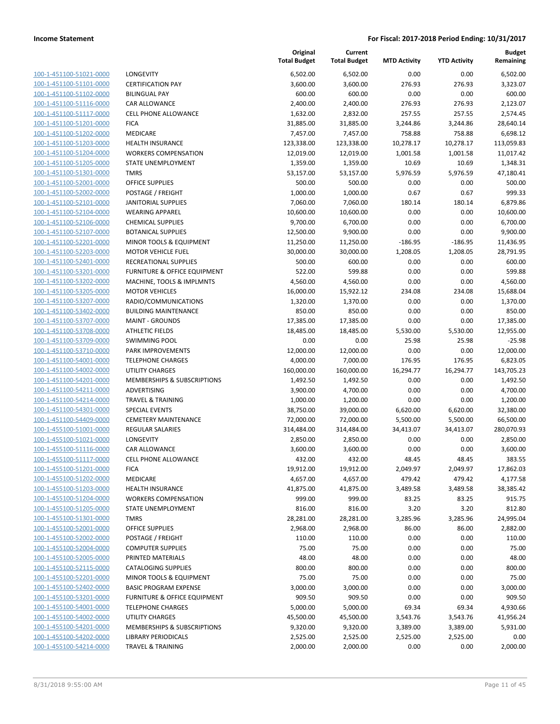| 100-1-451100-51021-0000             |
|-------------------------------------|
| 100-1-451100-51101-0000             |
| 100-1-451100-51102-0000             |
| <u>100-1-451100-51116-0000</u>      |
| 100-1-451100-51117-0000             |
| 100-1-451100-51201-0000             |
| 100-1-451100-51202-0000             |
| 100-1-451100-51203-0000             |
| 100-1-451100-51204-0000             |
| 100-1-451100-51205-0000             |
| 100-1-451100-51301-<br>$-0000$      |
| 100-1-451100-52001-0000             |
| 100-1-451100-52002-0000             |
| <u>100-1-451100-52101-0000</u>      |
| 100-1-451100-52104-0000             |
| 100-1-451100-52106-0000             |
| 100-1-451100-52107-0000             |
|                                     |
| 100-1-451100-52201-0000             |
| 100-1-451100-52203-0000             |
| 100-1-451100-52401-0000             |
| 100-1-451100-53201<br>$-0000$       |
| 100-1-451100-53202-0000             |
| 100-1-451100-53205-0000             |
| 100-1-451100-53207-0000             |
| 100-1-451100-53402-0000             |
| 100-1-451100-53707-0000             |
| 100-1-451100-53708-0000             |
| 100-1-451100-53709-0000             |
| 100-1-451100-53710-0000             |
| 100-1-451100-54001-0000             |
| 100-1-451100-54002-0000             |
| 100-1-451100-54201-0000             |
| 100-1-451100-54211-0000             |
| <u>100-1-451100-54214-0000</u>      |
| 100-1-451100-54301-0000             |
| 100-1-451100-54409-0000             |
| 100-1-455100-51001-0000             |
| 100-1-455100-51021-0000             |
| 100-1-455100-51116-0000             |
| 100-1-455100-51117-0000             |
| 100-1-455100-51201-0000             |
| 100-1-455100-51202-0000             |
| 100-1-455100-51203-0000             |
| 100-1-455100-51204-0000             |
|                                     |
| 100-1-455100-51205-0000             |
| 100-1-455100-51301-0000             |
| 100-1-455100-52001-0000             |
| <u>100-1-455100-52002-0000</u>      |
| <u>100-1-455100-52004-0000</u>      |
| <u>100-1-455100-52005-0000</u>      |
| 100-1-455100-52115-0000             |
| 100-1-455100-52201-0000             |
| 100-1-455100-52402-0000             |
| <u>100-1-455100-53201-0000</u>      |
| <u>100-1-455100-54001-0000</u>      |
| 1-455100-54002-0000<br><u> 100-</u> |
| 100-1-455100-54201-0000             |
| <u>100-1-455100-54202-0000</u>      |
| <u>100-1-455100-54214-0000</u>      |
|                                     |

|                                                    |                                         | Original<br><b>Total Budget</b> | Current<br><b>Total Budget</b> | <b>MTD Activity</b> | <b>YTD Activity</b> | Budget<br>Remaining   |
|----------------------------------------------------|-----------------------------------------|---------------------------------|--------------------------------|---------------------|---------------------|-----------------------|
| 100-1-451100-51021-0000                            | LONGEVITY                               | 6,502.00                        | 6,502.00                       | 0.00                | 0.00                | 6,502.00              |
| 100-1-451100-51101-0000                            | <b>CERTIFICATION PAY</b>                | 3,600.00                        | 3,600.00                       | 276.93              | 276.93              | 3,323.07              |
| 100-1-451100-51102-0000                            | <b>BILINGUAL PAY</b>                    | 600.00                          | 600.00                         | 0.00                | 0.00                | 600.00                |
| 100-1-451100-51116-0000                            | <b>CAR ALLOWANCE</b>                    | 2,400.00                        | 2,400.00                       | 276.93              | 276.93              | 2,123.07              |
| 100-1-451100-51117-0000                            | <b>CELL PHONE ALLOWANCE</b>             | 1,632.00                        | 2,832.00                       | 257.55              | 257.55              | 2,574.45              |
| 100-1-451100-51201-0000                            | <b>FICA</b>                             | 31,885.00                       | 31,885.00                      | 3,244.86            | 3,244.86            | 28,640.14             |
| 100-1-451100-51202-0000                            | MEDICARE                                | 7,457.00                        | 7,457.00                       | 758.88              | 758.88              | 6,698.12              |
| 100-1-451100-51203-0000                            | <b>HEALTH INSURANCE</b>                 | 123,338.00                      | 123,338.00                     | 10,278.17           | 10,278.17           | 113,059.83            |
| 100-1-451100-51204-0000                            | <b>WORKERS COMPENSATION</b>             | 12,019.00                       | 12,019.00                      | 1,001.58            | 1,001.58            | 11,017.42             |
| 100-1-451100-51205-0000                            | <b>STATE UNEMPLOYMENT</b>               | 1,359.00                        | 1,359.00                       | 10.69               | 10.69               | 1,348.31              |
| 100-1-451100-51301-0000                            | <b>TMRS</b>                             | 53,157.00                       | 53,157.00                      | 5,976.59            | 5,976.59            | 47,180.41             |
| 100-1-451100-52001-0000                            | OFFICE SUPPLIES                         | 500.00                          | 500.00                         | 0.00                | 0.00                | 500.00                |
| 100-1-451100-52002-0000                            | POSTAGE / FREIGHT                       | 1,000.00                        | 1,000.00                       | 0.67                | 0.67                | 999.33                |
| 100-1-451100-52101-0000                            | <b>JANITORIAL SUPPLIES</b>              | 7,060.00                        | 7,060.00                       | 180.14              | 180.14              | 6,879.86              |
| 100-1-451100-52104-0000                            | <b>WEARING APPAREL</b>                  | 10,600.00                       | 10,600.00                      | 0.00                | 0.00                | 10,600.00             |
| 100-1-451100-52106-0000                            | <b>CHEMICAL SUPPLIES</b>                | 9,700.00                        | 6,700.00                       | 0.00                | 0.00                | 6,700.00              |
| 100-1-451100-52107-0000                            | <b>BOTANICAL SUPPLIES</b>               | 12,500.00                       | 9,900.00                       | 0.00                | 0.00                | 9,900.00              |
| 100-1-451100-52201-0000                            | <b>MINOR TOOLS &amp; EQUIPMENT</b>      | 11,250.00                       | 11,250.00                      | $-186.95$           | $-186.95$           | 11,436.95             |
| 100-1-451100-52203-0000                            | <b>MOTOR VEHICLE FUEL</b>               | 30,000.00                       | 30,000.00                      | 1,208.05            | 1,208.05            | 28,791.95             |
| 100-1-451100-52401-0000                            | RECREATIONAL SUPPLIES                   | 500.00                          | 600.00                         | 0.00                | 0.00                | 600.00                |
| 100-1-451100-53201-0000                            | FURNITURE & OFFICE EQUIPMENT            | 522.00                          | 599.88                         | 0.00                | 0.00                | 599.88                |
| 100-1-451100-53202-0000                            | MACHINE, TOOLS & IMPLMNTS               | 4,560.00                        | 4,560.00                       | 0.00                | 0.00                | 4,560.00              |
| 100-1-451100-53205-0000                            | <b>MOTOR VEHICLES</b>                   | 16,000.00                       | 15,922.12                      | 234.08              | 234.08              | 15,688.04             |
| 100-1-451100-53207-0000                            | RADIO/COMMUNICATIONS                    | 1,320.00                        | 1,370.00                       | 0.00                | 0.00                | 1,370.00              |
| 100-1-451100-53402-0000                            | <b>BUILDING MAINTENANCE</b>             | 850.00                          | 850.00                         | 0.00                | 0.00                | 850.00                |
| 100-1-451100-53707-0000                            | <b>MAINT - GROUNDS</b>                  | 17,385.00                       | 17,385.00                      | 0.00                | 0.00                | 17,385.00             |
| 100-1-451100-53708-0000                            | <b>ATHLETIC FIELDS</b>                  | 18,485.00                       | 18,485.00                      | 5,530.00            | 5,530.00            | 12,955.00             |
| 100-1-451100-53709-0000                            | <b>SWIMMING POOL</b>                    | 0.00                            | 0.00                           | 25.98               | 25.98               | $-25.98$              |
| 100-1-451100-53710-0000                            | PARK IMPROVEMENTS                       | 12,000.00                       | 12,000.00                      | 0.00                | 0.00                | 12,000.00             |
| 100-1-451100-54001-0000                            | <b>TELEPHONE CHARGES</b>                | 4,000.00                        | 7,000.00                       | 176.95              | 176.95              | 6,823.05              |
| 100-1-451100-54002-0000                            | <b>UTILITY CHARGES</b>                  | 160,000.00                      | 160,000.00                     | 16,294.77           | 16,294.77           | 143,705.23            |
| 100-1-451100-54201-0000                            | MEMBERSHIPS & SUBSCRIPTIONS             | 1,492.50                        | 1,492.50                       | 0.00                | 0.00                | 1,492.50              |
| 100-1-451100-54211-0000                            | ADVERTISING                             | 3,900.00                        | 4,700.00                       | 0.00                | 0.00                | 4,700.00              |
| 100-1-451100-54214-0000                            | <b>TRAVEL &amp; TRAINING</b>            | 1,000.00                        | 1,200.00                       | 0.00                | 0.00                | 1,200.00              |
| 100-1-451100-54301-0000                            | <b>SPECIAL EVENTS</b>                   | 38,750.00                       | 39,000.00                      | 6,620.00            | 6,620.00            | 32,380.00             |
| 100-1-451100-54409-0000                            | <b>CEMETERY MAINTENANCE</b>             | 72,000.00                       | 72,000.00                      | 5,500.00            | 5,500.00            | 66,500.00             |
| 100-1-455100-51001-0000                            | <b>REGULAR SALARIES</b>                 | 314,484.00                      | 314,484.00                     | 34,413.07           | 34,413.07           | 280,070.93            |
| 100-1-455100-51021-0000                            | LONGEVITY                               | 2,850.00                        | 2,850.00                       | 0.00                | 0.00                | 2,850.00              |
| 100-1-455100-51116-0000                            | CAR ALLOWANCE                           | 3,600.00                        | 3,600.00                       | 0.00                | 0.00                | 3,600.00              |
| 100-1-455100-51117-0000                            | <b>CELL PHONE ALLOWANCE</b>             | 432.00                          | 432.00                         | 48.45               | 48.45               | 383.55                |
| 100-1-455100-51201-0000                            | <b>FICA</b><br>MEDICARE                 | 19,912.00                       | 19,912.00<br>4,657.00          | 2,049.97            | 2,049.97            | 17,862.03             |
| 100-1-455100-51202-0000<br>100-1-455100-51203-0000 | <b>HEALTH INSURANCE</b>                 | 4,657.00<br>41,875.00           | 41,875.00                      | 479.42<br>3,489.58  | 479.42<br>3,489.58  | 4,177.58<br>38,385.42 |
| 100-1-455100-51204-0000                            | <b>WORKERS COMPENSATION</b>             | 999.00                          | 999.00                         |                     |                     | 915.75                |
| 100-1-455100-51205-0000                            | STATE UNEMPLOYMENT                      | 816.00                          | 816.00                         | 83.25<br>3.20       | 83.25<br>3.20       | 812.80                |
| 100-1-455100-51301-0000                            | <b>TMRS</b>                             | 28,281.00                       | 28,281.00                      | 3,285.96            | 3,285.96            | 24,995.04             |
| 100-1-455100-52001-0000                            | OFFICE SUPPLIES                         | 2,968.00                        | 2,968.00                       | 86.00               | 86.00               | 2,882.00              |
| 100-1-455100-52002-0000                            | POSTAGE / FREIGHT                       | 110.00                          | 110.00                         | 0.00                | 0.00                | 110.00                |
| 100-1-455100-52004-0000                            | <b>COMPUTER SUPPLIES</b>                | 75.00                           | 75.00                          | 0.00                | 0.00                | 75.00                 |
| 100-1-455100-52005-0000                            | PRINTED MATERIALS                       | 48.00                           | 48.00                          | 0.00                | 0.00                | 48.00                 |
| 100-1-455100-52115-0000                            | <b>CATALOGING SUPPLIES</b>              | 800.00                          | 800.00                         | 0.00                | 0.00                | 800.00                |
| 100-1-455100-52201-0000                            | MINOR TOOLS & EQUIPMENT                 | 75.00                           | 75.00                          | 0.00                | 0.00                | 75.00                 |
| 100-1-455100-52402-0000                            | <b>BASIC PROGRAM EXPENSE</b>            | 3,000.00                        | 3,000.00                       | 0.00                | 0.00                | 3,000.00              |
| 100-1-455100-53201-0000                            | <b>FURNITURE &amp; OFFICE EQUIPMENT</b> | 909.50                          | 909.50                         | 0.00                | 0.00                | 909.50                |
| 100-1-455100-54001-0000                            | <b>TELEPHONE CHARGES</b>                | 5,000.00                        | 5,000.00                       | 69.34               | 69.34               | 4,930.66              |
| 100-1-455100-54002-0000                            | <b>UTILITY CHARGES</b>                  | 45,500.00                       | 45,500.00                      | 3,543.76            | 3,543.76            | 41,956.24             |
| 100-1-455100-54201-0000                            | MEMBERSHIPS & SUBSCRIPTIONS             | 9,320.00                        | 9,320.00                       | 3,389.00            | 3,389.00            | 5,931.00              |
| 100-1-455100-54202-0000                            | <b>LIBRARY PERIODICALS</b>              | 2,525.00                        | 2,525.00                       | 2,525.00            | 2,525.00            | 0.00                  |
| 100-1-455100-54214-0000                            | <b>TRAVEL &amp; TRAINING</b>            | 2,000.00                        | 2,000.00                       | 0.00                | 0.00                | 2,000.00              |
|                                                    |                                         |                                 |                                |                     |                     |                       |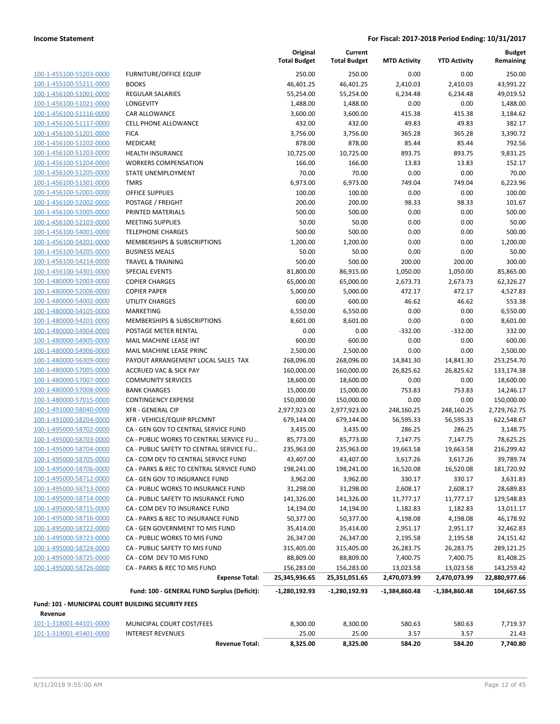**Current**

**Original**

**Budget**

|                                                    |                                                                                 | <b>Total Budget</b>        | <b>Total Budget</b>     | <b>MTD Activity</b>     | <b>YTD Activity</b>   | Remaining               |
|----------------------------------------------------|---------------------------------------------------------------------------------|----------------------------|-------------------------|-------------------------|-----------------------|-------------------------|
| 100-1-455100-55203-0000                            | <b>FURNITURE/OFFICE EQUIP</b>                                                   | 250.00                     | 250.00                  | 0.00                    | 0.00                  | 250.00                  |
| 100-1-455100-55211-0000                            | <b>BOOKS</b>                                                                    | 46,401.25                  | 46,401.25               | 2,410.03                | 2,410.03              | 43,991.22               |
| 100-1-456100-51001-0000                            | <b>REGULAR SALARIES</b>                                                         | 55,254.00                  | 55,254.00               | 6,234.48                | 6,234.48              | 49,019.52               |
| 100-1-456100-51021-0000                            | <b>LONGEVITY</b>                                                                | 1,488.00                   | 1,488.00                | 0.00                    | 0.00                  | 1,488.00                |
| 100-1-456100-51116-0000                            | <b>CAR ALLOWANCE</b>                                                            | 3,600.00                   | 3,600.00                | 415.38                  | 415.38                | 3,184.62                |
| 100-1-456100-51117-0000                            | <b>CELL PHONE ALLOWANCE</b>                                                     | 432.00                     | 432.00                  | 49.83                   | 49.83                 | 382.17                  |
| 100-1-456100-51201-0000                            | <b>FICA</b>                                                                     | 3,756.00                   | 3,756.00                | 365.28                  | 365.28                | 3,390.72                |
| 100-1-456100-51202-0000                            | <b>MEDICARE</b>                                                                 | 878.00                     | 878.00                  | 85.44                   | 85.44                 | 792.56                  |
| 100-1-456100-51203-0000                            | <b>HEALTH INSURANCE</b>                                                         | 10,725.00                  | 10,725.00               | 893.75                  | 893.75                | 9,831.25                |
| 100-1-456100-51204-0000                            | <b>WORKERS COMPENSATION</b>                                                     | 166.00                     | 166.00                  | 13.83                   | 13.83                 | 152.17                  |
| 100-1-456100-51205-0000                            | STATE UNEMPLOYMENT                                                              | 70.00                      | 70.00                   | 0.00                    | 0.00                  | 70.00                   |
| 100-1-456100-51301-0000                            | <b>TMRS</b>                                                                     | 6,973.00                   | 6,973.00                | 749.04                  | 749.04                | 6,223.96                |
| 100-1-456100-52001-0000                            | <b>OFFICE SUPPLIES</b>                                                          | 100.00                     | 100.00                  | 0.00                    | 0.00                  | 100.00                  |
| 100-1-456100-52002-0000                            | POSTAGE / FREIGHT                                                               | 200.00                     | 200.00                  | 98.33                   | 98.33                 | 101.67                  |
| 100-1-456100-52005-0000                            | PRINTED MATERIALS                                                               | 500.00                     | 500.00                  | 0.00                    | 0.00                  | 500.00                  |
| 100-1-456100-52103-0000                            | <b>MEETING SUPPLIES</b>                                                         | 50.00                      | 50.00                   | 0.00                    | 0.00                  | 50.00                   |
| 100-1-456100-54001-0000                            | <b>TELEPHONE CHARGES</b>                                                        | 500.00                     | 500.00                  | 0.00                    | 0.00                  | 500.00                  |
| 100-1-456100-54201-0000                            | MEMBERSHIPS & SUBSCRIPTIONS                                                     | 1,200.00                   | 1,200.00                | 0.00                    | 0.00                  | 1,200.00                |
| 100-1-456100-54205-0000                            | <b>BUSINESS MEALS</b>                                                           | 50.00                      | 50.00                   | 0.00                    | 0.00                  | 50.00                   |
| 100-1-456100-54214-0000                            | <b>TRAVEL &amp; TRAINING</b>                                                    | 500.00                     | 500.00                  | 200.00                  | 200.00                | 300.00                  |
| 100-1-456100-54301-0000                            | <b>SPECIAL EVENTS</b>                                                           | 81,800.00                  | 86,915.00               | 1,050.00                | 1,050.00              | 85,865.00               |
| 100-1-480000-52003-0000                            | <b>COPIER CHARGES</b>                                                           | 65,000.00                  | 65,000.00               | 2,673.73                | 2,673.73              | 62,326.27               |
| 100-1-480000-52006-0000                            | <b>COPIER PAPER</b>                                                             | 5,000.00                   | 5,000.00                | 472.17                  | 472.17                | 4,527.83                |
| 100-1-480000-54002-0000                            | <b>UTILITY CHARGES</b>                                                          | 600.00                     | 600.00                  | 46.62                   | 46.62                 | 553.38                  |
| 100-1-480000-54105-0000                            | <b>MARKETING</b>                                                                | 6,550.00                   | 6,550.00                | 0.00                    | 0.00                  | 6,550.00                |
| 100-1-480000-54201-0000                            | <b>MEMBERSHIPS &amp; SUBSCRIPTIONS</b>                                          | 8,601.00                   | 8,601.00                | 0.00                    | 0.00                  | 8,601.00                |
| 100-1-480000-54904-0000                            | POSTAGE METER RENTAL                                                            | 0.00                       | 0.00                    | $-332.00$               | $-332.00$             | 332.00                  |
| 100-1-480000-54905-0000                            | MAIL MACHINE LEASE INT                                                          | 600.00                     | 600.00                  | 0.00                    | 0.00                  | 600.00                  |
| 100-1-480000-54906-0000                            | MAIL MACHINE LEASE PRINC                                                        | 2,500.00                   | 2,500.00                | 0.00                    | 0.00                  | 2,500.00                |
| 100-1-480000-56309-0000                            | PAYOUT ARRANGEMENT LOCAL SALES TAX                                              | 268,096.00                 | 268,096.00              | 14,841.30               | 14,841.30             | 253,254.70              |
| 100-1-480000-57005-0000                            | <b>ACCRUED VAC &amp; SICK PAY</b>                                               | 160,000.00                 | 160,000.00              | 26,825.62               | 26,825.62             | 133,174.38              |
| 100-1-480000-57007-0000                            | <b>COMMUNITY SERVICES</b>                                                       | 18,600.00                  | 18,600.00               | 0.00                    | 0.00                  | 18,600.00               |
| 100-1-480000-57008-0000                            | <b>BANK CHARGES</b>                                                             | 15,000.00                  | 15,000.00               | 753.83                  | 753.83                | 14,246.17               |
| 100-1-480000-57015-0000                            | <b>CONTINGENCY EXPENSE</b><br><b>XFR - GENERAL CIP</b>                          | 150,000.00                 | 150,000.00              | 0.00                    | 0.00                  | 150,000.00              |
| 100-1-491000-58040-0000<br>100-1-491000-58204-0000 |                                                                                 | 2,977,923.00<br>679,144.00 | 2,977,923.00            | 248,160.25<br>56,595.33 | 248,160.25            | 2,729,762.75            |
|                                                    | XFR - VEHICLE/EQUIP RPLCMNT                                                     | 3,435.00                   | 679,144.00              |                         | 56,595.33             | 622,548.67              |
| 100-1-495000-58702-0000                            | CA - GEN GOV TO CENTRAL SERVICE FUND<br>CA - PUBLIC WORKS TO CENTRAL SERVICE FU |                            | 3,435.00                | 286.25                  | 286.25                | 3,148.75                |
| 100-1-495000-58703-0000<br>100-1-495000-58704-0000 | CA - PUBLIC SAFETY TO CENTRAL SERVICE FU                                        | 85,773.00<br>235,963.00    | 85,773.00<br>235,963.00 | 7,147.75<br>19,663.58   | 7,147.75<br>19,663.58 | 78,625.25<br>216,299.42 |
| 100-1-495000-58705-0000                            | CA - COM DEV TO CENTRAL SERVICE FUND                                            | 43,407.00                  | 43,407.00               | 3,617.26                | 3,617.26              | 39,789.74               |
| 100-1-495000-58706-0000                            | CA - PARKS & REC TO CENTRAL SERVICE FUND                                        | 198,241.00                 | 198,241.00              | 16,520.08               | 16,520.08             | 181,720.92              |
| 100-1-495000-58712-0000                            | CA - GEN GOV TO INSURANCE FUND                                                  | 3,962.00                   | 3,962.00                | 330.17                  | 330.17                | 3,631.83                |
| 100-1-495000-58713-0000                            | CA - PUBLIC WORKS TO INSURANCE FUND                                             | 31,298.00                  | 31,298.00               | 2,608.17                | 2,608.17              | 28,689.83               |
| 100-1-495000-58714-0000                            | CA - PUBLIC SAFETY TO INSURANCE FUND                                            | 141,326.00                 | 141,326.00              | 11,777.17               | 11,777.17             | 129,548.83              |
| 100-1-495000-58715-0000                            | CA - COM DEV TO INSURANCE FUND                                                  | 14,194.00                  | 14,194.00               | 1,182.83                | 1,182.83              | 13,011.17               |
| 100-1-495000-58716-0000                            | CA - PARKS & REC TO INSURANCE FUND                                              | 50,377.00                  | 50,377.00               | 4,198.08                | 4,198.08              | 46,178.92               |
| 100-1-495000-58722-0000                            | CA - GEN GOVERNMENT TO MIS FUND                                                 | 35,414.00                  | 35,414.00               | 2,951.17                | 2,951.17              | 32,462.83               |
| 100-1-495000-58723-0000                            | CA - PUBLIC WORKS TO MIS FUND                                                   | 26,347.00                  | 26,347.00               | 2,195.58                | 2,195.58              | 24,151.42               |
| 100-1-495000-58724-0000                            | CA - PUBLIC SAFETY TO MIS FUND                                                  | 315,405.00                 | 315,405.00              | 26,283.75               | 26,283.75             | 289,121.25              |
| 100-1-495000-58725-0000                            | CA - COM DEV TO MIS FUND                                                        | 88,809.00                  | 88,809.00               | 7,400.75                | 7,400.75              | 81,408.25               |
| 100-1-495000-58726-0000                            | CA - PARKS & REC TO MIS FUND                                                    | 156,283.00                 | 156,283.00              | 13,023.58               | 13,023.58             | 143,259.42              |
|                                                    | <b>Expense Total:</b>                                                           | 25,345,936.65              | 25,351,051.65           | 2,470,073.99            | 2,470,073.99          | 22,880,977.66           |
|                                                    | Fund: 100 - GENERAL FUND Surplus (Deficit):                                     | -1,280,192.93              | -1,280,192.93           | -1,384,860.48           | -1,384,860.48         | 104,667.55              |
| Fund: 101 - MUNICIPAL COURT BUILDING SECURITY FEES |                                                                                 |                            |                         |                         |                       |                         |
| Revenue                                            |                                                                                 |                            |                         |                         |                       |                         |
| 101-1-318001-44101-0000                            | MUNICIPAL COURT COST/FEES                                                       | 8,300.00                   | 8,300.00                | 580.63                  | 580.63                | 7,719.37                |
| 101-1-319001-45401-0000                            | <b>INTEREST REVENUES</b>                                                        | 25.00                      | 25.00                   | 3.57                    | 3.57                  | 21.43                   |
|                                                    | <b>Revenue Total:</b>                                                           | 8,325.00                   | 8,325.00                | 584.20                  | 584.20                | 7,740.80                |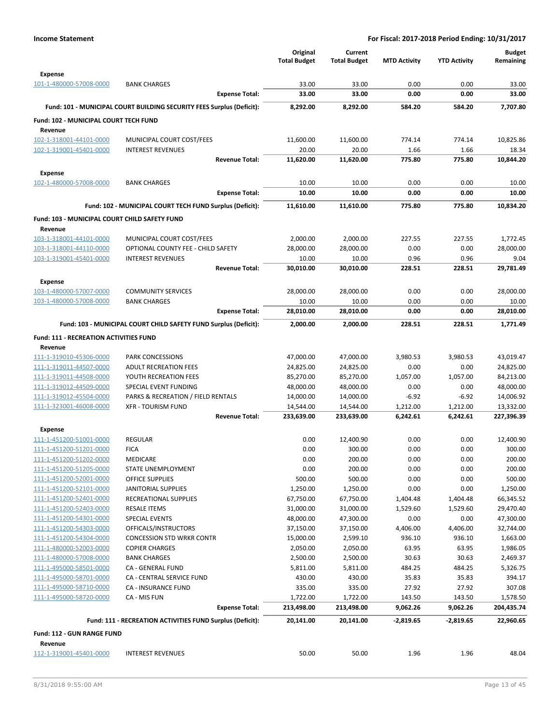|                                                    |                                                                       | Original               | Current                |                     |                     | <b>Budget</b>          |
|----------------------------------------------------|-----------------------------------------------------------------------|------------------------|------------------------|---------------------|---------------------|------------------------|
|                                                    |                                                                       | <b>Total Budget</b>    | <b>Total Budget</b>    | <b>MTD Activity</b> | <b>YTD Activity</b> | Remaining              |
| <b>Expense</b>                                     |                                                                       |                        |                        |                     |                     |                        |
| 101-1-480000-57008-0000                            | <b>BANK CHARGES</b><br><b>Expense Total:</b>                          | 33.00<br>33.00         | 33.00<br>33.00         | 0.00<br>0.00        | 0.00<br>0.00        | 33.00<br>33.00         |
|                                                    |                                                                       |                        |                        |                     |                     |                        |
|                                                    | Fund: 101 - MUNICIPAL COURT BUILDING SECURITY FEES Surplus (Deficit): | 8,292.00               | 8,292.00               | 584.20              | 584.20              | 7,707.80               |
| Fund: 102 - MUNICIPAL COURT TECH FUND              |                                                                       |                        |                        |                     |                     |                        |
| Revenue<br>102-1-318001-44101-0000                 | MUNICIPAL COURT COST/FEES                                             | 11,600.00              | 11,600.00              | 774.14              | 774.14              | 10,825.86              |
| 102-1-319001-45401-0000                            | <b>INTEREST REVENUES</b>                                              | 20.00                  | 20.00                  | 1.66                | 1.66                | 18.34                  |
|                                                    | <b>Revenue Total:</b>                                                 | 11,620.00              | 11,620.00              | 775.80              | 775.80              | 10,844.20              |
| <b>Expense</b>                                     |                                                                       |                        |                        |                     |                     |                        |
| 102-1-480000-57008-0000                            | <b>BANK CHARGES</b>                                                   | 10.00                  | 10.00                  | 0.00                | 0.00                | 10.00                  |
|                                                    | <b>Expense Total:</b>                                                 | 10.00                  | 10.00                  | 0.00                | 0.00                | 10.00                  |
|                                                    | Fund: 102 - MUNICIPAL COURT TECH FUND Surplus (Deficit):              | 11,610.00              | 11,610.00              | 775.80              | 775.80              | 10,834.20              |
| Fund: 103 - MUNICIPAL COURT CHILD SAFETY FUND      |                                                                       |                        |                        |                     |                     |                        |
| Revenue                                            |                                                                       |                        |                        |                     |                     |                        |
| 103-1-318001-44101-0000                            | MUNICIPAL COURT COST/FEES                                             | 2,000.00               | 2,000.00               | 227.55              | 227.55              | 1,772.45               |
| 103-1-318001-44110-0000                            | OPTIONAL COUNTY FEE - CHILD SAFETY                                    | 28,000.00              | 28,000.00              | 0.00                | 0.00                | 28,000.00              |
| 103-1-319001-45401-0000                            | <b>INTEREST REVENUES</b>                                              | 10.00                  | 10.00                  | 0.96                | 0.96                | 9.04                   |
|                                                    | <b>Revenue Total:</b>                                                 | 30,010.00              | 30,010.00              | 228.51              | 228.51              | 29.781.49              |
| <b>Expense</b>                                     |                                                                       |                        |                        |                     |                     |                        |
| 103-1-480000-57007-0000                            | <b>COMMUNITY SERVICES</b>                                             | 28,000.00              | 28,000.00              | 0.00                | 0.00                | 28,000.00              |
| 103-1-480000-57008-0000                            | <b>BANK CHARGES</b><br><b>Expense Total:</b>                          | 10.00                  | 10.00                  | 0.00<br>0.00        | 0.00<br>0.00        | 10.00<br>28,010.00     |
|                                                    |                                                                       | 28,010.00              | 28,010.00              |                     |                     |                        |
|                                                    | Fund: 103 - MUNICIPAL COURT CHILD SAFETY FUND Surplus (Deficit):      | 2,000.00               | 2,000.00               | 228.51              | 228.51              | 1,771.49               |
| <b>Fund: 111 - RECREATION ACTIVITIES FUND</b>      |                                                                       |                        |                        |                     |                     |                        |
| Revenue                                            |                                                                       |                        |                        |                     |                     |                        |
| 111-1-319010-45306-0000<br>111-1-319011-44507-0000 | PARK CONCESSIONS<br><b>ADULT RECREATION FEES</b>                      | 47,000.00<br>24,825.00 | 47,000.00<br>24,825.00 | 3,980.53<br>0.00    | 3,980.53<br>0.00    | 43,019.47<br>24,825.00 |
| 111-1-319011-44508-0000                            | YOUTH RECREATION FEES                                                 | 85,270.00              | 85,270.00              | 1,057.00            | 1,057.00            | 84,213.00              |
| 111-1-319012-44509-0000                            | SPECIAL EVENT FUNDING                                                 | 48,000.00              | 48,000.00              | 0.00                | 0.00                | 48,000.00              |
| 111-1-319012-45504-0000                            | PARKS & RECREATION / FIELD RENTALS                                    | 14,000.00              | 14,000.00              | $-6.92$             | $-6.92$             | 14,006.92              |
| 111-1-323001-46008-0000                            | <b>XFR - TOURISM FUND</b>                                             | 14,544.00              | 14,544.00              | 1,212.00            | 1,212.00            | 13,332.00              |
|                                                    | <b>Revenue Total:</b>                                                 | 233,639.00             | 233,639.00             | 6,242.61            | 6,242.61            | 227,396.39             |
| <b>Expense</b>                                     |                                                                       |                        |                        |                     |                     |                        |
| 111-1-451200-51001-0000                            | <b>REGULAR</b>                                                        | 0.00                   | 12,400.90              | 0.00                | 0.00                | 12,400.90              |
| 111-1-451200-51201-0000                            | <b>FICA</b>                                                           | 0.00                   | 300.00                 | 0.00                | 0.00                | 300.00                 |
| 111-1-451200-51202-0000                            | MEDICARE                                                              | 0.00                   | 200.00                 | 0.00                | 0.00                | 200.00                 |
| 111-1-451200-51205-0000<br>111-1-451200-52001-0000 | STATE UNEMPLOYMENT<br>OFFICE SUPPLIES                                 | 0.00<br>500.00         | 200.00<br>500.00       | 0.00<br>0.00        | 0.00<br>0.00        | 200.00<br>500.00       |
| 111-1-451200-52101-0000                            | <b>JANITORIAL SUPPLIES</b>                                            | 1,250.00               | 1,250.00               | 0.00                | 0.00                | 1,250.00               |
| 111-1-451200-52401-0000                            | RECREATIONAL SUPPLIES                                                 | 67,750.00              | 67,750.00              | 1,404.48            | 1,404.48            | 66,345.52              |
| 111-1-451200-52403-0000                            | <b>RESALE ITEMS</b>                                                   | 31,000.00              | 31,000.00              | 1,529.60            | 1,529.60            | 29,470.40              |
| 111-1-451200-54301-0000                            | <b>SPECIAL EVENTS</b>                                                 | 48,000.00              | 47,300.00              | 0.00                | 0.00                | 47,300.00              |
| 111-1-451200-54303-0000                            | OFFICALS/INSTRUCTORS                                                  | 37,150.00              | 37,150.00              | 4,406.00            | 4,406.00            | 32,744.00              |
| 111-1-451200-54304-0000                            | <b>CONCESSION STD WRKR CONTR</b>                                      | 15,000.00              | 2,599.10               | 936.10              | 936.10              | 1,663.00               |
| 111-1-480000-52003-0000                            | <b>COPIER CHARGES</b>                                                 | 2,050.00               | 2,050.00               | 63.95               | 63.95               | 1,986.05               |
| 111-1-480000-57008-0000<br>111-1-495000-58501-0000 | <b>BANK CHARGES</b><br>CA - GENERAL FUND                              | 2,500.00               | 2,500.00<br>5,811.00   | 30.63<br>484.25     | 30.63<br>484.25     | 2,469.37               |
| 111-1-495000-58701-0000                            | CA - CENTRAL SERVICE FUND                                             | 5,811.00<br>430.00     | 430.00                 | 35.83               | 35.83               | 5,326.75<br>394.17     |
| 111-1-495000-58710-0000                            | CA - INSURANCE FUND                                                   | 335.00                 | 335.00                 | 27.92               | 27.92               | 307.08                 |
| 111-1-495000-58720-0000                            | CA - MIS FUN                                                          | 1,722.00               | 1,722.00               | 143.50              | 143.50              | 1,578.50               |
|                                                    | <b>Expense Total:</b>                                                 | 213,498.00             | 213,498.00             | 9,062.26            | 9,062.26            | 204,435.74             |
|                                                    | Fund: 111 - RECREATION ACTIVITIES FUND Surplus (Deficit):             | 20,141.00              | 20,141.00              | $-2,819.65$         | $-2,819.65$         | 22,960.65              |
| Fund: 112 - GUN RANGE FUND                         |                                                                       |                        |                        |                     |                     |                        |
| Revenue                                            |                                                                       |                        |                        |                     |                     |                        |
| 112-1-319001-45401-0000                            | <b>INTEREST REVENUES</b>                                              | 50.00                  | 50.00                  | 1.96                | 1.96                | 48.04                  |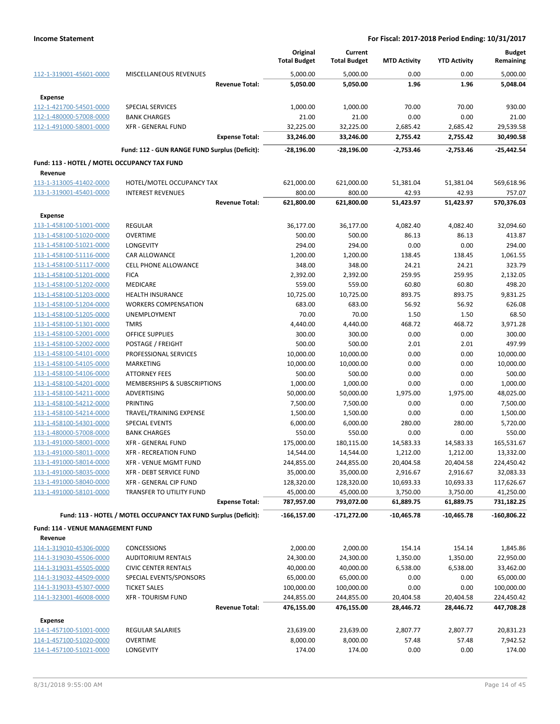|                                                    |                                                                 |                       | Original<br><b>Total Budget</b> | Current<br><b>Total Budget</b> | <b>MTD Activity</b> | <b>YTD Activity</b> | <b>Budget</b><br>Remaining |
|----------------------------------------------------|-----------------------------------------------------------------|-----------------------|---------------------------------|--------------------------------|---------------------|---------------------|----------------------------|
| 112-1-319001-45601-0000                            | <b>MISCELLANEOUS REVENUES</b>                                   |                       | 5,000.00                        | 5,000.00                       | 0.00                | 0.00                | 5,000.00                   |
|                                                    |                                                                 | <b>Revenue Total:</b> | 5,050.00                        | 5,050.00                       | 1.96                | 1.96                | 5,048.04                   |
|                                                    |                                                                 |                       |                                 |                                |                     |                     |                            |
| Expense<br>112-1-421700-54501-0000                 | <b>SPECIAL SERVICES</b>                                         |                       | 1,000.00                        | 1,000.00                       | 70.00               | 70.00               | 930.00                     |
| 112-1-480000-57008-0000                            | <b>BANK CHARGES</b>                                             |                       | 21.00                           | 21.00                          | 0.00                | 0.00                | 21.00                      |
| 112-1-491000-58001-0000                            | <b>XFR - GENERAL FUND</b>                                       |                       | 32,225.00                       | 32,225.00                      | 2,685.42            | 2,685.42            | 29,539.58                  |
|                                                    |                                                                 | <b>Expense Total:</b> | 33,246.00                       | 33,246.00                      | 2,755.42            | 2,755.42            | 30,490.58                  |
|                                                    | Fund: 112 - GUN RANGE FUND Surplus (Deficit):                   |                       | -28,196.00                      | $-28,196.00$                   | $-2,753.46$         | $-2,753.46$         | $-25,442.54$               |
| Fund: 113 - HOTEL / MOTEL OCCUPANCY TAX FUND       |                                                                 |                       |                                 |                                |                     |                     |                            |
| Revenue                                            |                                                                 |                       |                                 |                                |                     |                     |                            |
| 113-1-313005-41402-0000                            | HOTEL/MOTEL OCCUPANCY TAX                                       |                       | 621,000.00                      | 621,000.00                     | 51,381.04           | 51,381.04           | 569,618.96                 |
| 113-1-319001-45401-0000                            | <b>INTEREST REVENUES</b>                                        |                       | 800.00                          | 800.00                         | 42.93               | 42.93               | 757.07                     |
|                                                    |                                                                 | <b>Revenue Total:</b> | 621,800.00                      | 621,800.00                     | 51,423.97           | 51,423.97           | 570,376.03                 |
| <b>Expense</b>                                     |                                                                 |                       |                                 |                                |                     |                     |                            |
| 113-1-458100-51001-0000                            | <b>REGULAR</b>                                                  |                       | 36,177.00                       | 36,177.00                      | 4,082.40            | 4,082.40            | 32,094.60                  |
| 113-1-458100-51020-0000                            | <b>OVERTIME</b>                                                 |                       | 500.00                          | 500.00                         | 86.13               | 86.13               | 413.87                     |
| 113-1-458100-51021-0000                            | LONGEVITY                                                       |                       | 294.00                          | 294.00                         | 0.00                | 0.00                | 294.00                     |
| 113-1-458100-51116-0000                            | <b>CAR ALLOWANCE</b>                                            |                       | 1,200.00                        | 1,200.00                       | 138.45              | 138.45              | 1,061.55                   |
| 113-1-458100-51117-0000                            | <b>CELL PHONE ALLOWANCE</b>                                     |                       | 348.00                          | 348.00                         | 24.21               | 24.21               | 323.79                     |
| 113-1-458100-51201-0000                            | <b>FICA</b>                                                     |                       | 2,392.00                        | 2,392.00                       | 259.95              | 259.95              | 2,132.05                   |
| 113-1-458100-51202-0000                            | <b>MEDICARE</b>                                                 |                       | 559.00                          | 559.00                         | 60.80               | 60.80               | 498.20                     |
| 113-1-458100-51203-0000                            | <b>HEALTH INSURANCE</b>                                         |                       | 10,725.00                       | 10,725.00                      | 893.75              | 893.75              | 9,831.25                   |
| 113-1-458100-51204-0000                            | <b>WORKERS COMPENSATION</b>                                     |                       | 683.00                          | 683.00                         | 56.92               | 56.92               | 626.08                     |
| 113-1-458100-51205-0000                            | UNEMPLOYMENT                                                    |                       | 70.00                           | 70.00                          | 1.50                | 1.50                | 68.50                      |
| 113-1-458100-51301-0000                            | <b>TMRS</b>                                                     |                       | 4,440.00                        | 4,440.00                       | 468.72              | 468.72              | 3,971.28                   |
| 113-1-458100-52001-0000                            | <b>OFFICE SUPPLIES</b>                                          |                       | 300.00                          | 300.00                         | 0.00                | 0.00                | 300.00                     |
| 113-1-458100-52002-0000                            | POSTAGE / FREIGHT                                               |                       | 500.00                          | 500.00                         | 2.01                | 2.01                | 497.99                     |
| 113-1-458100-54101-0000                            | PROFESSIONAL SERVICES                                           |                       | 10,000.00                       | 10,000.00                      | 0.00                | 0.00                | 10,000.00                  |
| 113-1-458100-54105-0000                            | <b>MARKETING</b>                                                |                       | 10,000.00                       | 10,000.00                      | 0.00                | 0.00                | 10,000.00                  |
| 113-1-458100-54106-0000                            | <b>ATTORNEY FEES</b>                                            |                       | 500.00                          | 500.00                         | 0.00                | 0.00                | 500.00                     |
| 113-1-458100-54201-0000                            | <b>MEMBERSHIPS &amp; SUBSCRIPTIONS</b><br>ADVERTISING           |                       | 1,000.00<br>50,000.00           | 1,000.00<br>50,000.00          | 0.00<br>1,975.00    | 0.00<br>1,975.00    | 1,000.00<br>48,025.00      |
| 113-1-458100-54211-0000<br>113-1-458100-54212-0000 | PRINTING                                                        |                       | 7,500.00                        | 7,500.00                       | 0.00                | 0.00                | 7,500.00                   |
| 113-1-458100-54214-0000                            | TRAVEL/TRAINING EXPENSE                                         |                       | 1,500.00                        | 1,500.00                       | 0.00                | 0.00                | 1,500.00                   |
| 113-1-458100-54301-0000                            | <b>SPECIAL EVENTS</b>                                           |                       | 6,000.00                        | 6,000.00                       | 280.00              | 280.00              | 5,720.00                   |
| 113-1-480000-57008-0000                            | <b>BANK CHARGES</b>                                             |                       | 550.00                          | 550.00                         | 0.00                | 0.00                | 550.00                     |
| 113-1-491000-58001-0000                            | <b>XFR - GENERAL FUND</b>                                       |                       | 175,000.00                      | 180,115.00                     | 14,583.33           | 14,583.33           | 165,531.67                 |
| 113-1-491000-58011-0000                            | <b>XFR - RECREATION FUND</b>                                    |                       | 14,544.00                       | 14,544.00                      | 1,212.00            | 1,212.00            | 13,332.00                  |
| 113-1-491000-58014-0000                            | <b>XFR - VENUE MGMT FUND</b>                                    |                       | 244,855.00                      | 244,855.00                     | 20,404.58           | 20,404.58           | 224,450.42                 |
| 113-1-491000-58035-0000                            | XFR - DEBT SERVICE FUND                                         |                       | 35,000.00                       | 35,000.00                      | 2,916.67            | 2,916.67            | 32,083.33                  |
| 113-1-491000-58040-0000                            | XFR - GENERAL CIP FUND                                          |                       | 128,320.00                      | 128,320.00                     | 10,693.33           | 10,693.33           | 117,626.67                 |
| 113-1-491000-58101-0000                            | TRANSFER TO UTILITY FUND                                        |                       | 45,000.00                       | 45,000.00                      | 3,750.00            | 3,750.00            | 41,250.00                  |
|                                                    |                                                                 | <b>Expense Total:</b> | 787,957.00                      | 793,072.00                     | 61,889.75           | 61,889.75           | 731,182.25                 |
|                                                    | Fund: 113 - HOTEL / MOTEL OCCUPANCY TAX FUND Surplus (Deficit): |                       | $-166, 157.00$                  | $-171,272.00$                  | $-10,465.78$        | $-10,465.78$        | $-160,806.22$              |
| Fund: 114 - VENUE MANAGEMENT FUND                  |                                                                 |                       |                                 |                                |                     |                     |                            |
| Revenue                                            |                                                                 |                       |                                 |                                |                     |                     |                            |
| 114-1-319010-45306-0000                            | CONCESSIONS                                                     |                       | 2,000.00                        | 2,000.00                       | 154.14              | 154.14              | 1,845.86                   |
| 114-1-319030-45506-0000                            | <b>AUDITORIUM RENTALS</b>                                       |                       | 24,300.00                       | 24,300.00                      | 1,350.00            | 1,350.00            | 22,950.00                  |
| 114-1-319031-45505-0000                            | <b>CIVIC CENTER RENTALS</b>                                     |                       | 40,000.00                       | 40,000.00                      | 6,538.00            | 6,538.00            | 33,462.00                  |
| 114-1-319032-44509-0000                            | SPECIAL EVENTS/SPONSORS                                         |                       | 65,000.00                       | 65,000.00                      | 0.00                | 0.00                | 65,000.00                  |
| 114-1-319033-45307-0000                            | <b>TICKET SALES</b>                                             |                       | 100,000.00                      | 100,000.00                     | 0.00                | 0.00                | 100,000.00                 |
| 114-1-323001-46008-0000                            | <b>XFR - TOURISM FUND</b>                                       |                       | 244,855.00                      | 244,855.00                     | 20,404.58           | 20,404.58           | 224,450.42                 |
|                                                    |                                                                 | <b>Revenue Total:</b> | 476,155.00                      | 476,155.00                     | 28,446.72           | 28,446.72           | 447,708.28                 |
| <b>Expense</b>                                     |                                                                 |                       |                                 |                                |                     |                     |                            |
| 114-1-457100-51001-0000                            | REGULAR SALARIES                                                |                       | 23,639.00                       | 23,639.00                      | 2,807.77            | 2,807.77            | 20,831.23                  |
| 114-1-457100-51020-0000                            | <b>OVERTIME</b>                                                 |                       | 8,000.00                        | 8,000.00                       | 57.48               | 57.48               | 7,942.52                   |
| 114-1-457100-51021-0000                            | LONGEVITY                                                       |                       | 174.00                          | 174.00                         | 0.00                | 0.00                | 174.00                     |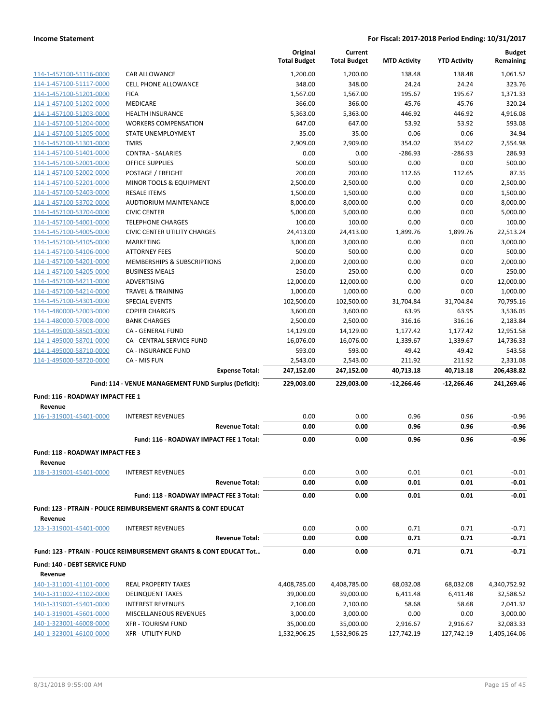|                                      |                                                                           | Original<br><b>Total Budget</b> | Current<br><b>Total Budget</b> | <b>MTD Activity</b> | <b>YTD Activity</b> | <b>Budget</b><br>Remaining |
|--------------------------------------|---------------------------------------------------------------------------|---------------------------------|--------------------------------|---------------------|---------------------|----------------------------|
| 114-1-457100-51116-0000              | <b>CAR ALLOWANCE</b>                                                      | 1,200.00                        | 1,200.00                       | 138.48              | 138.48              | 1,061.52                   |
| 114-1-457100-51117-0000              | <b>CELL PHONE ALLOWANCE</b>                                               | 348.00                          | 348.00                         | 24.24               | 24.24               | 323.76                     |
| 114-1-457100-51201-0000              | <b>FICA</b>                                                               | 1,567.00                        | 1,567.00                       | 195.67              | 195.67              | 1,371.33                   |
| 114-1-457100-51202-0000              | <b>MEDICARE</b>                                                           | 366.00                          | 366.00                         | 45.76               | 45.76               | 320.24                     |
| 114-1-457100-51203-0000              | <b>HEALTH INSURANCE</b>                                                   | 5,363.00                        | 5,363.00                       | 446.92              | 446.92              | 4,916.08                   |
| 114-1-457100-51204-0000              | <b>WORKERS COMPENSATION</b>                                               | 647.00                          | 647.00                         | 53.92               | 53.92               | 593.08                     |
| 114-1-457100-51205-0000              | STATE UNEMPLOYMENT                                                        | 35.00                           | 35.00                          | 0.06                | 0.06                | 34.94                      |
| 114-1-457100-51301-0000              | <b>TMRS</b>                                                               | 2,909.00                        | 2,909.00                       | 354.02              | 354.02              | 2,554.98                   |
| 114-1-457100-51401-0000              | <b>CONTRA - SALARIES</b>                                                  | 0.00                            | 0.00                           | $-286.93$           | $-286.93$           | 286.93                     |
| 114-1-457100-52001-0000              | <b>OFFICE SUPPLIES</b>                                                    | 500.00                          | 500.00                         | 0.00                | 0.00                | 500.00                     |
| 114-1-457100-52002-0000              | POSTAGE / FREIGHT                                                         | 200.00                          | 200.00                         | 112.65              | 112.65              | 87.35                      |
| 114-1-457100-52201-0000              | MINOR TOOLS & EQUIPMENT                                                   | 2,500.00                        | 2,500.00                       | 0.00                | 0.00                | 2,500.00                   |
| 114-1-457100-52403-0000              | <b>RESALE ITEMS</b>                                                       | 1,500.00                        | 1,500.00                       | 0.00                | 0.00                | 1,500.00                   |
| 114-1-457100-53702-0000              | AUDTIORIUM MAINTENANCE                                                    | 8,000.00                        | 8,000.00                       | 0.00                | 0.00                | 8,000.00                   |
| 114-1-457100-53704-0000              | <b>CIVIC CENTER</b>                                                       | 5,000.00                        | 5,000.00                       | 0.00                | 0.00                | 5,000.00                   |
| 114-1-457100-54001-0000              | <b>TELEPHONE CHARGES</b>                                                  | 100.00                          | 100.00                         | 0.00                | 0.00                | 100.00                     |
| 114-1-457100-54005-0000              | <b>CIVIC CENTER UTILITY CHARGES</b>                                       | 24,413.00                       | 24,413.00                      | 1,899.76            | 1,899.76            | 22,513.24                  |
| 114-1-457100-54105-0000              | <b>MARKETING</b>                                                          | 3,000.00                        | 3,000.00                       | 0.00                | 0.00                | 3,000.00                   |
| 114-1-457100-54106-0000              | <b>ATTORNEY FEES</b>                                                      | 500.00                          | 500.00                         | 0.00                | 0.00                | 500.00                     |
| 114-1-457100-54201-0000              | MEMBERSHIPS & SUBSCRIPTIONS                                               | 2,000.00                        | 2,000.00                       | 0.00                | 0.00                | 2,000.00                   |
| 114-1-457100-54205-0000              | <b>BUSINESS MEALS</b>                                                     | 250.00                          | 250.00                         | 0.00                | 0.00                | 250.00                     |
| 114-1-457100-54211-0000              | ADVERTISING                                                               | 12,000.00                       | 12,000.00                      | 0.00                | 0.00                | 12,000.00                  |
| 114-1-457100-54214-0000              | <b>TRAVEL &amp; TRAINING</b>                                              | 1,000.00                        | 1,000.00                       | 0.00                | 0.00                | 1,000.00                   |
| 114-1-457100-54301-0000              | <b>SPECIAL EVENTS</b>                                                     | 102,500.00                      | 102,500.00                     | 31,704.84           | 31,704.84           | 70,795.16                  |
| 114-1-480000-52003-0000              | <b>COPIER CHARGES</b>                                                     | 3,600.00                        | 3,600.00                       | 63.95               | 63.95               | 3,536.05                   |
| 114-1-480000-57008-0000              | <b>BANK CHARGES</b>                                                       | 2,500.00                        | 2,500.00                       | 316.16              | 316.16              | 2,183.84                   |
| 114-1-495000-58501-0000              | CA - GENERAL FUND                                                         | 14,129.00                       | 14,129.00                      | 1,177.42            | 1,177.42            | 12,951.58                  |
| 114-1-495000-58701-0000              | CA - CENTRAL SERVICE FUND                                                 | 16,076.00                       | 16,076.00                      | 1,339.67            | 1,339.67            | 14,736.33                  |
| 114-1-495000-58710-0000              | CA - INSURANCE FUND                                                       | 593.00                          | 593.00                         | 49.42               | 49.42               | 543.58                     |
| 114-1-495000-58720-0000              | CA - MIS FUN                                                              | 2,543.00                        | 2,543.00                       | 211.92              | 211.92              | 2,331.08                   |
|                                      | <b>Expense Total:</b>                                                     | 247,152.00                      | 247,152.00                     | 40,713.18           | 40,713.18           | 206,438.82                 |
|                                      | Fund: 114 - VENUE MANAGEMENT FUND Surplus (Deficit):                      | 229,003.00                      | 229,003.00                     | $-12,266.46$        | -12,266.46          | 241,269.46                 |
| Fund: 116 - ROADWAY IMPACT FEE 1     |                                                                           |                                 |                                |                     |                     |                            |
| Revenue<br>116-1-319001-45401-0000   | <b>INTEREST REVENUES</b>                                                  | 0.00                            | 0.00                           | 0.96                | 0.96                | $-0.96$                    |
|                                      | <b>Revenue Total:</b>                                                     | 0.00                            | 0.00                           | 0.96                | 0.96                | -0.96                      |
|                                      | Fund: 116 - ROADWAY IMPACT FEE 1 Total:                                   | 0.00                            | 0.00                           | 0.96                | 0.96                | $-0.96$                    |
| Fund: 118 - ROADWAY IMPACT FEE 3     |                                                                           |                                 |                                |                     |                     |                            |
| Revenue                              |                                                                           |                                 |                                |                     |                     |                            |
| 118-1-319001-45401-0000              | <b>INTEREST REVENUES</b>                                                  | 0.00                            | 0.00                           | 0.01                | 0.01                | $-0.01$                    |
|                                      | <b>Revenue Total:</b>                                                     | 0.00                            | 0.00                           | 0.01                | 0.01                | $-0.01$                    |
|                                      | Fund: 118 - ROADWAY IMPACT FEE 3 Total:                                   | 0.00                            | 0.00                           | 0.01                | 0.01                | $-0.01$                    |
|                                      | <b>Fund: 123 - PTRAIN - POLICE REIMBURSEMENT GRANTS &amp; CONT EDUCAT</b> |                                 |                                |                     |                     |                            |
| Revenue                              |                                                                           |                                 |                                |                     |                     |                            |
| 123-1-319001-45401-0000              | <b>INTEREST REVENUES</b>                                                  | 0.00                            | 0.00                           | 0.71                | 0.71                | $-0.71$                    |
|                                      | <b>Revenue Total:</b>                                                     | 0.00                            | 0.00                           | 0.71                | 0.71                | $-0.71$                    |
|                                      | Fund: 123 - PTRAIN - POLICE REIMBURSEMENT GRANTS & CONT EDUCAT Tot        | 0.00                            | 0.00                           | 0.71                | 0.71                | $-0.71$                    |
| <b>Fund: 140 - DEBT SERVICE FUND</b> |                                                                           |                                 |                                |                     |                     |                            |
| Revenue                              |                                                                           |                                 |                                |                     |                     |                            |
| 140-1-311001-41101-0000              | <b>REAL PROPERTY TAXES</b>                                                | 4,408,785.00                    | 4,408,785.00                   | 68,032.08           | 68,032.08           | 4,340,752.92               |
| 140-1-311002-41102-0000              | <b>DELINQUENT TAXES</b>                                                   | 39,000.00                       | 39,000.00                      | 6,411.48            | 6,411.48            | 32,588.52                  |
| 140-1-319001-45401-0000              | <b>INTEREST REVENUES</b>                                                  | 2,100.00                        | 2,100.00                       | 58.68               | 58.68               | 2,041.32                   |
| 140-1-319001-45601-0000              | MISCELLANEOUS REVENUES                                                    | 3,000.00                        | 3,000.00                       | 0.00                | 0.00                | 3,000.00                   |
| 140-1-323001-46008-0000              | <b>XFR - TOURISM FUND</b>                                                 | 35,000.00                       | 35,000.00                      | 2,916.67            | 2,916.67            | 32,083.33                  |
| 140-1-323001-46100-0000              | <b>XFR - UTILITY FUND</b>                                                 | 1,532,906.25                    | 1,532,906.25                   | 127,742.19          | 127,742.19          | 1,405,164.06               |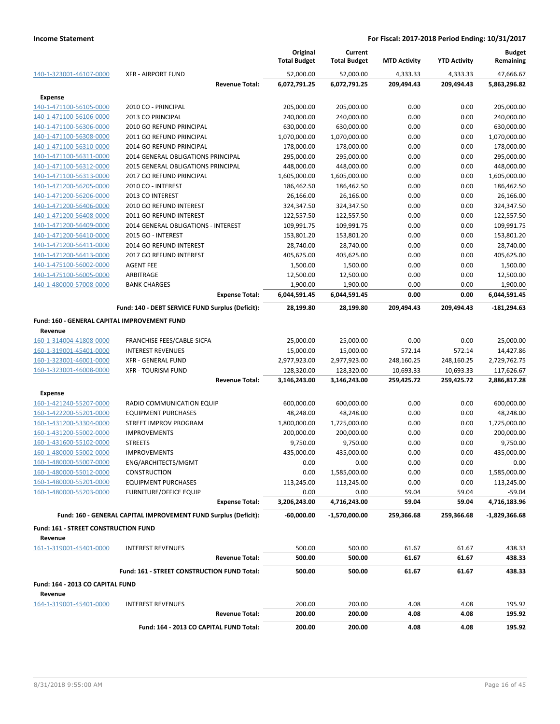|                                              |                                                                 | Original<br><b>Total Budget</b> | Current<br><b>Total Budget</b> | <b>MTD Activity</b> | <b>YTD Activity</b> | <b>Budget</b><br>Remaining |
|----------------------------------------------|-----------------------------------------------------------------|---------------------------------|--------------------------------|---------------------|---------------------|----------------------------|
| 140-1-323001-46107-0000                      | <b>XFR - AIRPORT FUND</b>                                       | 52,000.00                       | 52,000.00                      | 4,333.33            | 4,333.33            | 47,666.67                  |
|                                              | <b>Revenue Total:</b>                                           | 6,072,791.25                    | 6,072,791.25                   | 209,494.43          | 209,494.43          | 5,863,296.82               |
| <b>Expense</b>                               |                                                                 |                                 |                                |                     |                     |                            |
| 140-1-471100-56105-0000                      | 2010 CO - PRINCIPAL                                             | 205,000.00                      | 205,000.00                     | 0.00                | 0.00                | 205,000.00                 |
| 140-1-471100-56106-0000                      | 2013 CO PRINCIPAL                                               | 240,000.00                      | 240,000.00                     | 0.00                | 0.00                | 240,000.00                 |
| 140-1-471100-56306-0000                      | 2010 GO REFUND PRINCIPAL                                        | 630,000.00                      | 630,000.00                     | 0.00                | 0.00                | 630,000.00                 |
| 140-1-471100-56308-0000                      | 2011 GO REFUND PRINCIPAL                                        | 1,070,000.00                    | 1,070,000.00                   | 0.00                | 0.00                | 1,070,000.00               |
| 140-1-471100-56310-0000                      | 2014 GO REFUND PRINCIPAL                                        | 178,000.00                      | 178,000.00                     | 0.00                | 0.00                | 178,000.00                 |
| 140-1-471100-56311-0000                      | 2014 GENERAL OBLIGATIONS PRINCIPAL                              | 295,000.00                      | 295,000.00                     | 0.00                | 0.00                | 295,000.00                 |
| 140-1-471100-56312-0000                      | 2015 GENERAL OBLIGATIONS PRINCIPAL                              | 448,000.00                      | 448,000.00                     | 0.00                | 0.00                | 448,000.00                 |
| 140-1-471100-56313-0000                      | 2017 GO REFUND PRINCIPAL                                        | 1,605,000.00                    | 1,605,000.00                   | 0.00                | 0.00                | 1,605,000.00               |
| 140-1-471200-56205-0000                      | 2010 CO - INTEREST                                              | 186,462.50                      | 186,462.50                     | 0.00                | 0.00                | 186,462.50                 |
| 140-1-471200-56206-0000                      | 2013 CO INTEREST                                                | 26,166.00                       | 26,166.00                      | 0.00                | 0.00                | 26,166.00                  |
| 140-1-471200-56406-0000                      | 2010 GO REFUND INTEREST                                         | 324,347.50                      | 324,347.50                     | 0.00                | 0.00                | 324,347.50                 |
| 140-1-471200-56408-0000                      | 2011 GO REFUND INTEREST                                         | 122,557.50                      | 122,557.50                     | 0.00                | 0.00                | 122,557.50                 |
| 140-1-471200-56409-0000                      | 2014 GENERAL OBLIGATIONS - INTEREST                             | 109,991.75                      | 109,991.75                     | 0.00                | 0.00                | 109,991.75                 |
| 140-1-471200-56410-0000                      | 2015 GO - INTEREST                                              | 153,801.20                      | 153,801.20                     | 0.00                | 0.00                | 153,801.20                 |
| 140-1-471200-56411-0000                      | 2014 GO REFUND INTEREST                                         | 28,740.00                       | 28,740.00                      | 0.00                | 0.00                | 28,740.00                  |
| 140-1-471200-56413-0000                      | 2017 GO REFUND INTEREST                                         | 405,625.00                      | 405,625.00                     | 0.00                | 0.00                | 405,625.00                 |
| 140-1-475100-56002-0000                      | <b>AGENT FEE</b>                                                | 1,500.00                        | 1,500.00                       | 0.00                | 0.00                | 1,500.00                   |
| 140-1-475100-56005-0000                      | ARBITRAGE                                                       | 12,500.00                       | 12,500.00                      | 0.00                | 0.00                | 12,500.00                  |
| 140-1-480000-57008-0000                      | <b>BANK CHARGES</b>                                             | 1,900.00                        | 1,900.00                       | 0.00                | 0.00                | 1,900.00                   |
|                                              | <b>Expense Total:</b>                                           | 6,044,591.45                    | 6,044,591.45                   | 0.00                | 0.00                | 6,044,591.45               |
|                                              | Fund: 140 - DEBT SERVICE FUND Surplus (Deficit):                | 28,199.80                       | 28,199.80                      | 209,494.43          | 209,494.43          | -181,294.63                |
| Fund: 160 - GENERAL CAPITAL IMPROVEMENT FUND |                                                                 |                                 |                                |                     |                     |                            |
| Revenue                                      |                                                                 |                                 |                                |                     |                     |                            |
| 160-1-314004-41808-0000                      | FRANCHISE FEES/CABLE-SICFA                                      | 25,000.00                       | 25,000.00                      | 0.00                | 0.00                | 25,000.00                  |
| 160-1-319001-45401-0000                      | <b>INTEREST REVENUES</b>                                        | 15,000.00                       | 15,000.00                      | 572.14              | 572.14              | 14,427.86                  |
| 160-1-323001-46001-0000                      | <b>XFR - GENERAL FUND</b>                                       | 2,977,923.00                    | 2,977,923.00                   | 248,160.25          | 248,160.25          | 2,729,762.75               |
| 160-1-323001-46008-0000                      | <b>XFR - TOURISM FUND</b>                                       | 128,320.00                      | 128,320.00                     | 10,693.33           | 10,693.33           | 117,626.67                 |
|                                              | <b>Revenue Total:</b>                                           | 3,146,243.00                    | 3,146,243.00                   | 259,425.72          | 259,425.72          | 2,886,817.28               |
| <b>Expense</b>                               |                                                                 |                                 |                                |                     |                     |                            |
| 160-1-421240-55207-0000                      | RADIO COMMUNICATION EQUIP                                       | 600,000.00                      | 600,000.00                     | 0.00                | 0.00                | 600,000.00                 |
| 160-1-422200-55201-0000                      | <b>EQUIPMENT PURCHASES</b>                                      | 48,248.00                       | 48,248.00                      | 0.00                | 0.00                | 48,248.00                  |
| 160-1-431200-53304-0000                      | <b>STREET IMPROV PROGRAM</b>                                    | 1,800,000.00                    | 1,725,000.00                   | 0.00                | 0.00                | 1,725,000.00               |
| 160-1-431200-55002-0000                      | <b>IMPROVEMENTS</b>                                             | 200,000.00                      | 200,000.00                     | 0.00                | 0.00                | 200,000.00                 |
| 160-1-431600-55102-0000                      | <b>STREETS</b>                                                  | 9,750.00                        | 9,750.00                       | 0.00                | 0.00                | 9,750.00                   |
| 160-1-480000-55002-0000                      | <b>IMPROVEMENTS</b>                                             | 435,000.00                      | 435,000.00                     | 0.00                | 0.00                | 435,000.00                 |
| 160-1-480000-55007-0000                      | ENG/ARCHITECTS/MGMT                                             | 0.00                            | 0.00                           | 0.00                | 0.00                | 0.00                       |
| 160-1-480000-55012-0000                      | <b>CONSTRUCTION</b>                                             | 0.00                            | 1,585,000.00                   | 0.00                | 0.00                | 1,585,000.00               |
| 160-1-480000-55201-0000                      | <b>EQUIPMENT PURCHASES</b>                                      | 113,245.00                      | 113,245.00                     | 0.00                | 0.00                | 113,245.00                 |
| 160-1-480000-55203-0000                      | FURNITURE/OFFICE EQUIP                                          | 0.00                            | 0.00                           | 59.04               | 59.04               | $-59.04$                   |
|                                              | <b>Expense Total:</b>                                           | 3,206,243.00                    | 4,716,243.00                   | 59.04               | 59.04               | 4,716,183.96               |
|                                              | Fund: 160 - GENERAL CAPITAL IMPROVEMENT FUND Surplus (Deficit): | $-60.000.00$                    | -1,570,000.00                  | 259,366.68          | 259,366.68          | $-1,829,366.68$            |
| Fund: 161 - STREET CONSTRUCTION FUND         |                                                                 |                                 |                                |                     |                     |                            |
| Revenue                                      |                                                                 |                                 |                                |                     |                     |                            |
| 161-1-319001-45401-0000                      | <b>INTEREST REVENUES</b>                                        | 500.00                          | 500.00                         | 61.67               | 61.67               | 438.33                     |
|                                              | <b>Revenue Total:</b>                                           | 500.00                          | 500.00                         | 61.67               | 61.67               | 438.33                     |
|                                              | Fund: 161 - STREET CONSTRUCTION FUND Total:                     | 500.00                          | 500.00                         | 61.67               | 61.67               | 438.33                     |
| Fund: 164 - 2013 CO CAPITAL FUND             |                                                                 |                                 |                                |                     |                     |                            |
| Revenue                                      |                                                                 |                                 |                                |                     |                     |                            |
| 164-1-319001-45401-0000                      | <b>INTEREST REVENUES</b>                                        | 200.00                          | 200.00                         | 4.08                | 4.08                | 195.92                     |
|                                              | <b>Revenue Total:</b>                                           | 200.00                          | 200.00                         | 4.08                | 4.08                | 195.92                     |
|                                              | Fund: 164 - 2013 CO CAPITAL FUND Total:                         | 200.00                          | 200.00                         | 4.08                | 4.08                | 195.92                     |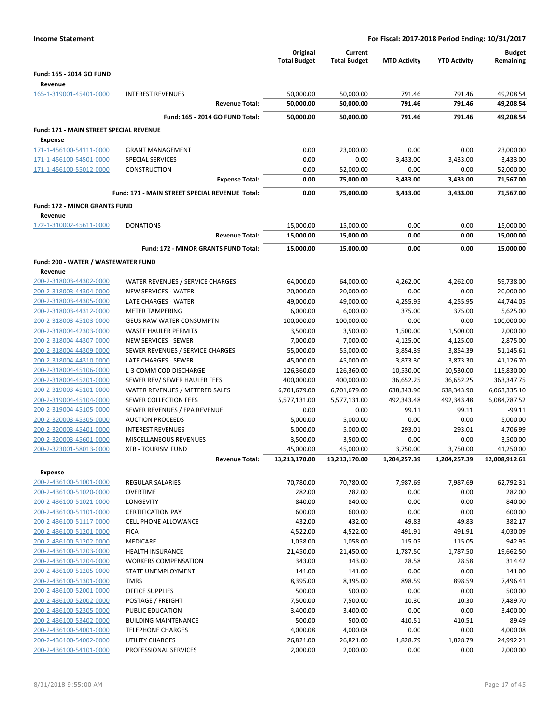| <b>Income Statement</b>                            |                                                          |                                 | For Fiscal: 2017-2018 Period Ending: 10/31/2017 |                      |                      |                            |
|----------------------------------------------------|----------------------------------------------------------|---------------------------------|-------------------------------------------------|----------------------|----------------------|----------------------------|
|                                                    |                                                          | Original<br><b>Total Budget</b> | Current<br><b>Total Budget</b>                  | <b>MTD Activity</b>  | <b>YTD Activity</b>  | <b>Budget</b><br>Remaining |
| Fund: 165 - 2014 GO FUND                           |                                                          |                                 |                                                 |                      |                      |                            |
| Revenue                                            |                                                          |                                 |                                                 |                      |                      |                            |
| 165-1-319001-45401-0000                            | <b>INTEREST REVENUES</b>                                 | 50,000.00                       | 50,000.00                                       | 791.46               | 791.46               | 49,208.54                  |
|                                                    | <b>Revenue Total:</b>                                    | 50,000.00                       | 50,000.00                                       | 791.46               | 791.46               | 49,208.54                  |
|                                                    | Fund: 165 - 2014 GO FUND Total:                          | 50,000.00                       | 50,000.00                                       | 791.46               | 791.46               | 49,208.54                  |
| Fund: 171 - MAIN STREET SPECIAL REVENUE<br>Expense |                                                          |                                 |                                                 |                      |                      |                            |
| 171-1-456100-54111-0000                            | <b>GRANT MANAGEMENT</b>                                  | 0.00                            | 23,000.00                                       | 0.00                 | 0.00                 | 23,000.00                  |
| 171-1-456100-54501-0000                            | SPECIAL SERVICES                                         | 0.00                            | 0.00                                            | 3,433.00             | 3,433.00             | $-3,433.00$                |
| 171-1-456100-55012-0000                            | CONSTRUCTION                                             | 0.00                            | 52,000.00                                       | 0.00                 | 0.00                 | 52,000.00                  |
|                                                    | <b>Expense Total:</b>                                    | 0.00                            | 75,000.00                                       | 3,433.00             | 3,433.00             | 71,567.00                  |
|                                                    | Fund: 171 - MAIN STREET SPECIAL REVENUE Total:           | 0.00                            | 75,000.00                                       | 3,433.00             | 3,433.00             | 71,567.00                  |
| <b>Fund: 172 - MINOR GRANTS FUND</b>               |                                                          |                                 |                                                 |                      |                      |                            |
| Revenue                                            |                                                          |                                 |                                                 |                      |                      |                            |
| 172-1-310002-45611-0000                            | <b>DONATIONS</b>                                         | 15,000.00                       | 15,000.00                                       | 0.00                 | 0.00                 | 15,000.00                  |
|                                                    | <b>Revenue Total:</b>                                    | 15,000.00                       | 15,000.00                                       | 0.00                 | 0.00                 | 15,000.00                  |
|                                                    | Fund: 172 - MINOR GRANTS FUND Total:                     | 15,000.00                       | 15,000.00                                       | 0.00                 | 0.00                 | 15,000.00                  |
| Fund: 200 - WATER / WASTEWATER FUND                |                                                          |                                 |                                                 |                      |                      |                            |
| Revenue                                            |                                                          |                                 |                                                 |                      |                      |                            |
| 200-2-318003-44302-0000                            | WATER REVENUES / SERVICE CHARGES                         | 64,000.00                       | 64,000.00                                       | 4,262.00             | 4,262.00             | 59,738.00                  |
| 200-2-318003-44304-0000                            | <b>NEW SERVICES - WATER</b>                              | 20,000.00                       | 20,000.00                                       | 0.00                 | 0.00                 | 20,000.00                  |
| 200-2-318003-44305-0000                            | LATE CHARGES - WATER                                     | 49,000.00                       | 49,000.00                                       | 4,255.95             | 4,255.95             | 44,744.05                  |
| 200-2-318003-44312-0000                            | <b>METER TAMPERING</b>                                   | 6,000.00                        | 6,000.00                                        | 375.00               | 375.00               | 5,625.00                   |
| 200-2-318003-45103-0000                            | <b>GEUS RAW WATER CONSUMPTN</b>                          | 100,000.00                      | 100,000.00                                      | 0.00                 | 0.00                 | 100,000.00                 |
| 200-2-318004-42303-0000                            | <b>WASTE HAULER PERMITS</b>                              | 3,500.00                        | 3,500.00                                        | 1,500.00             | 1,500.00             | 2,000.00                   |
| 200-2-318004-44307-0000<br>200-2-318004-44309-0000 | NEW SERVICES - SEWER<br>SEWER REVENUES / SERVICE CHARGES | 7,000.00<br>55,000.00           | 7,000.00<br>55,000.00                           | 4,125.00<br>3,854.39 | 4,125.00<br>3,854.39 | 2,875.00<br>51,145.61      |
| 200-2-318004-44310-0000                            | LATE CHARGES - SEWER                                     | 45,000.00                       | 45,000.00                                       | 3,873.30             | 3,873.30             | 41,126.70                  |
| 200-2-318004-45106-0000                            | L-3 COMM COD DISCHARGE                                   | 126,360.00                      | 126,360.00                                      | 10,530.00            | 10,530.00            | 115,830.00                 |
| 200-2-318004-45201-0000                            | SEWER REV/ SEWER HAULER FEES                             | 400,000.00                      | 400,000.00                                      | 36,652.25            | 36,652.25            | 363,347.75                 |
| 200-2-319003-45101-0000                            | WATER REVENUES / METERED SALES                           | 6,701,679.00                    | 6,701,679.00                                    | 638,343.90           | 638,343.90           | 6,063,335.10               |
| 200-2-319004-45104-0000                            | SEWER COLLECTION FEES                                    | 5,577,131.00                    | 5,577,131.00                                    | 492,343.48           | 492,343.48           | 5,084,787.52               |
| 200-2-319004-45105-0000                            | SEWER REVENUES / EPA REVENUE                             | 0.00                            | 0.00                                            | 99.11                | 99.11                | $-99.11$                   |
| 200-2-320003-45305-0000                            | <b>AUCTION PROCEEDS</b>                                  | 5,000.00                        | 5,000.00                                        | 0.00                 | 0.00                 | 5,000.00                   |
| 200-2-320003-45401-0000                            | <b>INTEREST REVENUES</b>                                 | 5,000.00                        | 5,000.00                                        | 293.01               | 293.01               | 4,706.99                   |
| 200-2-320003-45601-0000                            | MISCELLANEOUS REVENUES                                   | 3,500.00                        | 3,500.00                                        | 0.00                 | 0.00                 | 3,500.00                   |
| 200-2-323001-58013-0000                            | <b>XFR - TOURISM FUND</b>                                | 45,000.00                       | 45,000.00                                       | 3,750.00             | 3,750.00             | 41,250.00                  |
|                                                    | <b>Revenue Total:</b>                                    | 13,213,170.00                   | 13,213,170.00                                   | 1,204,257.39         | 1,204,257.39         | 12,008,912.61              |
| <b>Expense</b>                                     |                                                          |                                 |                                                 |                      |                      |                            |
| 200-2-436100-51001-0000<br>200-2-436100-51020-0000 | REGULAR SALARIES<br><b>OVERTIME</b>                      | 70,780.00<br>282.00             | 70,780.00<br>282.00                             | 7,987.69<br>0.00     | 7,987.69<br>0.00     | 62,792.31<br>282.00        |
| 200-2-436100-51021-0000                            | <b>LONGEVITY</b>                                         | 840.00                          | 840.00                                          | 0.00                 | 0.00                 | 840.00                     |
| 200-2-436100-51101-0000                            | <b>CERTIFICATION PAY</b>                                 | 600.00                          | 600.00                                          | 0.00                 | 0.00                 | 600.00                     |
| 200-2-436100-51117-0000                            | CELL PHONE ALLOWANCE                                     | 432.00                          | 432.00                                          | 49.83                | 49.83                | 382.17                     |
| 200-2-436100-51201-0000                            | <b>FICA</b>                                              | 4,522.00                        | 4,522.00                                        | 491.91               | 491.91               | 4,030.09                   |
| 200-2-436100-51202-0000                            | <b>MEDICARE</b>                                          | 1,058.00                        | 1,058.00                                        | 115.05               | 115.05               | 942.95                     |
| 200-2-436100-51203-0000                            | <b>HEALTH INSURANCE</b>                                  | 21,450.00                       | 21,450.00                                       | 1,787.50             | 1,787.50             | 19,662.50                  |
| 200-2-436100-51204-0000                            | <b>WORKERS COMPENSATION</b>                              | 343.00                          | 343.00                                          | 28.58                | 28.58                | 314.42                     |
| 200-2-436100-51205-0000                            | STATE UNEMPLOYMENT                                       | 141.00                          | 141.00                                          | 0.00                 | 0.00                 | 141.00                     |
| 200-2-436100-51301-0000                            | <b>TMRS</b>                                              | 8,395.00                        | 8,395.00                                        | 898.59               | 898.59               | 7,496.41                   |
| 200-2-436100-52001-0000                            | OFFICE SUPPLIES                                          | 500.00                          | 500.00                                          | 0.00                 | 0.00                 | 500.00                     |
| 200-2-436100-52002-0000                            | POSTAGE / FREIGHT                                        | 7,500.00                        | 7,500.00                                        | 10.30                | 10.30                | 7,489.70                   |
| 200-2-436100-52305-0000<br>200-2-436100-53402-0000 | PUBLIC EDUCATION<br><b>BUILDING MAINTENANCE</b>          | 3,400.00<br>500.00              | 3,400.00<br>500.00                              | 0.00<br>410.51       | 0.00<br>410.51       | 3,400.00<br>89.49          |
| 200-2-436100-54001-0000                            | <b>TELEPHONE CHARGES</b>                                 | 4,000.08                        | 4,000.08                                        | 0.00                 | 0.00                 | 4,000.08                   |
| 200-2-436100-54002-0000                            | UTILITY CHARGES                                          | 26,821.00                       | 26,821.00                                       | 1,828.79             | 1,828.79             | 24,992.21                  |
| 200-2-436100-54101-0000                            | PROFESSIONAL SERVICES                                    | 2,000.00                        | 2,000.00                                        | 0.00                 | 0.00                 | 2,000.00                   |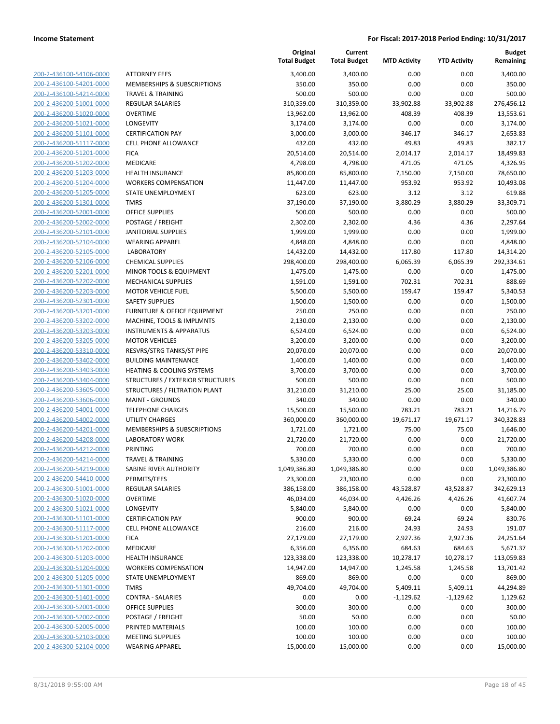| 200-2-436100-54106-0000 |
|-------------------------|
| 200-2-436100-54201-0000 |
| 200-2-436100-54214-0000 |
| 200-2-436200-51001-0000 |
| 200-2-436200-51020-0000 |
| 200-2-436200-51021-0000 |
| 200-2-436200-51101-0000 |
| 200-2-436200-51117-0000 |
| 200-2-436200-51201-0000 |
| 200-2-436200-51202-0000 |
| 200-2-436200-51203-0000 |
| 200-2-436200-51204-0000 |
| 200-2-436200-51205-0000 |
| 200-2-436200-51301-0000 |
|                         |
| 200-2-436200-52001-0000 |
| 200-2-436200-52002-0000 |
| 200-2-436200-52101-0000 |
| 200-2-436200-52104-0000 |
| 200-2-436200-52105-0000 |
| 200-2-436200-52106-0000 |
| 200-2-436200-52201-0000 |
| 200-2-436200-52202-0000 |
| 200-2-436200-52203-0000 |
| 200-2-436200-52301-0000 |
| 200-2-436200-53201-0000 |
| 200-2-436200-53202-0000 |
| 200-2-436200-53203-0000 |
| 200-2-436200-53205-0000 |
| 200-2-436200-53310-0000 |
| 200-2-436200-53402-0000 |
| 200-2-436200-53403-0000 |
| 200-2-436200-53404-0000 |
|                         |
| 200-2-436200-53605-0000 |
| 200-2-436200-53606-0000 |
| 200-2-436200-54001-0000 |
| 200-2-436200-54002-0000 |
| 200-2-436200-54201-0000 |
| 200-2-436200-54208-0000 |
| 200-2-436200-54212-0000 |
| 200-2-436200-54214-0000 |
| 200-2-436200-54219-0000 |
| 200-2-436200-54410-0000 |
| 200-2-436300-51001-0000 |
| 200-2-436300-51020-0000 |
| 200-2-436300-51021-0000 |
| 200-2-436300-51101-0000 |
| 200-2-436300-51117-0000 |
| 200-2-436300-51201-0000 |
| 200-2-436300-51202-0000 |
|                         |
| 200-2-436300-51203-0000 |
| 200-2-436300-51204-0000 |
| 200-2-436300-51205-0000 |
| 200-2-436300-51301-0000 |
| 200-2-436300-51401-0000 |
| 200-2-436300-52001-0000 |
| 200-2-436300-52002-0000 |
| 200-2-436300-52005-0000 |
| 200-2-436300-52103-0000 |
| 200-2-436300-52104-0000 |
|                         |

|                                                    |                                                                   | Original<br><b>Total Budget</b> | Current<br><b>Total Budget</b> | <b>MTD Activity</b> | <b>YTD Activity</b> | Budget<br>Remaining |
|----------------------------------------------------|-------------------------------------------------------------------|---------------------------------|--------------------------------|---------------------|---------------------|---------------------|
| 200-2-436100-54106-0000                            | <b>ATTORNEY FEES</b>                                              | 3,400.00                        | 3,400.00                       | 0.00                | 0.00                | 3,400.00            |
| 200-2-436100-54201-0000                            | MEMBERSHIPS & SUBSCRIPTIONS                                       | 350.00                          | 350.00                         | 0.00                | 0.00                | 350.00              |
| 200-2-436100-54214-0000                            | <b>TRAVEL &amp; TRAINING</b>                                      | 500.00                          | 500.00                         | 0.00                | 0.00                | 500.00              |
| 200-2-436200-51001-0000                            | <b>REGULAR SALARIES</b>                                           | 310,359.00                      | 310,359.00                     | 33,902.88           | 33,902.88           | 276,456.12          |
| 200-2-436200-51020-0000                            | <b>OVERTIME</b>                                                   | 13,962.00                       | 13,962.00                      | 408.39              | 408.39              | 13,553.61           |
| 200-2-436200-51021-0000                            | LONGEVITY                                                         | 3,174.00                        | 3,174.00                       | 0.00                | 0.00                | 3,174.00            |
| 200-2-436200-51101-0000                            | <b>CERTIFICATION PAY</b>                                          | 3,000.00                        | 3,000.00                       | 346.17              | 346.17              | 2,653.83            |
| 200-2-436200-51117-0000                            | <b>CELL PHONE ALLOWANCE</b>                                       | 432.00                          | 432.00                         | 49.83               | 49.83               | 382.17              |
| 200-2-436200-51201-0000                            | <b>FICA</b>                                                       | 20,514.00                       | 20,514.00                      | 2,014.17            | 2,014.17            | 18,499.83           |
| 200-2-436200-51202-0000                            | MEDICARE                                                          | 4,798.00                        | 4,798.00                       | 471.05              | 471.05              | 4,326.95            |
| 200-2-436200-51203-0000                            | <b>HEALTH INSURANCE</b>                                           | 85,800.00                       | 85,800.00                      | 7,150.00            | 7,150.00            | 78,650.00           |
| 200-2-436200-51204-0000                            | <b>WORKERS COMPENSATION</b>                                       | 11,447.00                       | 11,447.00                      | 953.92              | 953.92              | 10,493.08           |
| 200-2-436200-51205-0000                            | STATE UNEMPLOYMENT                                                | 623.00                          | 623.00                         | 3.12                | 3.12                | 619.88              |
| 200-2-436200-51301-0000                            | <b>TMRS</b>                                                       | 37,190.00                       | 37,190.00                      | 3,880.29            | 3,880.29            | 33,309.71           |
| 200-2-436200-52001-0000                            | <b>OFFICE SUPPLIES</b>                                            | 500.00                          | 500.00                         | 0.00                | 0.00                | 500.00              |
| 200-2-436200-52002-0000                            | POSTAGE / FREIGHT                                                 | 2,302.00                        | 2,302.00                       | 4.36                | 4.36                | 2,297.64            |
| 200-2-436200-52101-0000                            | <b>JANITORIAL SUPPLIES</b>                                        | 1,999.00                        | 1,999.00                       | 0.00                | 0.00                | 1,999.00            |
| 200-2-436200-52104-0000                            | <b>WEARING APPAREL</b>                                            | 4,848.00                        | 4,848.00                       | 0.00                | 0.00                | 4,848.00            |
| 200-2-436200-52105-0000                            | <b>LABORATORY</b>                                                 | 14,432.00                       | 14,432.00                      | 117.80              | 117.80              | 14,314.20           |
| 200-2-436200-52106-0000                            | <b>CHEMICAL SUPPLIES</b>                                          | 298,400.00                      | 298,400.00                     | 6,065.39            | 6,065.39            | 292,334.61          |
| 200-2-436200-52201-0000                            | MINOR TOOLS & EQUIPMENT<br><b>MECHANICAL SUPPLIES</b>             | 1,475.00                        | 1,475.00                       | 0.00                | 0.00                | 1,475.00            |
| 200-2-436200-52202-0000                            |                                                                   | 1,591.00                        | 1,591.00                       | 702.31              | 702.31              | 888.69              |
| 200-2-436200-52203-0000                            | <b>MOTOR VEHICLE FUEL</b>                                         | 5,500.00                        | 5,500.00                       | 159.47              | 159.47              | 5,340.53            |
| 200-2-436200-52301-0000<br>200-2-436200-53201-0000 | <b>SAFETY SUPPLIES</b><br><b>FURNITURE &amp; OFFICE EQUIPMENT</b> | 1,500.00<br>250.00              | 1,500.00<br>250.00             | 0.00<br>0.00        | 0.00<br>0.00        | 1,500.00<br>250.00  |
| 200-2-436200-53202-0000                            | MACHINE, TOOLS & IMPLMNTS                                         | 2,130.00                        | 2,130.00                       | 0.00                | 0.00                | 2,130.00            |
| 200-2-436200-53203-0000                            | <b>INSTRUMENTS &amp; APPARATUS</b>                                | 6,524.00                        | 6,524.00                       | 0.00                | 0.00                | 6,524.00            |
| 200-2-436200-53205-0000                            | <b>MOTOR VEHICLES</b>                                             | 3,200.00                        | 3,200.00                       | 0.00                | 0.00                | 3,200.00            |
| 200-2-436200-53310-0000                            | RESVRS/STRG TANKS/ST PIPE                                         | 20,070.00                       | 20,070.00                      | 0.00                | 0.00                | 20,070.00           |
| 200-2-436200-53402-0000                            | <b>BUILDING MAINTENANCE</b>                                       | 1,400.00                        | 1,400.00                       | 0.00                | 0.00                | 1,400.00            |
| 200-2-436200-53403-0000                            | HEATING & COOLING SYSTEMS                                         | 3,700.00                        | 3,700.00                       | 0.00                | 0.00                | 3,700.00            |
| 200-2-436200-53404-0000                            | STRUCTURES / EXTERIOR STRUCTURES                                  | 500.00                          | 500.00                         | 0.00                | 0.00                | 500.00              |
| 200-2-436200-53605-0000                            | STRUCTURES / FILTRATION PLANT                                     | 31,210.00                       | 31,210.00                      | 25.00               | 25.00               | 31,185.00           |
| 200-2-436200-53606-0000                            | <b>MAINT - GROUNDS</b>                                            | 340.00                          | 340.00                         | 0.00                | 0.00                | 340.00              |
| 200-2-436200-54001-0000                            | <b>TELEPHONE CHARGES</b>                                          | 15,500.00                       | 15,500.00                      | 783.21              | 783.21              | 14,716.79           |
| 200-2-436200-54002-0000                            | <b>UTILITY CHARGES</b>                                            | 360,000.00                      | 360,000.00                     | 19,671.17           | 19,671.17           | 340,328.83          |
| 200-2-436200-54201-0000                            | <b>MEMBERSHIPS &amp; SUBSCRIPTIONS</b>                            | 1,721.00                        | 1,721.00                       | 75.00               | 75.00               | 1,646.00            |
| 200-2-436200-54208-0000                            | <b>LABORATORY WORK</b>                                            | 21,720.00                       | 21,720.00                      | 0.00                | 0.00                | 21,720.00           |
| 200-2-436200-54212-0000                            | <b>PRINTING</b>                                                   | 700.00                          | 700.00                         | 0.00                | 0.00                | 700.00              |
| 200-2-436200-54214-0000                            | <b>TRAVEL &amp; TRAINING</b>                                      | 5,330.00                        | 5,330.00                       | 0.00                | 0.00                | 5,330.00            |
| 200-2-436200-54219-0000                            | SABINE RIVER AUTHORITY                                            | 1,049,386.80                    | 1,049,386.80                   | 0.00                | 0.00                | 1,049,386.80        |
| 200-2-436200-54410-0000                            | PERMITS/FEES                                                      | 23,300.00                       | 23,300.00                      | 0.00                | 0.00                | 23,300.00           |
| 200-2-436300-51001-0000                            | <b>REGULAR SALARIES</b>                                           | 386,158.00                      | 386,158.00                     | 43,528.87           | 43,528.87           | 342,629.13          |
| 200-2-436300-51020-0000                            | <b>OVERTIME</b>                                                   | 46,034.00                       | 46,034.00                      | 4,426.26            | 4,426.26            | 41,607.74           |
| 200-2-436300-51021-0000                            | LONGEVITY                                                         | 5,840.00                        | 5,840.00                       | 0.00                | 0.00                | 5,840.00            |
| 200-2-436300-51101-0000                            | <b>CERTIFICATION PAY</b>                                          | 900.00                          | 900.00                         | 69.24               | 69.24               | 830.76              |
| 200-2-436300-51117-0000                            | <b>CELL PHONE ALLOWANCE</b>                                       | 216.00                          | 216.00                         | 24.93               | 24.93               | 191.07              |
| 200-2-436300-51201-0000                            | <b>FICA</b>                                                       | 27,179.00                       | 27,179.00                      | 2,927.36            | 2,927.36            | 24,251.64           |
| 200-2-436300-51202-0000                            | MEDICARE                                                          | 6,356.00                        | 6,356.00                       | 684.63              | 684.63              | 5,671.37            |
| 200-2-436300-51203-0000                            | <b>HEALTH INSURANCE</b>                                           | 123,338.00                      | 123,338.00                     | 10,278.17           | 10,278.17           | 113,059.83          |
| 200-2-436300-51204-0000                            | <b>WORKERS COMPENSATION</b>                                       | 14,947.00                       | 14,947.00                      | 1,245.58            | 1,245.58            | 13,701.42           |
| 200-2-436300-51205-0000                            | STATE UNEMPLOYMENT                                                | 869.00                          | 869.00                         | 0.00                | 0.00                | 869.00              |
| 200-2-436300-51301-0000                            | <b>TMRS</b>                                                       | 49,704.00                       | 49,704.00                      | 5,409.11            | 5,409.11            | 44,294.89           |
| 200-2-436300-51401-0000                            | <b>CONTRA - SALARIES</b>                                          | 0.00                            | 0.00                           | $-1,129.62$         | $-1,129.62$         | 1,129.62            |
| 200-2-436300-52001-0000                            | OFFICE SUPPLIES                                                   | 300.00                          | 300.00                         | 0.00                | 0.00                | 300.00              |
| 200-2-436300-52002-0000                            | POSTAGE / FREIGHT                                                 | 50.00                           | 50.00                          | 0.00                | 0.00                | 50.00               |
| 200-2-436300-52005-0000                            | PRINTED MATERIALS                                                 | 100.00                          | 100.00                         | 0.00                | 0.00                | 100.00              |
| 200-2-436300-52103-0000                            | <b>MEETING SUPPLIES</b>                                           | 100.00                          | 100.00                         | 0.00                | 0.00                | 100.00              |
| 200-2-436300-52104-0000                            | <b>WEARING APPAREL</b>                                            | 15,000.00                       | 15,000.00                      | 0.00                | 0.00                | 15,000.00           |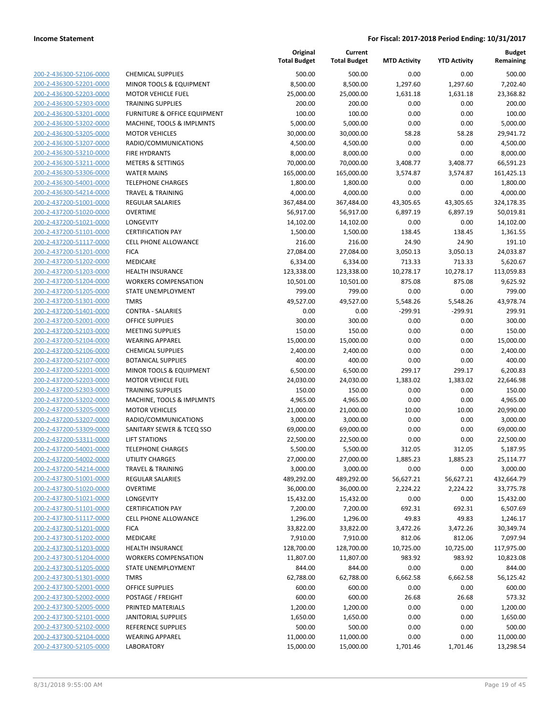| 200-2-436300-52106-0000                                   |
|-----------------------------------------------------------|
| 200-2-436300-52201-0000                                   |
| 200-2-436300-52203-0000                                   |
| 200-2-436300-52303-0000                                   |
|                                                           |
| 200-2-436300-53201-0000                                   |
| 200-2-436300-53202-0000                                   |
| 200-2-436300-53205-0000                                   |
| <u>200-2-436300-53207-0000</u>                            |
| 200-2-436300-53210-0000                                   |
| 200-2-436300-53211-0000                                   |
| 200-2-436300-53306-0000                                   |
| 200-2-436300-54001-0000                                   |
|                                                           |
| 200-2-436300-54214-0000                                   |
| 200-2-437200-51001-0000                                   |
| 200-2-437200-51020-0000                                   |
| 200-2-437200-51021-0000                                   |
| 200-2-437200-51101-0000                                   |
| <u>200-2-437200-51117-0000</u>                            |
| 200-2-437200-51201-0000                                   |
|                                                           |
| 200-2-437200-51202-0000                                   |
| 200-2-437200-51203-0000                                   |
| 200-2-437200-51204-0000                                   |
| 200-2-437200-51205-0000                                   |
| 200-2-437200-51301-0000                                   |
| 200-2-437200-51401-0000                                   |
| 200-2-437200-52001-0000                                   |
| 200-2-437200-52103-0000                                   |
| <u>200-2-437200-52104-0000</u>                            |
| 200-2-437200-52106-0000                                   |
|                                                           |
| 200-2-437200-52107-0000                                   |
| 200-2-437200-52201-0000                                   |
| 200-2-437200-52203-0000                                   |
| 200-2-437200-52303-0000                                   |
| 200-2-437200-53202-0000                                   |
| 200-2-437200-53205-0000                                   |
| 200-2-437200-53207-0000                                   |
| 200-2-437200-53309-0000                                   |
| 200-2-437200-53311-0000                                   |
| 200-2-437200-54001-0000                                   |
|                                                           |
| 200-2-437200-54002-0000                                   |
| 200-2-437200-54214-0000                                   |
| 200-2-437300-51001-0000                                   |
| <u>200-2-437300-51020-0000</u>                            |
| <u>200-2-437300-51021-0000</u>                            |
| 200-2-437300-51101-0000                                   |
| 200-2-437300-51117-0000                                   |
| <u>200-2-437300-51201-0000</u>                            |
|                                                           |
| <u>200-2-437300-51202-0000</u>                            |
|                                                           |
| <u>200-2-437300-51203-0000</u>                            |
| 200-2-437300-51204-0000                                   |
| 200-2-437300-51205-0000                                   |
| <u>200-2-437300-51301-0000</u>                            |
| <u>200-2-437300-52001-0000</u>                            |
| <u>200-2-437300-52002-0000</u>                            |
| 200-2-437300-52005-0000                                   |
|                                                           |
| 200-2-437300-52101-0000                                   |
| <u>200-2-437300-52102-0000</u>                            |
| <u>200-2-437300-52104-0000</u><br>200-2-437300-52105-0000 |

|                         |                              | Original<br><b>Total Budget</b> | Current<br><b>Total Budget</b> | <b>MTD Activity</b> | <b>YTD Activity</b> | <b>Budget</b><br>Remaining |
|-------------------------|------------------------------|---------------------------------|--------------------------------|---------------------|---------------------|----------------------------|
| 200-2-436300-52106-0000 | <b>CHEMICAL SUPPLIES</b>     | 500.00                          | 500.00                         | 0.00                | 0.00                | 500.00                     |
| 200-2-436300-52201-0000 | MINOR TOOLS & EQUIPMENT      | 8,500.00                        | 8,500.00                       | 1,297.60            | 1,297.60            | 7,202.40                   |
| 200-2-436300-52203-0000 | <b>MOTOR VEHICLE FUEL</b>    | 25,000.00                       | 25,000.00                      | 1,631.18            | 1,631.18            | 23,368.82                  |
| 200-2-436300-52303-0000 | <b>TRAINING SUPPLIES</b>     | 200.00                          | 200.00                         | 0.00                | 0.00                | 200.00                     |
| 200-2-436300-53201-0000 | FURNITURE & OFFICE EQUIPMENT | 100.00                          | 100.00                         | 0.00                | 0.00                | 100.00                     |
| 200-2-436300-53202-0000 | MACHINE, TOOLS & IMPLMNTS    | 5,000.00                        | 5,000.00                       | 0.00                | 0.00                | 5,000.00                   |
| 200-2-436300-53205-0000 | <b>MOTOR VEHICLES</b>        | 30,000.00                       | 30,000.00                      | 58.28               | 58.28               | 29,941.72                  |
| 200-2-436300-53207-0000 | RADIO/COMMUNICATIONS         | 4,500.00                        | 4,500.00                       | 0.00                | 0.00                | 4,500.00                   |
| 200-2-436300-53210-0000 | <b>FIRE HYDRANTS</b>         | 8,000.00                        | 8,000.00                       | 0.00                | 0.00                | 8,000.00                   |
| 200-2-436300-53211-0000 | <b>METERS &amp; SETTINGS</b> | 70,000.00                       | 70,000.00                      | 3,408.77            | 3,408.77            | 66,591.23                  |
| 200-2-436300-53306-0000 | <b>WATER MAINS</b>           | 165,000.00                      | 165,000.00                     | 3,574.87            | 3,574.87            | 161,425.13                 |
| 200-2-436300-54001-0000 | <b>TELEPHONE CHARGES</b>     | 1,800.00                        | 1,800.00                       | 0.00                | 0.00                | 1,800.00                   |
| 200-2-436300-54214-0000 | <b>TRAVEL &amp; TRAINING</b> | 4,000.00                        | 4,000.00                       | 0.00                | 0.00                | 4,000.00                   |
| 200-2-437200-51001-0000 | <b>REGULAR SALARIES</b>      | 367,484.00                      | 367,484.00                     | 43,305.65           | 43,305.65           | 324,178.35                 |
| 200-2-437200-51020-0000 | <b>OVERTIME</b>              | 56,917.00                       | 56,917.00                      | 6,897.19            | 6,897.19            | 50,019.81                  |
| 200-2-437200-51021-0000 | <b>LONGEVITY</b>             | 14,102.00                       | 14,102.00                      | 0.00                | 0.00                | 14,102.00                  |
| 200-2-437200-51101-0000 | <b>CERTIFICATION PAY</b>     | 1,500.00                        | 1,500.00                       | 138.45              | 138.45              | 1,361.55                   |
| 200-2-437200-51117-0000 | CELL PHONE ALLOWANCE         | 216.00                          | 216.00                         | 24.90               | 24.90               | 191.10                     |
| 200-2-437200-51201-0000 | <b>FICA</b>                  | 27,084.00                       | 27,084.00                      | 3,050.13            | 3,050.13            | 24,033.87                  |
| 200-2-437200-51202-0000 | MEDICARE                     | 6,334.00                        | 6,334.00                       | 713.33              | 713.33              | 5,620.67                   |
| 200-2-437200-51203-0000 | <b>HEALTH INSURANCE</b>      | 123,338.00                      | 123,338.00                     | 10,278.17           | 10,278.17           | 113,059.83                 |
| 200-2-437200-51204-0000 | <b>WORKERS COMPENSATION</b>  | 10,501.00                       | 10,501.00                      | 875.08              | 875.08              | 9,625.92                   |
| 200-2-437200-51205-0000 | <b>STATE UNEMPLOYMENT</b>    | 799.00                          | 799.00                         | 0.00                | 0.00                | 799.00                     |
| 200-2-437200-51301-0000 | <b>TMRS</b>                  | 49,527.00                       | 49,527.00                      | 5,548.26            | 5,548.26            | 43,978.74                  |
| 200-2-437200-51401-0000 | <b>CONTRA - SALARIES</b>     | 0.00                            | 0.00                           | $-299.91$           | $-299.91$           | 299.91                     |
| 200-2-437200-52001-0000 | OFFICE SUPPLIES              | 300.00                          | 300.00                         | 0.00                | 0.00                | 300.00                     |
| 200-2-437200-52103-0000 | <b>MEETING SUPPLIES</b>      | 150.00                          | 150.00                         | 0.00                | 0.00                | 150.00                     |
| 200-2-437200-52104-0000 | <b>WEARING APPAREL</b>       | 15,000.00                       | 15,000.00                      | 0.00                | 0.00                | 15,000.00                  |
| 200-2-437200-52106-0000 | <b>CHEMICAL SUPPLIES</b>     | 2,400.00                        | 2,400.00                       | 0.00                | 0.00                | 2,400.00                   |
| 200-2-437200-52107-0000 | <b>BOTANICAL SUPPLIES</b>    | 400.00                          | 400.00                         | 0.00                | 0.00                | 400.00                     |
| 200-2-437200-52201-0000 | MINOR TOOLS & EQUIPMENT      | 6,500.00                        | 6,500.00                       | 299.17              | 299.17              | 6,200.83                   |
| 200-2-437200-52203-0000 | <b>MOTOR VEHICLE FUEL</b>    | 24,030.00                       | 24,030.00                      | 1,383.02            | 1,383.02            | 22,646.98                  |
| 200-2-437200-52303-0000 | <b>TRAINING SUPPLIES</b>     | 150.00                          | 150.00                         | 0.00                | 0.00                | 150.00                     |
| 200-2-437200-53202-0000 | MACHINE, TOOLS & IMPLMNTS    | 4,965.00                        | 4,965.00                       | 0.00                | 0.00                | 4,965.00                   |
| 200-2-437200-53205-0000 | <b>MOTOR VEHICLES</b>        | 21,000.00                       | 21,000.00                      | 10.00               | 10.00               | 20,990.00                  |
| 200-2-437200-53207-0000 | RADIO/COMMUNICATIONS         | 3,000.00                        | 3,000.00                       | 0.00                | 0.00                | 3,000.00                   |
| 200-2-437200-53309-0000 | SANITARY SEWER & TCEQ SSO    | 69,000.00                       | 69,000.00                      | 0.00                | 0.00                | 69,000.00                  |
| 200-2-437200-53311-0000 | <b>LIFT STATIONS</b>         | 22,500.00                       | 22,500.00                      | 0.00                | 0.00                | 22,500.00                  |
| 200-2-437200-54001-0000 | <b>TELEPHONE CHARGES</b>     | 5,500.00                        | 5,500.00                       | 312.05              | 312.05              | 5,187.95                   |
| 200-2-437200-54002-0000 | <b>UTILITY CHARGES</b>       | 27,000.00                       | 27,000.00                      | 1,885.23            | 1,885.23            | 25,114.77                  |
| 200-2-437200-54214-0000 | TRAVEL & TRAINING            | 3,000.00                        | 3,000.00                       | 0.00                | 0.00                | 3,000.00                   |
| 200-2-437300-51001-0000 | REGULAR SALARIES             | 489,292.00                      | 489,292.00                     | 56,627.21           | 56,627.21           | 432,664.79                 |
| 200-2-437300-51020-0000 | <b>OVERTIME</b>              | 36,000.00                       | 36,000.00                      | 2,224.22            | 2,224.22            | 33,775.78                  |
| 200-2-437300-51021-0000 | LONGEVITY                    | 15,432.00                       | 15,432.00                      | 0.00                | 0.00                | 15,432.00                  |
| 200-2-437300-51101-0000 | <b>CERTIFICATION PAY</b>     | 7,200.00                        | 7,200.00                       | 692.31              | 692.31              | 6,507.69                   |
| 200-2-437300-51117-0000 | CELL PHONE ALLOWANCE         | 1,296.00                        | 1,296.00                       | 49.83               | 49.83               | 1,246.17                   |
| 200-2-437300-51201-0000 | <b>FICA</b>                  | 33,822.00                       | 33,822.00                      | 3,472.26            | 3,472.26            | 30,349.74                  |
| 200-2-437300-51202-0000 | MEDICARE                     | 7,910.00                        | 7,910.00                       | 812.06              | 812.06              | 7,097.94                   |
| 200-2-437300-51203-0000 | <b>HEALTH INSURANCE</b>      | 128,700.00                      | 128,700.00                     | 10,725.00           | 10,725.00           | 117,975.00                 |
| 200-2-437300-51204-0000 | <b>WORKERS COMPENSATION</b>  | 11,807.00                       | 11,807.00                      | 983.92              | 983.92              | 10,823.08                  |
| 200-2-437300-51205-0000 | STATE UNEMPLOYMENT           | 844.00                          | 844.00                         | 0.00                | 0.00                | 844.00                     |
| 200-2-437300-51301-0000 | <b>TMRS</b>                  | 62,788.00                       | 62,788.00                      | 6,662.58            | 6,662.58            | 56,125.42                  |
| 200-2-437300-52001-0000 | <b>OFFICE SUPPLIES</b>       | 600.00                          | 600.00                         | 0.00                | 0.00                | 600.00                     |
| 200-2-437300-52002-0000 | POSTAGE / FREIGHT            | 600.00                          | 600.00                         | 26.68               | 26.68               | 573.32                     |
| 200-2-437300-52005-0000 | PRINTED MATERIALS            | 1,200.00                        | 1,200.00                       | 0.00                | 0.00                | 1,200.00                   |
| 200-2-437300-52101-0000 | <b>JANITORIAL SUPPLIES</b>   | 1,650.00                        | 1,650.00                       | 0.00                | 0.00                | 1,650.00                   |
| 200-2-437300-52102-0000 | REFERENCE SUPPLIES           | 500.00                          | 500.00                         | 0.00                | 0.00                | 500.00                     |
| 200-2-437300-52104-0000 | <b>WEARING APPAREL</b>       | 11,000.00                       | 11,000.00                      | 0.00                | 0.00                | 11,000.00                  |
| 200-2-437300-52105-0000 | <b>LABORATORY</b>            | 15,000.00                       | 15,000.00                      | 1,701.46            | 1,701.46            | 13,298.54                  |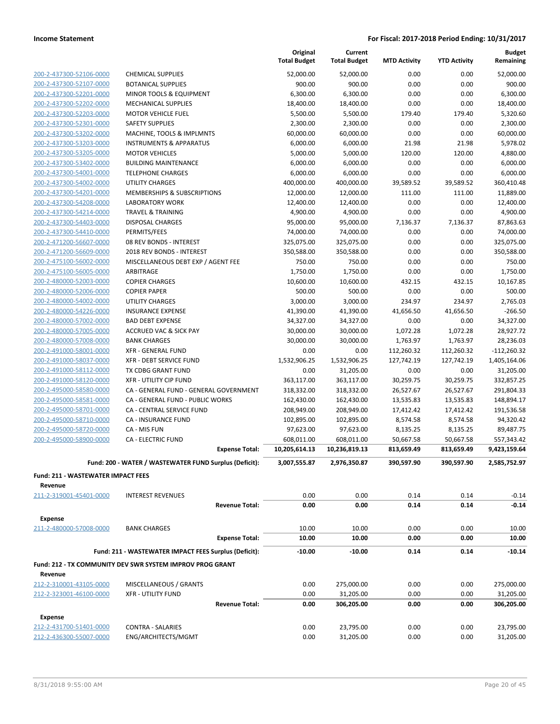|                                                    |                                                                            |                       | Original<br><b>Total Budget</b> | Current<br><b>Total Budget</b> | <b>MTD Activity</b>    | <b>YTD Activity</b>    | <b>Budget</b><br>Remaining |
|----------------------------------------------------|----------------------------------------------------------------------------|-----------------------|---------------------------------|--------------------------------|------------------------|------------------------|----------------------------|
| 200-2-437300-52106-0000                            | <b>CHEMICAL SUPPLIES</b>                                                   |                       | 52,000.00                       | 52,000.00                      | 0.00                   | 0.00                   | 52,000.00                  |
| 200-2-437300-52107-0000                            | <b>BOTANICAL SUPPLIES</b>                                                  |                       | 900.00                          | 900.00                         | 0.00                   | 0.00                   | 900.00                     |
| 200-2-437300-52201-0000                            | MINOR TOOLS & EQUIPMENT                                                    |                       | 6,300.00                        | 6,300.00                       | 0.00                   | 0.00                   | 6,300.00                   |
| 200-2-437300-52202-0000                            | <b>MECHANICAL SUPPLIES</b>                                                 |                       | 18,400.00                       | 18,400.00                      | 0.00                   | 0.00                   | 18,400.00                  |
| 200-2-437300-52203-0000                            | <b>MOTOR VEHICLE FUEL</b>                                                  |                       | 5,500.00                        | 5,500.00                       | 179.40                 | 179.40                 | 5,320.60                   |
| 200-2-437300-52301-0000                            | <b>SAFETY SUPPLIES</b>                                                     |                       | 2,300.00                        | 2,300.00                       | 0.00                   | 0.00                   | 2,300.00                   |
| 200-2-437300-53202-0000                            | MACHINE, TOOLS & IMPLMNTS                                                  |                       | 60,000.00                       | 60,000.00                      | 0.00                   | 0.00                   | 60,000.00                  |
| 200-2-437300-53203-0000                            | <b>INSTRUMENTS &amp; APPARATUS</b>                                         |                       | 6,000.00                        | 6,000.00                       | 21.98                  | 21.98                  | 5,978.02                   |
| 200-2-437300-53205-0000                            | <b>MOTOR VEHICLES</b>                                                      |                       | 5,000.00                        | 5,000.00                       | 120.00                 | 120.00                 | 4,880.00                   |
| 200-2-437300-53402-0000                            | <b>BUILDING MAINTENANCE</b>                                                |                       | 6,000.00                        | 6,000.00                       | 0.00                   | 0.00                   | 6,000.00                   |
| 200-2-437300-54001-0000                            | <b>TELEPHONE CHARGES</b>                                                   |                       | 6,000.00                        | 6,000.00                       | 0.00                   | 0.00                   | 6,000.00<br>360,410.48     |
| 200-2-437300-54002-0000<br>200-2-437300-54201-0000 | <b>UTILITY CHARGES</b><br>MEMBERSHIPS & SUBSCRIPTIONS                      |                       | 400,000.00<br>12,000.00         | 400,000.00<br>12,000.00        | 39,589.52<br>111.00    | 39,589.52<br>111.00    | 11,889.00                  |
| 200-2-437300-54208-0000                            | <b>LABORATORY WORK</b>                                                     |                       | 12,400.00                       | 12,400.00                      | 0.00                   | 0.00                   | 12,400.00                  |
| 200-2-437300-54214-0000                            | <b>TRAVEL &amp; TRAINING</b>                                               |                       | 4,900.00                        | 4,900.00                       | 0.00                   | 0.00                   | 4,900.00                   |
| 200-2-437300-54403-0000                            | <b>DISPOSAL CHARGES</b>                                                    |                       | 95,000.00                       | 95,000.00                      | 7,136.37               | 7,136.37               | 87,863.63                  |
| 200-2-437300-54410-0000                            | PERMITS/FEES                                                               |                       | 74,000.00                       | 74,000.00                      | 0.00                   | 0.00                   | 74,000.00                  |
| 200-2-471200-56607-0000                            | 08 REV BONDS - INTEREST                                                    |                       | 325,075.00                      | 325,075.00                     | 0.00                   | 0.00                   | 325,075.00                 |
| 200-2-471200-56609-0000                            | 2018 REV BONDS - INTEREST                                                  |                       | 350,588.00                      | 350,588.00                     | 0.00                   | 0.00                   | 350,588.00                 |
| 200-2-475100-56002-0000                            | MISCELLANEOUS DEBT EXP / AGENT FEE                                         |                       | 750.00                          | 750.00                         | 0.00                   | 0.00                   | 750.00                     |
| 200-2-475100-56005-0000                            | <b>ARBITRAGE</b>                                                           |                       | 1,750.00                        | 1,750.00                       | 0.00                   | 0.00                   | 1,750.00                   |
| 200-2-480000-52003-0000                            | <b>COPIER CHARGES</b>                                                      |                       | 10,600.00                       | 10,600.00                      | 432.15                 | 432.15                 | 10,167.85                  |
| 200-2-480000-52006-0000                            | <b>COPIER PAPER</b>                                                        |                       | 500.00                          | 500.00                         | 0.00                   | 0.00                   | 500.00                     |
| 200-2-480000-54002-0000                            | <b>UTILITY CHARGES</b>                                                     |                       | 3,000.00                        | 3,000.00                       | 234.97                 | 234.97                 | 2,765.03                   |
| 200-2-480000-54226-0000                            | <b>INSURANCE EXPENSE</b>                                                   |                       | 41,390.00                       | 41,390.00                      | 41,656.50              | 41,656.50              | $-266.50$                  |
| 200-2-480000-57002-0000                            | <b>BAD DEBT EXPENSE</b>                                                    |                       | 34,327.00                       | 34,327.00                      | 0.00                   | 0.00                   | 34,327.00                  |
| 200-2-480000-57005-0000                            | <b>ACCRUED VAC &amp; SICK PAY</b>                                          |                       | 30,000.00                       | 30,000.00                      | 1,072.28               | 1,072.28               | 28,927.72                  |
| 200-2-480000-57008-0000                            | <b>BANK CHARGES</b>                                                        |                       | 30,000.00                       | 30,000.00                      | 1,763.97               | 1,763.97               | 28,236.03                  |
| 200-2-491000-58001-0000                            | <b>XFR - GENERAL FUND</b>                                                  |                       | 0.00                            | 0.00                           | 112,260.32             | 112,260.32             | $-112,260.32$              |
| 200-2-491000-58037-0000                            | <b>XFR - DEBT SERVICE FUND</b>                                             |                       | 1,532,906.25                    | 1,532,906.25                   | 127,742.19             | 127,742.19             | 1,405,164.06               |
| 200-2-491000-58112-0000                            | TX CDBG GRANT FUND                                                         |                       | 0.00                            | 31,205.00                      | 0.00                   | 0.00                   | 31,205.00                  |
| 200-2-491000-58120-0000                            | <b>XFR - UTILITY CIP FUND</b>                                              |                       | 363,117.00                      | 363,117.00                     | 30,259.75              | 30,259.75              | 332,857.25                 |
| 200-2-495000-58580-0000<br>200-2-495000-58581-0000 | CA - GENERAL FUND - GENERAL GOVERNMENT<br>CA - GENERAL FUND - PUBLIC WORKS |                       | 318,332.00                      | 318,332.00                     | 26,527.67              | 26,527.67              | 291,804.33<br>148,894.17   |
| 200-2-495000-58701-0000                            | <b>CA - CENTRAL SERVICE FUND</b>                                           |                       | 162,430.00<br>208,949.00        | 162,430.00<br>208,949.00       | 13,535.83<br>17,412.42 | 13,535.83<br>17,412.42 | 191,536.58                 |
| 200-2-495000-58710-0000                            | <b>CA - INSURANCE FUND</b>                                                 |                       | 102,895.00                      | 102,895.00                     | 8,574.58               | 8,574.58               | 94,320.42                  |
| 200-2-495000-58720-0000                            | CA - MIS FUN                                                               |                       | 97,623.00                       | 97,623.00                      | 8,135.25               | 8,135.25               | 89,487.75                  |
| 200-2-495000-58900-0000                            | <b>CA - ELECTRIC FUND</b>                                                  |                       | 608,011.00                      | 608,011.00                     | 50,667.58              | 50,667.58              | 557,343.42                 |
|                                                    |                                                                            | <b>Expense Total:</b> | 10,205,614.13                   | 10,236,819.13                  | 813,659.49             | 813,659.49             | 9,423,159.64               |
|                                                    | Fund: 200 - WATER / WASTEWATER FUND Surplus (Deficit):                     |                       | 3,007,555.87                    |                                | 390,597.90             | 390,597.90             |                            |
|                                                    |                                                                            |                       |                                 | 2,976,350.87                   |                        |                        | 2,585,752.97               |
| <b>Fund: 211 - WASTEWATER IMPACT FEES</b>          |                                                                            |                       |                                 |                                |                        |                        |                            |
| Revenue                                            |                                                                            |                       |                                 |                                |                        |                        |                            |
| 211-2-319001-45401-0000                            | <b>INTEREST REVENUES</b>                                                   | <b>Revenue Total:</b> | 0.00                            | 0.00                           | 0.14                   | 0.14                   | $-0.14$                    |
|                                                    |                                                                            |                       | 0.00                            | 0.00                           | 0.14                   | 0.14                   | $-0.14$                    |
| <b>Expense</b>                                     |                                                                            |                       |                                 |                                |                        |                        |                            |
| 211-2-480000-57008-0000                            | <b>BANK CHARGES</b>                                                        |                       | 10.00                           | 10.00                          | 0.00                   | 0.00                   | 10.00                      |
|                                                    |                                                                            | <b>Expense Total:</b> | 10.00                           | 10.00                          | 0.00                   | 0.00                   | 10.00                      |
|                                                    | Fund: 211 - WASTEWATER IMPACT FEES Surplus (Deficit):                      |                       | $-10.00$                        | $-10.00$                       | 0.14                   | 0.14                   | $-10.14$                   |
|                                                    | Fund: 212 - TX COMMUNITY DEV SWR SYSTEM IMPROV PROG GRANT                  |                       |                                 |                                |                        |                        |                            |
| Revenue                                            |                                                                            |                       |                                 |                                |                        |                        |                            |
| 212-2-310001-43105-0000                            | MISCELLANEOUS / GRANTS                                                     |                       | 0.00                            | 275,000.00                     | 0.00                   | 0.00                   | 275,000.00                 |
| 212-2-323001-46100-0000                            | <b>XFR - UTILITY FUND</b>                                                  |                       | 0.00                            | 31,205.00                      | 0.00                   | 0.00                   | 31,205.00                  |
|                                                    |                                                                            | <b>Revenue Total:</b> | 0.00                            | 306,205.00                     | 0.00                   | 0.00                   | 306,205.00                 |
| <b>Expense</b>                                     |                                                                            |                       |                                 |                                |                        |                        |                            |
| 212-2-431700-51401-0000                            | <b>CONTRA - SALARIES</b>                                                   |                       | 0.00                            | 23,795.00                      | 0.00                   | 0.00                   | 23,795.00                  |
| 212-2-436300-55007-0000                            | ENG/ARCHITECTS/MGMT                                                        |                       | 0.00                            | 31,205.00                      | 0.00                   | 0.00                   | 31,205.00                  |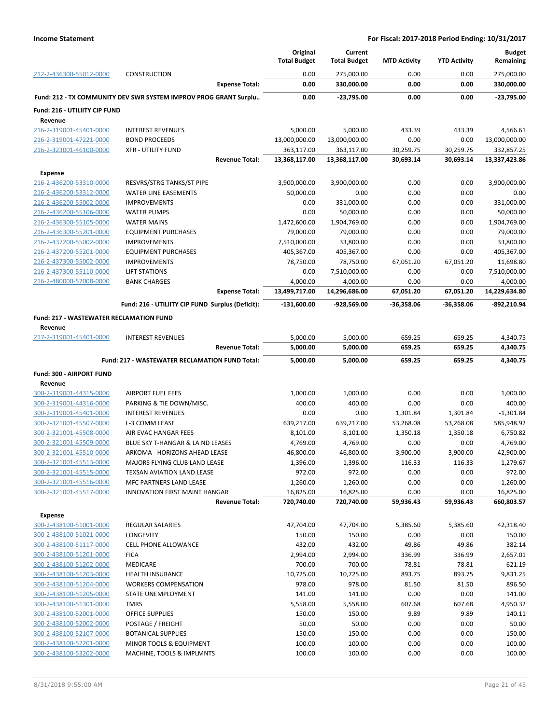|                                                           |                                                                  | Original<br><b>Total Budget</b> | Current<br><b>Total Budget</b> | <b>MTD Activity</b>   | <b>YTD Activity</b> | <b>Budget</b><br>Remaining |
|-----------------------------------------------------------|------------------------------------------------------------------|---------------------------------|--------------------------------|-----------------------|---------------------|----------------------------|
| 212-2-436300-55012-0000                                   | <b>CONSTRUCTION</b><br><b>Expense Total:</b>                     | 0.00<br>0.00                    | 275,000.00<br>330,000.00       | 0.00<br>0.00          | 0.00<br>0.00        | 275,000.00<br>330,000.00   |
|                                                           | Fund: 212 - TX COMMUNITY DEV SWR SYSTEM IMPROV PROG GRANT Surplu | 0.00                            | $-23,795.00$                   | 0.00                  | 0.00                | $-23,795.00$               |
| Fund: 216 - UTILIITY CIP FUND                             |                                                                  |                                 |                                |                       |                     |                            |
| Revenue                                                   |                                                                  |                                 |                                |                       |                     |                            |
| 216-2-319001-45401-0000                                   | <b>INTEREST REVENUES</b>                                         | 5,000.00                        | 5,000.00                       | 433.39                | 433.39              | 4,566.61                   |
| 216-2-319001-47221-0000                                   | <b>BOND PROCEEDS</b>                                             | 13,000,000.00                   | 13,000,000.00                  | 0.00                  | 0.00                | 13,000,000.00              |
| 216-2-323001-46100-0000                                   | <b>XFR - UTILITY FUND</b>                                        | 363,117.00                      | 363,117.00                     | 30,259.75             | 30,259.75           | 332,857.25                 |
|                                                           | <b>Revenue Total:</b>                                            | 13,368,117.00                   | 13,368,117.00                  | 30,693.14             | 30,693.14           | 13,337,423.86              |
| <b>Expense</b>                                            |                                                                  |                                 |                                |                       |                     |                            |
| 216-2-436200-53310-0000                                   | RESVRS/STRG TANKS/ST PIPE                                        | 3,900,000.00                    | 3,900,000.00                   | 0.00                  | 0.00                | 3,900,000.00               |
| 216-2-436200-53312-0000                                   | <b>WATER LINE EASEMENTS</b>                                      | 50,000.00                       | 0.00                           | 0.00                  | 0.00                | 0.00                       |
| 216-2-436200-55002-0000                                   | <b>IMPROVEMENTS</b>                                              | 0.00                            | 331,000.00                     | 0.00                  | 0.00                | 331,000.00                 |
| 216-2-436200-55106-0000                                   | <b>WATER PUMPS</b>                                               | 0.00                            | 50,000.00                      | 0.00                  | 0.00                | 50,000.00                  |
| 216-2-436300-55105-0000                                   | <b>WATER MAINS</b>                                               | 1,472,600.00                    | 1,904,769.00                   | 0.00                  | 0.00                | 1,904,769.00               |
| 216-2-436300-55201-0000                                   | <b>EQUIPMENT PURCHASES</b>                                       | 79,000.00                       | 79,000.00                      | 0.00                  | 0.00                | 79,000.00                  |
| 216-2-437200-55002-0000                                   | <b>IMPROVEMENTS</b>                                              | 7,510,000.00                    | 33,800.00                      | 0.00                  | 0.00                | 33,800.00                  |
| 216-2-437200-55201-0000                                   | <b>EQUIPMENT PURCHASES</b>                                       | 405,367.00                      | 405,367.00                     | 0.00                  | 0.00                | 405,367.00                 |
| 216-2-437300-55002-0000                                   | <b>IMPROVEMENTS</b>                                              | 78,750.00                       | 78,750.00                      | 67,051.20             | 67,051.20           | 11,698.80                  |
| 216-2-437300-55110-0000                                   | LIFT STATIONS                                                    | 0.00                            | 7,510,000.00                   | 0.00                  | 0.00                | 7,510,000.00               |
| 216-2-480000-57008-0000                                   | <b>BANK CHARGES</b><br><b>Expense Total:</b>                     | 4,000.00<br>13,499,717.00       | 4,000.00<br>14,296,686.00      | 0.00<br>67,051.20     | 0.00<br>67,051.20   | 4,000.00<br>14,229,634.80  |
|                                                           |                                                                  |                                 |                                |                       |                     |                            |
|                                                           | Fund: 216 - UTILIITY CIP FUND Surplus (Deficit):                 | $-131,600.00$                   | -928,569.00                    | $-36,358.06$          | $-36,358.06$        | -892,210.94                |
| <b>Fund: 217 - WASTEWATER RECLAMATION FUND</b><br>Revenue |                                                                  |                                 |                                |                       |                     |                            |
| 217-2-319001-45401-0000                                   | <b>INTEREST REVENUES</b>                                         | 5,000.00                        | 5,000.00                       | 659.25                | 659.25              | 4,340.75                   |
|                                                           | <b>Revenue Total:</b>                                            | 5,000.00                        | 5,000.00                       | 659.25                | 659.25              | 4,340.75                   |
|                                                           |                                                                  |                                 |                                |                       |                     |                            |
|                                                           | Fund: 217 - WASTEWATER RECLAMATION FUND Total:                   | 5,000.00                        | 5,000.00                       | 659.25                | 659.25              | 4,340.75                   |
| Fund: 300 - AIRPORT FUND                                  |                                                                  |                                 |                                |                       |                     |                            |
| Revenue                                                   |                                                                  |                                 |                                |                       |                     |                            |
| 300-2-319001-44315-0000                                   | <b>AIRPORT FUEL FEES</b>                                         | 1,000.00                        | 1,000.00                       | 0.00                  | 0.00                | 1,000.00                   |
| 300-2-319001-44316-0000                                   | PARKING & TIE DOWN/MISC.                                         | 400.00                          | 400.00                         | 0.00                  | 0.00                | 400.00                     |
| 300-2-319001-45401-0000                                   | <b>INTEREST REVENUES</b><br>L-3 COMM LEASE                       | 0.00                            | 0.00                           | 1,301.84<br>53,268.08 | 1,301.84            | $-1,301.84$<br>585,948.92  |
| 300-2-321001-45507-0000<br>300-2-321001-45508-0000        | AIR EVAC HANGAR FEES                                             | 639,217.00                      | 639,217.00                     |                       | 53,268.08           | 6,750.82                   |
| 300-2-321001-45509-0000                                   | BLUE SKY T-HANGAR & LA ND LEASES                                 | 8,101.00<br>4,769.00            | 8,101.00<br>4,769.00           | 1,350.18<br>0.00      | 1,350.18<br>0.00    | 4,769.00                   |
| 300-2-321001-45510-0000                                   | ARKOMA - HORIZONS AHEAD LEASE                                    | 46,800.00                       | 46,800.00                      | 3,900.00              | 3,900.00            | 42,900.00                  |
| 300-2-321001-45513-0000                                   | MAJORS FLYING CLUB LAND LEASE                                    | 1,396.00                        | 1,396.00                       | 116.33                | 116.33              | 1,279.67                   |
| 300-2-321001-45515-0000                                   | TEXSAN AVIATION LAND LEASE                                       | 972.00                          | 972.00                         | 0.00                  | 0.00                | 972.00                     |
| 300-2-321001-45516-0000                                   | MFC PARTNERS LAND LEASE                                          | 1,260.00                        | 1,260.00                       | 0.00                  | 0.00                | 1,260.00                   |
| 300-2-321001-45517-0000                                   | INNOVATION FIRST MAINT HANGAR                                    | 16,825.00                       | 16,825.00                      | 0.00                  | 0.00                | 16,825.00                  |
|                                                           | <b>Revenue Total:</b>                                            | 720,740.00                      | 720,740.00                     | 59,936.43             | 59,936.43           | 660,803.57                 |
| <b>Expense</b>                                            |                                                                  |                                 |                                |                       |                     |                            |
| 300-2-438100-51001-0000                                   | REGULAR SALARIES                                                 | 47,704.00                       | 47,704.00                      | 5,385.60              | 5,385.60            | 42,318.40                  |
| 300-2-438100-51021-0000                                   | LONGEVITY                                                        | 150.00                          | 150.00                         | 0.00                  | 0.00                | 150.00                     |
| 300-2-438100-51117-0000                                   | <b>CELL PHONE ALLOWANCE</b>                                      | 432.00                          | 432.00                         | 49.86                 | 49.86               | 382.14                     |
| 300-2-438100-51201-0000                                   | <b>FICA</b>                                                      | 2,994.00                        | 2,994.00                       | 336.99                | 336.99              | 2,657.01                   |
| 300-2-438100-51202-0000                                   | <b>MEDICARE</b>                                                  | 700.00                          | 700.00                         | 78.81                 | 78.81               | 621.19                     |
| 300-2-438100-51203-0000                                   | <b>HEALTH INSURANCE</b>                                          | 10,725.00                       | 10,725.00                      | 893.75                | 893.75              | 9,831.25                   |
| 300-2-438100-51204-0000                                   | <b>WORKERS COMPENSATION</b>                                      | 978.00                          | 978.00                         | 81.50                 | 81.50               | 896.50                     |
| 300-2-438100-51205-0000                                   |                                                                  |                                 | 141.00                         | 0.00                  | 0.00                | 141.00                     |
| 300-2-438100-51301-0000                                   | STATE UNEMPLOYMENT                                               | 141.00                          |                                |                       |                     |                            |
|                                                           | <b>TMRS</b>                                                      | 5,558.00                        | 5,558.00                       | 607.68                | 607.68              | 4,950.32                   |
| 300-2-438100-52001-0000                                   | OFFICE SUPPLIES                                                  | 150.00                          | 150.00                         | 9.89                  | 9.89                | 140.11                     |
| 300-2-438100-52002-0000                                   | POSTAGE / FREIGHT                                                | 50.00                           | 50.00                          | 0.00                  | 0.00                | 50.00                      |
| 300-2-438100-52107-0000                                   | <b>BOTANICAL SUPPLIES</b>                                        | 150.00                          | 150.00                         | 0.00                  | 0.00                | 150.00                     |
| 300-2-438100-52201-0000                                   | MINOR TOOLS & EQUIPMENT                                          | 100.00                          | 100.00                         | 0.00                  | 0.00                | 100.00                     |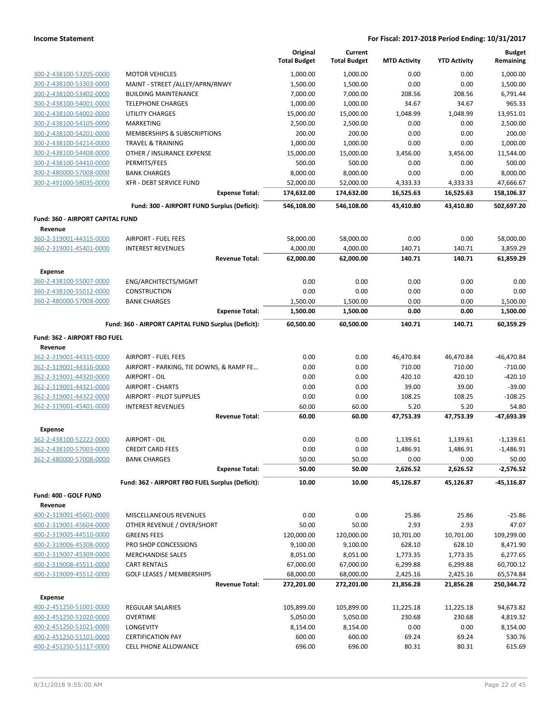|                                             |                                                     | Original<br><b>Total Budget</b> | Current<br><b>Total Budget</b> | <b>MTD Activity</b>   | <b>YTD Activity</b>   | <b>Budget</b><br>Remaining |
|---------------------------------------------|-----------------------------------------------------|---------------------------------|--------------------------------|-----------------------|-----------------------|----------------------------|
| 300-2-438100-53205-0000                     | <b>MOTOR VEHICLES</b>                               | 1,000.00                        | 1,000.00                       | 0.00                  | 0.00                  | 1.000.00                   |
| 300-2-438100-53303-0000                     | MAINT - STREET /ALLEY/APRN/RNWY                     | 1,500.00                        | 1,500.00                       | 0.00                  | 0.00                  | 1,500.00                   |
| 300-2-438100-53402-0000                     | <b>BUILDING MAINTENANCE</b>                         | 7,000.00                        | 7,000.00                       | 208.56                | 208.56                | 6,791.44                   |
| 300-2-438100-54001-0000                     | <b>TELEPHONE CHARGES</b>                            | 1,000.00                        | 1,000.00                       | 34.67                 | 34.67                 | 965.33                     |
| 300-2-438100-54002-0000                     | <b>UTILITY CHARGES</b>                              | 15,000.00                       | 15,000.00                      | 1,048.99              | 1,048.99              | 13,951.01                  |
| 300-2-438100-54105-0000                     | MARKETING                                           | 2,500.00                        | 2,500.00                       | 0.00                  | 0.00                  | 2,500.00                   |
| 300-2-438100-54201-0000                     | MEMBERSHIPS & SUBSCRIPTIONS                         | 200.00                          | 200.00                         | 0.00                  | 0.00                  | 200.00                     |
| 300-2-438100-54214-0000                     | <b>TRAVEL &amp; TRAINING</b>                        | 1,000.00                        | 1,000.00                       | 0.00                  | 0.00                  | 1,000.00                   |
| 300-2-438100-54408-0000                     | OTHER / INSURANCE EXPENSE                           | 15,000.00                       | 15,000.00                      | 3,456.00              | 3,456.00              | 11,544.00                  |
| 300-2-438100-54410-0000                     | PERMITS/FEES                                        | 500.00                          | 500.00                         | 0.00                  | 0.00                  | 500.00                     |
| 300-2-480000-57008-0000                     | <b>BANK CHARGES</b>                                 | 8,000.00                        | 8,000.00                       | 0.00                  | 0.00                  | 8,000.00                   |
| 300-2-491000-58035-0000                     | XFR - DEBT SERVICE FUND<br><b>Expense Total:</b>    | 52,000.00<br>174,632.00         | 52,000.00<br>174,632.00        | 4,333.33<br>16,525.63 | 4,333.33<br>16,525.63 | 47,666.67<br>158,106.37    |
|                                             | Fund: 300 - AIRPORT FUND Surplus (Deficit):         | 546,108.00                      | 546,108.00                     | 43,410.80             | 43,410.80             | 502,697.20                 |
|                                             |                                                     |                                 |                                |                       |                       |                            |
| Fund: 360 - AIRPORT CAPITAL FUND<br>Revenue |                                                     |                                 |                                |                       |                       |                            |
| 360-2-319001-44315-0000                     | <b>AIRPORT - FUEL FEES</b>                          | 58,000.00                       | 58,000.00                      | 0.00                  | 0.00                  | 58,000.00                  |
| 360-2-319001-45401-0000                     | <b>INTEREST REVENUES</b>                            | 4,000.00                        | 4,000.00                       | 140.71                | 140.71                | 3,859.29                   |
|                                             | <b>Revenue Total:</b>                               | 62,000.00                       | 62,000.00                      | 140.71                | 140.71                | 61,859.29                  |
| <b>Expense</b>                              |                                                     |                                 |                                |                       |                       |                            |
| 360-2-438100-55007-0000                     | ENG/ARCHITECTS/MGMT                                 | 0.00                            | 0.00                           | 0.00                  | 0.00                  | 0.00                       |
| 360-2-438100-55012-0000                     | CONSTRUCTION                                        | 0.00                            | 0.00                           | 0.00                  | 0.00                  | 0.00                       |
| 360-2-480000-57008-0000                     | <b>BANK CHARGES</b>                                 | 1,500.00                        | 1,500.00                       | 0.00                  | 0.00                  | 1,500.00                   |
|                                             | <b>Expense Total:</b>                               | 1,500.00                        | 1,500.00                       | 0.00                  | 0.00                  | 1,500.00                   |
|                                             | Fund: 360 - AIRPORT CAPITAL FUND Surplus (Deficit): | 60,500.00                       | 60,500.00                      | 140.71                | 140.71                | 60,359.29                  |
| Fund: 362 - AIRPORT FBO FUEL                |                                                     |                                 |                                |                       |                       |                            |
| Revenue                                     |                                                     |                                 |                                |                       |                       |                            |
| 362-2-319001-44315-0000                     | <b>AIRPORT - FUEL FEES</b>                          | 0.00                            | 0.00                           | 46,470.84             | 46,470.84             | $-46,470.84$               |
| 362-2-319001-44316-0000                     | AIRPORT - PARKING, TIE DOWNS, & RAMP FE             | 0.00                            | 0.00                           | 710.00                | 710.00                | $-710.00$                  |
| 362-2-319001-44320-0000                     | AIRPORT - OIL                                       | 0.00                            | 0.00                           | 420.10                | 420.10                | $-420.10$                  |
| 362-2-319001-44321-0000                     | <b>AIRPORT - CHARTS</b>                             | 0.00                            | 0.00                           | 39.00                 | 39.00                 | $-39.00$                   |
| 362-2-319001-44322-0000                     | <b>AIRPORT - PILOT SUPPLIES</b>                     | 0.00                            | 0.00                           | 108.25                | 108.25                | $-108.25$                  |
| 362-2-319001-45401-0000                     | <b>INTEREST REVENUES</b>                            | 60.00                           | 60.00                          | 5.20                  | 5.20                  | 54.80                      |
|                                             | <b>Revenue Total:</b>                               | 60.00                           | 60.00                          | 47,753.39             | 47,753.39             | -47,693.39                 |
| <b>Expense</b>                              |                                                     |                                 |                                |                       |                       |                            |
| 362-2-438100-52222-0000                     | AIRPORT - OIL                                       | 0.00                            | 0.00                           | 1,139.61              | 1,139.61              | $-1,139.61$                |
| 362-2-438100-57003-0000                     | <b>CREDIT CARD FEES</b>                             | 0.00                            | 0.00                           | 1,486.91              | 1,486.91              | $-1,486.91$                |
| 362-2-480000-57008-0000                     | <b>BANK CHARGES</b>                                 | 50.00                           | 50.00                          | 0.00                  | 0.00                  | 50.00                      |
|                                             | <b>Expense Total:</b>                               | 50.00                           | 50.00                          | 2,626.52              | 2,626.52              | -2,576.52                  |
|                                             | Fund: 362 - AIRPORT FBO FUEL Surplus (Deficit):     | 10.00                           | 10.00                          | 45,126.87             | 45,126.87             | $-45,116.87$               |
| Fund: 400 - GOLF FUND                       |                                                     |                                 |                                |                       |                       |                            |
| Revenue                                     |                                                     |                                 |                                |                       |                       |                            |
| 400-2-319001-45601-0000                     | MISCELLANEOUS REVENUES                              | 0.00                            | 0.00                           | 25.86                 | 25.86                 | $-25.86$                   |
| 400-2-319001-45604-0000                     | OTHER REVENUE / OVER/SHORT                          | 50.00                           | 50.00                          | 2.93                  | 2.93                  | 47.07                      |
| 400-2-319005-44510-0000                     | <b>GREENS FEES</b>                                  | 120,000.00                      | 120,000.00                     | 10,701.00             | 10,701.00             | 109,299.00                 |
| 400-2-319006-45308-0000                     | PRO SHOP CONCESSIONS                                | 9,100.00                        | 9,100.00                       | 628.10                | 628.10                | 8,471.90                   |
| 400-2-319007-45309-0000                     | <b>MERCHANDISE SALES</b>                            | 8,051.00                        | 8,051.00                       | 1,773.35              | 1,773.35              | 6,277.65                   |
| 400-2-319008-45511-0000                     | <b>CART RENTALS</b>                                 | 67,000.00                       | 67,000.00                      | 6,299.88              | 6,299.88              | 60,700.12                  |
| 400-2-319009-45512-0000                     | GOLF LEASES / MEMBERSHIPS<br><b>Revenue Total:</b>  | 68,000.00<br>272,201.00         | 68,000.00<br>272,201.00        | 2,425.16<br>21,856.28 | 2,425.16<br>21,856.28 | 65,574.84<br>250,344.72    |
|                                             |                                                     |                                 |                                |                       |                       |                            |
| Expense<br>400-2-451250-51001-0000          | <b>REGULAR SALARIES</b>                             | 105,899.00                      | 105,899.00                     | 11,225.18             | 11,225.18             | 94,673.82                  |
| 400-2-451250-51020-0000                     | <b>OVERTIME</b>                                     | 5,050.00                        | 5,050.00                       | 230.68                | 230.68                | 4,819.32                   |
| 400-2-451250-51021-0000                     | LONGEVITY                                           | 8,154.00                        | 8,154.00                       | 0.00                  | 0.00                  | 8,154.00                   |
| 400-2-451250-51101-0000                     | <b>CERTIFICATION PAY</b>                            | 600.00                          | 600.00                         | 69.24                 | 69.24                 | 530.76                     |
| 400-2-451250-51117-0000                     | <b>CELL PHONE ALLOWANCE</b>                         | 696.00                          | 696.00                         | 80.31                 | 80.31                 | 615.69                     |
|                                             |                                                     |                                 |                                |                       |                       |                            |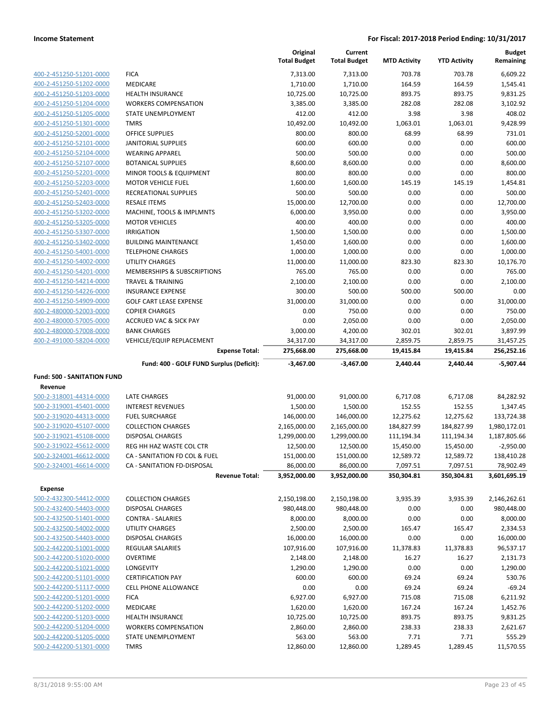|                                                    |                                                    | Original<br><b>Total Budget</b> | Current<br><b>Total Budget</b> | <b>MTD Activity</b>   | <b>YTD Activity</b>   | <b>Budget</b><br>Remaining |
|----------------------------------------------------|----------------------------------------------------|---------------------------------|--------------------------------|-----------------------|-----------------------|----------------------------|
| 400-2-451250-51201-0000                            | <b>FICA</b>                                        | 7,313.00                        | 7,313.00                       | 703.78                | 703.78                | 6,609.22                   |
| 400-2-451250-51202-0000                            | MEDICARE                                           | 1,710.00                        | 1,710.00                       | 164.59                | 164.59                | 1,545.41                   |
| 400-2-451250-51203-0000                            | <b>HEALTH INSURANCE</b>                            | 10,725.00                       | 10,725.00                      | 893.75                | 893.75                | 9,831.25                   |
| 400-2-451250-51204-0000                            | <b>WORKERS COMPENSATION</b>                        | 3,385.00                        | 3,385.00                       | 282.08                | 282.08                | 3,102.92                   |
| 400-2-451250-51205-0000                            | STATE UNEMPLOYMENT                                 | 412.00                          | 412.00                         | 3.98                  | 3.98                  | 408.02                     |
| 400-2-451250-51301-0000                            | <b>TMRS</b>                                        | 10,492.00                       | 10,492.00                      | 1,063.01              | 1,063.01              | 9,428.99                   |
| 400-2-451250-52001-0000                            | <b>OFFICE SUPPLIES</b>                             | 800.00                          | 800.00                         | 68.99                 | 68.99                 | 731.01                     |
| 400-2-451250-52101-0000                            | <b>JANITORIAL SUPPLIES</b>                         | 600.00                          | 600.00                         | 0.00                  | 0.00                  | 600.00                     |
| 400-2-451250-52104-0000                            | <b>WEARING APPAREL</b>                             | 500.00                          | 500.00                         | 0.00                  | 0.00                  | 500.00                     |
| 400-2-451250-52107-0000                            | <b>BOTANICAL SUPPLIES</b>                          | 8,600.00                        | 8,600.00                       | 0.00                  | 0.00                  | 8,600.00                   |
| 400-2-451250-52201-0000                            | MINOR TOOLS & EQUIPMENT                            | 800.00                          | 800.00                         | 0.00                  | 0.00                  | 800.00                     |
| 400-2-451250-52203-0000                            | <b>MOTOR VEHICLE FUEL</b>                          | 1,600.00                        | 1,600.00                       | 145.19                | 145.19                | 1,454.81                   |
| 400-2-451250-52401-0000                            | RECREATIONAL SUPPLIES                              | 500.00                          | 500.00                         | 0.00                  | 0.00                  | 500.00                     |
| 400-2-451250-52403-0000                            | <b>RESALE ITEMS</b>                                | 15,000.00                       | 12,700.00                      | 0.00                  | 0.00                  | 12,700.00                  |
| 400-2-451250-53202-0000                            | MACHINE, TOOLS & IMPLMNTS                          | 6,000.00                        | 3,950.00                       | 0.00                  | 0.00                  | 3,950.00                   |
| 400-2-451250-53205-0000                            | <b>MOTOR VEHICLES</b>                              | 400.00                          | 400.00                         | 0.00                  | 0.00                  | 400.00                     |
| 400-2-451250-53307-0000                            | <b>IRRIGATION</b>                                  | 1,500.00                        | 1,500.00                       | 0.00                  | 0.00                  | 1,500.00                   |
| 400-2-451250-53402-0000                            | <b>BUILDING MAINTENANCE</b>                        | 1,450.00                        | 1,600.00                       | 0.00                  | 0.00                  | 1,600.00                   |
| 400-2-451250-54001-0000                            | <b>TELEPHONE CHARGES</b>                           | 1,000.00                        | 1,000.00                       | 0.00                  | 0.00                  | 1,000.00                   |
| 400-2-451250-54002-0000                            | UTILITY CHARGES                                    | 11,000.00                       | 11,000.00                      | 823.30                | 823.30                | 10,176.70                  |
| 400-2-451250-54201-0000                            | MEMBERSHIPS & SUBSCRIPTIONS                        | 765.00                          | 765.00                         | 0.00                  | 0.00                  | 765.00                     |
| 400-2-451250-54214-0000                            | <b>TRAVEL &amp; TRAINING</b>                       | 2,100.00                        | 2,100.00                       | 0.00                  | 0.00                  | 2,100.00                   |
| 400-2-451250-54226-0000                            | <b>INSURANCE EXPENSE</b>                           | 300.00                          | 500.00                         | 500.00                | 500.00                | 0.00                       |
| 400-2-451250-54909-0000                            | <b>GOLF CART LEASE EXPENSE</b>                     | 31,000.00                       | 31,000.00                      | 0.00                  | 0.00                  | 31,000.00                  |
| 400-2-480000-52003-0000                            | <b>COPIER CHARGES</b>                              | 0.00                            | 750.00                         | 0.00                  | 0.00                  | 750.00                     |
| 400-2-480000-57005-0000                            | <b>ACCRUED VAC &amp; SICK PAY</b>                  | 0.00                            | 2,050.00                       | 0.00                  | 0.00                  | 2,050.00                   |
| 400-2-480000-57008-0000<br>400-2-491000-58204-0000 | <b>BANK CHARGES</b>                                | 3,000.00                        | 4,200.00                       | 302.01                | 302.01                | 3,897.99                   |
|                                                    | VEHICLE/EQUIP REPLACEMENT<br><b>Expense Total:</b> | 34,317.00<br>275,668.00         | 34,317.00<br>275,668.00        | 2,859.75<br>19,415.84 | 2,859.75<br>19,415.84 | 31,457.25<br>256,252.16    |
|                                                    | Fund: 400 - GOLF FUND Surplus (Deficit):           | $-3,467.00$                     | $-3,467.00$                    | 2,440.44              | 2,440.44              | $-5,907.44$                |
| <b>Fund: 500 - SANITATION FUND</b>                 |                                                    |                                 |                                |                       |                       |                            |
| Revenue                                            |                                                    |                                 |                                |                       |                       |                            |
| 500-2-318001-44314-0000                            | <b>LATE CHARGES</b>                                | 91,000.00                       | 91,000.00                      | 6,717.08              | 6,717.08              | 84,282.92                  |
| 500-2-319001-45401-0000                            | <b>INTEREST REVENUES</b>                           | 1,500.00                        | 1,500.00                       | 152.55                | 152.55                | 1,347.45                   |
| 500-2-319020-44313-0000                            | <b>FUEL SURCHARGE</b>                              | 146,000.00                      | 146,000.00                     | 12,275.62             | 12,275.62             | 133,724.38                 |
| 500-2-319020-45107-0000                            | <b>COLLECTION CHARGES</b>                          | 2,165,000.00                    | 2,165,000.00                   | 184,827.99            | 184,827.99            | 1,980,172.01               |
| 500-2-319021-45108-0000                            | <b>DISPOSAL CHARGES</b>                            | 1,299,000.00                    | 1,299,000.00                   | 111,194.34            | 111,194.34            | 1,187,805.66               |
| 500-2-319022-45612-0000                            | REG HH HAZ WASTE COL CTR                           | 12,500.00                       | 12,500.00                      | 15,450.00             | 15,450.00             | $-2,950.00$                |
| 500-2-324001-46612-0000                            | CA - SANITATION FD COL & FUEL                      | 151,000.00                      | 151,000.00                     | 12,589.72             | 12,589.72             | 138,410.28                 |
| 500-2-324001-46614-0000                            | CA - SANITATION FD-DISPOSAL                        | 86,000.00                       | 86,000.00                      | 7,097.51              | 7,097.51              | 78,902.49                  |
|                                                    | <b>Revenue Total:</b>                              | 3,952,000.00                    | 3,952,000.00                   | 350,304.81            | 350,304.81            | 3,601,695.19               |
| <b>Expense</b>                                     |                                                    |                                 |                                |                       |                       |                            |
| 500-2-432300-54412-0000                            | <b>COLLECTION CHARGES</b>                          | 2,150,198.00                    | 2,150,198.00                   | 3,935.39              | 3,935.39              | 2,146,262.61               |
| 500-2-432400-54403-0000                            | DISPOSAL CHARGES                                   | 980,448.00                      | 980,448.00                     | 0.00                  | 0.00                  | 980,448.00                 |
| 500-2-432500-51401-0000                            | <b>CONTRA - SALARIES</b>                           | 8,000.00                        | 8,000.00                       | 0.00                  | 0.00                  | 8,000.00                   |
| 500-2-432500-54002-0000                            | UTILITY CHARGES                                    | 2,500.00                        | 2,500.00                       | 165.47                | 165.47                | 2,334.53                   |
| 500-2-432500-54403-0000                            | DISPOSAL CHARGES                                   | 16,000.00                       | 16,000.00                      | 0.00                  | 0.00                  | 16,000.00                  |
| 500-2-442200-51001-0000                            | REGULAR SALARIES                                   | 107,916.00                      | 107,916.00                     | 11,378.83             | 11,378.83             | 96,537.17                  |
| 500-2-442200-51020-0000                            | <b>OVERTIME</b>                                    | 2,148.00                        | 2,148.00                       | 16.27                 | 16.27                 | 2,131.73                   |
| 500-2-442200-51021-0000                            | LONGEVITY                                          | 1,290.00                        | 1,290.00                       | 0.00                  | 0.00                  | 1,290.00                   |
| 500-2-442200-51101-0000                            | <b>CERTIFICATION PAY</b>                           | 600.00                          | 600.00                         | 69.24                 | 69.24                 | 530.76                     |
| 500-2-442200-51117-0000                            | CELL PHONE ALLOWANCE                               | 0.00                            | 0.00                           | 69.24                 | 69.24                 | $-69.24$                   |
| 500-2-442200-51201-0000                            | <b>FICA</b>                                        | 6,927.00                        | 6,927.00                       | 715.08                | 715.08                | 6,211.92                   |
| 500-2-442200-51202-0000                            | <b>MEDICARE</b>                                    | 1,620.00                        | 1,620.00                       | 167.24                | 167.24                | 1,452.76                   |
| 500-2-442200-51203-0000                            | <b>HEALTH INSURANCE</b>                            | 10,725.00                       | 10,725.00                      | 893.75                | 893.75                | 9,831.25                   |
| 500-2-442200-51204-0000                            | <b>WORKERS COMPENSATION</b>                        | 2,860.00                        | 2,860.00                       | 238.33                | 238.33                | 2,621.67                   |
| 500-2-442200-51205-0000<br>500-2-442200-51301-0000 | STATE UNEMPLOYMENT<br><b>TMRS</b>                  | 563.00                          | 563.00                         | 7.71                  | 7.71                  | 555.29                     |
|                                                    |                                                    | 12,860.00                       | 12,860.00                      | 1,289.45              | 1,289.45              | 11,570.55                  |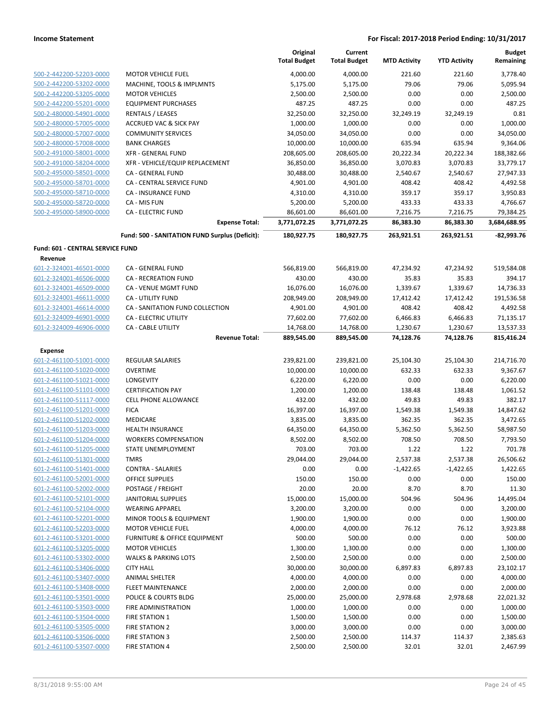|                                                    |                                                | Original<br><b>Total Budget</b> | Current<br><b>Total Budget</b> | <b>MTD Activity</b>   | <b>YTD Activity</b>   | <b>Budget</b><br>Remaining |
|----------------------------------------------------|------------------------------------------------|---------------------------------|--------------------------------|-----------------------|-----------------------|----------------------------|
| 500-2-442200-52203-0000                            | <b>MOTOR VEHICLE FUEL</b>                      | 4,000.00                        | 4,000.00                       | 221.60                | 221.60                | 3,778.40                   |
| 500-2-442200-53202-0000                            | MACHINE, TOOLS & IMPLMNTS                      | 5,175.00                        | 5,175.00                       | 79.06                 | 79.06                 | 5,095.94                   |
| 500-2-442200-53205-0000                            | <b>MOTOR VEHICLES</b>                          | 2,500.00                        | 2,500.00                       | 0.00                  | 0.00                  | 2,500.00                   |
| 500-2-442200-55201-0000                            | <b>EQUIPMENT PURCHASES</b>                     | 487.25                          | 487.25                         | 0.00                  | 0.00                  | 487.25                     |
| 500-2-480000-54901-0000                            | RENTALS / LEASES                               | 32,250.00                       | 32,250.00                      | 32,249.19             | 32,249.19             | 0.81                       |
| 500-2-480000-57005-0000                            | <b>ACCRUED VAC &amp; SICK PAY</b>              | 1,000.00                        | 1,000.00                       | 0.00                  | 0.00                  | 1,000.00                   |
| 500-2-480000-57007-0000                            | <b>COMMUNITY SERVICES</b>                      | 34,050.00                       | 34,050.00                      | 0.00                  | 0.00                  | 34,050.00                  |
| 500-2-480000-57008-0000                            | <b>BANK CHARGES</b>                            | 10,000.00                       | 10,000.00                      | 635.94                | 635.94                | 9,364.06                   |
| 500-2-491000-58001-0000                            | <b>XFR - GENERAL FUND</b>                      | 208,605.00                      | 208,605.00                     | 20,222.34             | 20,222.34             | 188,382.66                 |
| 500-2-491000-58204-0000                            | XFR - VEHICLE/EQUIP REPLACEMENT                | 36,850.00                       | 36,850.00                      | 3,070.83              | 3,070.83              | 33,779.17                  |
| 500-2-495000-58501-0000                            | CA - GENERAL FUND                              | 30,488.00                       | 30,488.00                      | 2,540.67              | 2,540.67              | 27,947.33                  |
| 500-2-495000-58701-0000                            | CA - CENTRAL SERVICE FUND                      | 4,901.00                        | 4,901.00                       | 408.42                | 408.42                | 4,492.58                   |
| 500-2-495000-58710-0000                            | CA - INSURANCE FUND                            | 4,310.00                        | 4,310.00                       | 359.17                | 359.17                | 3,950.83                   |
| 500-2-495000-58720-0000                            | CA - MIS FUN                                   | 5,200.00                        | 5,200.00                       | 433.33                | 433.33                | 4,766.67                   |
| 500-2-495000-58900-0000                            | <b>CA - ELECTRIC FUND</b>                      | 86,601.00                       | 86,601.00                      | 7,216.75              | 7,216.75              | 79,384.25                  |
|                                                    | <b>Expense Total:</b>                          | 3,771,072.25                    | 3,771,072.25                   | 86,383.30             | 86,383.30             | 3,684,688.95               |
|                                                    | Fund: 500 - SANITATION FUND Surplus (Deficit): | 180,927.75                      | 180,927.75                     | 263,921.51            | 263,921.51            | -82,993.76                 |
| Fund: 601 - CENTRAL SERVICE FUND                   |                                                |                                 |                                |                       |                       |                            |
| Revenue                                            |                                                |                                 |                                |                       |                       |                            |
| 601-2-324001-46501-0000                            | CA - GENERAL FUND                              | 566,819.00                      | 566,819.00                     | 47,234.92             | 47,234.92             | 519,584.08                 |
| 601-2-324001-46506-0000                            | <b>CA - RECREATION FUND</b>                    | 430.00                          | 430.00                         | 35.83                 | 35.83                 | 394.17                     |
| 601-2-324001-46509-0000                            | CA - VENUE MGMT FUND                           | 16,076.00                       | 16,076.00                      | 1,339.67              | 1,339.67              | 14,736.33                  |
| 601-2-324001-46611-0000                            | CA - UTILITY FUND                              | 208,949.00                      | 208,949.00                     | 17,412.42             | 17,412.42             | 191,536.58                 |
| 601-2-324001-46614-0000                            | CA - SANITATION FUND COLLECTION                | 4,901.00                        | 4,901.00                       | 408.42                | 408.42                | 4,492.58                   |
| 601-2-324009-46901-0000<br>601-2-324009-46906-0000 | CA - ELECTRIC UTILITY                          | 77,602.00                       | 77,602.00                      | 6,466.83              | 6,466.83              | 71,135.17                  |
|                                                    | CA - CABLE UTILITY<br><b>Revenue Total:</b>    | 14,768.00<br>889,545.00         | 14,768.00<br>889,545.00        | 1,230.67<br>74,128.76 | 1,230.67<br>74,128.76 | 13,537.33<br>815,416.24    |
| <b>Expense</b>                                     |                                                |                                 |                                |                       |                       |                            |
| 601-2-461100-51001-0000                            | <b>REGULAR SALARIES</b>                        | 239,821.00                      | 239,821.00                     | 25,104.30             | 25,104.30             | 214,716.70                 |
| 601-2-461100-51020-0000                            | <b>OVERTIME</b>                                | 10,000.00                       | 10,000.00                      | 632.33                | 632.33                | 9,367.67                   |
| 601-2-461100-51021-0000                            | LONGEVITY                                      | 6,220.00                        | 6,220.00                       | 0.00                  | 0.00                  | 6,220.00                   |
| 601-2-461100-51101-0000                            | <b>CERTIFICATION PAY</b>                       | 1,200.00                        | 1,200.00                       | 138.48                | 138.48                | 1,061.52                   |
| 601-2-461100-51117-0000                            | CELL PHONE ALLOWANCE                           | 432.00                          | 432.00                         | 49.83                 | 49.83                 | 382.17                     |
| 601-2-461100-51201-0000                            | <b>FICA</b>                                    | 16,397.00                       | 16,397.00                      | 1,549.38              | 1,549.38              | 14,847.62                  |
| 601-2-461100-51202-0000                            | MEDICARE                                       | 3,835.00                        | 3,835.00                       | 362.35                | 362.35                | 3,472.65                   |
| 601-2-461100-51203-0000                            | <b>HEALTH INSURANCE</b>                        | 64,350.00                       | 64,350.00                      | 5,362.50              | 5,362.50              | 58,987.50                  |
| 601-2-461100-51204-0000                            | <b>WORKERS COMPENSATION</b>                    | 8,502.00                        | 8,502.00                       | 708.50                | 708.50                | 7,793.50                   |
| 601-2-461100-51205-0000                            | <b>STATE UNEMPLOYMENT</b>                      | 703.00                          | 703.00                         | 1.22                  | 1.22                  | 701.78                     |
| 601-2-461100-51301-0000                            | TMRS                                           | 29,044.00                       | 29,044.00                      | 2,537.38              | 2,537.38              | 26,506.62                  |
| 601-2-461100-51401-0000                            | <b>CONTRA - SALARIES</b>                       | 0.00                            | 0.00                           | $-1,422.65$           | $-1,422.65$           | 1,422.65                   |
| 601-2-461100-52001-0000                            | OFFICE SUPPLIES                                | 150.00                          | 150.00                         | 0.00                  | 0.00                  | 150.00                     |
| 601-2-461100-52002-0000                            | POSTAGE / FREIGHT                              | 20.00                           | 20.00                          | 8.70                  | 8.70                  | 11.30                      |
| 601-2-461100-52101-0000                            | <b>JANITORIAL SUPPLIES</b>                     | 15,000.00                       | 15,000.00                      | 504.96                | 504.96                | 14,495.04                  |
| 601-2-461100-52104-0000                            | <b>WEARING APPAREL</b>                         | 3,200.00                        | 3,200.00                       | 0.00                  | 0.00                  | 3,200.00                   |
| 601-2-461100-52201-0000                            | MINOR TOOLS & EQUIPMENT                        | 1,900.00                        | 1,900.00                       | 0.00                  | 0.00                  | 1,900.00                   |
| 601-2-461100-52203-0000                            | <b>MOTOR VEHICLE FUEL</b>                      | 4,000.00                        | 4,000.00                       | 76.12                 | 76.12                 | 3,923.88                   |
| 601-2-461100-53201-0000                            | <b>FURNITURE &amp; OFFICE EQUIPMENT</b>        | 500.00                          | 500.00                         | 0.00                  | 0.00                  | 500.00                     |
| 601-2-461100-53205-0000                            | <b>MOTOR VEHICLES</b>                          | 1,300.00                        | 1,300.00                       | 0.00                  | 0.00                  | 1,300.00                   |
| 601-2-461100-53302-0000                            | <b>WALKS &amp; PARKING LOTS</b>                | 2,500.00                        | 2,500.00                       | 0.00                  | 0.00                  | 2,500.00                   |
| 601-2-461100-53406-0000                            | <b>CITY HALL</b>                               | 30,000.00                       | 30,000.00                      | 6,897.83              | 6,897.83              | 23,102.17                  |
| 601-2-461100-53407-0000                            | <b>ANIMAL SHELTER</b>                          | 4,000.00                        | 4,000.00                       | 0.00                  | 0.00                  | 4,000.00                   |
| 601-2-461100-53408-0000                            | <b>FLEET MAINTENANCE</b>                       | 2,000.00                        | 2,000.00                       | 0.00                  | 0.00                  | 2,000.00                   |
| 601-2-461100-53501-0000                            | POLICE & COURTS BLDG                           | 25,000.00                       | 25,000.00                      | 2,978.68              | 2,978.68              | 22,021.32                  |
| 601-2-461100-53503-0000                            | FIRE ADMINISTRATION                            | 1,000.00                        | 1,000.00                       | 0.00                  | 0.00                  | 1,000.00                   |
| 601-2-461100-53504-0000                            | FIRE STATION 1                                 | 1,500.00                        | 1,500.00                       | 0.00                  | 0.00                  | 1,500.00                   |
| 601-2-461100-53505-0000                            | <b>FIRE STATION 2</b>                          | 3,000.00                        | 3,000.00                       | 0.00                  | 0.00                  | 3,000.00                   |
| 601-2-461100-53506-0000                            | <b>FIRE STATION 3</b>                          | 2,500.00                        | 2,500.00                       | 114.37                | 114.37                | 2,385.63                   |
| 601-2-461100-53507-0000                            | <b>FIRE STATION 4</b>                          | 2,500.00                        | 2,500.00                       | 32.01                 | 32.01                 | 2,467.99                   |
|                                                    |                                                |                                 |                                |                       |                       |                            |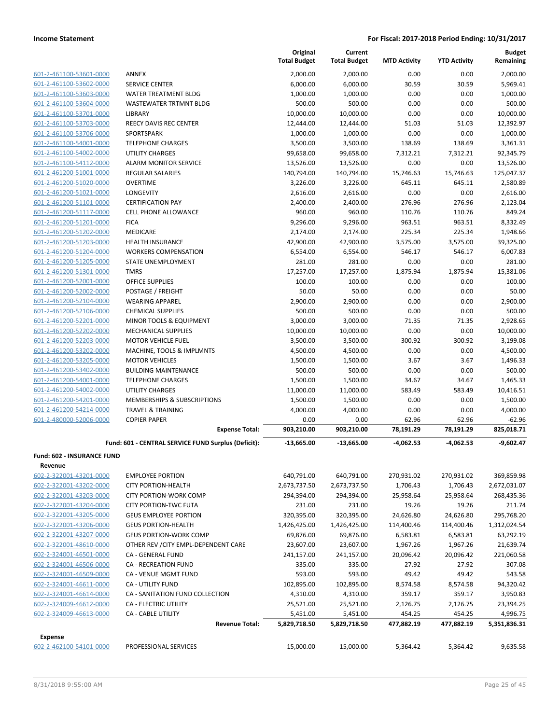|                                                    |                                                     | Original<br><b>Total Budget</b> | Current<br><b>Total Budget</b> | <b>MTD Activity</b> | <b>YTD Activity</b> | <b>Budget</b><br>Remaining |
|----------------------------------------------------|-----------------------------------------------------|---------------------------------|--------------------------------|---------------------|---------------------|----------------------------|
| 601-2-461100-53601-0000                            | ANNEX                                               | 2,000.00                        | 2,000.00                       | 0.00                | 0.00                | 2,000.00                   |
| 601-2-461100-53602-0000                            | SERVICE CENTER                                      | 6,000.00                        | 6,000.00                       | 30.59               | 30.59               | 5,969.41                   |
| 601-2-461100-53603-0000                            | WATER TREATMENT BLDG                                | 1,000.00                        | 1,000.00                       | 0.00                | 0.00                | 1,000.00                   |
| 601-2-461100-53604-0000                            | <b>WASTEWATER TRTMNT BLDG</b>                       | 500.00                          | 500.00                         | 0.00                | 0.00                | 500.00                     |
| 601-2-461100-53701-0000                            | LIBRARY                                             | 10,000.00                       | 10,000.00                      | 0.00                | 0.00                | 10,000.00                  |
| 601-2-461100-53703-0000                            | REECY DAVIS REC CENTER                              | 12,444.00                       | 12,444.00                      | 51.03               | 51.03               | 12,392.97                  |
| 601-2-461100-53706-0000                            | SPORTSPARK                                          | 1,000.00                        | 1,000.00                       | 0.00                | 0.00                | 1,000.00                   |
| 601-2-461100-54001-0000                            | <b>TELEPHONE CHARGES</b>                            | 3,500.00                        | 3,500.00                       | 138.69              | 138.69              | 3,361.31                   |
| 601-2-461100-54002-0000                            | <b>UTILITY CHARGES</b>                              | 99,658.00                       | 99,658.00                      | 7,312.21            | 7,312.21            | 92,345.79                  |
| 601-2-461100-54112-0000                            | <b>ALARM MONITOR SERVICE</b>                        | 13,526.00                       | 13,526.00                      | 0.00                | 0.00                | 13,526.00                  |
| 601-2-461200-51001-0000                            | <b>REGULAR SALARIES</b>                             | 140,794.00                      | 140,794.00                     | 15,746.63           | 15,746.63           | 125,047.37                 |
| 601-2-461200-51020-0000                            | <b>OVERTIME</b>                                     | 3,226.00                        | 3,226.00                       | 645.11              | 645.11              | 2,580.89                   |
| 601-2-461200-51021-0000                            | LONGEVITY                                           | 2,616.00                        | 2,616.00                       | 0.00                | 0.00                | 2,616.00                   |
| 601-2-461200-51101-0000                            | <b>CERTIFICATION PAY</b>                            | 2,400.00                        | 2,400.00                       | 276.96              | 276.96              | 2,123.04                   |
| 601-2-461200-51117-0000                            | <b>CELL PHONE ALLOWANCE</b>                         | 960.00                          | 960.00                         | 110.76              | 110.76              | 849.24                     |
| 601-2-461200-51201-0000                            | <b>FICA</b>                                         | 9,296.00                        | 9,296.00                       | 963.51              | 963.51              | 8,332.49                   |
| 601-2-461200-51202-0000                            | MEDICARE                                            | 2,174.00                        | 2,174.00                       | 225.34              | 225.34              | 1,948.66                   |
| 601-2-461200-51203-0000                            | <b>HEALTH INSURANCE</b>                             | 42,900.00                       | 42,900.00                      | 3,575.00            | 3,575.00            | 39,325.00                  |
| 601-2-461200-51204-0000                            | <b>WORKERS COMPENSATION</b>                         | 6,554.00                        | 6,554.00                       | 546.17              | 546.17              | 6.007.83                   |
| 601-2-461200-51205-0000                            | <b>STATE UNEMPLOYMENT</b>                           | 281.00                          | 281.00                         | 0.00                | 0.00                | 281.00                     |
| 601-2-461200-51301-0000                            | <b>TMRS</b>                                         | 17,257.00                       | 17,257.00                      | 1,875.94            | 1,875.94            | 15,381.06                  |
| 601-2-461200-52001-0000                            | OFFICE SUPPLIES                                     | 100.00                          | 100.00                         | 0.00                | 0.00                | 100.00                     |
| 601-2-461200-52002-0000                            | POSTAGE / FREIGHT                                   | 50.00                           | 50.00                          | 0.00                | 0.00                | 50.00                      |
| 601-2-461200-52104-0000                            | <b>WEARING APPAREL</b>                              | 2,900.00                        | 2,900.00                       | 0.00                | 0.00                | 2.900.00                   |
| 601-2-461200-52106-0000                            | <b>CHEMICAL SUPPLIES</b>                            | 500.00                          | 500.00                         | 0.00                | 0.00                | 500.00                     |
| 601-2-461200-52201-0000                            | <b>MINOR TOOLS &amp; EQUIPMENT</b>                  | 3,000.00                        | 3,000.00                       | 71.35               | 71.35               | 2,928.65                   |
| 601-2-461200-52202-0000                            | <b>MECHANICAL SUPPLIES</b>                          | 10,000.00                       | 10,000.00                      | 0.00                | 0.00                | 10,000.00                  |
| 601-2-461200-52203-0000                            | <b>MOTOR VEHICLE FUEL</b>                           | 3,500.00                        | 3,500.00                       | 300.92              | 300.92              | 3,199.08                   |
| 601-2-461200-53202-0000<br>601-2-461200-53205-0000 | MACHINE, TOOLS & IMPLMNTS<br><b>MOTOR VEHICLES</b>  | 4,500.00<br>1,500.00            | 4,500.00<br>1,500.00           | 0.00<br>3.67        | 0.00<br>3.67        | 4,500.00<br>1,496.33       |
| 601-2-461200-53402-0000                            | <b>BUILDING MAINTENANCE</b>                         | 500.00                          | 500.00                         | 0.00                | 0.00                | 500.00                     |
| 601-2-461200-54001-0000                            | <b>TELEPHONE CHARGES</b>                            | 1,500.00                        | 1,500.00                       | 34.67               | 34.67               | 1,465.33                   |
| 601-2-461200-54002-0000                            | <b>UTILITY CHARGES</b>                              | 11,000.00                       | 11,000.00                      | 583.49              | 583.49              | 10,416.51                  |
| 601-2-461200-54201-0000                            | MEMBERSHIPS & SUBSCRIPTIONS                         | 1,500.00                        | 1,500.00                       | 0.00                | 0.00                | 1,500.00                   |
| 601-2-461200-54214-0000                            | <b>TRAVEL &amp; TRAINING</b>                        | 4,000.00                        | 4,000.00                       | 0.00                | 0.00                | 4,000.00                   |
| 601-2-480000-52006-0000                            | <b>COPIER PAPER</b>                                 | 0.00                            | 0.00                           | 62.96               | 62.96               | $-62.96$                   |
|                                                    | <b>Expense Total:</b>                               | 903,210.00                      | 903,210.00                     | 78,191.29           | 78,191.29           | 825,018.71                 |
|                                                    | Fund: 601 - CENTRAL SERVICE FUND Surplus (Deficit): | $-13.665.00$                    | $-13,665.00$                   | -4,062.53           | -4,062.53           | $-9.602.47$                |
| Fund: 602 - INSURANCE FUND                         |                                                     |                                 |                                |                     |                     |                            |
| Revenue                                            |                                                     |                                 |                                |                     |                     |                            |
| 602-2-322001-43201-0000                            | <b>EMPLOYEE PORTION</b>                             | 640,791.00                      | 640,791.00                     | 270,931.02          | 270,931.02          | 369,859.98                 |
| 602-2-322001-43202-0000                            | <b>CITY PORTION-HEALTH</b>                          | 2,673,737.50                    | 2,673,737.50                   | 1,706.43            | 1,706.43            | 2,672,031.07               |
| 602-2-322001-43203-0000                            | CITY PORTION-WORK COMP                              | 294,394.00                      | 294,394.00                     | 25,958.64           | 25,958.64           | 268,435.36                 |
| 602-2-322001-43204-0000                            | <b>CITY PORTION-TWC FUTA</b>                        | 231.00                          | 231.00                         | 19.26               | 19.26               | 211.74                     |
| 602-2-322001-43205-0000                            | <b>GEUS EMPLOYEE PORTION</b>                        | 320,395.00                      | 320,395.00                     | 24,626.80           | 24,626.80           | 295,768.20                 |
| 602-2-322001-43206-0000                            | <b>GEUS PORTION-HEALTH</b>                          | 1,426,425.00                    | 1,426,425.00                   | 114,400.46          | 114,400.46          | 1,312,024.54               |
| 602-2-322001-43207-0000                            | <b>GEUS PORTION-WORK COMP</b>                       | 69,876.00                       | 69,876.00                      | 6,583.81            | 6,583.81            | 63,292.19                  |
| 602-2-322001-48610-0000                            | OTHER REV / CITY EMPL-DEPENDENT CARE                | 23,607.00                       | 23,607.00                      | 1,967.26            | 1,967.26            | 21,639.74                  |
| 602-2-324001-46501-0000                            | <b>CA - GENERAL FUND</b>                            | 241,157.00                      | 241,157.00                     | 20,096.42           | 20,096.42           | 221,060.58                 |
| 602-2-324001-46506-0000                            | <b>CA - RECREATION FUND</b>                         | 335.00                          | 335.00                         | 27.92               | 27.92               | 307.08                     |
| 602-2-324001-46509-0000                            | <b>CA - VENUE MGMT FUND</b>                         | 593.00                          | 593.00                         | 49.42               | 49.42               | 543.58                     |
| 602-2-324001-46611-0000                            | CA - UTILITY FUND                                   | 102,895.00                      | 102,895.00                     | 8,574.58            | 8,574.58            | 94,320.42                  |
| 602-2-324001-46614-0000                            | CA - SANITATION FUND COLLECTION                     | 4,310.00                        | 4,310.00                       | 359.17              | 359.17              | 3,950.83                   |
| 602-2-324009-46612-0000                            | CA - ELECTRIC UTILITY                               | 25,521.00                       | 25,521.00                      | 2,126.75            | 2,126.75            | 23,394.25                  |
| 602-2-324009-46613-0000                            | CA - CABLE UTILITY                                  | 5,451.00                        | 5,451.00                       | 454.25              | 454.25              | 4,996.75                   |
|                                                    | <b>Revenue Total:</b>                               | 5,829,718.50                    | 5,829,718.50                   | 477,882.19          | 477,882.19          | 5,351,836.31               |
| <b>Expense</b>                                     |                                                     |                                 |                                |                     |                     |                            |
| 602-2-462100-54101-0000                            | PROFESSIONAL SERVICES                               | 15,000.00                       | 15,000.00                      | 5,364.42            | 5,364.42            | 9,635.58                   |
|                                                    |                                                     |                                 |                                |                     |                     |                            |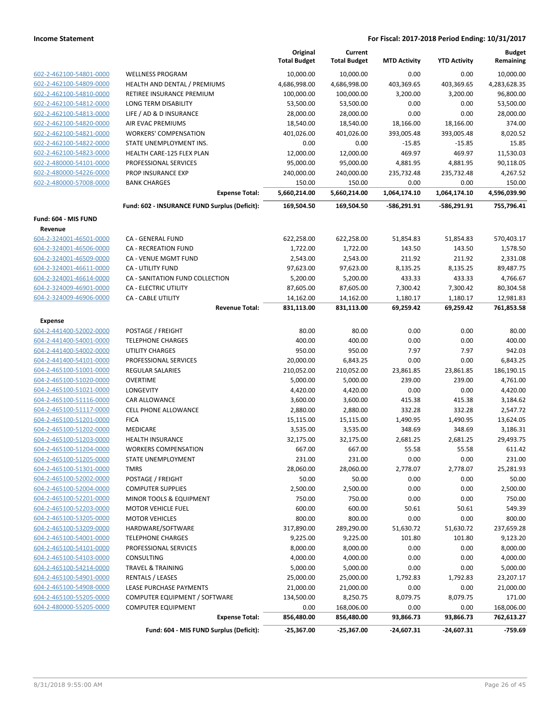|                         |                                               | Original<br><b>Total Budget</b> | Current<br><b>Total Budget</b> | <b>MTD Activity</b> | <b>YTD Activity</b> | Budget<br>Remaining |
|-------------------------|-----------------------------------------------|---------------------------------|--------------------------------|---------------------|---------------------|---------------------|
| 602-2-462100-54801-0000 | <b>WELLNESS PROGRAM</b>                       | 10,000.00                       | 10,000.00                      | 0.00                | 0.00                | 10,000.00           |
| 602-2-462100-54809-0000 | HEALTH AND DENTAL / PREMIUMS                  | 4,686,998.00                    | 4,686,998.00                   | 403,369.65          | 403,369.65          | 4,283,628.35        |
| 602-2-462100-54810-0000 | RETIREE INSURANCE PREMIUM                     | 100,000.00                      | 100,000.00                     | 3,200.00            | 3,200.00            | 96,800.00           |
| 602-2-462100-54812-0000 | LONG TERM DISABILITY                          | 53,500.00                       | 53,500.00                      | 0.00                | 0.00                | 53,500.00           |
| 602-2-462100-54813-0000 | LIFE / AD & D INSURANCE                       | 28,000.00                       | 28,000.00                      | 0.00                | 0.00                | 28,000.00           |
| 602-2-462100-54820-0000 | AIR EVAC PREMIUMS                             | 18,540.00                       | 18,540.00                      | 18,166.00           | 18,166.00           | 374.00              |
| 602-2-462100-54821-0000 | <b>WORKERS' COMPENSATION</b>                  | 401,026.00                      | 401,026.00                     | 393,005.48          | 393,005.48          | 8,020.52            |
| 602-2-462100-54822-0000 | STATE UNEMPLOYMENT INS.                       | 0.00                            | 0.00                           | $-15.85$            | $-15.85$            | 15.85               |
| 602-2-462100-54823-0000 | <b>HEALTH CARE-125 FLEX PLAN</b>              | 12,000.00                       | 12,000.00                      | 469.97              | 469.97              | 11,530.03           |
| 602-2-480000-54101-0000 | PROFESSIONAL SERVICES                         | 95,000.00                       | 95,000.00                      | 4,881.95            | 4,881.95            | 90,118.05           |
| 602-2-480000-54226-0000 | PROP INSURANCE EXP                            | 240,000.00                      | 240,000.00                     | 235,732.48          | 235,732.48          | 4,267.52            |
| 602-2-480000-57008-0000 | <b>BANK CHARGES</b>                           | 150.00                          | 150.00                         | 0.00                | 0.00                | 150.00              |
|                         | <b>Expense Total:</b>                         | 5,660,214.00                    | 5,660,214.00                   | 1,064,174.10        | 1,064,174.10        | 4,596,039.90        |
|                         | Fund: 602 - INSURANCE FUND Surplus (Deficit): | 169,504.50                      | 169,504.50                     | -586,291.91         | -586,291.91         | 755,796.41          |
| Fund: 604 - MIS FUND    |                                               |                                 |                                |                     |                     |                     |
| Revenue                 |                                               |                                 |                                |                     |                     |                     |
| 604-2-324001-46501-0000 | CA - GENERAL FUND                             | 622,258.00                      | 622,258.00                     | 51,854.83           | 51,854.83           | 570,403.17          |
| 604-2-324001-46506-0000 | CA - RECREATION FUND                          | 1,722.00                        | 1,722.00                       | 143.50              | 143.50              | 1,578.50            |
| 604-2-324001-46509-0000 | CA - VENUE MGMT FUND                          | 2,543.00                        | 2,543.00                       | 211.92              | 211.92              | 2,331.08            |
| 604-2-324001-46611-0000 | CA - UTILITY FUND                             | 97,623.00                       | 97,623.00                      | 8,135.25            | 8,135.25            | 89,487.75           |
| 604-2-324001-46614-0000 | CA - SANITATION FUND COLLECTION               | 5,200.00                        | 5,200.00                       | 433.33              | 433.33              | 4,766.67            |
| 604-2-324009-46901-0000 | CA - ELECTRIC UTILITY                         | 87,605.00                       | 87,605.00                      | 7,300.42            | 7,300.42            | 80,304.58           |
| 604-2-324009-46906-0000 | CA - CABLE UTILITY                            | 14,162.00                       | 14,162.00                      | 1,180.17            | 1,180.17            | 12,981.83           |
|                         | <b>Revenue Total:</b>                         | 831,113.00                      | 831,113.00                     | 69,259.42           | 69,259.42           | 761,853.58          |
| Expense                 |                                               |                                 |                                |                     |                     |                     |
| 604-2-441400-52002-0000 | POSTAGE / FREIGHT                             | 80.00                           | 80.00                          | 0.00                | 0.00                | 80.00               |
| 604-2-441400-54001-0000 | <b>TELEPHONE CHARGES</b>                      | 400.00                          | 400.00                         | 0.00                | 0.00                | 400.00              |
| 604-2-441400-54002-0000 | <b>UTILITY CHARGES</b>                        | 950.00                          | 950.00                         | 7.97                | 7.97                | 942.03              |
| 604-2-441400-54101-0000 | PROFESSIONAL SERVICES                         | 20,000.00                       | 6,843.25                       | 0.00                | 0.00                | 6,843.25            |
| 604-2-465100-51001-0000 | <b>REGULAR SALARIES</b>                       | 210,052.00                      | 210,052.00                     | 23,861.85           | 23,861.85           | 186,190.15          |
| 604-2-465100-51020-0000 | <b>OVERTIME</b>                               | 5,000.00                        | 5,000.00                       | 239.00              | 239.00              | 4,761.00            |
| 604-2-465100-51021-0000 | LONGEVITY                                     | 4,420.00                        | 4,420.00                       | 0.00                | 0.00                | 4,420.00            |
| 604-2-465100-51116-0000 | CAR ALLOWANCE                                 | 3,600.00                        | 3,600.00                       | 415.38              | 415.38              | 3,184.62            |
| 604-2-465100-51117-0000 | CELL PHONE ALLOWANCE                          | 2,880.00                        | 2,880.00                       | 332.28              | 332.28              | 2,547.72            |
| 604-2-465100-51201-0000 | <b>FICA</b>                                   | 15,115.00                       | 15,115.00                      | 1,490.95            | 1,490.95            | 13,624.05           |
| 604-2-465100-51202-0000 | MEDICARE                                      | 3,535.00                        | 3,535.00                       | 348.69              | 348.69              | 3,186.31            |
| 604-2-465100-51203-0000 | <b>HEALTH INSURANCE</b>                       | 32,175.00                       | 32,175.00                      | 2,681.25            | 2,681.25            | 29,493.75           |
| 604-2-465100-51204-0000 | <b>WORKERS COMPENSATION</b>                   | 667.00                          | 667.00                         | 55.58               | 55.58               | 611.42              |
| 604-2-465100-51205-0000 | STATE UNEMPLOYMENT                            | 231.00                          | 231.00                         | 0.00                | 0.00                | 231.00              |
| 604-2-465100-51301-0000 | <b>TMRS</b>                                   | 28,060.00                       | 28,060.00                      | 2,778.07            | 2,778.07            | 25,281.93           |
| 604-2-465100-52002-0000 | POSTAGE / FREIGHT                             | 50.00                           | 50.00                          | 0.00                | 0.00                | 50.00               |
| 604-2-465100-52004-0000 | <b>COMPUTER SUPPLIES</b>                      | 2,500.00                        | 2,500.00                       | 0.00                | 0.00                | 2,500.00            |
| 604-2-465100-52201-0000 | MINOR TOOLS & EQUIPMENT                       | 750.00                          | 750.00                         | 0.00                | 0.00                | 750.00              |
| 604-2-465100-52203-0000 | <b>MOTOR VEHICLE FUEL</b>                     | 600.00                          | 600.00                         | 50.61               | 50.61               | 549.39              |
| 604-2-465100-53205-0000 | <b>MOTOR VEHICLES</b>                         | 800.00                          | 800.00                         | 0.00                | 0.00                | 800.00              |
| 604-2-465100-53209-0000 | HARDWARE/SOFTWARE                             | 317,890.00                      | 289,290.00                     | 51,630.72           | 51,630.72           | 237,659.28          |
| 604-2-465100-54001-0000 | <b>TELEPHONE CHARGES</b>                      | 9,225.00                        | 9,225.00                       | 101.80              | 101.80              | 9,123.20            |
| 604-2-465100-54101-0000 | PROFESSIONAL SERVICES                         | 8,000.00                        | 8,000.00                       | 0.00                | 0.00                | 8,000.00            |
| 604-2-465100-54103-0000 | CONSULTING                                    | 4,000.00                        | 4,000.00                       | 0.00                | 0.00                | 4,000.00            |
| 604-2-465100-54214-0000 | <b>TRAVEL &amp; TRAINING</b>                  | 5,000.00                        | 5,000.00                       | 0.00                | 0.00                | 5,000.00            |
| 604-2-465100-54901-0000 | RENTALS / LEASES                              | 25,000.00                       | 25,000.00                      | 1,792.83            | 1,792.83            | 23,207.17           |
| 604-2-465100-54908-0000 | LEASE PURCHASE PAYMENTS                       | 21,000.00                       | 21,000.00                      | 0.00                | 0.00                | 21,000.00           |
| 604-2-465100-55205-0000 | COMPUTER EQUIPMENT / SOFTWARE                 | 134,500.00                      | 8,250.75                       | 8,079.75            | 8,079.75            | 171.00              |
| 604-2-480000-55205-0000 | <b>COMPUTER EQUIPMENT</b>                     | 0.00                            | 168,006.00                     | 0.00                | 0.00                | 168,006.00          |
|                         | <b>Expense Total:</b>                         | 856,480.00                      | 856,480.00                     | 93,866.73           | 93,866.73           | 762,613.27          |
|                         | Fund: 604 - MIS FUND Surplus (Deficit):       | $-25,367.00$                    | $-25,367.00$                   | $-24,607.31$        | $-24,607.31$        | -759.69             |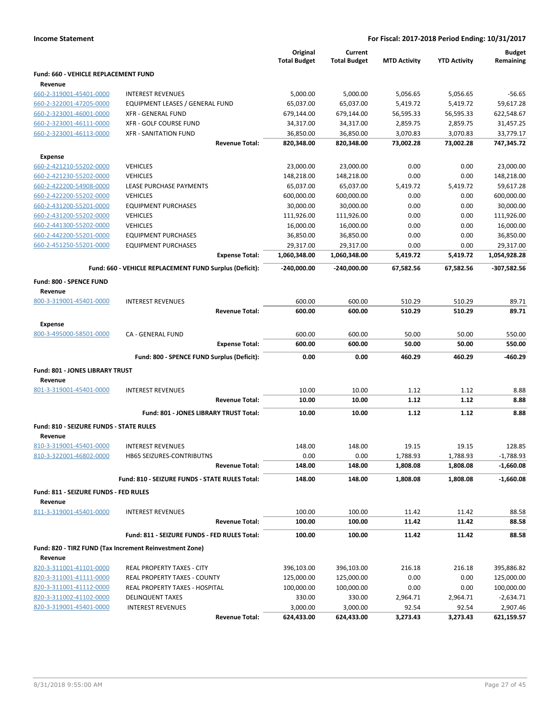| <b>Income Statement</b>                        |                                                         |                                 |                                |                     | For Fiscal: 2017-2018 Period Ending: 10/31/2017 |                            |  |
|------------------------------------------------|---------------------------------------------------------|---------------------------------|--------------------------------|---------------------|-------------------------------------------------|----------------------------|--|
|                                                |                                                         | Original<br><b>Total Budget</b> | Current<br><b>Total Budget</b> | <b>MTD Activity</b> | <b>YTD Activity</b>                             | <b>Budget</b><br>Remaining |  |
| Fund: 660 - VEHICLE REPLACEMENT FUND           |                                                         |                                 |                                |                     |                                                 |                            |  |
| Revenue                                        |                                                         |                                 |                                |                     |                                                 |                            |  |
| 660-2-319001-45401-0000                        | <b>INTEREST REVENUES</b>                                | 5,000.00                        | 5,000.00                       | 5,056.65            | 5,056.65                                        | $-56.65$                   |  |
| 660-2-322001-47205-0000                        | EQUIPMENT LEASES / GENERAL FUND                         | 65,037.00                       | 65,037.00                      | 5,419.72            | 5,419.72                                        | 59,617.28                  |  |
| 660-2-323001-46001-0000                        | <b>XFR - GENERAL FUND</b>                               | 679,144.00                      | 679,144.00                     | 56,595.33           | 56,595.33                                       | 622,548.67                 |  |
| 660-2-323001-46111-0000                        | XFR - GOLF COURSE FUND                                  | 34,317.00                       | 34,317.00                      | 2,859.75            | 2,859.75                                        | 31,457.25                  |  |
| 660-2-323001-46113-0000                        | <b>XFR - SANITATION FUND</b>                            | 36,850.00                       | 36,850.00                      | 3,070.83            | 3,070.83                                        | 33,779.17                  |  |
|                                                | <b>Revenue Total:</b>                                   | 820,348.00                      | 820,348.00                     | 73,002.28           | 73,002.28                                       | 747,345.72                 |  |
| Expense                                        |                                                         |                                 |                                |                     |                                                 |                            |  |
| 660-2-421210-55202-0000                        | <b>VEHICLES</b>                                         | 23,000.00                       | 23,000.00                      | 0.00                | 0.00                                            | 23,000.00                  |  |
| 660-2-421230-55202-0000                        | <b>VEHICLES</b>                                         | 148,218.00                      | 148,218.00                     | 0.00                | 0.00                                            | 148,218.00                 |  |
| 660-2-422200-54908-0000                        | LEASE PURCHASE PAYMENTS                                 | 65,037.00                       | 65,037.00                      | 5,419.72            | 5,419.72                                        | 59,617.28                  |  |
| 660-2-422200-55202-0000                        | <b>VEHICLES</b>                                         | 600,000.00                      | 600,000.00                     | 0.00                | 0.00                                            | 600,000.00                 |  |
| 660-2-431200-55201-0000                        | <b>EQUIPMENT PURCHASES</b>                              | 30,000.00                       | 30,000.00                      | 0.00                | 0.00                                            | 30,000.00                  |  |
| 660-2-431200-55202-0000                        | <b>VEHICLES</b>                                         | 111,926.00                      | 111,926.00                     | 0.00                | 0.00                                            | 111,926.00                 |  |
| 660-2-441300-55202-0000                        | <b>VEHICLES</b>                                         | 16,000.00                       | 16,000.00                      | 0.00                | 0.00                                            | 16,000.00                  |  |
| 660-2-442200-55201-0000                        | <b>EQUIPMENT PURCHASES</b>                              | 36,850.00                       | 36,850.00                      | 0.00                | 0.00                                            | 36,850.00                  |  |
| 660-2-451250-55201-0000                        | <b>EQUIPMENT PURCHASES</b>                              | 29,317.00                       | 29,317.00                      | 0.00                | 0.00                                            | 29,317.00                  |  |
|                                                | <b>Expense Total:</b>                                   | 1,060,348.00                    | 1,060,348.00                   | 5,419.72            | 5,419.72                                        | 1,054,928.28               |  |
|                                                | Fund: 660 - VEHICLE REPLACEMENT FUND Surplus (Deficit): | $-240,000.00$                   | $-240,000.00$                  | 67,582.56           | 67,582.56                                       | -307,582.56                |  |
| Fund: 800 - SPENCE FUND                        |                                                         |                                 |                                |                     |                                                 |                            |  |
| Revenue                                        |                                                         |                                 |                                |                     |                                                 |                            |  |
| 800-3-319001-45401-0000                        | <b>INTEREST REVENUES</b>                                | 600.00                          | 600.00                         | 510.29              | 510.29                                          | 89.71                      |  |
|                                                | <b>Revenue Total:</b>                                   | 600.00                          | 600.00                         | 510.29              | 510.29                                          | 89.71                      |  |
|                                                |                                                         |                                 |                                |                     |                                                 |                            |  |
| Expense                                        |                                                         |                                 |                                |                     |                                                 |                            |  |
| 800-3-495000-58501-0000                        | CA - GENERAL FUND                                       | 600.00                          | 600.00                         | 50.00               | 50.00                                           | 550.00                     |  |
|                                                | <b>Expense Total:</b>                                   | 600.00                          | 600.00                         | 50.00               | 50.00                                           | 550.00                     |  |
|                                                | Fund: 800 - SPENCE FUND Surplus (Deficit):              | 0.00                            | 0.00                           | 460.29              | 460.29                                          | -460.29                    |  |
| Fund: 801 - JONES LIBRARY TRUST                |                                                         |                                 |                                |                     |                                                 |                            |  |
| Revenue                                        |                                                         |                                 |                                |                     |                                                 |                            |  |
| 801-3-319001-45401-0000                        | <b>INTEREST REVENUES</b>                                | 10.00                           | 10.00                          | 1.12                | 1.12                                            | 8.88                       |  |
|                                                | <b>Revenue Total:</b>                                   | 10.00                           | 10.00                          | 1.12                | 1.12                                            | 8.88                       |  |
|                                                | Fund: 801 - JONES LIBRARY TRUST Total:                  | 10.00                           | 10.00                          | 1.12                | 1.12                                            | 8.88                       |  |
|                                                |                                                         |                                 |                                |                     |                                                 |                            |  |
| <b>Fund: 810 - SEIZURE FUNDS - STATE RULES</b> |                                                         |                                 |                                |                     |                                                 |                            |  |
| Revenue                                        |                                                         |                                 |                                |                     |                                                 |                            |  |
| 810-3-319001-45401-0000                        | <b>INTEREST REVENUES</b>                                | 148.00                          | 148.00                         | 19.15               | 19.15                                           | 128.85                     |  |
| 810-3-322001-46802-0000                        | HB65 SEIZURES-CONTRIBUTNS                               | 0.00                            | 0.00                           | 1,788.93            | 1,788.93                                        | $-1,788.93$                |  |
|                                                | <b>Revenue Total:</b>                                   | 148.00                          | 148.00                         | 1,808.08            | 1,808.08                                        | $-1,660.08$                |  |
|                                                | Fund: 810 - SEIZURE FUNDS - STATE RULES Total:          | 148.00                          | 148.00                         | 1,808.08            | 1,808.08                                        | $-1,660.08$                |  |
| Fund: 811 - SEIZURE FUNDS - FED RULES          |                                                         |                                 |                                |                     |                                                 |                            |  |
| Revenue                                        |                                                         |                                 |                                |                     |                                                 |                            |  |
| 811-3-319001-45401-0000                        | <b>INTEREST REVENUES</b>                                | 100.00                          | 100.00                         | 11.42               | 11.42                                           | 88.58                      |  |
|                                                | <b>Revenue Total:</b>                                   | 100.00                          | 100.00                         | 11.42               | 11.42                                           | 88.58                      |  |
|                                                | Fund: 811 - SEIZURE FUNDS - FED RULES Total:            | 100.00                          | 100.00                         | 11.42               | 11.42                                           | 88.58                      |  |
|                                                |                                                         |                                 |                                |                     |                                                 |                            |  |
|                                                | Fund: 820 - TIRZ FUND (Tax Increment Reinvestment Zone) |                                 |                                |                     |                                                 |                            |  |
| Revenue                                        |                                                         |                                 |                                |                     |                                                 |                            |  |
| 820-3-311001-41101-0000                        | REAL PROPERTY TAXES - CITY                              | 396,103.00                      | 396,103.00                     | 216.18              | 216.18                                          | 395,886.82                 |  |
| 820-3-311001-41111-0000                        | REAL PROPERTY TAXES - COUNTY                            | 125,000.00                      | 125,000.00                     | 0.00                | 0.00                                            | 125,000.00                 |  |
| 820-3-311001-41112-0000                        | REAL PROPERTY TAXES - HOSPITAL                          | 100,000.00                      | 100,000.00                     | 0.00                | 0.00                                            | 100,000.00                 |  |
| 820-3-311002-41102-0000                        | <b>DELINQUENT TAXES</b>                                 | 330.00                          | 330.00                         | 2,964.71            | 2,964.71                                        | $-2,634.71$                |  |
| 820-3-319001-45401-0000                        | <b>INTEREST REVENUES</b>                                | 3,000.00                        | 3,000.00                       | 92.54               | 92.54                                           | 2,907.46                   |  |
|                                                | <b>Revenue Total:</b>                                   | 624,433.00                      | 624,433.00                     | 3,273.43            | 3,273.43                                        | 621,159.57                 |  |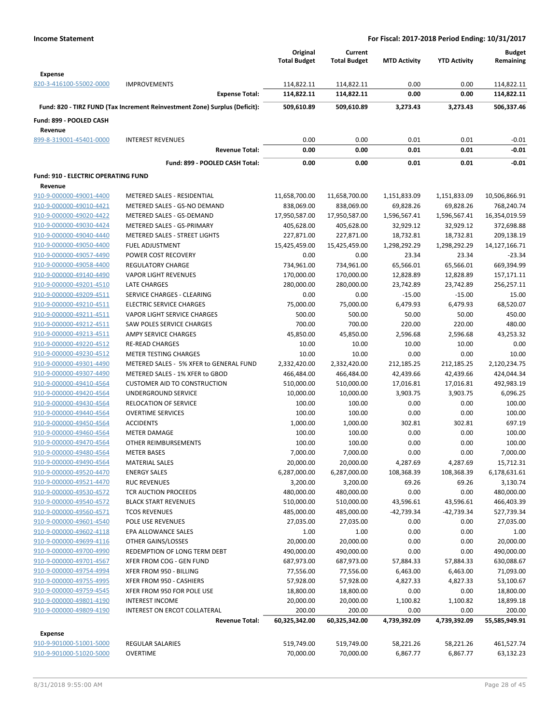|                                            |                                                                            | Original<br><b>Total Budget</b> | Current<br><b>Total Budget</b> | <b>MTD Activity</b> | <b>YTD Activity</b> | <b>Budget</b><br>Remaining |
|--------------------------------------------|----------------------------------------------------------------------------|---------------------------------|--------------------------------|---------------------|---------------------|----------------------------|
| <b>Expense</b>                             |                                                                            |                                 |                                |                     |                     |                            |
| 820-3-416100-55002-0000                    | <b>IMPROVEMENTS</b><br><b>Expense Total:</b>                               | 114,822.11<br>114,822.11        | 114,822.11<br>114,822.11       | 0.00<br>0.00        | 0.00<br>0.00        | 114,822.11<br>114,822.11   |
|                                            |                                                                            |                                 |                                |                     |                     |                            |
|                                            | Fund: 820 - TIRZ FUND (Tax Increment Reinvestment Zone) Surplus (Deficit): | 509,610.89                      | 509,610.89                     | 3,273.43            | 3.273.43            | 506,337.46                 |
| Fund: 899 - POOLED CASH<br>Revenue         |                                                                            |                                 |                                |                     |                     |                            |
| 899-8-319001-45401-0000                    | <b>INTEREST REVENUES</b>                                                   | 0.00                            | 0.00                           | 0.01                | 0.01                | $-0.01$                    |
|                                            | <b>Revenue Total:</b>                                                      | 0.00                            | 0.00                           | 0.01                | 0.01                | $-0.01$                    |
|                                            | Fund: 899 - POOLED CASH Total:                                             | 0.00                            | 0.00                           | 0.01                | 0.01                | $-0.01$                    |
| <b>Fund: 910 - ELECTRIC OPERATING FUND</b> |                                                                            |                                 |                                |                     |                     |                            |
| Revenue<br>910-9-000000-49001-4400         | METERED SALES - RESIDENTIAL                                                | 11,658,700.00                   | 11,658,700.00                  | 1,151,833.09        | 1,151,833.09        | 10,506,866.91              |
| 910-9-000000-49010-4421                    | METERED SALES - GS-NO DEMAND                                               | 838,069.00                      | 838,069.00                     | 69,828.26           | 69,828.26           | 768,240.74                 |
| 910-9-000000-49020-4422                    | METERED SALES - GS-DEMAND                                                  | 17,950,587.00                   | 17,950,587.00                  | 1,596,567.41        | 1,596,567.41        | 16,354,019.59              |
| 910-9-000000-49030-4424                    | METERED SALES - GS-PRIMARY                                                 | 405,628.00                      | 405,628.00                     | 32,929.12           | 32,929.12           | 372,698.88                 |
| 910-9-000000-49040-4440                    | <b>METERED SALES - STREET LIGHTS</b>                                       | 227,871.00                      | 227,871.00                     | 18,732.81           | 18,732.81           | 209,138.19                 |
| 910-9-000000-49050-4400                    | <b>FUEL ADJUSTMENT</b>                                                     | 15,425,459.00                   | 15,425,459.00                  | 1,298,292.29        | 1,298,292.29        | 14,127,166.71              |
| 910-9-000000-49057-4490                    | POWER COST RECOVERY                                                        | 0.00                            | 0.00                           | 23.34               | 23.34               | $-23.34$                   |
| 910-9-000000-49058-4400                    | <b>REGULATORY CHARGE</b>                                                   | 734,961.00                      | 734,961.00                     | 65,566.01           | 65,566.01           | 669,394.99                 |
| 910-9-000000-49140-4490                    | <b>VAPOR LIGHT REVENUES</b>                                                | 170,000.00                      | 170,000.00                     | 12,828.89           | 12,828.89           | 157,171.11                 |
| 910-9-000000-49201-4510                    | <b>LATE CHARGES</b>                                                        | 280,000.00                      | 280,000.00                     | 23,742.89           | 23,742.89           | 256,257.11                 |
| 910-9-000000-49209-4511                    | SERVICE CHARGES - CLEARING                                                 | 0.00                            | 0.00                           | $-15.00$            | $-15.00$            | 15.00                      |
| 910-9-000000-49210-4511                    | <b>ELECTRIC SERVICE CHARGES</b>                                            | 75,000.00                       | 75,000.00                      | 6,479.93            | 6,479.93            | 68,520.07                  |
| 910-9-000000-49211-4511                    | VAPOR LIGHT SERVICE CHARGES                                                | 500.00                          | 500.00                         | 50.00               | 50.00               | 450.00                     |
| 910-9-000000-49212-4511                    | SAW POLES SERVICE CHARGES                                                  | 700.00                          | 700.00                         | 220.00              | 220.00              | 480.00                     |
| 910-9-000000-49213-4511                    | <b>AMPY SERVICE CHARGES</b>                                                | 45,850.00                       | 45,850.00                      | 2,596.68            | 2,596.68            | 43,253.32                  |
| 910-9-000000-49220-4512                    | <b>RE-READ CHARGES</b>                                                     | 10.00                           | 10.00                          | 10.00               | 10.00               | 0.00                       |
| 910-9-000000-49230-4512                    | <b>METER TESTING CHARGES</b>                                               | 10.00                           | 10.00                          | 0.00                | 0.00                | 10.00                      |
| 910-9-000000-49301-4490                    | METERED SALES - 5% XFER to GENERAL FUND                                    | 2,332,420.00                    | 2,332,420.00                   | 212,185.25          | 212,185.25          | 2,120,234.75               |
| 910-9-000000-49307-4490                    | METERED SALES - 1% XFER to GBOD                                            | 466,484.00                      | 466,484.00                     | 42,439.66           | 42,439.66           | 424,044.34                 |
| 910-9-000000-49410-4564                    | <b>CUSTOMER AID TO CONSTRUCTION</b>                                        | 510,000.00                      | 510,000.00                     | 17,016.81           | 17,016.81           | 492,983.19                 |
| 910-9-000000-49420-4564                    | UNDERGROUND SERVICE                                                        | 10,000.00                       | 10,000.00                      | 3,903.75            | 3,903.75            | 6,096.25                   |
| 910-9-000000-49430-4564                    | <b>RELOCATION OF SERVICE</b>                                               | 100.00                          | 100.00                         | 0.00                | 0.00                | 100.00                     |
| 910-9-000000-49440-4564                    | <b>OVERTIME SERVICES</b>                                                   | 100.00                          | 100.00                         | 0.00                | 0.00                | 100.00                     |
| 910-9-000000-49450-4564                    | <b>ACCIDENTS</b>                                                           | 1,000.00                        | 1,000.00                       | 302.81              | 302.81              | 697.19                     |
| 910-9-000000-49460-4564                    | <b>METER DAMAGE</b>                                                        | 100.00                          | 100.00                         | 0.00                | 0.00                | 100.00                     |
| 910-9-000000-49470-4564                    | OTHER REIMBURSEMENTS                                                       | 100.00                          | 100.00                         | 0.00                | 0.00                | 100.00                     |
| 910-9-000000-49480-4564                    | <b>METER BASES</b>                                                         | 7,000.00                        | 7,000.00                       | 0.00                | 0.00                | 7,000.00                   |
| 910-9-000000-49490-4564                    | <b>MATERIAL SALES</b>                                                      | 20,000.00                       | 20,000.00                      | 4,287.69            | 4,287.69            | 15,712.31                  |
| 910-9-000000-49520-4470                    | <b>ENERGY SALES</b>                                                        | 6,287,000.00                    | 6,287,000.00                   | 108,368.39          | 108,368.39          | 6,178,631.61               |
| 910-9-000000-49521-4470                    | <b>RUC REVENUES</b>                                                        | 3,200.00                        | 3,200.00                       | 69.26               | 69.26               | 3,130.74                   |
| 910-9-000000-49530-4572                    | TCR AUCTION PROCEEDS                                                       | 480,000.00                      | 480,000.00                     | 0.00                | 0.00                | 480,000.00                 |
| 910-9-000000-49540-4572                    | <b>BLACK START REVENUES</b>                                                | 510,000.00                      | 510,000.00                     | 43,596.61           | 43,596.61           | 466,403.39                 |
| 910-9-000000-49560-4571                    | <b>TCOS REVENUES</b>                                                       | 485,000.00                      | 485,000.00                     | $-42,739.34$        | $-42,739.34$        | 527,739.34                 |
| 910-9-000000-49601-4540                    | POLE USE REVENUES                                                          | 27,035.00                       | 27,035.00                      | 0.00                | 0.00                | 27,035.00                  |
| 910-9-000000-49602-4118                    | EPA ALLOWANCE SALES                                                        | 1.00                            | 1.00                           | 0.00                | 0.00                | 1.00                       |
| 910-9-000000-49699-4116                    | OTHER GAINS/LOSSES                                                         | 20,000.00                       | 20,000.00                      | 0.00                | 0.00                | 20,000.00                  |
| 910-9-000000-49700-4990                    | REDEMPTION OF LONG TERM DEBT                                               | 490,000.00                      | 490,000.00                     | 0.00                | 0.00                | 490,000.00                 |
| 910-9-000000-49701-4567                    | XFER FROM COG - GEN FUND                                                   | 687,973.00                      | 687,973.00                     | 57,884.33           | 57,884.33           | 630,088.67                 |
| 910-9-000000-49754-4994                    | XFER FROM 950 - BILLING                                                    | 77,556.00                       | 77,556.00                      | 6,463.00            | 6,463.00            | 71,093.00                  |
| 910-9-000000-49755-4995                    | XFER FROM 950 - CASHIERS                                                   | 57,928.00                       | 57,928.00                      | 4,827.33            | 4,827.33            | 53,100.67                  |
| 910-9-000000-49759-4545                    | XFER FROM 950 FOR POLE USE                                                 | 18,800.00                       | 18,800.00                      | 0.00                | 0.00                | 18,800.00                  |
| 910-9-000000-49801-4190                    | <b>INTEREST INCOME</b>                                                     | 20,000.00                       | 20,000.00                      | 1,100.82            | 1,100.82            | 18,899.18                  |
| 910-9-000000-49809-4190                    | INTEREST ON ERCOT COLLATERAL                                               | 200.00                          | 200.00                         | 0.00                | 0.00                | 200.00                     |
|                                            | <b>Revenue Total:</b>                                                      | 60,325,342.00                   | 60,325,342.00                  | 4,739,392.09        | 4,739,392.09        | 55,585,949.91              |
| <b>Expense</b>                             |                                                                            |                                 |                                |                     |                     |                            |
| 910-9-901000-51001-5000                    | <b>REGULAR SALARIES</b>                                                    | 519,749.00                      | 519,749.00                     | 58,221.26           | 58,221.26           | 461,527.74                 |
| 910-9-901000-51020-5000                    | OVERTIME                                                                   | 70,000.00                       | 70,000.00                      | 6,867.77            | 6,867.77            | 63,132.23                  |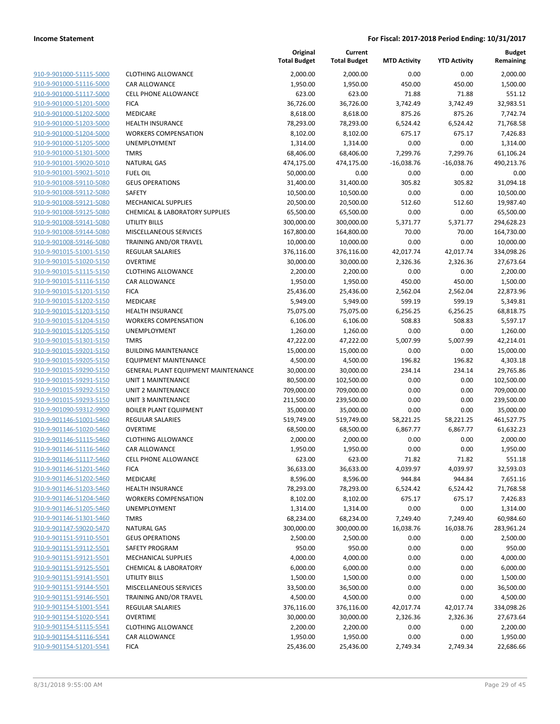| 910-9-901000-51115-5000        |
|--------------------------------|
| 910-9-901000-51116-5000        |
| 910-9-901000-51117-5000        |
| 910-9-901000-51201-5000        |
| 910-9-901000-51202-5000        |
| 910-9-901000-51203-5000        |
| 910-9-901000-51204-5000        |
| 910-9-901000-51205-5000        |
| 910-9-901000-51301-5000        |
| 910-9-901001-59020-5010        |
| 910-9-901001-59021-5010        |
| 910-9-901008-59110-5080        |
| 910-9-901008-59112-5080        |
| <u>910-9-901008-59121-5080</u> |
| <u>910-9-901008-59125-5080</u> |
| 910-9-901008-59141-5080        |
| 910-9-901008-59144-5080        |
| 910-9-901008-59146-5080        |
| <u>910-9-901015-51001-5150</u> |
| 910-9-901015-51020-5150        |
| 910-9-901015-51115-5150        |
| 910-9-901015-51116-5150        |
| 910-9-901015-51201-5150        |
| <u>910-9-901015-51202-5150</u> |
| 910-9-901015-51203-5150        |
| 910-9-901015-51204-5150        |
| 910-9-901015-51205-5150        |
| 910-9-901015-51301-5150        |
| <u>910-9-901015-59201-5150</u> |
| <u>910-9-901015-59205-5150</u> |
| 910-9-901015-59290-5150        |
| 910-9-901015-59291-5150        |
| 910-9-901015-59292-5150        |
| <u>910-9-901015-59293-5150</u> |
| <u>910-9-901090-59312-9900</u> |
| 910-9-901146-51001-5460        |
| 910-9-901146-51020-5460        |
| 910-9-901146-51115-5460        |
| <u>910-9-901146-51116-5460</u> |
| <u>910-9-901146-51117-5460</u> |
| 910-9-901146-51201-5460        |
| 910-9-901146-51202-5460        |
| 910-9-901146-51203-5460        |
| 910-9-901146-51204-5460        |
| 910-9-901146-51205-5460        |
| 910-9-901146-51301-5460        |
| 910-9-901147-59020-5470        |
| 910-9-901151-59110-5501        |
| 910-9-901151-59112-5501        |
| <u>910-9-901151-59121-5501</u> |
| 910-9-901151-59125-5501        |
| 910-9-901151-59141-5501        |
| 910-9-901151-59144-5501        |
| 910-9-901151-59146-5501        |
| <u>910-9-901154-51001-5541</u> |
| 910-9-901154-51020-5541        |
| 910-9-901154-51115-5541        |
| 910-9-901154-51116-5541        |
| 910-9-901154-51201-5541        |
|                                |

|                                                    |                                           | Original<br><b>Total Budget</b> | Current<br><b>Total Budget</b> | <b>MTD Activity</b> | <b>YTD Activity</b> | <b>Budget</b><br>Remaining |
|----------------------------------------------------|-------------------------------------------|---------------------------------|--------------------------------|---------------------|---------------------|----------------------------|
| 910-9-901000-51115-5000                            | <b>CLOTHING ALLOWANCE</b>                 | 2,000.00                        | 2,000.00                       | 0.00                | 0.00                | 2,000.00                   |
| 910-9-901000-51116-5000                            | CAR ALLOWANCE                             | 1,950.00                        | 1,950.00                       | 450.00              | 450.00              | 1,500.00                   |
| 910-9-901000-51117-5000                            | CELL PHONE ALLOWANCE                      | 623.00                          | 623.00                         | 71.88               | 71.88               | 551.12                     |
| 910-9-901000-51201-5000                            | <b>FICA</b>                               | 36,726.00                       | 36,726.00                      | 3,742.49            | 3,742.49            | 32,983.51                  |
| 910-9-901000-51202-5000                            | <b>MEDICARE</b>                           | 8,618.00                        | 8,618.00                       | 875.26              | 875.26              | 7,742.74                   |
| 910-9-901000-51203-5000                            | <b>HEALTH INSURANCE</b>                   | 78,293.00                       | 78,293.00                      | 6,524.42            | 6,524.42            | 71,768.58                  |
| 910-9-901000-51204-5000                            | <b>WORKERS COMPENSATION</b>               | 8,102.00                        | 8,102.00                       | 675.17              | 675.17              | 7,426.83                   |
| 910-9-901000-51205-5000                            | UNEMPLOYMENT                              | 1,314.00                        | 1,314.00                       | 0.00                | 0.00                | 1,314.00                   |
| 910-9-901000-51301-5000                            | <b>TMRS</b>                               | 68,406.00                       | 68,406.00                      | 7,299.76            | 7,299.76            | 61,106.24                  |
| 910-9-901001-59020-5010                            | <b>NATURAL GAS</b>                        | 474,175.00                      | 474,175.00                     | $-16,038.76$        | $-16,038.76$        | 490,213.76                 |
| 910-9-901001-59021-5010                            | <b>FUEL OIL</b>                           | 50,000.00                       | 0.00                           | 0.00                | 0.00                | 0.00                       |
| 910-9-901008-59110-5080                            | <b>GEUS OPERATIONS</b>                    | 31,400.00                       | 31,400.00                      | 305.82              | 305.82              | 31,094.18                  |
| 910-9-901008-59112-5080                            | SAFETY                                    | 10,500.00                       | 10,500.00                      | 0.00                | 0.00                | 10,500.00                  |
| 910-9-901008-59121-5080                            | <b>MECHANICAL SUPPLIES</b>                | 20,500.00                       | 20,500.00                      | 512.60              | 512.60              | 19,987.40                  |
| 910-9-901008-59125-5080                            | <b>CHEMICAL &amp; LABORATORY SUPPLIES</b> | 65,500.00                       | 65,500.00                      | 0.00                | 0.00                | 65,500.00                  |
| 910-9-901008-59141-5080                            | <b>UTILITY BILLS</b>                      | 300,000.00                      | 300,000.00                     | 5,371.77            | 5,371.77            | 294,628.23                 |
| 910-9-901008-59144-5080                            | MISCELLANEOUS SERVICES                    | 167,800.00                      | 164,800.00                     | 70.00               | 70.00               | 164,730.00                 |
| 910-9-901008-59146-5080                            | <b>TRAINING AND/OR TRAVEL</b>             | 10,000.00                       | 10,000.00                      | 0.00                | 0.00                | 10,000.00                  |
| 910-9-901015-51001-5150                            | <b>REGULAR SALARIES</b>                   | 376,116.00                      | 376,116.00                     | 42,017.74           | 42,017.74           | 334,098.26                 |
| 910-9-901015-51020-5150                            | <b>OVERTIME</b>                           | 30,000.00                       | 30,000.00                      | 2,326.36            | 2,326.36            | 27,673.64                  |
| 910-9-901015-51115-5150                            | <b>CLOTHING ALLOWANCE</b>                 | 2,200.00                        | 2,200.00                       | 0.00                | 0.00                | 2,200.00                   |
| 910-9-901015-51116-5150                            | CAR ALLOWANCE                             | 1,950.00                        | 1,950.00                       | 450.00              | 450.00              | 1,500.00                   |
| 910-9-901015-51201-5150                            | <b>FICA</b><br><b>MEDICARE</b>            | 25,436.00                       | 25,436.00                      | 2,562.04            | 2,562.04            | 22,873.96                  |
| 910-9-901015-51202-5150<br>910-9-901015-51203-5150 | <b>HEALTH INSURANCE</b>                   | 5,949.00                        | 5,949.00                       | 599.19<br>6,256.25  | 599.19<br>6,256.25  | 5,349.81<br>68,818.75      |
| 910-9-901015-51204-5150                            | <b>WORKERS COMPENSATION</b>               | 75,075.00<br>6,106.00           | 75,075.00<br>6,106.00          | 508.83              | 508.83              | 5,597.17                   |
| 910-9-901015-51205-5150                            | UNEMPLOYMENT                              | 1,260.00                        | 1,260.00                       | 0.00                | 0.00                | 1,260.00                   |
| 910-9-901015-51301-5150                            | <b>TMRS</b>                               | 47,222.00                       | 47,222.00                      | 5,007.99            | 5,007.99            | 42,214.01                  |
| 910-9-901015-59201-5150                            | <b>BUILDING MAINTENANCE</b>               | 15,000.00                       | 15,000.00                      | 0.00                | 0.00                | 15,000.00                  |
| 910-9-901015-59205-5150                            | <b>EQUIPMENT MAINTENANCE</b>              | 4,500.00                        | 4,500.00                       | 196.82              | 196.82              | 4,303.18                   |
| 910-9-901015-59290-5150                            | GENERAL PLANT EQUIPMENT MAINTENANCE       | 30,000.00                       | 30,000.00                      | 234.14              | 234.14              | 29,765.86                  |
| 910-9-901015-59291-5150                            | UNIT 1 MAINTENANCE                        | 80,500.00                       | 102,500.00                     | 0.00                | 0.00                | 102,500.00                 |
| 910-9-901015-59292-5150                            | UNIT 2 MAINTENANCE                        | 709,000.00                      | 709,000.00                     | 0.00                | 0.00                | 709,000.00                 |
| 910-9-901015-59293-5150                            | UNIT 3 MAINTENANCE                        | 211,500.00                      | 239,500.00                     | 0.00                | 0.00                | 239,500.00                 |
| 910-9-901090-59312-9900                            | <b>BOILER PLANT EQUIPMENT</b>             | 35,000.00                       | 35,000.00                      | 0.00                | 0.00                | 35,000.00                  |
| 910-9-901146-51001-5460                            | <b>REGULAR SALARIES</b>                   | 519,749.00                      | 519,749.00                     | 58,221.25           | 58,221.25           | 461,527.75                 |
| 910-9-901146-51020-5460                            | <b>OVERTIME</b>                           | 68,500.00                       | 68,500.00                      | 6,867.77            | 6,867.77            | 61,632.23                  |
| 910-9-901146-51115-5460                            | <b>CLOTHING ALLOWANCE</b>                 | 2,000.00                        | 2,000.00                       | 0.00                | 0.00                | 2,000.00                   |
| 910-9-901146-51116-5460                            | CAR ALLOWANCE                             | 1,950.00                        | 1,950.00                       | 0.00                | 0.00                | 1,950.00                   |
| 910-9-901146-51117-5460                            | <b>CELL PHONE ALLOWANCE</b>               | 623.00                          | 623.00                         | 71.82               | 71.82               | 551.18                     |
| 910-9-901146-51201-5460                            | <b>FICA</b>                               | 36,633.00                       | 36,633.00                      | 4,039.97            | 4,039.97            | 32,593.03                  |
| 910-9-901146-51202-5460                            | MEDICARE                                  | 8,596.00                        | 8,596.00                       | 944.84              | 944.84              | 7,651.16                   |
| 910-9-901146-51203-5460                            | <b>HEALTH INSURANCE</b>                   | 78,293.00                       | 78,293.00                      | 6,524.42            | 6,524.42            | 71,768.58                  |
| 910-9-901146-51204-5460                            | <b>WORKERS COMPENSATION</b>               | 8,102.00                        | 8,102.00                       | 675.17              | 675.17              | 7,426.83                   |
| 910-9-901146-51205-5460                            | <b>UNEMPLOYMENT</b>                       | 1,314.00                        | 1,314.00                       | 0.00                | 0.00                | 1,314.00                   |
| 910-9-901146-51301-5460                            | <b>TMRS</b>                               | 68,234.00                       | 68,234.00                      | 7,249.40            | 7,249.40            | 60,984.60                  |
| 910-9-901147-59020-5470                            | <b>NATURAL GAS</b>                        | 300,000.00                      | 300,000.00                     | 16,038.76           | 16,038.76           | 283,961.24                 |
| 910-9-901151-59110-5501                            | <b>GEUS OPERATIONS</b>                    | 2,500.00                        | 2,500.00                       | 0.00                | 0.00                | 2,500.00                   |
| 910-9-901151-59112-5501                            | <b>SAFETY PROGRAM</b>                     | 950.00                          | 950.00                         | 0.00                | 0.00                | 950.00                     |
| 910-9-901151-59121-5501                            | <b>MECHANICAL SUPPLIES</b>                | 4,000.00                        | 4,000.00                       | 0.00                | 0.00                | 4,000.00                   |
| 910-9-901151-59125-5501                            | <b>CHEMICAL &amp; LABORATORY</b>          | 6,000.00                        | 6,000.00                       | 0.00                | 0.00                | 6,000.00                   |
| 910-9-901151-59141-5501                            | UTILITY BILLS                             | 1,500.00                        | 1,500.00                       | 0.00                | 0.00                | 1,500.00                   |
| 910-9-901151-59144-5501                            | MISCELLANEOUS SERVICES                    | 33,500.00                       | 36,500.00                      | 0.00                | 0.00                | 36,500.00                  |
| 910-9-901151-59146-5501                            | TRAINING AND/OR TRAVEL                    | 4,500.00                        | 4,500.00                       | 0.00                | 0.00                | 4,500.00                   |
| 910-9-901154-51001-5541                            | <b>REGULAR SALARIES</b>                   | 376,116.00                      | 376,116.00                     | 42,017.74           | 42,017.74           | 334,098.26                 |
| 910-9-901154-51020-5541                            | <b>OVERTIME</b>                           | 30,000.00                       | 30,000.00                      | 2,326.36            | 2,326.36            | 27,673.64                  |
| 910-9-901154-51115-5541                            | <b>CLOTHING ALLOWANCE</b>                 | 2,200.00                        | 2,200.00                       | 0.00                | 0.00                | 2,200.00                   |
| 910-9-901154-51116-5541                            | CAR ALLOWANCE                             | 1,950.00                        | 1,950.00                       | 0.00                | 0.00                | 1,950.00                   |
| 910-9-901154-51201-5541                            | <b>FICA</b>                               | 25,436.00                       | 25,436.00                      | 2,749.34            | 2,749.34            | 22,686.66                  |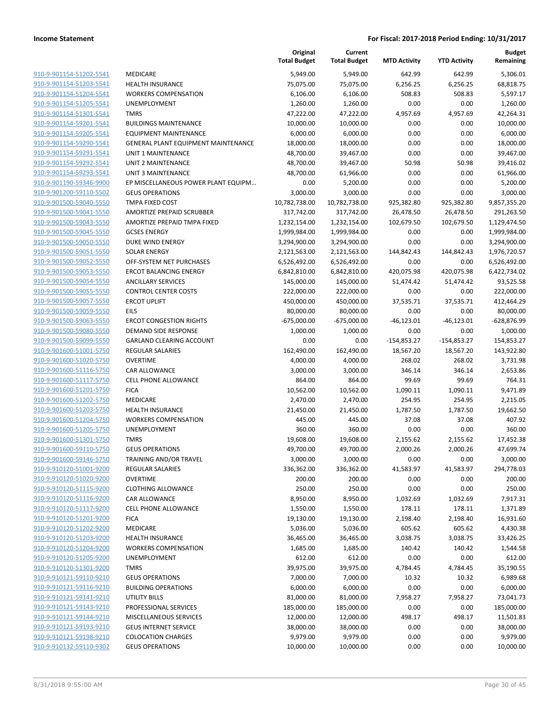|                                                    |                                                    | Original<br><b>Total Budget</b> | Current<br><b>Total Budget</b> | <b>MTD Activity</b> | <b>YTD Activity</b> | <b>Budget</b><br>Remaining |
|----------------------------------------------------|----------------------------------------------------|---------------------------------|--------------------------------|---------------------|---------------------|----------------------------|
| 910-9-901154-51202-5541                            | MEDICARE                                           | 5,949.00                        | 5,949.00                       | 642.99              | 642.99              | 5,306.01                   |
| 910-9-901154-51203-5541                            | HEALTH INSURANCE                                   | 75,075.00                       | 75,075.00                      | 6,256.25            | 6,256.25            | 68,818.75                  |
| 910-9-901154-51204-5541                            | <b>WORKERS COMPENSATION</b>                        | 6,106.00                        | 6,106.00                       | 508.83              | 508.83              | 5,597.17                   |
| 910-9-901154-51205-5541                            | <b>UNEMPLOYMENT</b>                                | 1,260.00                        | 1,260.00                       | 0.00                | 0.00                | 1,260.00                   |
| 910-9-901154-51301-5541                            | <b>TMRS</b>                                        | 47,222.00                       | 47,222.00                      | 4,957.69            | 4,957.69            | 42,264.31                  |
| 910-9-901154-59201-5541                            | <b>BUILDINGS MAINTENANCE</b>                       | 10,000.00                       | 10,000.00                      | 0.00                | 0.00                | 10,000.00                  |
| 910-9-901154-59205-5541                            | <b>EQUIPMENT MAINTENANCE</b>                       | 6,000.00                        | 6,000.00                       | 0.00                | 0.00                | 6,000.00                   |
| 910-9-901154-59290-5541                            | GENERAL PLANT EQUIPMENT MAINTENANCE                | 18,000.00                       | 18,000.00                      | 0.00                | 0.00                | 18,000.00                  |
| 910-9-901154-59291-5541                            | <b>UNIT 1 MAINTENANCE</b>                          | 48,700.00                       | 39,467.00                      | 0.00                | 0.00                | 39,467.00                  |
| 910-9-901154-59292-5541                            | <b>UNIT 2 MAINTENANCE</b>                          | 48,700.00                       | 39,467.00                      | 50.98               | 50.98               | 39,416.02                  |
| 910-9-901154-59293-5541                            | <b>UNIT 3 MAINTENANCE</b>                          | 48,700.00                       | 61,966.00                      | 0.00                | 0.00                | 61,966.00                  |
| 910-9-901190-59346-9900                            | EP MISCELLANEOUS POWER PLANT EQUIPM                | 0.00                            | 5,200.00                       | 0.00                | 0.00                | 5,200.00                   |
| 910-9-901200-59110-5502                            | <b>GEUS OPERATIONS</b>                             | 3,000.00                        | 3,000.00                       | 0.00                | 0.00                | 3,000.00                   |
| 910-9-901500-59040-5550                            | TMPA FIXED COST                                    | 10,782,738.00                   | 10,782,738.00                  | 925,382.80          | 925,382.80          | 9,857,355.20               |
| 910-9-901500-59041-5550                            | AMORTIZE PREPAID SCRUBBER                          | 317,742.00                      | 317,742.00                     | 26,478.50           | 26,478.50           | 291,263.50                 |
| 910-9-901500-59043-5550                            | AMORTIZE PREPAID TMPA FIXED                        | 1,232,154.00                    | 1,232,154.00                   | 102,679.50          | 102,679.50          | 1,129,474.50               |
| 910-9-901500-59045-5550                            | <b>GCSES ENERGY</b>                                | 1,999,984.00                    | 1,999,984.00                   | 0.00                | 0.00                | 1,999,984.00               |
| 910-9-901500-59050-5550                            | DUKE WIND ENERGY                                   | 3,294,900.00                    | 3,294,900.00                   | 0.00                | 0.00                | 3,294,900.00               |
| 910-9-901500-59051-5550                            | <b>SOLAR ENERGY</b>                                | 2,121,563.00                    | 2,121,563.00                   | 144,842.43          | 144,842.43          | 1,976,720.57               |
| 910-9-901500-59052-5550                            | OFF-SYSTEM NET PURCHASES                           | 6,526,492.00                    | 6,526,492.00                   | 0.00                | 0.00                | 6,526,492.00               |
| 910-9-901500-59053-5550                            | <b>ERCOT BALANCING ENERGY</b>                      | 6,842,810.00                    | 6,842,810.00                   | 420,075.98          | 420,075.98          | 6,422,734.02               |
| 910-9-901500-59054-5550                            | <b>ANCILLARY SERVICES</b>                          | 145,000.00                      | 145,000.00                     | 51,474.42           | 51,474.42           | 93,525.58                  |
| 910-9-901500-59055-5550                            | <b>CONTROL CENTER COSTS</b>                        | 222,000.00                      | 222,000.00                     | 0.00                | 0.00                | 222,000.00                 |
| 910-9-901500-59057-5550                            | <b>ERCOT UPLIFT</b>                                | 450,000.00                      | 450,000.00                     | 37,535.71           | 37,535.71           | 412,464.29                 |
| 910-9-901500-59059-5550                            | <b>EILS</b>                                        | 80,000.00                       | 80,000.00                      | 0.00                | 0.00                | 80,000.00                  |
| 910-9-901500-59063-5550                            | <b>ERCOT CONGESTION RIGHTS</b>                     | $-675,000.00$                   | $-675,000.00$                  | $-46,123.01$        | $-46,123.01$        | -628,876.99                |
| 910-9-901500-59080-5550                            | DEMAND SIDE RESPONSE                               | 1,000.00                        | 1,000.00                       | 0.00                | 0.00                | 1,000.00                   |
| 910-9-901500-59099-5550                            | <b>GARLAND CLEARING ACCOUNT</b>                    | 0.00                            | 0.00                           | $-154,853.27$       | $-154,853.27$       | 154,853.27                 |
| 910-9-901600-51001-5750                            | <b>REGULAR SALARIES</b>                            | 162,490.00                      | 162,490.00                     | 18,567.20           | 18,567.20           | 143,922.80                 |
| 910-9-901600-51020-5750                            | <b>OVERTIME</b>                                    | 4,000.00                        | 4,000.00                       | 268.02              | 268.02              | 3,731.98                   |
| 910-9-901600-51116-5750                            | CAR ALLOWANCE                                      | 3,000.00                        | 3,000.00                       | 346.14              | 346.14              | 2,653.86                   |
| 910-9-901600-51117-5750                            | CELL PHONE ALLOWANCE                               | 864.00                          | 864.00                         | 99.69               | 99.69               | 764.31                     |
| 910-9-901600-51201-5750                            | <b>FICA</b>                                        | 10,562.00                       | 10,562.00                      | 1,090.11            | 1,090.11            | 9,471.89                   |
| 910-9-901600-51202-5750                            | MEDICARE                                           | 2,470.00                        | 2,470.00                       | 254.95              | 254.95              | 2,215.05                   |
| 910-9-901600-51203-5750                            | <b>HEALTH INSURANCE</b>                            | 21,450.00                       | 21,450.00                      | 1,787.50            | 1,787.50            | 19,662.50                  |
| 910-9-901600-51204-5750                            | <b>WORKERS COMPENSATION</b>                        | 445.00                          | 445.00                         | 37.08               | 37.08               | 407.92                     |
| 910-9-901600-51205-5750                            | UNEMPLOYMENT                                       | 360.00                          | 360.00                         | 0.00                | 0.00                | 360.00                     |
| 910-9-901600-51301-5750                            | <b>TMRS</b>                                        | 19,608.00                       | 19,608.00                      | 2,155.62            | 2,155.62            | 17,452.38                  |
| 910-9-901600-59110-5750                            | <b>GEUS OPERATIONS</b>                             | 49,700.00                       | 49,700.00                      | 2,000.26            | 2,000.26            | 47,699.74                  |
| 910-9-901600-59146-5750                            | TRAINING AND/OR TRAVEL                             | 3,000.00                        | 3,000.00                       | 0.00                | 0.00                | 3,000.00                   |
| 910-9-910120-51001-9200                            | REGULAR SALARIES                                   | 336,362.00                      | 336,362.00                     | 41,583.97           | 41,583.97           | 294,778.03                 |
| 910-9-910120-51020-9200                            | <b>OVERTIME</b>                                    | 200.00                          | 200.00                         | 0.00                | 0.00                | 200.00                     |
| 910-9-910120-51115-9200                            | <b>CLOTHING ALLOWANCE</b>                          | 250.00                          | 250.00                         | 0.00                | 0.00                | 250.00                     |
| 910-9-910120-51116-9200                            | CAR ALLOWANCE                                      | 8,950.00                        | 8,950.00                       | 1,032.69            | 1,032.69            | 7,917.31                   |
| 910-9-910120-51117-9200                            | CELL PHONE ALLOWANCE                               | 1,550.00                        | 1,550.00                       | 178.11              | 178.11              | 1,371.89                   |
| 910-9-910120-51201-9200                            | <b>FICA</b><br>MEDICARE                            | 19,130.00                       | 19,130.00                      | 2,198.40            | 2,198.40            | 16,931.60                  |
| 910-9-910120-51202-9200<br>910-9-910120-51203-9200 |                                                    | 5,036.00                        | 5,036.00                       | 605.62              | 605.62              | 4,430.38                   |
| 910-9-910120-51204-9200                            | HEALTH INSURANCE                                   | 36,465.00                       | 36,465.00                      | 3,038.75            | 3,038.75            | 33,426.25                  |
|                                                    | <b>WORKERS COMPENSATION</b><br><b>UNEMPLOYMENT</b> | 1,685.00                        | 1,685.00                       | 140.42              | 140.42              | 1,544.58<br>612.00         |
| 910-9-910120-51205-9200                            |                                                    | 612.00                          | 612.00                         | 0.00                | 0.00                |                            |
| 910-9-910120-51301-9200                            | <b>TMRS</b>                                        | 39,975.00                       | 39,975.00                      | 4,784.45            | 4,784.45            | 35,190.55                  |
| 910-9-910121-59110-9210                            | <b>GEUS OPERATIONS</b>                             | 7,000.00                        | 7,000.00                       | 10.32               | 10.32               | 6,989.68                   |
| 910-9-910121-59116-9210                            | <b>BUILDING OPERATIONS</b>                         | 6,000.00                        | 6,000.00                       | 0.00                | 0.00                | 6,000.00                   |
| 910-9-910121-59141-9210                            | <b>UTILITY BILLS</b>                               | 81,000.00                       | 81,000.00                      | 7,958.27            | 7,958.27            | 73,041.73                  |
| 910-9-910121-59143-9210                            | PROFESSIONAL SERVICES                              | 185,000.00                      | 185,000.00                     | 0.00                | 0.00                | 185,000.00                 |
| 910-9-910121-59144-9210                            | MISCELLANEOUS SERVICES                             | 12,000.00                       | 12,000.00                      | 498.17              | 498.17              | 11,501.83                  |
| 910-9-910121-59193-9210                            | <b>GEUS INTERNET SERVICE</b>                       | 38,000.00                       | 38,000.00                      | 0.00                | 0.00                | 38,000.00                  |
| 910-9-910121-59198-9210                            | <b>COLOCATION CHARGES</b>                          | 9,979.00                        | 9,979.00                       | 0.00                | 0.00                | 9,979.00                   |
| 910-9-910132-59110-9302                            | <b>GEUS OPERATIONS</b>                             | 10,000.00                       | 10,000.00                      | 0.00                | 0.00                | 10,000.00                  |
|                                                    |                                                    |                                 |                                |                     |                     |                            |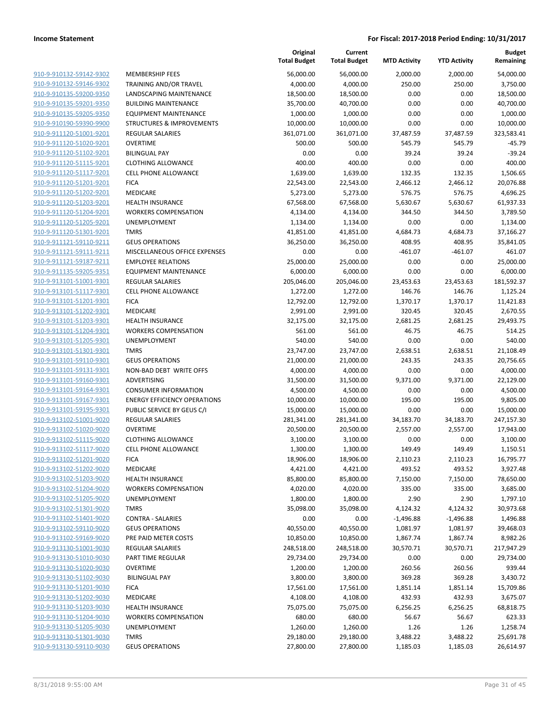|                                                    |                                      | Original<br><b>Total Budget</b> | Current<br><b>Total Budget</b> | <b>MTD Activity</b> | <b>YTD Activity</b> | Budget<br>Remaining    |
|----------------------------------------------------|--------------------------------------|---------------------------------|--------------------------------|---------------------|---------------------|------------------------|
| 910-9-910132-59142-9302                            | <b>MEMBERSHIP FEES</b>               | 56,000.00                       | 56,000.00                      | 2,000.00            | 2,000.00            | 54,000.00              |
| 910-9-910132-59146-9302                            | TRAINING AND/OR TRAVEL               | 4,000.00                        | 4,000.00                       | 250.00              | 250.00              | 3,750.00               |
| 910-9-910135-59200-9350                            | LANDSCAPING MAINTENANCE              | 18,500.00                       | 18,500.00                      | 0.00                | 0.00                | 18,500.00              |
| 910-9-910135-59201-9350                            | <b>BUILDING MAINTENANCE</b>          | 35,700.00                       | 40,700.00                      | 0.00                | 0.00                | 40,700.00              |
| 910-9-910135-59205-9350                            | <b>EQUIPMENT MAINTENANCE</b>         | 1,000.00                        | 1,000.00                       | 0.00                | 0.00                | 1,000.00               |
| 910-9-910190-59390-9900                            | <b>STRUCTURES &amp; IMPROVEMENTS</b> | 10,000.00                       | 10,000.00                      | 0.00                | 0.00                | 10,000.00              |
| 910-9-911120-51001-9201                            | <b>REGULAR SALARIES</b>              | 361,071.00                      | 361,071.00                     | 37,487.59           | 37,487.59           | 323,583.41             |
| 910-9-911120-51020-9201                            | <b>OVERTIME</b>                      | 500.00                          | 500.00                         | 545.79              | 545.79              | $-45.79$               |
| 910-9-911120-51102-9201                            | <b>BILINGUAL PAY</b>                 | 0.00                            | 0.00                           | 39.24               | 39.24               | $-39.24$               |
| 910-9-911120-51115-9201                            | <b>CLOTHING ALLOWANCE</b>            | 400.00                          | 400.00                         | 0.00                | 0.00                | 400.00                 |
| 910-9-911120-51117-9201                            | <b>CELL PHONE ALLOWANCE</b>          | 1,639.00                        | 1,639.00                       | 132.35              | 132.35              | 1,506.65               |
| 910-9-911120-51201-9201                            | <b>FICA</b>                          | 22,543.00                       | 22,543.00                      | 2,466.12            | 2,466.12            | 20,076.88              |
| 910-9-911120-51202-9201                            | <b>MEDICARE</b>                      | 5,273.00                        | 5,273.00                       | 576.75              | 576.75              | 4,696.25               |
| 910-9-911120-51203-9201                            | <b>HEALTH INSURANCE</b>              | 67,568.00                       | 67,568.00                      | 5,630.67            | 5,630.67            | 61,937.33              |
| 910-9-911120-51204-9201                            | <b>WORKERS COMPENSATION</b>          | 4,134.00                        | 4,134.00                       | 344.50              | 344.50              | 3,789.50               |
| 910-9-911120-51205-9201                            | <b>UNEMPLOYMENT</b>                  | 1,134.00                        | 1,134.00                       | 0.00                | 0.00                | 1,134.00               |
| 910-9-911120-51301-9201                            | <b>TMRS</b>                          | 41,851.00                       | 41,851.00                      | 4,684.73            | 4,684.73            | 37,166.27              |
| 910-9-911121-59110-9211                            | <b>GEUS OPERATIONS</b>               | 36,250.00                       | 36,250.00                      | 408.95              | 408.95              | 35,841.05              |
| 910-9-911121-59111-9211                            | MISCELLANEOUS OFFICE EXPENSES        | 0.00                            | 0.00                           | $-461.07$           | $-461.07$           | 461.07                 |
| 910-9-911121-59187-9211                            | <b>EMPLOYEE RELATIONS</b>            | 25,000.00                       | 25,000.00                      | 0.00                | 0.00                | 25,000.00              |
| 910-9-911135-59205-9351                            | EQUIPMENT MAINTENANCE                | 6,000.00                        | 6,000.00                       | 0.00                | 0.00                | 6,000.00               |
| 910-9-913101-51001-9301                            | <b>REGULAR SALARIES</b>              | 205,046.00                      | 205,046.00                     | 23,453.63           | 23,453.63           | 181,592.37             |
| 910-9-913101-51117-9301                            | <b>CELL PHONE ALLOWANCE</b>          | 1,272.00                        | 1,272.00                       | 146.76              | 146.76              | 1,125.24               |
| 910-9-913101-51201-9301                            | <b>FICA</b>                          | 12,792.00                       | 12,792.00                      | 1,370.17            | 1,370.17            | 11,421.83              |
| 910-9-913101-51202-9301                            | MEDICARE                             | 2,991.00                        | 2,991.00                       | 320.45              | 320.45              | 2,670.55               |
| 910-9-913101-51203-9301                            | <b>HEALTH INSURANCE</b>              | 32,175.00                       | 32,175.00                      | 2,681.25            | 2,681.25            | 29,493.75              |
| 910-9-913101-51204-9301                            | <b>WORKERS COMPENSATION</b>          | 561.00                          | 561.00                         | 46.75               | 46.75               | 514.25                 |
| 910-9-913101-51205-9301<br>910-9-913101-51301-9301 | UNEMPLOYMENT<br><b>TMRS</b>          | 540.00                          | 540.00                         | 0.00                | 0.00                | 540.00                 |
| 910-9-913101-59110-9301                            | <b>GEUS OPERATIONS</b>               | 23,747.00<br>21,000.00          | 23,747.00<br>21,000.00         | 2,638.51<br>243.35  | 2,638.51<br>243.35  | 21,108.49<br>20,756.65 |
| 910-9-913101-59131-9301                            | NON-BAD DEBT WRITE OFFS              | 4,000.00                        | 4,000.00                       | 0.00                | 0.00                | 4,000.00               |
| 910-9-913101-59160-9301                            | ADVERTISING                          | 31,500.00                       | 31,500.00                      | 9,371.00            | 9,371.00            | 22,129.00              |
| 910-9-913101-59164-9301                            | <b>CONSUMER INFORMATION</b>          | 4,500.00                        | 4,500.00                       | 0.00                | 0.00                | 4,500.00               |
| 910-9-913101-59167-9301                            | <b>ENERGY EFFICIENCY OPERATIONS</b>  | 10,000.00                       | 10,000.00                      | 195.00              | 195.00              | 9,805.00               |
| 910-9-913101-59195-9301                            | PUBLIC SERVICE BY GEUS C/I           | 15,000.00                       | 15,000.00                      | 0.00                | 0.00                | 15,000.00              |
| 910-9-913102-51001-9020                            | <b>REGULAR SALARIES</b>              | 281,341.00                      | 281,341.00                     | 34,183.70           | 34,183.70           | 247,157.30             |
| 910-9-913102-51020-9020                            | <b>OVERTIME</b>                      | 20,500.00                       | 20,500.00                      | 2,557.00            | 2,557.00            | 17,943.00              |
| 910-9-913102-51115-9020                            | <b>CLOTHING ALLOWANCE</b>            | 3,100.00                        | 3,100.00                       | 0.00                | 0.00                | 3,100.00               |
| 910-9-913102-51117-9020                            | <b>CELL PHONE ALLOWANCE</b>          | 1,300.00                        | 1,300.00                       | 149.49              | 149.49              | 1,150.51               |
| 910-9-913102-51201-9020                            | <b>FICA</b>                          | 18,906.00                       | 18,906.00                      | 2,110.23            | 2,110.23            | 16,795.77              |
| 910-9-913102-51202-9020                            | MEDICARE                             | 4,421.00                        | 4,421.00                       | 493.52              | 493.52              | 3,927.48               |
| 910-9-913102-51203-9020                            | <b>HEALTH INSURANCE</b>              | 85,800.00                       | 85,800.00                      | 7,150.00            | 7,150.00            | 78,650.00              |
| 910-9-913102-51204-9020                            | <b>WORKERS COMPENSATION</b>          | 4,020.00                        | 4,020.00                       | 335.00              | 335.00              | 3,685.00               |
| 910-9-913102-51205-9020                            | UNEMPLOYMENT                         | 1,800.00                        | 1,800.00                       | 2.90                | 2.90                | 1,797.10               |
| 910-9-913102-51301-9020                            | <b>TMRS</b>                          | 35,098.00                       | 35,098.00                      | 4,124.32            | 4,124.32            | 30,973.68              |
| 910-9-913102-51401-9020                            | <b>CONTRA - SALARIES</b>             | 0.00                            | 0.00                           | -1,496.88           | $-1,496.88$         | 1,496.88               |
| 910-9-913102-59110-9020                            | <b>GEUS OPERATIONS</b>               | 40,550.00                       | 40,550.00                      | 1,081.97            | 1,081.97            | 39,468.03              |
| 910-9-913102-59169-9020                            | PRE PAID METER COSTS                 | 10,850.00                       | 10,850.00                      | 1,867.74            | 1,867.74            | 8,982.26               |
| 910-9-913130-51001-9030                            | <b>REGULAR SALARIES</b>              | 248,518.00                      | 248,518.00                     | 30,570.71           | 30,570.71           | 217,947.29             |
| 910-9-913130-51010-9030                            | PART TIME REGULAR                    | 29,734.00                       | 29,734.00                      | 0.00                | 0.00                | 29,734.00              |
| 910-9-913130-51020-9030                            | <b>OVERTIME</b>                      | 1,200.00                        | 1,200.00                       | 260.56              | 260.56              | 939.44                 |
| 910-9-913130-51102-9030                            | <b>BILINGUAL PAY</b>                 | 3,800.00                        | 3,800.00                       | 369.28              | 369.28              | 3,430.72               |
| 910-9-913130-51201-9030                            | <b>FICA</b>                          | 17,561.00                       | 17,561.00                      | 1,851.14            | 1,851.14            | 15,709.86              |
| 910-9-913130-51202-9030                            | MEDICARE                             | 4,108.00                        | 4,108.00                       | 432.93              | 432.93              | 3,675.07               |
| 910-9-913130-51203-9030                            | <b>HEALTH INSURANCE</b>              | 75,075.00                       | 75,075.00                      | 6,256.25            | 6,256.25            | 68,818.75              |
| 910-9-913130-51204-9030                            | <b>WORKERS COMPENSATION</b>          | 680.00                          | 680.00                         | 56.67               | 56.67               | 623.33                 |
| 910-9-913130-51205-9030                            | UNEMPLOYMENT                         | 1,260.00                        | 1,260.00                       | 1.26                | 1.26                | 1,258.74               |
| 910-9-913130-51301-9030                            | <b>TMRS</b>                          | 29,180.00                       | 29,180.00                      | 3,488.22            | 3,488.22            | 25,691.78              |
| 910-9-913130-59110-9030                            | <b>GEUS OPERATIONS</b>               | 27,800.00                       | 27,800.00                      | 1,185.03            | 1,185.03            | 26,614.97              |
|                                                    |                                      |                                 |                                |                     |                     |                        |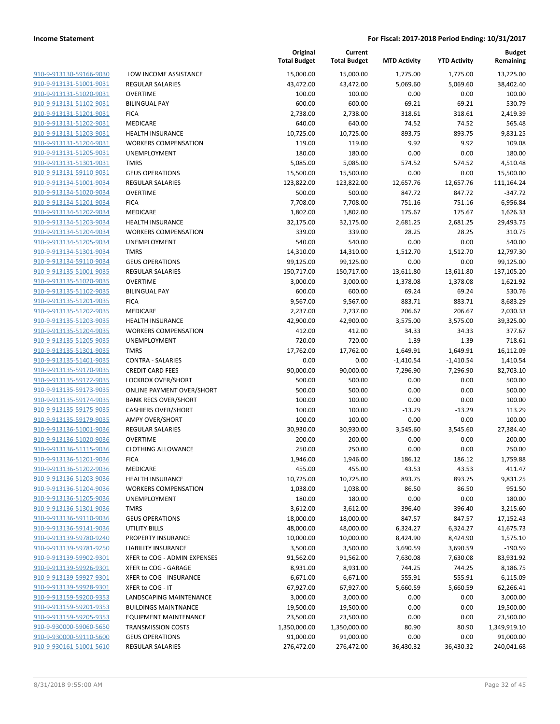| 910-9-913130-59166-9030                                          |
|------------------------------------------------------------------|
| 910-9-913131-51001-9031                                          |
| 910-9-913131-51020-9031                                          |
| 910-9-913131-51102-9031                                          |
| 910-9-913131-51201-9031                                          |
|                                                                  |
| 910-9-913131-51202-9031                                          |
| 910-9-913131-51203-9031                                          |
| 910-9-913131-51204-9031                                          |
| 910-9-913131-51205-9031                                          |
| 910-9-913131-51301-9031                                          |
| 910-9-913131-59110-9031                                          |
|                                                                  |
| 910-9-913134-51001-9034                                          |
| 910-9-913134-51020-9034                                          |
| 910-9-913134-51201-9034                                          |
| 910-9-913134-51202-9034                                          |
| 910-9-913134-51203-9034                                          |
| 910-9-913134-51204-9034                                          |
| 910-9-913134-51205-9034                                          |
|                                                                  |
| 910-9-913134-51301-9034                                          |
| 910-9-913134-59110-9034                                          |
| 910-9-913135-51001-9035                                          |
| 910-9-913135-51020-9035                                          |
| 910-9-913135-51102-9035                                          |
| <u>910-9-913135-51201-9035</u>                                   |
| 910-9-913135-51202-9035                                          |
| 910-9-913135-51203-9035                                          |
| 910-9-913135-51204-9035                                          |
|                                                                  |
| 910-9-913135-51205-9035                                          |
| 910-9-913135-51301-9035                                          |
| 910-9-913135-51401-9035                                          |
| 910-9-913135-59170-9035                                          |
| 910-9-913135-59172-9035                                          |
| 910-9-913135-59173-9035                                          |
| <u>910-9-913135-59174-9035</u>                                   |
| 910-9-913135-59175-9035                                          |
| 910-9-913135-59179-9035                                          |
| 910-9-913136-51001-9036                                          |
|                                                                  |
| 910-9-913136-51020-9036                                          |
| 910-9-913136-51115-9036                                          |
|                                                                  |
| 910-9-913136-51201-9036                                          |
| 910-9-913136-51202-9036                                          |
| 910-9-913136-51203-9036                                          |
| <u>910-9-913136-51204-9036</u>                                   |
|                                                                  |
| <u>910-9-913136-51205-9036</u>                                   |
| 910-9-913136-51301-9036                                          |
| 910-9-913136-59110-9036                                          |
| 910-9-913136-59141-9036                                          |
| <u>910-9-913139-59780-9240</u>                                   |
| <u>910-9-913139-59781-9250</u>                                   |
| 910-9-913139-59902-9301                                          |
| 910-9-913139-59926-9301                                          |
| 910-9-913139-59927-9301                                          |
| 910-9-913139-59928-9301                                          |
|                                                                  |
| 910-9-913159-59200-9353                                          |
| 910-9-913159-59201-9353                                          |
| 910-9-913159-59205-9353                                          |
| <u>910-9-930000-59060-5650</u>                                   |
| <u>910-9-930000-59110-5600</u><br><u>910-9-930161-51001-5610</u> |

| LOW INCOME ASSISTANCE                      |
|--------------------------------------------|
| <b>REGULAR SALARIES</b>                    |
| <b>OVERTIME</b>                            |
| <b>BILINGUAL PAY</b>                       |
| <b>FICA</b>                                |
| MEDICARE                                   |
| <b>HEALTH INSURANCE</b>                    |
| <b>WORKERS COMPENSATION</b>                |
| <b>UNEMPLOYMENT</b>                        |
| TMRS                                       |
| <b>GEUS OPERATIONS</b>                     |
| <b>REGULAR SALARIES</b>                    |
| <b>OVERTIME</b>                            |
| <b>FICA</b>                                |
| <b>MEDICARE</b>                            |
| <b>HEALTH INSURANCE</b>                    |
| <b>WORKERS COMPENSATION</b>                |
| <b>UNEMPLOYMENT</b><br><b>TMRS</b>         |
|                                            |
| <b>GEUS OPERATIONS</b>                     |
| <b>REGULAR SALARIES</b><br><b>OVERTIME</b> |
| <b>BILINGUAL PAY</b>                       |
| <b>FICA</b>                                |
| <b>MEDICARE</b>                            |
| <b>HEALTH INSURANCE</b>                    |
| <b>WORKERS COMPENSATION</b>                |
| <b>UNEMPLOYMENT</b>                        |
| <b>TMRS</b>                                |
| <b>CONTRA - SALARIES</b>                   |
| <b>CREDIT CARD FEES</b>                    |
| LOCKBOX OVER/SHORT                         |
| <b>ONLINE PAYMENT OVER/SHORT</b>           |
| <b>BANK RECS OVER/SHORT</b>                |
| <b>CASHIERS OVER/SHORT</b>                 |
| AMPY OVER/SHORT                            |
| <b>REGULAR SALARIES</b>                    |
| <b>OVERTIME</b>                            |
| <b>CLOTHING ALLOWANCE</b>                  |
| <b>FICA</b>                                |
| MEDICARE                                   |
| <b>HEALTH INSURANCE</b>                    |
| <b>WORKERS COMPENSATION</b>                |
| <b>UNEMPLOYMENT</b>                        |
| TMRS                                       |
| <b>GEUS OPERATIONS</b>                     |
| <b>UTILITY BILLS</b>                       |
| PROPERTY INSURANCE                         |
| <b>LIABILITY INSURANCE</b>                 |
| XFER to COG - ADMIN EXPENSES               |
| XFER to COG - GARAGE                       |
| XFER to COG - INSURANCE                    |
| XFER to COG - IT                           |
| <b>LANDSCAPING MAINTENANCE</b>             |
| <b>BUILDINGS MAINTNANCE</b>                |
| <b>EQUIPMENT MAINTENANCE</b>               |
| <b>TRANSMISSION COSTS</b>                  |
| <b>GEUS OPERATIONS</b>                     |

|                                                    |                                  | Original<br><b>Total Budget</b> | Current<br><b>Total Budget</b> | <b>MTD Activity</b> | <b>YTD Activity</b> | <b>Budget</b><br>Remaining |
|----------------------------------------------------|----------------------------------|---------------------------------|--------------------------------|---------------------|---------------------|----------------------------|
| 910-9-913130-59166-9030                            | LOW INCOME ASSISTANCE            | 15,000.00                       | 15,000.00                      | 1,775.00            | 1,775.00            | 13,225.00                  |
| 910-9-913131-51001-9031                            | REGULAR SALARIES                 | 43,472.00                       | 43,472.00                      | 5,069.60            | 5,069.60            | 38,402.40                  |
| 910-9-913131-51020-9031                            | <b>OVERTIME</b>                  | 100.00                          | 100.00                         | 0.00                | 0.00                | 100.00                     |
| 910-9-913131-51102-9031                            | <b>BILINGUAL PAY</b>             | 600.00                          | 600.00                         | 69.21               | 69.21               | 530.79                     |
| 910-9-913131-51201-9031                            | <b>FICA</b>                      | 2,738.00                        | 2,738.00                       | 318.61              | 318.61              | 2,419.39                   |
| 910-9-913131-51202-9031                            | MEDICARE                         | 640.00                          | 640.00                         | 74.52               | 74.52               | 565.48                     |
| 910-9-913131-51203-9031                            | <b>HEALTH INSURANCE</b>          | 10,725.00                       | 10,725.00                      | 893.75              | 893.75              | 9,831.25                   |
| 910-9-913131-51204-9031                            | <b>WORKERS COMPENSATION</b>      | 119.00                          | 119.00                         | 9.92                | 9.92                | 109.08                     |
| 910-9-913131-51205-9031                            | UNEMPLOYMENT                     | 180.00                          | 180.00                         | 0.00                | 0.00                | 180.00                     |
| 910-9-913131-51301-9031                            | <b>TMRS</b>                      | 5,085.00                        | 5,085.00                       | 574.52              | 574.52              | 4,510.48                   |
| 910-9-913131-59110-9031                            | <b>GEUS OPERATIONS</b>           | 15,500.00                       | 15,500.00                      | 0.00                | 0.00                | 15,500.00                  |
| 910-9-913134-51001-9034                            | REGULAR SALARIES                 | 123,822.00                      | 123,822.00                     | 12,657.76           | 12,657.76           | 111,164.24                 |
| 910-9-913134-51020-9034                            | <b>OVERTIME</b>                  | 500.00                          | 500.00                         | 847.72              | 847.72              | $-347.72$                  |
| 910-9-913134-51201-9034                            | <b>FICA</b>                      | 7,708.00                        | 7,708.00                       | 751.16              | 751.16              | 6,956.84                   |
| 910-9-913134-51202-9034                            | MEDICARE                         | 1,802.00                        | 1,802.00                       | 175.67              | 175.67              | 1,626.33                   |
| 910-9-913134-51203-9034                            | <b>HEALTH INSURANCE</b>          | 32,175.00                       | 32,175.00                      | 2,681.25            | 2,681.25            | 29,493.75                  |
| 910-9-913134-51204-9034                            | <b>WORKERS COMPENSATION</b>      | 339.00                          | 339.00                         | 28.25               | 28.25               | 310.75                     |
| 910-9-913134-51205-9034                            | <b>UNEMPLOYMENT</b>              | 540.00                          | 540.00                         | 0.00                | 0.00                | 540.00                     |
| 910-9-913134-51301-9034                            | <b>TMRS</b>                      | 14,310.00                       | 14,310.00                      | 1,512.70            | 1,512.70            | 12,797.30                  |
| 910-9-913134-59110-9034                            | <b>GEUS OPERATIONS</b>           | 99,125.00                       | 99,125.00                      | 0.00                | 0.00                | 99,125.00                  |
| 910-9-913135-51001-9035                            | REGULAR SALARIES                 | 150,717.00                      | 150,717.00                     | 13,611.80           | 13,611.80           | 137,105.20                 |
| 910-9-913135-51020-9035                            | <b>OVERTIME</b>                  | 3,000.00                        | 3,000.00                       | 1,378.08            | 1,378.08            | 1,621.92                   |
| 910-9-913135-51102-9035                            | <b>BILINGUAL PAY</b>             | 600.00                          | 600.00                         | 69.24               | 69.24               | 530.76                     |
| 910-9-913135-51201-9035                            | <b>FICA</b>                      | 9,567.00                        | 9,567.00                       | 883.71              | 883.71              | 8,683.29                   |
| 910-9-913135-51202-9035                            | MEDICARE                         | 2,237.00                        | 2,237.00                       | 206.67              | 206.67              | 2,030.33                   |
| 910-9-913135-51203-9035                            | <b>HEALTH INSURANCE</b>          | 42,900.00                       | 42,900.00                      | 3,575.00            | 3,575.00            | 39,325.00                  |
| 910-9-913135-51204-9035                            | <b>WORKERS COMPENSATION</b>      | 412.00                          | 412.00                         | 34.33               | 34.33               | 377.67                     |
| 910-9-913135-51205-9035<br>910-9-913135-51301-9035 | UNEMPLOYMENT<br><b>TMRS</b>      | 720.00<br>17,762.00             | 720.00<br>17,762.00            | 1.39<br>1,649.91    | 1.39<br>1,649.91    | 718.61<br>16,112.09        |
| 910-9-913135-51401-9035                            | <b>CONTRA - SALARIES</b>         | 0.00                            | 0.00                           | $-1,410.54$         | $-1,410.54$         | 1,410.54                   |
| 910-9-913135-59170-9035                            | <b>CREDIT CARD FEES</b>          | 90,000.00                       | 90,000.00                      | 7,296.90            | 7,296.90            | 82,703.10                  |
| 910-9-913135-59172-9035                            | LOCKBOX OVER/SHORT               | 500.00                          | 500.00                         | 0.00                | 0.00                | 500.00                     |
| 910-9-913135-59173-9035                            | <b>ONLINE PAYMENT OVER/SHORT</b> | 500.00                          | 500.00                         | 0.00                | 0.00                | 500.00                     |
| 910-9-913135-59174-9035                            | <b>BANK RECS OVER/SHORT</b>      | 100.00                          | 100.00                         | 0.00                | 0.00                | 100.00                     |
| 910-9-913135-59175-9035                            | <b>CASHIERS OVER/SHORT</b>       | 100.00                          | 100.00                         | $-13.29$            | $-13.29$            | 113.29                     |
| 910-9-913135-59179-9035                            | <b>AMPY OVER/SHORT</b>           | 100.00                          | 100.00                         | 0.00                | 0.00                | 100.00                     |
| 910-9-913136-51001-9036                            | <b>REGULAR SALARIES</b>          | 30,930.00                       | 30,930.00                      | 3,545.60            | 3,545.60            | 27,384.40                  |
| 910-9-913136-51020-9036                            | <b>OVERTIME</b>                  | 200.00                          | 200.00                         | 0.00                | 0.00                | 200.00                     |
| 910-9-913136-51115-9036                            | <b>CLOTHING ALLOWANCE</b>        | 250.00                          | 250.00                         | 0.00                | 0.00                | 250.00                     |
| 910-9-913136-51201-9036                            | <b>FICA</b>                      | 1,946.00                        | 1,946.00                       | 186.12              | 186.12              | 1,759.88                   |
| 910-9-913136-51202-9036                            | <b>MEDICARE</b>                  | 455.00                          | 455.00                         | 43.53               | 43.53               | 411.47                     |
| 910-9-913136-51203-9036                            | <b>HEALTH INSURANCE</b>          | 10,725.00                       | 10,725.00                      | 893.75              | 893.75              | 9,831.25                   |
| 910-9-913136-51204-9036                            | <b>WORKERS COMPENSATION</b>      | 1,038.00                        | 1,038.00                       | 86.50               | 86.50               | 951.50                     |
| 910-9-913136-51205-9036                            | UNEMPLOYMENT                     | 180.00                          | 180.00                         | 0.00                | 0.00                | 180.00                     |
| 910-9-913136-51301-9036                            | <b>TMRS</b>                      | 3,612.00                        | 3,612.00                       | 396.40              | 396.40              | 3,215.60                   |
| 910-9-913136-59110-9036                            | <b>GEUS OPERATIONS</b>           | 18,000.00                       | 18,000.00                      | 847.57              | 847.57              | 17,152.43                  |
| 910-9-913136-59141-9036                            | UTILITY BILLS                    | 48,000.00                       | 48,000.00                      | 6,324.27            | 6,324.27            | 41,675.73                  |
| 910-9-913139-59780-9240                            | PROPERTY INSURANCE               | 10,000.00                       | 10,000.00                      | 8,424.90            | 8,424.90            | 1,575.10                   |
| 910-9-913139-59781-9250                            | <b>LIABILITY INSURANCE</b>       | 3,500.00                        | 3,500.00                       | 3,690.59            | 3,690.59            | $-190.59$                  |
| 910-9-913139-59902-9301                            | XFER to COG - ADMIN EXPENSES     | 91,562.00                       | 91,562.00                      | 7,630.08            | 7,630.08            | 83,931.92                  |
| 910-9-913139-59926-9301                            | XFER to COG - GARAGE             | 8,931.00                        | 8,931.00                       | 744.25              | 744.25              | 8,186.75                   |
| 910-9-913139-59927-9301                            | XFER to COG - INSURANCE          | 6,671.00                        | 6,671.00                       | 555.91              | 555.91              | 6,115.09                   |
| 910-9-913139-59928-9301                            | XFER to COG - IT                 | 67,927.00                       | 67,927.00                      | 5,660.59            | 5,660.59            | 62,266.41                  |
| 910-9-913159-59200-9353                            | LANDSCAPING MAINTENANCE          | 3,000.00                        | 3,000.00                       | 0.00                | 0.00                | 3,000.00                   |
| 910-9-913159-59201-9353                            | <b>BUILDINGS MAINTNANCE</b>      | 19,500.00                       | 19,500.00                      | 0.00                | 0.00                | 19,500.00                  |
| 910-9-913159-59205-9353                            | <b>EQUIPMENT MAINTENANCE</b>     | 23,500.00                       | 23,500.00                      | 0.00                | 0.00                | 23,500.00                  |
| 910-9-930000-59060-5650                            | <b>TRANSMISSION COSTS</b>        | 1,350,000.00                    | 1,350,000.00                   | 80.90               | 80.90               | 1,349,919.10               |
| 910-9-930000-59110-5600                            | <b>GEUS OPERATIONS</b>           | 91,000.00                       | 91,000.00                      | 0.00                | 0.00                | 91,000.00                  |
| 910-9-930161-51001-5610                            | <b>REGULAR SALARIES</b>          | 276,472.00                      | 276,472.00                     | 36,430.32           | 36,430.32           | 240,041.68                 |
|                                                    |                                  |                                 |                                |                     |                     |                            |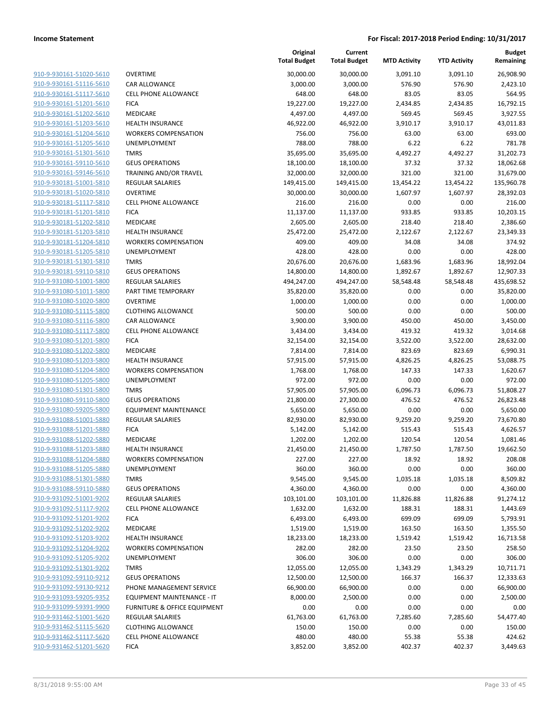|                                                    |                                                        | Original<br><b>Total Budget</b> | Current<br><b>Total Budget</b> | <b>MTD Activity</b> | <b>YTD Activity</b> | <b>Budget</b><br>Remaining |
|----------------------------------------------------|--------------------------------------------------------|---------------------------------|--------------------------------|---------------------|---------------------|----------------------------|
| 910-9-930161-51020-5610                            | <b>OVERTIME</b>                                        | 30,000.00                       | 30,000.00                      | 3,091.10            | 3,091.10            | 26,908.90                  |
| 910-9-930161-51116-5610                            | <b>CAR ALLOWANCE</b>                                   | 3,000.00                        | 3,000.00                       | 576.90              | 576.90              | 2,423.10                   |
| 910-9-930161-51117-5610                            | <b>CELL PHONE ALLOWANCE</b>                            | 648.00                          | 648.00                         | 83.05               | 83.05               | 564.95                     |
| 910-9-930161-51201-5610                            | <b>FICA</b>                                            | 19,227.00                       | 19,227.00                      | 2,434.85            | 2,434.85            | 16,792.15                  |
| 910-9-930161-51202-5610                            | <b>MEDICARE</b>                                        | 4,497.00                        | 4,497.00                       | 569.45              | 569.45              | 3,927.55                   |
| 910-9-930161-51203-5610                            | <b>HEALTH INSURANCE</b>                                | 46,922.00                       | 46,922.00                      | 3,910.17            | 3,910.17            | 43,011.83                  |
| 910-9-930161-51204-5610                            | <b>WORKERS COMPENSATION</b>                            | 756.00                          | 756.00                         | 63.00               | 63.00               | 693.00                     |
| 910-9-930161-51205-5610                            | <b>UNEMPLOYMENT</b>                                    | 788.00                          | 788.00                         | 6.22                | 6.22                | 781.78                     |
| 910-9-930161-51301-5610                            | <b>TMRS</b>                                            | 35,695.00                       | 35,695.00                      | 4,492.27            | 4,492.27            | 31,202.73                  |
| 910-9-930161-59110-5610                            | <b>GEUS OPERATIONS</b>                                 | 18,100.00                       | 18,100.00                      | 37.32               | 37.32               | 18,062.68                  |
| 910-9-930161-59146-5610                            | <b>TRAINING AND/OR TRAVEL</b>                          | 32,000.00                       | 32,000.00                      | 321.00              | 321.00              | 31,679.00                  |
| 910-9-930181-51001-5810                            | REGULAR SALARIES                                       | 149,415.00                      | 149,415.00                     | 13,454.22           | 13,454.22           | 135,960.78                 |
| 910-9-930181-51020-5810                            | <b>OVERTIME</b>                                        | 30,000.00                       | 30,000.00                      | 1,607.97            | 1,607.97            | 28,392.03                  |
| 910-9-930181-51117-5810                            | <b>CELL PHONE ALLOWANCE</b>                            | 216.00                          | 216.00                         | 0.00                | 0.00                | 216.00                     |
| 910-9-930181-51201-5810                            | <b>FICA</b>                                            | 11,137.00                       | 11,137.00                      | 933.85              | 933.85              | 10,203.15                  |
| 910-9-930181-51202-5810                            | MEDICARE                                               | 2,605.00                        | 2,605.00                       | 218.40              | 218.40              | 2,386.60                   |
| 910-9-930181-51203-5810                            | <b>HEALTH INSURANCE</b>                                | 25,472.00                       | 25,472.00                      | 2,122.67            | 2,122.67            | 23,349.33                  |
| 910-9-930181-51204-5810                            | <b>WORKERS COMPENSATION</b>                            | 409.00                          | 409.00                         | 34.08               | 34.08               | 374.92                     |
| 910-9-930181-51205-5810                            | <b>UNEMPLOYMENT</b>                                    | 428.00                          | 428.00                         | 0.00                | 0.00                | 428.00                     |
| 910-9-930181-51301-5810                            | <b>TMRS</b>                                            | 20,676.00                       | 20,676.00                      | 1,683.96            | 1,683.96            | 18,992.04                  |
| 910-9-930181-59110-5810                            | <b>GEUS OPERATIONS</b>                                 | 14,800.00                       | 14,800.00                      | 1,892.67            | 1,892.67            | 12,907.33                  |
| 910-9-931080-51001-5800                            | REGULAR SALARIES                                       | 494,247.00                      | 494,247.00                     | 58,548.48           | 58,548.48           | 435,698.52                 |
| 910-9-931080-51011-5800                            | PART TIME TEMPORARY                                    | 35,820.00                       | 35,820.00                      | 0.00                | 0.00                | 35,820.00                  |
| 910-9-931080-51020-5800                            | <b>OVERTIME</b>                                        | 1,000.00                        | 1,000.00                       | 0.00                | 0.00                | 1,000.00                   |
| 910-9-931080-51115-5800                            | <b>CLOTHING ALLOWANCE</b>                              | 500.00                          | 500.00                         | 0.00                | 0.00                | 500.00                     |
| 910-9-931080-51116-5800                            | CAR ALLOWANCE                                          | 3,900.00                        | 3,900.00                       | 450.00              | 450.00              | 3,450.00                   |
| 910-9-931080-51117-5800                            | CELL PHONE ALLOWANCE                                   | 3,434.00                        | 3,434.00                       | 419.32              | 419.32              | 3,014.68                   |
| 910-9-931080-51201-5800                            | <b>FICA</b>                                            | 32,154.00                       | 32,154.00                      | 3,522.00            | 3,522.00            | 28,632.00                  |
| 910-9-931080-51202-5800                            | MEDICARE                                               | 7,814.00                        | 7,814.00                       | 823.69              | 823.69              | 6,990.31                   |
| 910-9-931080-51203-5800                            | <b>HEALTH INSURANCE</b>                                | 57,915.00                       | 57,915.00                      | 4,826.25            | 4,826.25            | 53,088.75                  |
| 910-9-931080-51204-5800                            | <b>WORKERS COMPENSATION</b>                            | 1,768.00                        | 1,768.00                       | 147.33              | 147.33              | 1,620.67                   |
| 910-9-931080-51205-5800                            | UNEMPLOYMENT                                           | 972.00                          | 972.00                         | 0.00                | 0.00                | 972.00                     |
| 910-9-931080-51301-5800                            | <b>TMRS</b>                                            | 57,905.00                       | 57,905.00                      | 6,096.73            | 6,096.73            | 51,808.27                  |
| 910-9-931080-59110-5800                            | <b>GEUS OPERATIONS</b>                                 | 21,800.00                       | 27,300.00                      | 476.52              | 476.52              | 26,823.48                  |
| 910-9-931080-59205-5800                            | <b>EQUIPMENT MAINTENANCE</b>                           | 5,650.00                        | 5,650.00                       | 0.00                | 0.00                | 5,650.00                   |
| 910-9-931088-51001-5880                            | <b>REGULAR SALARIES</b>                                | 82,930.00                       | 82,930.00                      | 9,259.20            | 9,259.20            | 73,670.80                  |
| 910-9-931088-51201-5880<br>910-9-931088-51202-5880 | <b>FICA</b>                                            | 5,142.00                        | 5,142.00                       | 515.43              | 515.43              | 4,626.57                   |
|                                                    | MEDICARE                                               | 1,202.00                        | 1,202.00                       | 120.54              | 120.54              | 1,081.46                   |
| 910-9-931088-51203-5880<br>910-9-931088-51204-5880 | <b>HEALTH INSURANCE</b><br><b>WORKERS COMPENSATION</b> | 21,450.00                       | 21,450.00<br>227.00            | 1,787.50<br>18.92   | 1,787.50<br>18.92   | 19,662.50                  |
|                                                    |                                                        | 227.00                          |                                | 0.00                |                     | 208.08                     |
| 910-9-931088-51205-5880                            | UNEMPLOYMENT<br><b>TMRS</b>                            | 360.00                          | 360.00<br>9,545.00             |                     | 0.00                | 360.00                     |
| 910-9-931088-51301-5880<br>910-9-931088-59110-5880 | <b>GEUS OPERATIONS</b>                                 | 9,545.00<br>4,360.00            | 4,360.00                       | 1,035.18<br>0.00    | 1,035.18<br>0.00    | 8,509.82<br>4,360.00       |
| 910-9-931092-51001-9202                            | REGULAR SALARIES                                       | 103,101.00                      |                                |                     |                     | 91,274.12                  |
| 910-9-931092-51117-9202                            | <b>CELL PHONE ALLOWANCE</b>                            | 1,632.00                        | 103,101.00<br>1,632.00         | 11,826.88<br>188.31 | 11,826.88<br>188.31 | 1,443.69                   |
| 910-9-931092-51201-9202                            | <b>FICA</b>                                            | 6,493.00                        | 6,493.00                       | 699.09              | 699.09              | 5,793.91                   |
| 910-9-931092-51202-9202                            | MEDICARE                                               | 1,519.00                        | 1,519.00                       | 163.50              | 163.50              | 1,355.50                   |
| 910-9-931092-51203-9202                            | <b>HEALTH INSURANCE</b>                                | 18,233.00                       | 18,233.00                      | 1,519.42            | 1,519.42            | 16,713.58                  |
| 910-9-931092-51204-9202                            | <b>WORKERS COMPENSATION</b>                            | 282.00                          | 282.00                         | 23.50               | 23.50               | 258.50                     |
| 910-9-931092-51205-9202                            | <b>UNEMPLOYMENT</b>                                    | 306.00                          | 306.00                         | 0.00                | 0.00                | 306.00                     |
| 910-9-931092-51301-9202                            | <b>TMRS</b>                                            | 12,055.00                       | 12,055.00                      | 1,343.29            | 1,343.29            | 10,711.71                  |
| 910-9-931092-59110-9212                            | <b>GEUS OPERATIONS</b>                                 | 12,500.00                       | 12,500.00                      | 166.37              | 166.37              | 12,333.63                  |
| 910-9-931092-59130-9212                            | PHONE MANAGEMENT SERVICE                               | 66,900.00                       | 66,900.00                      | 0.00                | 0.00                | 66,900.00                  |
| 910-9-931093-59205-9352                            | EQUIPMENT MAINTENANCE - IT                             | 8,000.00                        | 2,500.00                       | 0.00                | 0.00                | 2,500.00                   |
| 910-9-931099-59391-9900                            | FURNITURE & OFFICE EQUIPMENT                           | 0.00                            | 0.00                           | 0.00                | 0.00                | 0.00                       |
| 910-9-931462-51001-5620                            | REGULAR SALARIES                                       | 61,763.00                       | 61,763.00                      | 7,285.60            | 7,285.60            | 54,477.40                  |
| 910-9-931462-51115-5620                            | <b>CLOTHING ALLOWANCE</b>                              | 150.00                          | 150.00                         | 0.00                | 0.00                | 150.00                     |
| 910-9-931462-51117-5620                            | <b>CELL PHONE ALLOWANCE</b>                            | 480.00                          | 480.00                         | 55.38               | 55.38               | 424.62                     |
| 910-9-931462-51201-5620                            | <b>FICA</b>                                            | 3,852.00                        | 3,852.00                       | 402.37              | 402.37              | 3,449.63                   |
|                                                    |                                                        |                                 |                                |                     |                     |                            |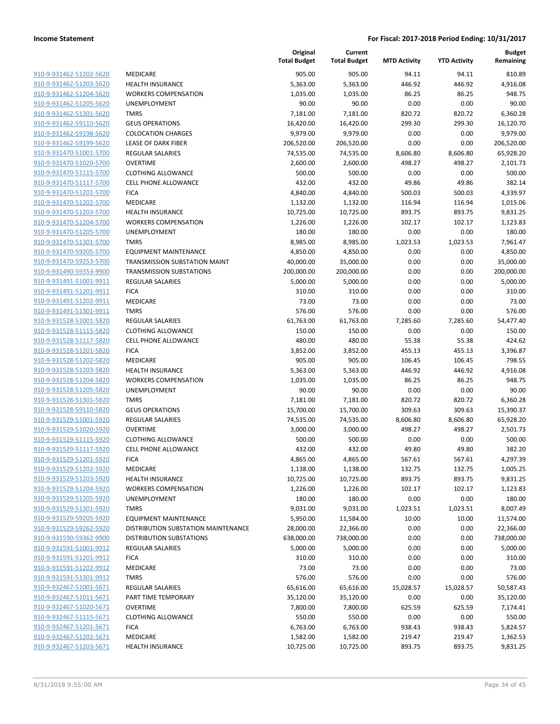| 910-9-931462-51202-5620                                                       | MEDICARE                           |
|-------------------------------------------------------------------------------|------------------------------------|
| 910-9-931462-51203-5620                                                       | <b>HEALTH INSURANCE</b>            |
| 910-9-931462-51204-5620                                                       | <b>WORKERS COMPENSATION</b>        |
| 910-9-931462-51205-5620                                                       | UNEMPLOYMENT                       |
| 910-9-931462-51301-5620                                                       | <b>TMRS</b>                        |
| 910-9-931462-59110-5620                                                       | <b>GEUS OPERATIONS</b>             |
| 910-9-931462-59198-5620                                                       | <b>COLOCATION CHARGES</b>          |
| 910-9-931462-59199-5620                                                       | <b>LEASE OF DARK FIBER</b>         |
| 910-9-931470-51001-5700                                                       | <b>REGULAR SALARIES</b>            |
| 910-9-931470-51020-5700                                                       | <b>OVERTIME</b>                    |
| 910-9-931470-51115-5700                                                       | <b>CLOTHING ALLOWANCE</b>          |
| 910-9-931470-51117-5700                                                       | <b>CELL PHONE ALLOWANCE</b>        |
| 910-9-931470-51201-5700                                                       | <b>FICA</b>                        |
| 910-9-931470-51202-5700                                                       | <b>MEDICARE</b>                    |
| 910-9-931470-51203-5700                                                       | <b>HEALTH INSURANCE</b>            |
| 910-9-931470-51204-5700                                                       | <b>WORKERS COMPENSATION</b>        |
| 910-9-931470-51205-5700                                                       | <b>UNEMPLOYMENT</b>                |
| 910-9-931470-51301-5700                                                       | <b>TMRS</b>                        |
| 910-9-931470-59205-5700                                                       | <b>EQUIPMENT MAINTENANCE</b>       |
| 910-9-931470-59253-5700                                                       | TRANSMISSION SUBSTATION MAIN       |
| 910-9-931490-59353-9900                                                       | <b>TRANSMISSION SUBSTATIONS</b>    |
| 910-9-931491-51001-9911                                                       | <b>REGULAR SALARIES</b>            |
| 910-9-931491-51201-9911                                                       | <b>FICA</b>                        |
| 910-9-931491-51202-9911                                                       | MEDICARE                           |
| 910-9-931491-51301-9911                                                       | <b>TMRS</b>                        |
| 910-9-931528-51001-5820                                                       | <b>REGULAR SALARIES</b>            |
| 910-9-931528-51115-5820                                                       | <b>CLOTHING ALLOWANCE</b>          |
| 910-9-931528-51117-5820                                                       | <b>CELL PHONE ALLOWANCE</b>        |
| 910-9-931528-51201-5820                                                       | <b>FICA</b>                        |
| 910-9-931528-51202-5820                                                       | MEDICARE                           |
| 910-9-931528-51203-5820                                                       | <b>HEALTH INSURANCE</b>            |
| 910-9-931528-51204-5820                                                       | <b>WORKERS COMPENSATION</b>        |
| 910-9-931528-51205-5820                                                       | <b>UNEMPLOYMENT</b><br><b>TMRS</b> |
| 910-9-931528-51301-5820<br>910-9-931528-59110-5820                            | <b>GEUS OPERATIONS</b>             |
| 910-9-931529-51001-5920                                                       | <b>REGULAR SALARIES</b>            |
| <u>910-9-931529-51020-5920</u>                                                | <b>OVERTIME</b>                    |
| 910-9-931529-51115-5920                                                       | <b>CLOTHING ALLOWANCE</b>          |
| 910-9-931529-51117-5920                                                       | <b>CELL PHONE ALLOWANCE</b>        |
| 910-9-931529-51201-5920                                                       | <b>FICA</b>                        |
| 910-9-931529-51202-5920                                                       | <b>MEDICARE</b>                    |
| 910-9-931529-51203-5920                                                       | <b>HEALTH INSURANCE</b>            |
| 910-9-931529-51204-5920                                                       | <b>WORKERS COMPENSATION</b>        |
| 910-9-931529-51205-5920                                                       | <b>UNEMPLOYMENT</b>                |
| 910-9-931529-51301-5920                                                       | TMRS                               |
| 910-9-931529-59205-5920                                                       | <b>EQUIPMENT MAINTENANCE</b>       |
| 910-9-931529-59262-5920                                                       | DISTRIBUTION SUBSTATION MAIN       |
| 910-9-931590-59362-9900                                                       | <b>DISTRIBUTION SUBSTATIONS</b>    |
| 910-9-931591-51001-9912                                                       | <b>REGULAR SALARIES</b>            |
| 910-9-931591-51201-9912                                                       | <b>FICA</b>                        |
| 910-9-931591-51202-9912                                                       | MEDICARE                           |
| 910-9-931591-51301-9912                                                       | <b>TMRS</b>                        |
| 910-9-932467-51001-5671                                                       | <b>REGULAR SALARIES</b>            |
| 910-9-932467-51011-5671                                                       | PART TIME TEMPORARY                |
| 910-9-932467-51020-5671                                                       | <b>OVERTIME</b>                    |
|                                                                               | <b>CLOTHING ALLOWANCE</b>          |
|                                                                               |                                    |
|                                                                               | <b>FICA</b>                        |
| 910-9-932467-51115-5671<br>910-9-932467-51201-5671<br>910-9-932467-51202-5671 | MEDICARE                           |

|                         |                                     | Original<br><b>Total Budget</b> | Current<br><b>Total Budget</b> | <b>MTD Activity</b> | <b>YTD Activity</b> | <b>Budget</b><br>Remaining |
|-------------------------|-------------------------------------|---------------------------------|--------------------------------|---------------------|---------------------|----------------------------|
| 910-9-931462-51202-5620 | MEDICARE                            | 905.00                          | 905.00                         | 94.11               | 94.11               | 810.89                     |
| 910-9-931462-51203-5620 | <b>HEALTH INSURANCE</b>             | 5,363.00                        | 5,363.00                       | 446.92              | 446.92              | 4,916.08                   |
| 910-9-931462-51204-5620 | <b>WORKERS COMPENSATION</b>         | 1,035.00                        | 1,035.00                       | 86.25               | 86.25               | 948.75                     |
| 910-9-931462-51205-5620 | UNEMPLOYMENT                        | 90.00                           | 90.00                          | 0.00                | 0.00                | 90.00                      |
| 910-9-931462-51301-5620 | <b>TMRS</b>                         | 7,181.00                        | 7,181.00                       | 820.72              | 820.72              | 6,360.28                   |
| 910-9-931462-59110-5620 | <b>GEUS OPERATIONS</b>              | 16,420.00                       | 16,420.00                      | 299.30              | 299.30              | 16,120.70                  |
| 910-9-931462-59198-5620 | <b>COLOCATION CHARGES</b>           | 9,979.00                        | 9,979.00                       | 0.00                | 0.00                | 9,979.00                   |
| 910-9-931462-59199-5620 | LEASE OF DARK FIBER                 | 206,520.00                      | 206,520.00                     | 0.00                | 0.00                | 206,520.00                 |
| 910-9-931470-51001-5700 | <b>REGULAR SALARIES</b>             | 74,535.00                       | 74,535.00                      | 8,606.80            | 8,606.80            | 65,928.20                  |
| 910-9-931470-51020-5700 | <b>OVERTIME</b>                     | 2,600.00                        | 2,600.00                       | 498.27              | 498.27              | 2,101.73                   |
| 910-9-931470-51115-5700 | <b>CLOTHING ALLOWANCE</b>           | 500.00                          | 500.00                         | 0.00                | 0.00                | 500.00                     |
| 910-9-931470-51117-5700 | <b>CELL PHONE ALLOWANCE</b>         | 432.00                          | 432.00                         | 49.86               | 49.86               | 382.14                     |
| 910-9-931470-51201-5700 | <b>FICA</b>                         | 4,840.00                        | 4,840.00                       | 500.03              | 500.03              | 4,339.97                   |
| 910-9-931470-51202-5700 | MEDICARE                            | 1,132.00                        | 1,132.00                       | 116.94              | 116.94              | 1,015.06                   |
| 910-9-931470-51203-5700 | <b>HEALTH INSURANCE</b>             | 10,725.00                       | 10,725.00                      | 893.75              | 893.75              | 9,831.25                   |
| 910-9-931470-51204-5700 | <b>WORKERS COMPENSATION</b>         | 1,226.00                        | 1,226.00                       | 102.17              | 102.17              | 1,123.83                   |
| 910-9-931470-51205-5700 | UNEMPLOYMENT                        | 180.00                          | 180.00                         | 0.00                | 0.00                | 180.00                     |
| 910-9-931470-51301-5700 | <b>TMRS</b>                         | 8,985.00                        | 8,985.00                       | 1,023.53            | 1,023.53            | 7,961.47                   |
| 910-9-931470-59205-5700 | <b>EQUIPMENT MAINTENANCE</b>        | 4,850.00                        | 4,850.00                       | 0.00                | 0.00                | 4,850.00                   |
| 910-9-931470-59253-5700 | TRANSMISSION SUBSTATION MAINT       | 40,000.00                       | 35,000.00                      | 0.00                | 0.00                | 35,000.00                  |
| 910-9-931490-59353-9900 | <b>TRANSMISSION SUBSTATIONS</b>     | 200,000.00                      | 200,000.00                     | 0.00                | 0.00                | 200,000.00                 |
| 910-9-931491-51001-9911 | <b>REGULAR SALARIES</b>             | 5,000.00                        | 5,000.00                       | 0.00                | 0.00                | 5,000.00                   |
| 910-9-931491-51201-9911 | <b>FICA</b>                         | 310.00                          | 310.00                         | 0.00                | 0.00                | 310.00                     |
| 910-9-931491-51202-9911 | <b>MEDICARE</b>                     | 73.00                           | 73.00                          | 0.00                | 0.00                | 73.00                      |
| 910-9-931491-51301-9911 | <b>TMRS</b>                         | 576.00                          | 576.00                         | 0.00                | 0.00                | 576.00                     |
| 910-9-931528-51001-5820 | <b>REGULAR SALARIES</b>             | 61,763.00                       | 61,763.00                      | 7,285.60            | 7,285.60            | 54,477.40                  |
| 910-9-931528-51115-5820 | <b>CLOTHING ALLOWANCE</b>           | 150.00                          | 150.00                         | 0.00                | 0.00                | 150.00                     |
| 910-9-931528-51117-5820 | <b>CELL PHONE ALLOWANCE</b>         | 480.00                          | 480.00                         | 55.38               | 55.38               | 424.62                     |
| 910-9-931528-51201-5820 | <b>FICA</b>                         | 3,852.00                        | 3,852.00                       | 455.13              | 455.13              | 3,396.87                   |
| 910-9-931528-51202-5820 | MEDICARE                            | 905.00                          | 905.00                         | 106.45              | 106.45              | 798.55                     |
| 910-9-931528-51203-5820 | <b>HEALTH INSURANCE</b>             | 5,363.00                        | 5,363.00                       | 446.92              | 446.92              | 4,916.08                   |
| 910-9-931528-51204-5820 | <b>WORKERS COMPENSATION</b>         | 1,035.00                        | 1,035.00                       | 86.25               | 86.25               | 948.75                     |
| 910-9-931528-51205-5820 | UNEMPLOYMENT                        | 90.00                           | 90.00                          | 0.00                | 0.00                | 90.00                      |
| 910-9-931528-51301-5820 | <b>TMRS</b>                         | 7,181.00                        | 7,181.00                       | 820.72              | 820.72              | 6,360.28                   |
| 910-9-931528-59110-5820 | <b>GEUS OPERATIONS</b>              | 15,700.00                       | 15,700.00                      | 309.63              | 309.63              | 15,390.37                  |
| 910-9-931529-51001-5920 | REGULAR SALARIES                    | 74,535.00                       | 74,535.00                      | 8,606.80            | 8,606.80            | 65,928.20                  |
| 910-9-931529-51020-5920 | <b>OVERTIME</b>                     | 3,000.00                        | 3,000.00                       | 498.27              | 498.27              | 2,501.73                   |
| 910-9-931529-51115-5920 | <b>CLOTHING ALLOWANCE</b>           | 500.00                          | 500.00                         | 0.00                | 0.00                | 500.00                     |
| 910-9-931529-51117-5920 | <b>CELL PHONE ALLOWANCE</b>         | 432.00                          | 432.00                         | 49.80               | 49.80               | 382.20                     |
| 910-9-931529-51201-5920 | <b>FICA</b>                         | 4,865.00                        | 4,865.00                       | 567.61              | 567.61              | 4,297.39                   |
| 910-9-931529-51202-5920 | MEDICARE                            | 1,138.00                        | 1,138.00                       | 132.75              | 132.75              | 1,005.25                   |
| 910-9-931529-51203-5920 | <b>HEALTH INSURANCE</b>             | 10,725.00                       | 10,725.00                      | 893.75              | 893.75              | 9,831.25                   |
| 910-9-931529-51204-5920 | <b>WORKERS COMPENSATION</b>         | 1,226.00                        | 1,226.00                       | 102.17              | 102.17              | 1,123.83                   |
| 910-9-931529-51205-5920 | UNEMPLOYMENT                        | 180.00                          | 180.00                         | 0.00                | 0.00                | 180.00                     |
| 910-9-931529-51301-5920 | <b>TMRS</b>                         | 9,031.00                        | 9,031.00                       | 1,023.51            | 1,023.51            | 8,007.49                   |
| 910-9-931529-59205-5920 | <b>EQUIPMENT MAINTENANCE</b>        | 5,950.00                        | 11,584.00                      | 10.00               | 10.00               | 11,574.00                  |
| 910-9-931529-59262-5920 | DISTRIBUTION SUBSTATION MAINTENANCE | 28,000.00                       | 22,366.00                      | 0.00                | 0.00                | 22,366.00                  |
| 910-9-931590-59362-9900 | <b>DISTRIBUTION SUBSTATIONS</b>     | 638,000.00                      | 738,000.00                     | 0.00                | 0.00                | 738,000.00                 |
| 910-9-931591-51001-9912 | <b>REGULAR SALARIES</b>             | 5,000.00                        | 5,000.00                       | 0.00                | 0.00                | 5,000.00                   |
| 910-9-931591-51201-9912 | <b>FICA</b>                         | 310.00                          | 310.00                         | 0.00                | 0.00                | 310.00                     |
| 910-9-931591-51202-9912 | MEDICARE                            | 73.00                           | 73.00                          | 0.00                | 0.00                | 73.00                      |
| 910-9-931591-51301-9912 | <b>TMRS</b>                         | 576.00                          | 576.00                         | 0.00                | 0.00                | 576.00                     |
| 910-9-932467-51001-5671 | REGULAR SALARIES                    | 65,616.00                       | 65,616.00                      | 15,028.57           | 15,028.57           | 50,587.43                  |
| 910-9-932467-51011-5671 | PART TIME TEMPORARY                 | 35,120.00                       | 35,120.00                      | 0.00                | 0.00                | 35,120.00                  |
| 910-9-932467-51020-5671 | <b>OVERTIME</b>                     | 7,800.00                        | 7,800.00                       | 625.59              | 625.59              | 7,174.41                   |
| 910-9-932467-51115-5671 | <b>CLOTHING ALLOWANCE</b>           | 550.00                          | 550.00                         | 0.00                | 0.00                | 550.00                     |
| 910-9-932467-51201-5671 | <b>FICA</b>                         | 6,763.00                        | 6,763.00                       | 938.43              | 938.43              | 5,824.57                   |
| 910-9-932467-51202-5671 | MEDICARE                            | 1,582.00                        | 1,582.00                       | 219.47              | 219.47              | 1,362.53                   |
| 910-9-932467-51203-5671 | <b>HEALTH INSURANCE</b>             | 10,725.00                       | 10,725.00                      | 893.75              | 893.75              | 9,831.25                   |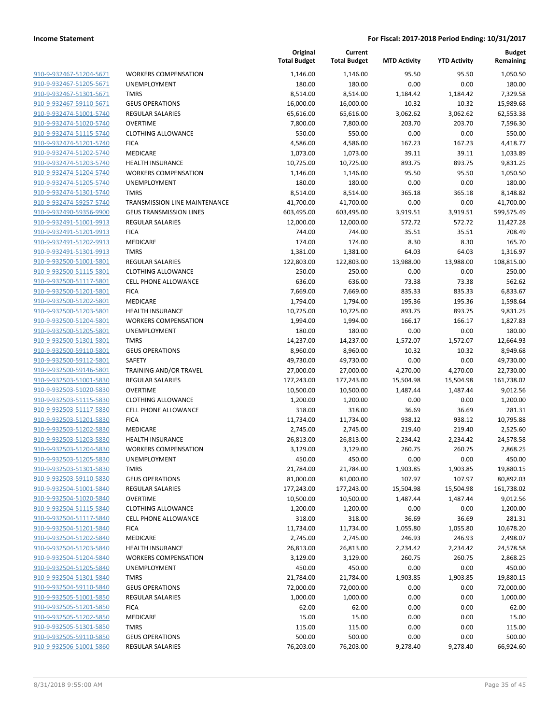**Current**

**Original**

**Budget Remaining**

|                                                    |                                                   | <b>Total Budget</b>   | <b>Total Budget</b>   | <b>MTD Activity</b> | <b>YTD Activity</b> | Remaining             |
|----------------------------------------------------|---------------------------------------------------|-----------------------|-----------------------|---------------------|---------------------|-----------------------|
| 910-9-932467-51204-5671                            | <b>WORKERS COMPENSATION</b>                       | 1,146.00              | 1,146.00              | 95.50               | 95.50               | 1,050.50              |
| 910-9-932467-51205-5671                            | UNEMPLOYMENT                                      | 180.00                | 180.00                | 0.00                | 0.00                | 180.00                |
| 910-9-932467-51301-5671                            | <b>TMRS</b>                                       | 8,514.00              | 8,514.00              | 1,184.42            | 1,184.42            | 7,329.58              |
| 910-9-932467-59110-5671                            | <b>GEUS OPERATIONS</b>                            | 16,000.00             | 16,000.00             | 10.32               | 10.32               | 15,989.68             |
| 910-9-932474-51001-5740                            | <b>REGULAR SALARIES</b>                           | 65,616.00             | 65,616.00             | 3,062.62            | 3,062.62            | 62,553.38             |
| 910-9-932474-51020-5740                            | <b>OVERTIME</b>                                   | 7,800.00              | 7,800.00              | 203.70              | 203.70              | 7,596.30              |
| 910-9-932474-51115-5740                            | <b>CLOTHING ALLOWANCE</b>                         | 550.00                | 550.00                | 0.00                | 0.00                | 550.00                |
| 910-9-932474-51201-5740                            | <b>FICA</b>                                       | 4,586.00              | 4,586.00              | 167.23              | 167.23              | 4,418.77              |
| 910-9-932474-51202-5740                            | MEDICARE                                          | 1,073.00              | 1,073.00              | 39.11               | 39.11               | 1,033.89              |
| 910-9-932474-51203-5740                            | HEALTH INSURANCE                                  | 10,725.00             | 10,725.00             | 893.75              | 893.75              | 9,831.25              |
| 910-9-932474-51204-5740                            | <b>WORKERS COMPENSATION</b>                       | 1,146.00              | 1,146.00              | 95.50               | 95.50               | 1,050.50              |
| 910-9-932474-51205-5740                            | UNEMPLOYMENT                                      | 180.00                | 180.00                | 0.00                | 0.00                | 180.00                |
| 910-9-932474-51301-5740                            | <b>TMRS</b>                                       | 8,514.00              | 8,514.00              | 365.18              | 365.18              | 8,148.82              |
| 910-9-932474-59257-5740                            | TRANSMISSION LINE MAINTENANCE                     | 41,700.00             | 41,700.00             | 0.00                | 0.00                | 41,700.00             |
| 910-9-932490-59356-9900                            | <b>GEUS TRANSMISSION LINES</b>                    | 603,495.00            | 603,495.00            | 3,919.51            | 3,919.51            | 599,575.49            |
| 910-9-932491-51001-9913                            | <b>REGULAR SALARIES</b>                           | 12,000.00             | 12,000.00             | 572.72              | 572.72              | 11,427.28             |
| 910-9-932491-51201-9913                            | <b>FICA</b>                                       | 744.00                | 744.00                | 35.51               | 35.51               | 708.49                |
| 910-9-932491-51202-9913                            | MEDICARE                                          | 174.00                | 174.00                | 8.30                | 8.30                | 165.70                |
| 910-9-932491-51301-9913                            | <b>TMRS</b>                                       | 1,381.00              | 1,381.00              | 64.03               | 64.03               | 1,316.97              |
| 910-9-932500-51001-5801                            | <b>REGULAR SALARIES</b>                           | 122,803.00            | 122,803.00            | 13,988.00           | 13,988.00           | 108,815.00            |
| 910-9-932500-51115-5801                            | <b>CLOTHING ALLOWANCE</b>                         | 250.00                | 250.00                | 0.00                | 0.00                | 250.00                |
| 910-9-932500-51117-5801                            | <b>CELL PHONE ALLOWANCE</b>                       | 636.00                | 636.00                | 73.38               | 73.38               | 562.62                |
| 910-9-932500-51201-5801                            | <b>FICA</b>                                       | 7,669.00              | 7,669.00              | 835.33              | 835.33              | 6,833.67              |
| 910-9-932500-51202-5801                            | <b>MEDICARE</b>                                   | 1,794.00              | 1,794.00              | 195.36              | 195.36              | 1,598.64              |
| 910-9-932500-51203-5801                            | <b>HEALTH INSURANCE</b>                           | 10,725.00             | 10,725.00             | 893.75              | 893.75              | 9,831.25              |
| 910-9-932500-51204-5801                            | <b>WORKERS COMPENSATION</b>                       | 1,994.00              | 1,994.00              | 166.17              | 166.17              | 1,827.83              |
| 910-9-932500-51205-5801                            | UNEMPLOYMENT                                      | 180.00                | 180.00                | 0.00                | 0.00                | 180.00                |
| 910-9-932500-51301-5801                            | <b>TMRS</b>                                       | 14,237.00             | 14,237.00             | 1,572.07            | 1,572.07            | 12,664.93             |
| 910-9-932500-59110-5801                            | <b>GEUS OPERATIONS</b>                            | 8,960.00              | 8,960.00              | 10.32               | 10.32               | 8,949.68              |
| 910-9-932500-59112-5801                            | SAFETY                                            | 49,730.00             | 49,730.00             | 0.00                | 0.00                | 49,730.00             |
| 910-9-932500-59146-5801                            | TRAINING AND/OR TRAVEL                            | 27,000.00             | 27,000.00             | 4,270.00            | 4,270.00            | 22,730.00             |
| 910-9-932503-51001-5830                            | <b>REGULAR SALARIES</b>                           | 177,243.00            | 177,243.00            | 15,504.98           | 15,504.98           | 161,738.02            |
| 910-9-932503-51020-5830                            | <b>OVERTIME</b>                                   | 10,500.00             | 10,500.00             | 1,487.44            | 1,487.44            | 9,012.56              |
| 910-9-932503-51115-5830<br>910-9-932503-51117-5830 | <b>CLOTHING ALLOWANCE</b><br>CELL PHONE ALLOWANCE | 1,200.00<br>318.00    | 1,200.00<br>318.00    | 0.00<br>36.69       | 0.00<br>36.69       | 1,200.00<br>281.31    |
|                                                    |                                                   |                       |                       |                     |                     |                       |
| 910-9-932503-51201-5830<br>910-9-932503-51202-5830 | <b>FICA</b><br>MEDICARE                           | 11,734.00<br>2,745.00 | 11,734.00<br>2,745.00 | 938.12<br>219.40    | 938.12<br>219.40    | 10,795.88<br>2,525.60 |
| 910-9-932503-51203-5830                            | <b>HEALTH INSURANCE</b>                           | 26,813.00             | 26,813.00             | 2,234.42            | 2,234.42            | 24,578.58             |
| 910-9-932503-51204-5830                            | <b>WORKERS COMPENSATION</b>                       | 3,129.00              | 3,129.00              | 260.75              | 260.75              | 2,868.25              |
| 910-9-932503-51205-5830                            | UNEMPLOYMENT                                      | 450.00                | 450.00                | 0.00                | 0.00                | 450.00                |
| <u>910-9-932503-51301-5830</u>                     | TMRS                                              | 21,784.00             | 21,784.00             | 1,903.85            | 1,903.85            | 19,880.15             |
| 910-9-932503-59110-5830                            | <b>GEUS OPERATIONS</b>                            | 81,000.00             | 81,000.00             | 107.97              | 107.97              | 80,892.03             |
| 910-9-932504-51001-5840                            | REGULAR SALARIES                                  | 177,243.00            | 177,243.00            | 15,504.98           | 15,504.98           | 161,738.02            |
| 910-9-932504-51020-5840                            | <b>OVERTIME</b>                                   | 10,500.00             | 10,500.00             | 1,487.44            | 1,487.44            | 9,012.56              |
| 910-9-932504-51115-5840                            | <b>CLOTHING ALLOWANCE</b>                         | 1,200.00              | 1,200.00              | 0.00                | 0.00                | 1,200.00              |
| 910-9-932504-51117-5840                            | <b>CELL PHONE ALLOWANCE</b>                       | 318.00                | 318.00                | 36.69               | 36.69               | 281.31                |
| 910-9-932504-51201-5840                            | <b>FICA</b>                                       | 11,734.00             | 11,734.00             | 1,055.80            | 1,055.80            | 10,678.20             |
| 910-9-932504-51202-5840                            | MEDICARE                                          | 2,745.00              | 2,745.00              | 246.93              | 246.93              | 2,498.07              |
| 910-9-932504-51203-5840                            | <b>HEALTH INSURANCE</b>                           | 26,813.00             | 26,813.00             | 2,234.42            | 2,234.42            | 24,578.58             |
| 910-9-932504-51204-5840                            | <b>WORKERS COMPENSATION</b>                       | 3,129.00              | 3,129.00              | 260.75              | 260.75              | 2,868.25              |
| 910-9-932504-51205-5840                            | <b>UNEMPLOYMENT</b>                               | 450.00                | 450.00                | 0.00                | 0.00                | 450.00                |
| 910-9-932504-51301-5840                            | <b>TMRS</b>                                       | 21,784.00             | 21,784.00             | 1,903.85            | 1,903.85            | 19,880.15             |
| 910-9-932504-59110-5840                            | <b>GEUS OPERATIONS</b>                            | 72,000.00             | 72,000.00             | 0.00                | 0.00                | 72,000.00             |
| 910-9-932505-51001-5850                            | <b>REGULAR SALARIES</b>                           | 1,000.00              | 1,000.00              | 0.00                | 0.00                | 1,000.00              |
| 910-9-932505-51201-5850                            | <b>FICA</b>                                       | 62.00                 | 62.00                 | 0.00                | 0.00                | 62.00                 |
| 910-9-932505-51202-5850                            | MEDICARE                                          | 15.00                 | 15.00                 | 0.00                | 0.00                | 15.00                 |
|                                                    |                                                   |                       | 115.00                | 0.00                | 0.00                | 115.00                |
| 910-9-932505-51301-5850                            | <b>TMRS</b>                                       | 115.00                |                       |                     |                     |                       |
| 910-9-932505-59110-5850                            | <b>GEUS OPERATIONS</b>                            | 500.00                | 500.00                | 0.00                | 0.00                | 500.00                |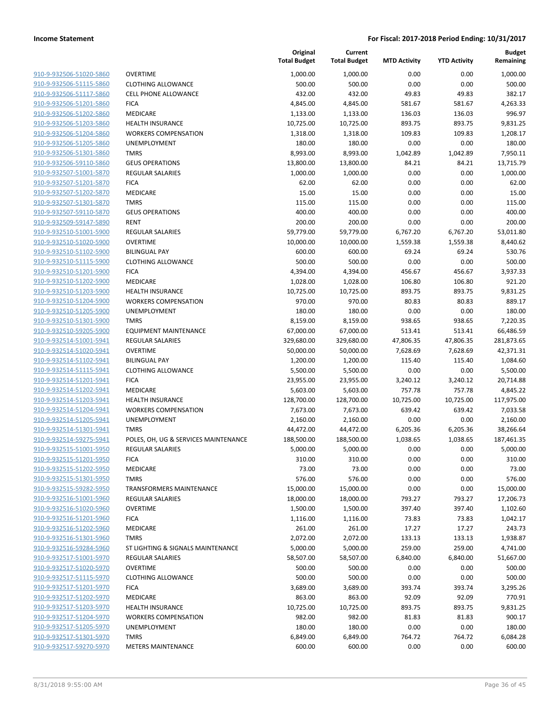| <u>910-9-932506-51020-5860</u> |
|--------------------------------|
| 910-9-932506-51115-5860        |
| 910-9-932506-51117-5860        |
| 910-9-932506-51201-5860        |
| 910-9-932506-51202-5860        |
| 910-9-932506-51203-5860        |
| 910-9-932506-51204-5860        |
| 910-9-932506-51205-5860        |
| 910-9-932506-51301-5860        |
| 910-9-932506-59110-5860        |
| 910-9-932507-51001-5870        |
| 910-9-932507-51201-5870        |
| 910-9-932507-51202-5870        |
| 910-9-932507-51301-5870        |
| 910-9-932507-59110-5870        |
|                                |
| 910-9-932509-59147-5890        |
| 910-9-932510-51001-5900        |
| 910-9-932510-51020-5900        |
| 910-9-932510-51102-5900        |
| 910-9-932510-51115-5900        |
| 910-9-932510-51201-5900        |
| 910-9-932510-51202-5900        |
| 910-9-932510-51203-5900        |
| 910-9-932510-51204-5900        |
| 910-9-932510-51205-5900        |
| 910-9-932510-51301-5900        |
| 910-9-932510-59205-5900        |
| 910-9-932514-51001-5941        |
| 910-9-932514-51020-5941        |
| 910-9-932514-51102-5941        |
| 910-9-932514-51115-5941        |
| 910-9-932514-51201-5941        |
| 910-9-932514-51202-5941        |
| 910-9-932514-51203-5941        |
| 910-9-932514-51204-5941        |
| 910-9-932514-51205-5941        |
| 910-9-932514-51301-5941        |
| 910-9-932514-59275-5941        |
| 910-9-932515-51001-5950        |
| 910-9-932515-51201-5950        |
| 910-9-932515-51202-5950        |
| 910-9-932515-51301-5950        |
|                                |
| 910-9-932515-59282-5950        |
| 910-9-932516-51001-5960        |
| 910-9-932516-51020-5960        |
| 910-9-932516-51201-5960        |
| 910-9-932516-51202-5960        |
| 910-9-932516-51301-5960        |
| 910-9-932516-59284-5960        |
| 910-9-932517-51001-5970        |
| 910-9-932517-51020-5970        |
| 910-9-932517-51115-5970        |
| 910-9-932517-51201-5970        |
| 910-9-932517-51202-5970        |
| 910-9-932517-51203-5970        |
| 910-9-932517-51204-5970        |
| 910-9-932517-51205-5970        |
| 910-9-932517-51301-5970        |
| 910-9-932517-59270-5970        |
|                                |

|                         |                                      | Original<br><b>Total Budget</b> | Current<br><b>Total Budget</b> | <b>MTD Activity</b> | <b>YTD Activity</b> | <b>Budget</b><br>Remaining |
|-------------------------|--------------------------------------|---------------------------------|--------------------------------|---------------------|---------------------|----------------------------|
| 910-9-932506-51020-5860 | <b>OVERTIME</b>                      | 1,000.00                        | 1,000.00                       | 0.00                | 0.00                | 1,000.00                   |
| 910-9-932506-51115-5860 | <b>CLOTHING ALLOWANCE</b>            | 500.00                          | 500.00                         | 0.00                | 0.00                | 500.00                     |
| 910-9-932506-51117-5860 | <b>CELL PHONE ALLOWANCE</b>          | 432.00                          | 432.00                         | 49.83               | 49.83               | 382.17                     |
| 910-9-932506-51201-5860 | <b>FICA</b>                          | 4,845.00                        | 4,845.00                       | 581.67              | 581.67              | 4,263.33                   |
| 910-9-932506-51202-5860 | MEDICARE                             | 1,133.00                        | 1,133.00                       | 136.03              | 136.03              | 996.97                     |
| 910-9-932506-51203-5860 | <b>HEALTH INSURANCE</b>              | 10,725.00                       | 10,725.00                      | 893.75              | 893.75              | 9,831.25                   |
| 910-9-932506-51204-5860 | <b>WORKERS COMPENSATION</b>          | 1,318.00                        | 1,318.00                       | 109.83              | 109.83              | 1,208.17                   |
| 910-9-932506-51205-5860 | UNEMPLOYMENT                         | 180.00                          | 180.00                         | 0.00                | 0.00                | 180.00                     |
| 910-9-932506-51301-5860 | <b>TMRS</b>                          | 8,993.00                        | 8,993.00                       | 1,042.89            | 1,042.89            | 7,950.11                   |
| 910-9-932506-59110-5860 | <b>GEUS OPERATIONS</b>               | 13,800.00                       | 13,800.00                      | 84.21               | 84.21               | 13,715.79                  |
| 910-9-932507-51001-5870 | <b>REGULAR SALARIES</b>              | 1,000.00                        | 1,000.00                       | 0.00                | 0.00                | 1,000.00                   |
| 910-9-932507-51201-5870 | <b>FICA</b>                          | 62.00                           | 62.00                          | 0.00                | 0.00                | 62.00                      |
| 910-9-932507-51202-5870 | MEDICARE                             | 15.00                           | 15.00                          | 0.00                | 0.00                | 15.00                      |
| 910-9-932507-51301-5870 | <b>TMRS</b>                          | 115.00                          | 115.00                         | 0.00                | 0.00                | 115.00                     |
| 910-9-932507-59110-5870 | <b>GEUS OPERATIONS</b>               | 400.00                          | 400.00                         | 0.00                | 0.00                | 400.00                     |
| 910-9-932509-59147-5890 | <b>RENT</b>                          | 200.00                          | 200.00                         | 0.00                | 0.00                | 200.00                     |
| 910-9-932510-51001-5900 | <b>REGULAR SALARIES</b>              | 59,779.00                       | 59,779.00                      | 6,767.20            | 6,767.20            | 53,011.80                  |
| 910-9-932510-51020-5900 | <b>OVERTIME</b>                      | 10,000.00                       | 10,000.00                      | 1,559.38            | 1,559.38            | 8,440.62                   |
| 910-9-932510-51102-5900 | <b>BILINGUAL PAY</b>                 | 600.00                          | 600.00                         | 69.24               | 69.24               | 530.76                     |
| 910-9-932510-51115-5900 | <b>CLOTHING ALLOWANCE</b>            | 500.00                          | 500.00                         | 0.00                | 0.00                | 500.00                     |
| 910-9-932510-51201-5900 | <b>FICA</b>                          | 4,394.00                        | 4,394.00                       | 456.67              | 456.67              | 3,937.33                   |
| 910-9-932510-51202-5900 | MEDICARE                             | 1,028.00                        | 1,028.00                       | 106.80              | 106.80              | 921.20                     |
| 910-9-932510-51203-5900 | <b>HEALTH INSURANCE</b>              | 10,725.00                       | 10,725.00                      | 893.75              | 893.75              | 9,831.25                   |
| 910-9-932510-51204-5900 | <b>WORKERS COMPENSATION</b>          | 970.00                          | 970.00                         | 80.83               | 80.83               | 889.17                     |
| 910-9-932510-51205-5900 | UNEMPLOYMENT                         | 180.00                          | 180.00                         | 0.00                | 0.00                | 180.00                     |
| 910-9-932510-51301-5900 | <b>TMRS</b>                          | 8,159.00                        | 8,159.00                       | 938.65              | 938.65              | 7,220.35                   |
| 910-9-932510-59205-5900 | <b>EQUIPMENT MAINTENANCE</b>         | 67,000.00                       | 67,000.00                      | 513.41              | 513.41              | 66,486.59                  |
| 910-9-932514-51001-5941 | <b>REGULAR SALARIES</b>              | 329,680.00                      | 329,680.00                     | 47,806.35           | 47,806.35           | 281,873.65                 |
| 910-9-932514-51020-5941 | <b>OVERTIME</b>                      | 50,000.00                       | 50,000.00                      | 7,628.69            | 7,628.69            | 42,371.31                  |
| 910-9-932514-51102-5941 | <b>BILINGUAL PAY</b>                 | 1,200.00                        | 1,200.00                       | 115.40              | 115.40              | 1,084.60                   |
| 910-9-932514-51115-5941 | <b>CLOTHING ALLOWANCE</b>            | 5,500.00                        | 5,500.00                       | 0.00                | 0.00                | 5,500.00                   |
| 910-9-932514-51201-5941 | <b>FICA</b>                          | 23,955.00                       | 23,955.00                      | 3,240.12            | 3,240.12            | 20,714.88                  |
| 910-9-932514-51202-5941 | MEDICARE                             | 5,603.00                        | 5,603.00                       | 757.78              | 757.78              | 4,845.22                   |
| 910-9-932514-51203-5941 | HEALTH INSURANCE                     | 128,700.00                      | 128,700.00                     | 10,725.00           | 10,725.00           | 117,975.00                 |
| 910-9-932514-51204-5941 | <b>WORKERS COMPENSATION</b>          | 7,673.00                        | 7,673.00                       | 639.42              | 639.42              | 7,033.58                   |
| 910-9-932514-51205-5941 | UNEMPLOYMENT                         | 2,160.00                        | 2,160.00                       | 0.00                | 0.00                | 2,160.00                   |
| 910-9-932514-51301-5941 | <b>TMRS</b>                          | 44,472.00                       | 44,472.00                      | 6,205.36            | 6,205.36            | 38,266.64                  |
| 910-9-932514-59275-5941 | POLES, OH, UG & SERVICES MAINTENANCE | 188,500.00                      | 188,500.00                     | 1,038.65            | 1,038.65            | 187,461.35                 |
| 910-9-932515-51001-5950 | <b>REGULAR SALARIES</b>              | 5,000.00                        | 5,000.00                       | 0.00                | 0.00                | 5,000.00                   |
| 910-9-932515-51201-5950 | <b>FICA</b>                          | 310.00                          | 310.00                         | 0.00                | 0.00                | 310.00                     |
| 910-9-932515-51202-5950 | MEDICARE                             | 73.00                           | 73.00                          | 0.00                | 0.00                | 73.00                      |
| 910-9-932515-51301-5950 | <b>TMRS</b>                          | 576.00                          | 576.00                         | 0.00                | 0.00                | 576.00                     |
| 910-9-932515-59282-5950 | <b>TRANSFORMERS MAINTENANCE</b>      | 15,000.00                       | 15,000.00                      | 0.00                | 0.00                | 15,000.00                  |
| 910-9-932516-51001-5960 | <b>REGULAR SALARIES</b>              | 18,000.00                       | 18,000.00                      | 793.27              | 793.27              | 17,206.73                  |
| 910-9-932516-51020-5960 | <b>OVERTIME</b>                      | 1,500.00                        | 1,500.00                       | 397.40              | 397.40              | 1,102.60                   |
| 910-9-932516-51201-5960 | <b>FICA</b>                          | 1,116.00                        | 1,116.00                       | 73.83               | 73.83               | 1,042.17                   |
| 910-9-932516-51202-5960 | MEDICARE                             | 261.00                          | 261.00                         | 17.27               | 17.27               | 243.73                     |
| 910-9-932516-51301-5960 | <b>TMRS</b>                          | 2,072.00                        | 2,072.00                       | 133.13              | 133.13              | 1,938.87                   |
| 910-9-932516-59284-5960 | ST LIGHTING & SIGNALS MAINTENANCE    | 5,000.00                        | 5,000.00                       | 259.00              | 259.00              | 4,741.00                   |
| 910-9-932517-51001-5970 | <b>REGULAR SALARIES</b>              | 58,507.00                       | 58,507.00                      | 6,840.00            | 6,840.00            | 51,667.00                  |
| 910-9-932517-51020-5970 | <b>OVERTIME</b>                      | 500.00                          | 500.00                         | 0.00                | 0.00                | 500.00                     |
| 910-9-932517-51115-5970 | <b>CLOTHING ALLOWANCE</b>            | 500.00                          | 500.00                         | 0.00                | 0.00                | 500.00                     |
| 910-9-932517-51201-5970 | <b>FICA</b>                          | 3,689.00                        | 3,689.00                       | 393.74              | 393.74              | 3,295.26                   |
| 910-9-932517-51202-5970 | MEDICARE                             | 863.00                          | 863.00                         | 92.09               | 92.09               | 770.91                     |
| 910-9-932517-51203-5970 | <b>HEALTH INSURANCE</b>              | 10,725.00                       | 10,725.00                      | 893.75              | 893.75              | 9,831.25                   |
| 910-9-932517-51204-5970 | <b>WORKERS COMPENSATION</b>          | 982.00                          | 982.00                         | 81.83               | 81.83               | 900.17                     |
| 910-9-932517-51205-5970 | UNEMPLOYMENT                         | 180.00                          | 180.00                         | 0.00                | 0.00                | 180.00                     |
| 910-9-932517-51301-5970 | <b>TMRS</b>                          | 6,849.00                        | 6,849.00                       | 764.72              | 764.72              | 6,084.28                   |
| 910-9-932517-59270-5970 | <b>METERS MAINTENANCE</b>            | 600.00                          | 600.00                         | 0.00                | 0.00                | 600.00                     |
|                         |                                      |                                 |                                |                     |                     |                            |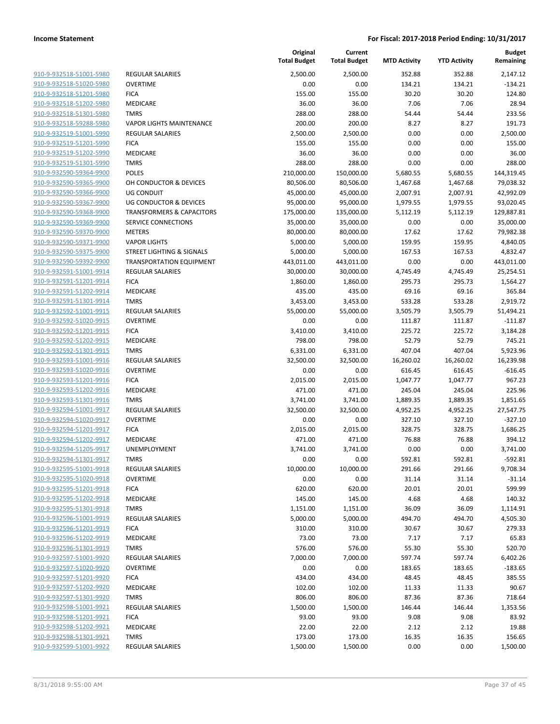| 910-9-932518-51001-5980                                   |
|-----------------------------------------------------------|
| 910-9-932518-51020-5980                                   |
| 910-9-932518-51201-5980                                   |
| 910-9-932518-51202-5980                                   |
| 910-9-932518-51301-5980                                   |
| 910-9-932518-59288-5980                                   |
| 910-9-932519-51001-5990                                   |
| 910-9-932519-51201-5990                                   |
| 910-9-932519-51202-5990                                   |
| 910-9-932519-51301-5990                                   |
| 910-9-932590-59364-9900                                   |
| 910-9-932590-59365-9900                                   |
| 910-9-932590-59366-9900                                   |
| 910-9-932590-59367-9900                                   |
| 910-9-932590-59368-9900                                   |
|                                                           |
| 910-9-932590-59369-9900                                   |
| 910-9-932590-59370-9900                                   |
| 910-9-932590-59371-9900                                   |
| 910-9-932590-59375-9900                                   |
| 910-9-932590-59392-9900                                   |
| 910-9-932591-51001-9914                                   |
| 910-9-932591-51201-9914                                   |
| 910-9-932591-51202-9914                                   |
| 910-9-932591-51301-9914                                   |
| 910-9-932592-51001-9915                                   |
| 910-9-932592-51020-9915                                   |
| 910-9-932592-51201-9915                                   |
| 910-9-932592-51202-9915                                   |
| 910-9-932592-51301-9915                                   |
| 910-9-932593-51001-9916                                   |
| 910-9-932593-51020-9916                                   |
| 910-9-932593-51201-9916                                   |
| 910-9-932593-51202-9916                                   |
| 910-9-932593-51301-9916                                   |
| 910-9-932594-51001-9917                                   |
| 910-9-932594-51020-9917                                   |
| 910-9-932594-51201-9917                                   |
| 910-9-932594-51202-9917                                   |
| 910-9-932594-51205-9917                                   |
| 910-9-932594-51301-9917                                   |
|                                                           |
| <u>910-9-932595-51001-9918</u><br>910-9-932595-51020-9918 |
| 910-9-932595-51201-9918                                   |
|                                                           |
| 910-9-932595-51202-9918                                   |
| 910-9-932595-51301-9918                                   |
| 910-9-932596-51001-9919                                   |
| 910-9-932596-51201-9919                                   |
| 910-9-932596-51202-9919                                   |
| 910-9-932596-51301-9919                                   |
| 910-9-932597-51001-9920                                   |
| 910-9-932597-51020-9920                                   |
| 910-9-932597-51201-9920                                   |
| 910-9-932597-51202-9920                                   |
| 910-9-932597-51301-9920                                   |
| 910-9-932598-51001-9921                                   |
| 910-9-932598-51201-9921                                   |
| 910-9-932598-51202-9921                                   |
| 910-9-932598-51301-9921                                   |
| 910-9-932599-51001-9922                                   |
|                                                           |

|                                                    |                                      | Original<br><b>Total Budget</b> | Current<br><b>Total Budget</b> | <b>MTD Activity</b> | <b>YTD Activity</b> | <b>Budget</b><br>Remaining |
|----------------------------------------------------|--------------------------------------|---------------------------------|--------------------------------|---------------------|---------------------|----------------------------|
| 910-9-932518-51001-5980                            | <b>REGULAR SALARIES</b>              | 2,500.00                        | 2,500.00                       | 352.88              | 352.88              | 2,147.12                   |
| 910-9-932518-51020-5980                            | <b>OVERTIME</b>                      | 0.00                            | 0.00                           | 134.21              | 134.21              | $-134.21$                  |
| 910-9-932518-51201-5980                            | <b>FICA</b>                          | 155.00                          | 155.00                         | 30.20               | 30.20               | 124.80                     |
| 910-9-932518-51202-5980                            | MEDICARE                             | 36.00                           | 36.00                          | 7.06                | 7.06                | 28.94                      |
| 910-9-932518-51301-5980                            | <b>TMRS</b>                          | 288.00                          | 288.00                         | 54.44               | 54.44               | 233.56                     |
| 910-9-932518-59288-5980                            | <b>VAPOR LIGHTS MAINTENANCE</b>      | 200.00                          | 200.00                         | 8.27                | 8.27                | 191.73                     |
| 910-9-932519-51001-5990                            | <b>REGULAR SALARIES</b>              | 2,500.00                        | 2,500.00                       | 0.00                | 0.00                | 2,500.00                   |
| 910-9-932519-51201-5990                            | <b>FICA</b>                          | 155.00                          | 155.00                         | 0.00                | 0.00                | 155.00                     |
| 910-9-932519-51202-5990                            | MEDICARE                             | 36.00                           | 36.00                          | 0.00                | 0.00                | 36.00                      |
| 910-9-932519-51301-5990                            | <b>TMRS</b>                          | 288.00                          | 288.00                         | 0.00                | 0.00                | 288.00                     |
| 910-9-932590-59364-9900                            | <b>POLES</b>                         | 210,000.00                      | 150,000.00                     | 5,680.55            | 5,680.55            | 144,319.45                 |
| 910-9-932590-59365-9900                            | OH CONDUCTOR & DEVICES               | 80,506.00                       | 80,506.00                      | 1,467.68            | 1,467.68            | 79,038.32                  |
| 910-9-932590-59366-9900                            | UG CONDUIT                           | 45,000.00                       | 45,000.00                      | 2,007.91            | 2,007.91            | 42,992.09                  |
| 910-9-932590-59367-9900                            | <b>UG CONDUCTOR &amp; DEVICES</b>    | 95,000.00                       | 95,000.00                      | 1,979.55            | 1,979.55            | 93,020.45                  |
| 910-9-932590-59368-9900                            | <b>TRANSFORMERS &amp; CAPACITORS</b> | 175,000.00                      | 135,000.00                     | 5,112.19            | 5,112.19            | 129,887.81                 |
| 910-9-932590-59369-9900                            | SERVICE CONNECTIONS                  | 35,000.00                       | 35,000.00                      | 0.00                | 0.00                | 35,000.00                  |
| 910-9-932590-59370-9900                            | <b>METERS</b>                        | 80,000.00                       | 80,000.00                      | 17.62               | 17.62               | 79,982.38                  |
| 910-9-932590-59371-9900                            | <b>VAPOR LIGHTS</b>                  | 5,000.00                        | 5,000.00                       | 159.95              | 159.95              | 4,840.05                   |
| 910-9-932590-59375-9900                            | STREET LIGHTING & SIGNALS            | 5,000.00                        | 5,000.00                       | 167.53              | 167.53              | 4,832.47                   |
| 910-9-932590-59392-9900                            | <b>TRANSPORTATION EQUIPMENT</b>      | 443,011.00                      | 443,011.00                     | 0.00                | 0.00                | 443,011.00                 |
| 910-9-932591-51001-9914                            | <b>REGULAR SALARIES</b>              | 30,000.00                       | 30,000.00                      | 4,745.49            | 4,745.49            | 25,254.51                  |
| 910-9-932591-51201-9914                            | <b>FICA</b>                          | 1,860.00                        | 1,860.00                       | 295.73              | 295.73              | 1,564.27                   |
| 910-9-932591-51202-9914                            | MEDICARE                             | 435.00                          | 435.00                         | 69.16               | 69.16               | 365.84                     |
| 910-9-932591-51301-9914                            | <b>TMRS</b>                          |                                 |                                |                     |                     |                            |
| 910-9-932592-51001-9915                            | <b>REGULAR SALARIES</b>              | 3,453.00<br>55,000.00           | 3,453.00<br>55,000.00          | 533.28<br>3,505.79  | 533.28<br>3,505.79  | 2,919.72<br>51,494.21      |
| 910-9-932592-51020-9915                            | <b>OVERTIME</b>                      |                                 | 0.00                           |                     |                     |                            |
|                                                    |                                      | 0.00                            |                                | 111.87              | 111.87              | $-111.87$                  |
| 910-9-932592-51201-9915<br>910-9-932592-51202-9915 | <b>FICA</b>                          | 3,410.00                        | 3,410.00                       | 225.72              | 225.72              | 3,184.28                   |
|                                                    | MEDICARE                             | 798.00                          | 798.00                         | 52.79               | 52.79               | 745.21                     |
| 910-9-932592-51301-9915                            | <b>TMRS</b>                          | 6,331.00                        | 6,331.00                       | 407.04              | 407.04              | 5,923.96                   |
| 910-9-932593-51001-9916                            | <b>REGULAR SALARIES</b>              | 32,500.00                       | 32,500.00                      | 16,260.02           | 16,260.02           | 16,239.98                  |
| 910-9-932593-51020-9916                            | <b>OVERTIME</b>                      | 0.00                            | 0.00                           | 616.45              | 616.45              | $-616.45$                  |
| 910-9-932593-51201-9916                            | <b>FICA</b>                          | 2,015.00                        | 2,015.00                       | 1,047.77            | 1,047.77            | 967.23                     |
| 910-9-932593-51202-9916                            | MEDICARE                             | 471.00                          | 471.00                         | 245.04              | 245.04              | 225.96                     |
| 910-9-932593-51301-9916                            | <b>TMRS</b>                          | 3,741.00                        | 3,741.00                       | 1,889.35            | 1,889.35            | 1,851.65                   |
| 910-9-932594-51001-9917                            | <b>REGULAR SALARIES</b>              | 32,500.00                       | 32,500.00                      | 4,952.25            | 4,952.25            | 27,547.75                  |
| 910-9-932594-51020-9917                            | <b>OVERTIME</b>                      | 0.00                            | 0.00                           | 327.10              | 327.10              | $-327.10$                  |
| 910-9-932594-51201-9917                            | <b>FICA</b>                          | 2,015.00                        | 2,015.00                       | 328.75              | 328.75              | 1,686.25                   |
| 910-9-932594-51202-9917                            | <b>MEDICARE</b>                      | 471.00                          | 471.00                         | 76.88               | 76.88               | 394.12                     |
| 910-9-932594-51205-9917                            | <b>UNEMPLOYMENT</b>                  | 3,741.00                        | 3,741.00                       | 0.00                | 0.00                | 3,741.00                   |
| 910-9-932594-51301-9917                            | TMRS                                 | 0.00                            | 0.00                           | 592.81              | 592.81              | -592.81                    |
| 910-9-932595-51001-9918                            | REGULAR SALARIES                     | 10,000.00                       | 10,000.00                      | 291.66              | 291.66              | 9,708.34                   |
| 910-9-932595-51020-9918                            | <b>OVERTIME</b>                      | 0.00                            | 0.00                           | 31.14               | 31.14               | $-31.14$                   |
| 910-9-932595-51201-9918                            | <b>FICA</b>                          | 620.00                          | 620.00                         | 20.01               | 20.01               | 599.99                     |
| 910-9-932595-51202-9918                            | MEDICARE                             | 145.00                          | 145.00                         | 4.68                | 4.68                | 140.32                     |
| 910-9-932595-51301-9918                            | <b>TMRS</b>                          | 1,151.00                        | 1,151.00                       | 36.09               | 36.09               | 1,114.91                   |
| 910-9-932596-51001-9919                            | <b>REGULAR SALARIES</b>              | 5,000.00                        | 5,000.00                       | 494.70              | 494.70              | 4,505.30                   |
| 910-9-932596-51201-9919                            | <b>FICA</b>                          | 310.00                          | 310.00                         | 30.67               | 30.67               | 279.33                     |
| 910-9-932596-51202-9919                            | MEDICARE                             | 73.00                           | 73.00                          | 7.17                | 7.17                | 65.83                      |
| 910-9-932596-51301-9919                            | <b>TMRS</b>                          | 576.00                          | 576.00                         | 55.30               | 55.30               | 520.70                     |
| 910-9-932597-51001-9920                            | <b>REGULAR SALARIES</b>              | 7,000.00                        | 7,000.00                       | 597.74              | 597.74              | 6,402.26                   |
| 910-9-932597-51020-9920                            | <b>OVERTIME</b>                      | 0.00                            | 0.00                           | 183.65              | 183.65              | $-183.65$                  |
| 910-9-932597-51201-9920                            | <b>FICA</b>                          | 434.00                          | 434.00                         | 48.45               | 48.45               | 385.55                     |
| 910-9-932597-51202-9920                            | MEDICARE                             | 102.00                          | 102.00                         | 11.33               | 11.33               | 90.67                      |
| 910-9-932597-51301-9920                            | <b>TMRS</b>                          | 806.00                          | 806.00                         | 87.36               | 87.36               | 718.64                     |
| 910-9-932598-51001-9921                            | REGULAR SALARIES                     | 1,500.00                        | 1,500.00                       | 146.44              | 146.44              | 1,353.56                   |
| 910-9-932598-51201-9921                            | <b>FICA</b>                          | 93.00                           | 93.00                          | 9.08                | 9.08                | 83.92                      |
| 910-9-932598-51202-9921                            | MEDICARE                             | 22.00                           | 22.00                          | 2.12                | 2.12                | 19.88                      |
| 910-9-932598-51301-9921                            | <b>TMRS</b>                          | 173.00                          | 173.00                         | 16.35               | 16.35               | 156.65                     |
| 910-9-932599-51001-9922                            | <b>REGULAR SALARIES</b>              | 1,500.00                        | 1,500.00                       | 0.00                | 0.00                | 1,500.00                   |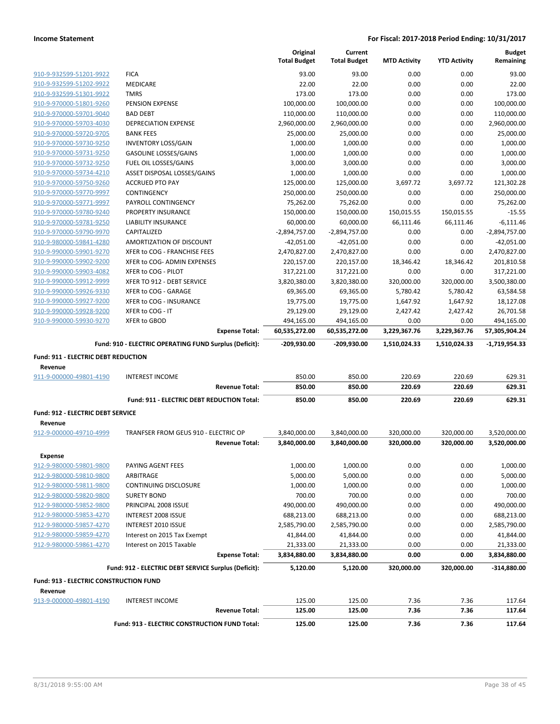|                                        |                                                                        | Original<br><b>Total Budget</b> | Current<br><b>Total Budget</b> | <b>MTD Activity</b>      | <b>YTD Activity</b>      | <b>Budget</b><br>Remaining   |
|----------------------------------------|------------------------------------------------------------------------|---------------------------------|--------------------------------|--------------------------|--------------------------|------------------------------|
| 910-9-932599-51201-9922                | <b>FICA</b>                                                            | 93.00                           | 93.00                          | 0.00                     | 0.00                     | 93.00                        |
| 910-9-932599-51202-9922                | MEDICARE                                                               | 22.00                           | 22.00                          | 0.00                     | 0.00                     | 22.00                        |
| 910-9-932599-51301-9922                | <b>TMRS</b>                                                            | 173.00                          | 173.00                         | 0.00                     | 0.00                     | 173.00                       |
| 910-9-970000-51801-9260                | PENSION EXPENSE                                                        | 100,000.00                      | 100,000.00                     | 0.00                     | 0.00                     | 100,000.00                   |
| 910-9-970000-59701-9040                | <b>BAD DEBT</b>                                                        | 110,000.00                      | 110,000.00                     | 0.00                     | 0.00                     | 110,000.00                   |
| 910-9-970000-59703-4030                | <b>DEPRECIATION EXPENSE</b>                                            | 2,960,000.00                    | 2,960,000.00                   | 0.00                     | 0.00                     | 2,960,000.00                 |
| 910-9-970000-59720-9705                | <b>BANK FEES</b>                                                       | 25,000.00                       | 25,000.00                      | 0.00                     | 0.00                     | 25,000.00                    |
| 910-9-970000-59730-9250                | <b>INVENTORY LOSS/GAIN</b>                                             | 1,000.00                        | 1,000.00                       | 0.00                     | 0.00                     | 1,000.00                     |
| 910-9-970000-59731-9250                | <b>GASOLINE LOSSES/GAINS</b>                                           | 1,000.00                        | 1,000.00                       | 0.00                     | 0.00                     | 1,000.00                     |
| 910-9-970000-59732-9250                | FUEL OIL LOSSES/GAINS                                                  | 3,000.00                        | 3,000.00                       | 0.00                     | 0.00                     | 3,000.00                     |
| 910-9-970000-59734-4210                | ASSET DISPOSAL LOSSES/GAINS                                            | 1,000.00                        | 1,000.00                       | 0.00                     | 0.00                     | 1,000.00                     |
| 910-9-970000-59750-9260                | <b>ACCRUED PTO PAY</b>                                                 | 125,000.00                      | 125,000.00                     | 3,697.72                 | 3,697.72                 | 121,302.28                   |
| 910-9-970000-59770-9997                | CONTINGENCY                                                            | 250,000.00                      | 250,000.00                     | 0.00                     | 0.00                     | 250,000.00                   |
| 910-9-970000-59771-9997                | PAYROLL CONTINGENCY                                                    | 75,262.00                       | 75,262.00                      | 0.00                     | 0.00                     | 75,262.00                    |
| 910-9-970000-59780-9240                | PROPERTY INSURANCE                                                     | 150,000.00                      | 150,000.00                     | 150,015.55               | 150,015.55               | $-15.55$                     |
| 910-9-970000-59781-9250                | LIABILITY INSURANCE                                                    | 60,000.00                       | 60,000.00                      | 66,111.46                | 66,111.46                | $-6,111.46$                  |
| 910-9-970000-59790-9970                | CAPITALIZED                                                            | $-2,894,757.00$                 | $-2,894,757.00$                | 0.00                     | 0.00                     | $-2,894,757.00$              |
| 910-9-980000-59841-4280                | AMORTIZATION OF DISCOUNT                                               | $-42,051.00$                    | $-42,051.00$                   | 0.00                     | 0.00                     | $-42,051.00$                 |
| 910-9-990000-59901-9270                | XFER to COG - FRANCHISE FEES                                           | 2,470,827.00                    | 2,470,827.00                   | 0.00                     | 0.00                     |                              |
| 910-9-990000-59902-9200                | XFER to COG- ADMIN EXPENSES                                            | 220,157.00                      | 220,157.00                     | 18,346.42                | 18,346.42                | 2,470,827.00<br>201,810.58   |
| 910-9-990000-59903-4082                | XFER to COG - PILOT                                                    | 317,221.00                      |                                |                          |                          |                              |
|                                        |                                                                        |                                 | 317,221.00                     | 0.00                     | 0.00<br>320,000.00       | 317,221.00                   |
| 910-9-990000-59912-9999                | XFER TO 912 - DEBT SERVICE                                             | 3,820,380.00                    | 3,820,380.00                   | 320,000.00               |                          | 3,500,380.00                 |
| 910-9-990000-59926-9330                | XFER to COG - GARAGE                                                   | 69,365.00                       | 69,365.00                      | 5,780.42                 | 5,780.42                 | 63,584.58                    |
| 910-9-990000-59927-9200                | XFER to COG - INSURANCE                                                | 19,775.00                       | 19,775.00                      | 1,647.92                 | 1,647.92                 | 18,127.08                    |
| 910-9-990000-59928-9200                | XFER to COG - IT                                                       | 29,129.00                       | 29,129.00                      | 2,427.42                 | 2,427.42                 | 26,701.58                    |
| 910-9-990000-59930-9270                | XFER to GBOD                                                           | 494,165.00                      | 494,165.00                     | 0.00                     | 0.00                     | 494,165.00                   |
|                                        | <b>Expense Total:</b>                                                  | 60,535,272.00                   | 60,535,272.00                  | 3,229,367.76             | 3,229,367.76             | 57,305,904.24                |
|                                        |                                                                        |                                 |                                |                          |                          |                              |
|                                        | Fund: 910 - ELECTRIC OPERATING FUND Surplus (Deficit):                 | $-209,930.00$                   | -209,930.00                    | 1,510,024.33             | 1,510,024.33             | -1,719,954.33                |
| Fund: 911 - ELECTRIC DEBT REDUCTION    |                                                                        |                                 |                                |                          |                          |                              |
| Revenue<br>911-9-000000-49801-4190     | <b>INTEREST INCOME</b>                                                 | 850.00                          | 850.00                         | 220.69                   | 220.69                   | 629.31                       |
|                                        | <b>Revenue Total:</b>                                                  | 850.00                          | 850.00                         | 220.69                   | 220.69                   | 629.31                       |
|                                        | Fund: 911 - ELECTRIC DEBT REDUCTION Total:                             | 850.00                          | 850.00                         | 220.69                   | 220.69                   | 629.31                       |
|                                        |                                                                        |                                 |                                |                          |                          |                              |
| Fund: 912 - ELECTRIC DEBT SERVICE      |                                                                        |                                 |                                |                          |                          |                              |
| Revenue<br>912-9-000000-49710-4999     |                                                                        |                                 |                                |                          |                          |                              |
|                                        | TRANFSER FROM GEUS 910 - ELECTRIC OP<br><b>Revenue Total:</b>          | 3,840,000.00<br>3,840,000.00    | 3,840,000.00<br>3,840,000.00   | 320,000.00<br>320,000.00 | 320,000.00<br>320,000.00 | 3,520,000.00<br>3,520,000.00 |
|                                        |                                                                        |                                 |                                |                          |                          |                              |
| <b>Expense</b>                         |                                                                        |                                 |                                |                          |                          |                              |
| 912-9-980000-59801-9800                | PAYING AGENT FEES                                                      | 1,000.00                        | 1,000.00                       | 0.00                     | 0.00                     | 1,000.00                     |
| 912-9-980000-59810-9800                | ARBITRAGE                                                              | 5,000.00                        | 5,000.00                       | 0.00                     | 0.00                     | 5,000.00                     |
| 912-9-980000-59811-9800                | CONTINUING DISCLOSURE                                                  | 1,000.00                        | 1,000.00                       | 0.00                     | 0.00                     | 1,000.00                     |
| 912-9-980000-59820-9800                | <b>SURETY BOND</b>                                                     | 700.00                          | 700.00                         | 0.00                     | 0.00                     | 700.00                       |
| 912-9-980000-59852-9800                | PRINCIPAL 2008 ISSUE                                                   | 490,000.00                      | 490,000.00                     | 0.00                     | 0.00                     | 490,000.00                   |
| 912-9-980000-59853-4270                | INTEREST 2008 ISSUE                                                    | 688,213.00                      | 688,213.00                     | 0.00                     | 0.00                     | 688,213.00                   |
| 912-9-980000-59857-4270                | INTEREST 2010 ISSUE                                                    | 2,585,790.00                    | 2,585,790.00                   | 0.00                     | 0.00                     | 2,585,790.00                 |
| 912-9-980000-59859-4270                | Interest on 2015 Tax Exempt                                            | 41,844.00                       | 41,844.00                      | 0.00                     | 0.00                     | 41,844.00                    |
| 912-9-980000-59861-4270                | Interest on 2015 Taxable                                               | 21,333.00                       | 21,333.00                      | 0.00                     | 0.00                     | 21,333.00                    |
|                                        | <b>Expense Total:</b>                                                  | 3,834,880.00                    | 3,834,880.00                   | 0.00                     | 0.00                     | 3,834,880.00                 |
|                                        | Fund: 912 - ELECTRIC DEBT SERVICE Surplus (Deficit):                   | 5,120.00                        | 5,120.00                       | 320,000.00               | 320,000.00               | $-314,880.00$                |
| Fund: 913 - ELECTRIC CONSTRUCTION FUND |                                                                        |                                 |                                |                          |                          |                              |
| Revenue                                |                                                                        |                                 |                                |                          |                          |                              |
| 913-9-000000-49801-4190                | <b>INTEREST INCOME</b>                                                 | 125.00                          | 125.00                         | 7.36                     | 7.36                     | 117.64                       |
|                                        | <b>Revenue Total:</b><br>Fund: 913 - ELECTRIC CONSTRUCTION FUND Total: | 125.00<br>125.00                | 125.00<br>125.00               | 7.36<br>7.36             | 7.36<br>7.36             | 117.64<br>117.64             |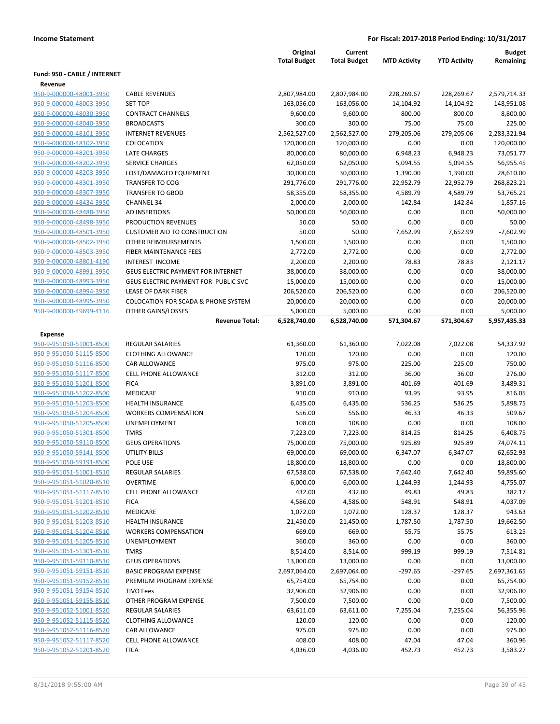|                              |                                                | Original<br><b>Total Budget</b> | Current<br><b>Total Budget</b> | <b>MTD Activity</b> | <b>YTD Activity</b> | <b>Budget</b><br>Remaining |
|------------------------------|------------------------------------------------|---------------------------------|--------------------------------|---------------------|---------------------|----------------------------|
| Fund: 950 - CABLE / INTERNET |                                                |                                 |                                |                     |                     |                            |
| Revenue                      |                                                |                                 |                                |                     |                     |                            |
| 950-9-000000-48001-3950      | <b>CABLE REVENUES</b>                          | 2,807,984.00                    | 2,807,984.00                   | 228,269.67          | 228,269.67          | 2,579,714.33               |
| 950-9-000000-48003-3950      | SET-TOP                                        | 163,056.00                      | 163,056.00                     | 14,104.92           | 14,104.92           | 148,951.08                 |
| 950-9-000000-48030-3950      | <b>CONTRACT CHANNELS</b>                       | 9,600.00                        | 9,600.00                       | 800.00              | 800.00              | 8,800.00                   |
| 950-9-000000-48040-3950      | <b>BROADCASTS</b>                              | 300.00                          | 300.00                         | 75.00               | 75.00               | 225.00                     |
| 950-9-000000-48101-3950      | <b>INTERNET REVENUES</b>                       | 2,562,527.00                    | 2,562,527.00                   | 279,205.06          | 279,205.06          | 2,283,321.94               |
| 950-9-000000-48102-3950      | COLOCATION                                     | 120,000.00                      | 120,000.00                     | 0.00                | 0.00                | 120,000.00                 |
| 950-9-000000-48201-3950      | <b>LATE CHARGES</b>                            | 80,000.00                       | 80,000.00                      | 6,948.23            | 6,948.23            | 73,051.77                  |
| 950-9-000000-48202-3950      | SERVICE CHARGES                                | 62,050.00                       | 62,050.00                      | 5,094.55            | 5,094.55            | 56,955.45                  |
| 950-9-000000-48203-3950      | LOST/DAMAGED EQUIPMENT                         | 30,000.00                       | 30,000.00                      | 1,390.00            | 1,390.00            | 28,610.00                  |
| 950-9-000000-48301-3950      | <b>TRANSFER TO COG</b>                         | 291,776.00                      | 291,776.00                     | 22,952.79           | 22,952.79           | 268,823.21                 |
| 950-9-000000-48307-3950      | <b>TRANSFER TO GBOD</b>                        | 58,355.00                       | 58,355.00                      | 4,589.79            | 4,589.79            | 53,765.21                  |
| 950-9-000000-48434-3950      | <b>CHANNEL 34</b>                              | 2,000.00                        | 2,000.00                       | 142.84              | 142.84              | 1,857.16                   |
| 950-9-000000-48488-3950      | AD INSERTIONS                                  | 50,000.00                       | 50,000.00                      | 0.00                | 0.00                | 50,000.00                  |
| 950-9-000000-48498-3950      | PRODUCTION REVENUES                            | 50.00                           | 50.00                          | 0.00                | 0.00                | 50.00                      |
| 950-9-000000-48501-3950      | <b>CUSTOMER AID TO CONSTRUCTION</b>            | 50.00                           | 50.00                          | 7,652.99            | 7,652.99            | $-7,602.99$                |
| 950-9-000000-48502-3950      | OTHER REIMBURSEMENTS                           | 1,500.00                        | 1,500.00                       | 0.00                | 0.00                | 1,500.00                   |
| 950-9-000000-48503-3950      | <b>FIBER MAINTENANCE FEES</b>                  | 2,772.00                        | 2,772.00                       | 0.00                | 0.00                | 2,772.00                   |
| 950-9-000000-48801-4190      | <b>INTEREST INCOME</b>                         | 2,200.00                        | 2,200.00                       | 78.83               | 78.83               | 2,121.17                   |
| 950-9-000000-48991-3950      | <b>GEUS ELECTRIC PAYMENT FOR INTERNET</b>      | 38,000.00                       | 38,000.00                      | 0.00                | 0.00                | 38,000.00                  |
| 950-9-000000-48993-3950      | GEUS ELECTRIC PAYMENT FOR PUBLIC SVC           | 15,000.00                       | 15,000.00                      | 0.00                | 0.00                | 15,000.00                  |
| 950-9-000000-48994-3950      | LEASE OF DARK FIBER                            | 206,520.00                      | 206,520.00                     | 0.00                | 0.00                | 206,520.00                 |
| 950-9-000000-48995-3950      | <b>COLOCATION FOR SCADA &amp; PHONE SYSTEM</b> | 20,000.00                       | 20,000.00                      | 0.00                | 0.00                | 20,000.00                  |
| 950-9-000000-49699-4116      | OTHER GAINS/LOSSES                             | 5,000.00                        | 5,000.00                       | 0.00                | 0.00                | 5,000.00                   |
|                              | <b>Revenue Total:</b>                          | 6,528,740.00                    | 6,528,740.00                   | 571,304.67          | 571,304.67          | 5,957,435.33               |
|                              |                                                |                                 |                                |                     |                     |                            |
| <b>Expense</b>               |                                                |                                 |                                |                     |                     |                            |
| 950-9-951050-51001-8500      | <b>REGULAR SALARIES</b>                        | 61,360.00                       | 61,360.00                      | 7,022.08            | 7,022.08            | 54,337.92                  |
| 950-9-951050-51115-8500      | <b>CLOTHING ALLOWANCE</b>                      | 120.00                          | 120.00                         | 0.00                | 0.00                | 120.00                     |
| 950-9-951050-51116-8500      | <b>CAR ALLOWANCE</b>                           | 975.00                          | 975.00                         | 225.00              | 225.00              | 750.00                     |
| 950-9-951050-51117-8500      | <b>CELL PHONE ALLOWANCE</b>                    | 312.00                          | 312.00                         | 36.00               | 36.00               | 276.00                     |
| 950-9-951050-51201-8500      | <b>FICA</b>                                    | 3,891.00                        | 3,891.00                       | 401.69              | 401.69              | 3,489.31                   |
| 950-9-951050-51202-8500      | MEDICARE                                       | 910.00                          | 910.00                         | 93.95               | 93.95               | 816.05                     |
| 950-9-951050-51203-8500      | <b>HEALTH INSURANCE</b>                        | 6,435.00                        | 6,435.00                       | 536.25              | 536.25              | 5,898.75                   |
| 950-9-951050-51204-8500      | <b>WORKERS COMPENSATION</b>                    | 556.00                          | 556.00                         | 46.33               | 46.33               | 509.67                     |
| 950-9-951050-51205-8500      | UNEMPLOYMENT                                   | 108.00                          | 108.00                         | 0.00                | 0.00                | 108.00                     |
| 950-9-951050-51301-8500      | <b>TMRS</b>                                    | 7,223.00                        | 7,223.00                       | 814.25              | 814.25              | 6,408.75                   |
| 950-9-951050-59110-8500      | <b>GEUS OPERATIONS</b>                         | 75,000.00                       | 75,000.00                      | 925.89              | 925.89              | 74,074.11                  |
| 950-9-951050-59141-8500      | <b>UTILITY BILLS</b>                           | 69,000.00                       | 69,000.00                      | 6,347.07            | 6,347.07            | 62,652.93                  |
| 950-9-951050-59191-8500      | POLE USE                                       | 18,800.00                       | 18,800.00                      | 0.00                | 0.00                | 18,800.00                  |
| 950-9-951051-51001-8510      | <b>REGULAR SALARIES</b>                        | 67,538.00                       | 67,538.00                      | 7,642.40            | 7,642.40            | 59,895.60                  |
| 950-9-951051-51020-8510      | <b>OVERTIME</b>                                | 6,000.00                        | 6,000.00                       | 1,244.93            | 1,244.93            | 4,755.07                   |
| 950-9-951051-51117-8510      | <b>CELL PHONE ALLOWANCE</b>                    | 432.00                          | 432.00                         | 49.83               | 49.83               | 382.17                     |
| 950-9-951051-51201-8510      | <b>FICA</b>                                    | 4,586.00                        | 4,586.00                       | 548.91              | 548.91              | 4,037.09                   |
| 950-9-951051-51202-8510      | MEDICARE                                       | 1,072.00                        | 1,072.00                       | 128.37              | 128.37              | 943.63                     |
| 950-9-951051-51203-8510      | <b>HEALTH INSURANCE</b>                        | 21,450.00                       | 21,450.00                      | 1,787.50            | 1,787.50            | 19,662.50                  |
| 950-9-951051-51204-8510      | <b>WORKERS COMPENSATION</b>                    | 669.00                          | 669.00                         | 55.75               | 55.75               | 613.25                     |
| 950-9-951051-51205-8510      | <b>UNEMPLOYMENT</b>                            | 360.00                          | 360.00                         | 0.00                | 0.00                | 360.00                     |
| 950-9-951051-51301-8510      | <b>TMRS</b>                                    | 8,514.00                        | 8,514.00                       | 999.19              | 999.19              | 7,514.81                   |
| 950-9-951051-59110-8510      | <b>GEUS OPERATIONS</b>                         | 13,000.00                       | 13,000.00                      | 0.00                | 0.00                | 13,000.00                  |
| 950-9-951051-59151-8510      | <b>BASIC PROGRAM EXPENSE</b>                   | 2,697,064.00                    | 2,697,064.00                   | $-297.65$           | $-297.65$           | 2,697,361.65               |
| 950-9-951051-59152-8510      | PREMIUM PROGRAM EXPENSE                        | 65,754.00                       | 65,754.00                      | 0.00                | 0.00                | 65,754.00                  |
| 950-9-951051-59154-8510      | <b>TIVO Fees</b>                               | 32,906.00                       | 32,906.00                      | 0.00                | 0.00                | 32,906.00                  |
| 950-9-951051-59155-8510      | OTHER PROGRAM EXPENSE                          | 7,500.00                        | 7,500.00                       | 0.00                | 0.00                | 7,500.00                   |
| 950-9-951052-51001-8520      | <b>REGULAR SALARIES</b>                        | 63,611.00                       | 63,611.00                      | 7,255.04            | 7,255.04            | 56,355.96                  |
| 950-9-951052-51115-8520      | <b>CLOTHING ALLOWANCE</b>                      | 120.00                          | 120.00                         | 0.00                | 0.00                | 120.00                     |
| 950-9-951052-51116-8520      | <b>CAR ALLOWANCE</b>                           | 975.00                          | 975.00                         | 0.00                | 0.00                | 975.00                     |
| 950-9-951052-51117-8520      | CELL PHONE ALLOWANCE                           | 408.00                          | 408.00                         | 47.04               | 47.04               | 360.96                     |
| 950-9-951052-51201-8520      | <b>FICA</b>                                    | 4,036.00                        | 4,036.00                       | 452.73              | 452.73              | 3,583.27                   |
|                              |                                                |                                 |                                |                     |                     |                            |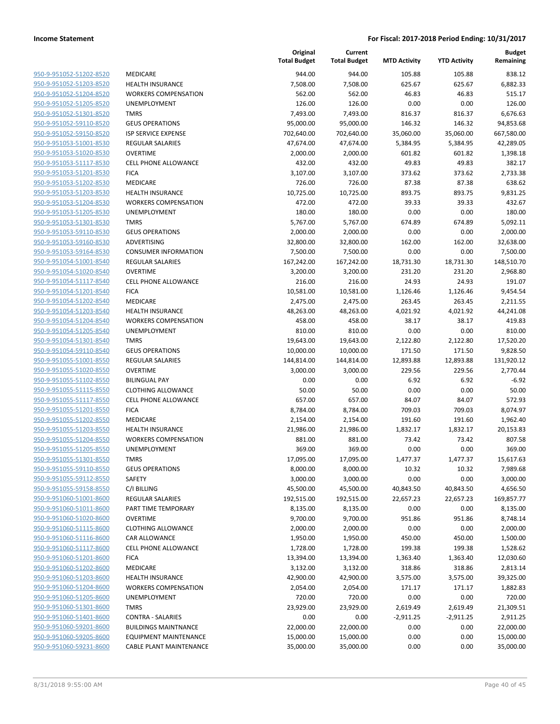| 950-9-951052-51202-8520        |
|--------------------------------|
| 950-9-951052-51203-8520        |
| 950-9-951052-51204-8520        |
| 950-9-951052-51205-8520        |
| 950-9-951052-51301-8520        |
| 950-9-951052-59110-8520        |
| 950-9-951052-59150-8520        |
| 950-9-951053-51001-8530        |
| 950-9-951053-51020-8530        |
| 950-9-951053-51117-8530        |
| 950-9-951053-51201-8530        |
| 950-9-951053-51202-8530        |
| 950-9-951053-51203-8530        |
| 950-9-951053-51204-8530        |
| 950-9-951053-51205-8530        |
| 950-9-951053-51301-8530        |
| 950-9-951053-59110-8530        |
| 950-9-951053-59160-8530        |
| <u>950-9-951053-59164-8530</u> |
| 950-9-951054-51001-8540        |
| 950-9-951054-51020-8540        |
| 950-9-951054-51117-8540        |
| 950-9-951054-51201-8540        |
| 950-9-951054-51202-8540        |
| 950-9-951054-51203-8540        |
|                                |
| 950-9-951054-51204-8540        |
| 950-9-951054-51205-8540        |
| 950-9-951054-51301-8540        |
| 950-9-951054-59110-8540        |
| 950-9-951055-51001-8550        |
| 950-9-951055-51020-8550        |
| 950-9-951055-51102-8550        |
| 950-9-951055-51115-8550        |
| 950-9-951055-51117-8550        |
| 950-9-951055-51201-8550        |
| 950-9-951055-51202-8550        |
| 950-9-951055-51203-8550        |
| 950-9-951055-51204-8550        |
| 950-9-951055-51205-8550        |
| 950-9-951055-51301-8550        |
| 950-9-951055-59110-8550        |
| <u>950-9-951055-59112-8550</u> |
| <u>950-9-951055-59158-8550</u> |
| 950-9-951060-51001-8600        |
| 950-9-951060-51011-8600        |
| 950-9-951060-51020-8600        |
| <u>950-9-951060-51115-8600</u> |
| <u>950-9-951060-51116-8600</u> |
| 950-9-951060-51117-8600        |
| 950-9-951060-51201-8600        |
| <u>950-9-951060-51202-8600</u> |
| 950-9-951060-51203-8600        |
| 950-9-951060-51204-8600        |
| 950-9-951060-51205-8600        |
| 950-9-951060-51301-8600        |
| 950-9-951060-51401-8600        |
|                                |
| <u>950-9-951060-59201-8600</u> |
| <u>950-9-951060-59205-8600</u> |
| <u>950-9-951060-59231-8600</u> |

| VIEDICARE                          |
|------------------------------------|
| <b>HEALTH INSURANCE</b>            |
| WORKERS COMPENSATION               |
| JNEMPLOYMENT                       |
| TMRS                               |
| <b>GEUS OPERATIONS</b>             |
| SP SERVICE EXPENSE                 |
| REGULAR SALARIES                   |
| <b>OVERTIME</b>                    |
| CELL PHONE ALLOWANCE               |
| FICA                               |
| MEDICARE                           |
| <b>HEALTH INSURANCE</b>            |
| WORKERS COMPENSATION               |
| JNEMPLOYMENT                       |
| TMRS                               |
| <b>GEUS OPERATIONS</b>             |
| ADVERTISING                        |
| CONSUMER INFORMATION               |
| REGULAR SALARIES                   |
| <b>OVERTIME</b>                    |
| CELL PHONE ALLOWANCE               |
| FICA                               |
| VIEDICARE                          |
| HEALTH INSURANCE                   |
| WORKERS COMPENSATION               |
| <b>JNEMPLOYMENT</b>                |
| TMRS                               |
| GEUS OPERATIONS                    |
| REGULAR SALARIES                   |
| <b>OVERTIME</b>                    |
| 3ILINGUAL PAY                      |
| <b>CLOTHING ALLOWANCE</b>          |
| CELL PHONE ALLOWANCE               |
| FICA                               |
| VIEDICARE                          |
| <b>HEALTH INSURANCE</b>            |
| <b><i>NORKERS COMPENSATION</i></b> |
| JNEMPLOYMENT                       |
| TMRS                               |
| <b>GEUS OPERATIONS</b>             |
| SAFETY                             |
| C/I BILLING                        |
| REGULAR SALARIES                   |
| PART TIME TEMPORARY                |
| OVERTIME                           |
| CLOTHING ALLOWANCE                 |
| CAR ALLOWANCE                      |
| CELL PHONE ALLOWANCE               |
| FICA                               |
| MEDICARE                           |
| <b>HEALTH INSURANCE</b>            |
| WORKERS COMPENSATION               |
| <b>JNEMPLOYMENT</b>                |
| <b>TMRS</b>                        |
| CONTRA - SALARIES                  |
| <b>BUILDINGS MAINTNANCE</b>        |
| <b>EQUIPMENT MAINTENANCE</b>       |
| CADLE DI ANT MANINTENIAN           |

|                         |                                | Original<br><b>Total Budget</b> | Current<br><b>Total Budget</b> | <b>MTD Activity</b> | <b>YTD Activity</b> | <b>Budget</b><br>Remaining |
|-------------------------|--------------------------------|---------------------------------|--------------------------------|---------------------|---------------------|----------------------------|
| 950-9-951052-51202-8520 | <b>MEDICARE</b>                | 944.00                          | 944.00                         | 105.88              | 105.88              | 838.12                     |
| 950-9-951052-51203-8520 | <b>HEALTH INSURANCE</b>        | 7,508.00                        | 7,508.00                       | 625.67              | 625.67              | 6,882.33                   |
| 950-9-951052-51204-8520 | <b>WORKERS COMPENSATION</b>    | 562.00                          | 562.00                         | 46.83               | 46.83               | 515.17                     |
| 950-9-951052-51205-8520 | UNEMPLOYMENT                   | 126.00                          | 126.00                         | 0.00                | 0.00                | 126.00                     |
| 950-9-951052-51301-8520 | <b>TMRS</b>                    | 7,493.00                        | 7,493.00                       | 816.37              | 816.37              | 6,676.63                   |
| 950-9-951052-59110-8520 | <b>GEUS OPERATIONS</b>         | 95,000.00                       | 95,000.00                      | 146.32              | 146.32              | 94,853.68                  |
| 950-9-951052-59150-8520 | <b>ISP SERVICE EXPENSE</b>     | 702,640.00                      | 702,640.00                     | 35,060.00           | 35,060.00           | 667,580.00                 |
| 950-9-951053-51001-8530 | REGULAR SALARIES               | 47,674.00                       | 47,674.00                      | 5,384.95            | 5,384.95            | 42,289.05                  |
| 950-9-951053-51020-8530 | <b>OVERTIME</b>                | 2,000.00                        | 2,000.00                       | 601.82              | 601.82              | 1,398.18                   |
| 950-9-951053-51117-8530 | <b>CELL PHONE ALLOWANCE</b>    | 432.00                          | 432.00                         | 49.83               | 49.83               | 382.17                     |
| 950-9-951053-51201-8530 | <b>FICA</b>                    | 3,107.00                        | 3,107.00                       | 373.62              | 373.62              | 2,733.38                   |
| 950-9-951053-51202-8530 | MEDICARE                       | 726.00                          | 726.00                         | 87.38               | 87.38               | 638.62                     |
| 950-9-951053-51203-8530 | <b>HEALTH INSURANCE</b>        | 10,725.00                       | 10,725.00                      | 893.75              | 893.75              | 9,831.25                   |
| 950-9-951053-51204-8530 | <b>WORKERS COMPENSATION</b>    | 472.00                          | 472.00                         | 39.33               | 39.33               | 432.67                     |
| 950-9-951053-51205-8530 | UNEMPLOYMENT                   | 180.00                          | 180.00                         | 0.00                | 0.00                | 180.00                     |
| 950-9-951053-51301-8530 | <b>TMRS</b>                    | 5,767.00                        | 5,767.00                       | 674.89              | 674.89              | 5,092.11                   |
| 950-9-951053-59110-8530 | <b>GEUS OPERATIONS</b>         | 2,000.00                        | 2,000.00                       | 0.00                | 0.00                | 2,000.00                   |
| 950-9-951053-59160-8530 | ADVERTISING                    | 32,800.00                       | 32,800.00                      | 162.00              | 162.00              | 32,638.00                  |
| 950-9-951053-59164-8530 | <b>CONSUMER INFORMATION</b>    | 7,500.00                        | 7,500.00                       | 0.00                | 0.00                | 7,500.00                   |
| 950-9-951054-51001-8540 | <b>REGULAR SALARIES</b>        | 167,242.00                      | 167,242.00                     | 18,731.30           | 18,731.30           | 148,510.70                 |
| 950-9-951054-51020-8540 | <b>OVERTIME</b>                | 3,200.00                        | 3,200.00                       | 231.20              | 231.20              | 2,968.80                   |
| 950-9-951054-51117-8540 | <b>CELL PHONE ALLOWANCE</b>    | 216.00                          | 216.00                         | 24.93               | 24.93               | 191.07                     |
| 950-9-951054-51201-8540 | <b>FICA</b>                    | 10,581.00                       | 10,581.00                      | 1,126.46            | 1,126.46            | 9,454.54                   |
| 950-9-951054-51202-8540 | MEDICARE                       | 2,475.00                        | 2,475.00                       | 263.45              | 263.45              | 2,211.55                   |
| 950-9-951054-51203-8540 | <b>HEALTH INSURANCE</b>        | 48,263.00                       | 48,263.00                      | 4,021.92            | 4,021.92            | 44,241.08                  |
| 950-9-951054-51204-8540 | <b>WORKERS COMPENSATION</b>    | 458.00                          | 458.00                         | 38.17               | 38.17               | 419.83                     |
| 950-9-951054-51205-8540 | UNEMPLOYMENT                   | 810.00                          | 810.00                         | 0.00                | 0.00                | 810.00                     |
| 950-9-951054-51301-8540 | <b>TMRS</b>                    | 19,643.00                       | 19,643.00                      | 2,122.80            | 2,122.80            | 17,520.20                  |
| 950-9-951054-59110-8540 | <b>GEUS OPERATIONS</b>         | 10,000.00                       | 10,000.00                      | 171.50              | 171.50              | 9,828.50                   |
| 950-9-951055-51001-8550 | REGULAR SALARIES               | 144,814.00                      | 144,814.00                     | 12,893.88           | 12,893.88           | 131,920.12                 |
| 950-9-951055-51020-8550 | <b>OVERTIME</b>                | 3,000.00                        | 3,000.00                       | 229.56              | 229.56              | 2,770.44                   |
| 950-9-951055-51102-8550 | <b>BILINGUAL PAY</b>           | 0.00                            | 0.00                           | 6.92                | 6.92                | $-6.92$                    |
| 950-9-951055-51115-8550 | <b>CLOTHING ALLOWANCE</b>      | 50.00                           | 50.00                          | 0.00                | 0.00                | 50.00                      |
| 950-9-951055-51117-8550 | <b>CELL PHONE ALLOWANCE</b>    | 657.00                          | 657.00                         | 84.07               | 84.07               | 572.93                     |
| 950-9-951055-51201-8550 | <b>FICA</b>                    | 8,784.00                        | 8,784.00                       | 709.03              | 709.03              | 8,074.97                   |
| 950-9-951055-51202-8550 | MEDICARE                       | 2,154.00                        | 2,154.00                       | 191.60              | 191.60              | 1,962.40                   |
| 950-9-951055-51203-8550 | <b>HEALTH INSURANCE</b>        | 21,986.00                       | 21,986.00                      | 1,832.17            | 1,832.17            | 20,153.83                  |
| 950-9-951055-51204-8550 | <b>WORKERS COMPENSATION</b>    | 881.00                          | 881.00                         | 73.42               | 73.42               | 807.58                     |
| 950-9-951055-51205-8550 | <b>UNEMPLOYMENT</b>            | 369.00                          | 369.00                         | 0.00                | 0.00                | 369.00                     |
| 950-9-951055-51301-8550 | <b>TMRS</b>                    | 17,095.00                       | 17,095.00                      | 1,477.37            | 1,477.37            | 15,617.63                  |
| 950-9-951055-59110-8550 | <b>GEUS OPERATIONS</b>         | 8,000.00                        | 8,000.00                       | 10.32               | 10.32               | 7,989.68                   |
| 950-9-951055-59112-8550 | SAFETY                         | 3,000.00                        | 3,000.00                       | 0.00                | 0.00                | 3,000.00                   |
| 950-9-951055-59158-8550 | C/I BILLING                    | 45,500.00                       | 45,500.00                      | 40,843.50           | 40,843.50           | 4,656.50                   |
| 950-9-951060-51001-8600 | <b>REGULAR SALARIES</b>        | 192,515.00                      | 192,515.00                     | 22,657.23           | 22,657.23           | 169,857.77                 |
| 950-9-951060-51011-8600 | PART TIME TEMPORARY            | 8,135.00                        | 8,135.00                       | 0.00                | 0.00                | 8,135.00                   |
| 950-9-951060-51020-8600 | <b>OVERTIME</b>                | 9,700.00                        | 9,700.00                       | 951.86              | 951.86              | 8,748.14                   |
| 950-9-951060-51115-8600 | <b>CLOTHING ALLOWANCE</b>      | 2,000.00                        | 2,000.00                       | 0.00                | 0.00                | 2,000.00                   |
| 950-9-951060-51116-8600 | CAR ALLOWANCE                  | 1,950.00                        | 1,950.00                       | 450.00              | 450.00              | 1,500.00                   |
| 950-9-951060-51117-8600 |                                |                                 |                                |                     |                     |                            |
|                         | CELL PHONE ALLOWANCE           | 1,728.00                        | 1,728.00                       | 199.38              | 199.38              | 1,528.62                   |
| 950-9-951060-51201-8600 | <b>FICA</b>                    | 13,394.00                       | 13,394.00                      | 1,363.40            | 1,363.40            | 12,030.60                  |
| 950-9-951060-51202-8600 | MEDICARE                       | 3,132.00                        | 3,132.00                       | 318.86              | 318.86              | 2,813.14                   |
| 950-9-951060-51203-8600 | <b>HEALTH INSURANCE</b>        | 42,900.00                       | 42,900.00                      | 3,575.00            | 3,575.00            | 39,325.00                  |
| 950-9-951060-51204-8600 | <b>WORKERS COMPENSATION</b>    | 2,054.00                        | 2,054.00                       | 171.17              | 171.17              | 1,882.83                   |
| 950-9-951060-51205-8600 | UNEMPLOYMENT                   | 720.00                          | 720.00                         | 0.00                | 0.00                | 720.00                     |
| 950-9-951060-51301-8600 | <b>TMRS</b>                    | 23,929.00                       | 23,929.00                      | 2,619.49            | 2,619.49            | 21,309.51                  |
| 950-9-951060-51401-8600 | <b>CONTRA - SALARIES</b>       | 0.00                            | 0.00                           | $-2,911.25$         | $-2,911.25$         | 2,911.25                   |
| 950-9-951060-59201-8600 | <b>BUILDINGS MAINTNANCE</b>    | 22,000.00                       | 22,000.00                      | 0.00                | 0.00                | 22,000.00                  |
| 950-9-951060-59205-8600 | <b>EQUIPMENT MAINTENANCE</b>   | 15,000.00                       | 15,000.00                      | 0.00                | 0.00                | 15,000.00                  |
| 950-9-951060-59231-8600 | <b>CABLE PLANT MAINTENANCE</b> | 35,000.00                       | 35,000.00                      | 0.00                | 0.00                | 35,000.00                  |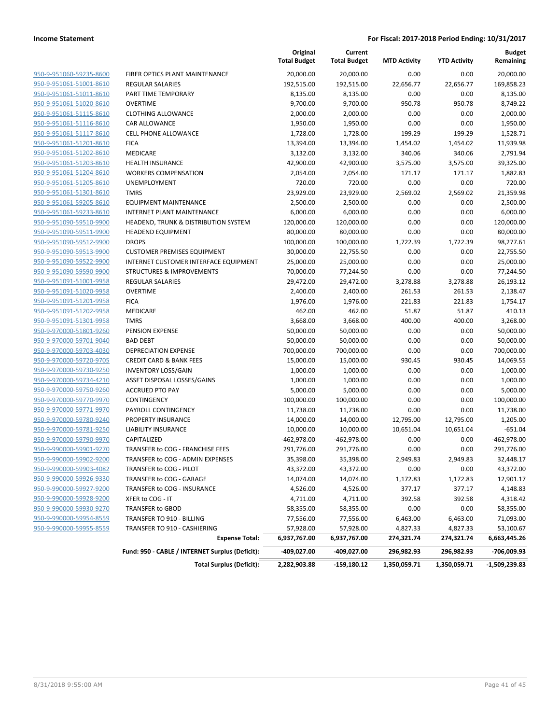|                         |                                                 | Original<br><b>Total Budget</b> | Current<br><b>Total Budget</b> | <b>MTD Activity</b> | <b>YTD Activity</b> | <b>Budget</b><br>Remaining |
|-------------------------|-------------------------------------------------|---------------------------------|--------------------------------|---------------------|---------------------|----------------------------|
| 950-9-951060-59235-8600 | FIBER OPTICS PLANT MAINTENANCE                  | 20,000.00                       | 20,000.00                      | 0.00                | 0.00                | 20,000.00                  |
| 950-9-951061-51001-8610 | <b>REGULAR SALARIES</b>                         | 192,515.00                      | 192,515.00                     | 22,656.77           | 22,656.77           | 169,858.23                 |
| 950-9-951061-51011-8610 | PART TIME TEMPORARY                             | 8,135.00                        | 8,135.00                       | 0.00                | 0.00                | 8,135.00                   |
| 950-9-951061-51020-8610 | <b>OVERTIME</b>                                 | 9,700.00                        | 9,700.00                       | 950.78              | 950.78              | 8,749.22                   |
| 950-9-951061-51115-8610 | <b>CLOTHING ALLOWANCE</b>                       | 2,000.00                        | 2,000.00                       | 0.00                | 0.00                | 2,000.00                   |
| 950-9-951061-51116-8610 | CAR ALLOWANCE                                   | 1,950.00                        | 1,950.00                       | 0.00                | 0.00                | 1,950.00                   |
| 950-9-951061-51117-8610 | <b>CELL PHONE ALLOWANCE</b>                     | 1,728.00                        | 1,728.00                       | 199.29              | 199.29              | 1,528.71                   |
| 950-9-951061-51201-8610 | <b>FICA</b>                                     | 13,394.00                       | 13,394.00                      | 1,454.02            | 1,454.02            | 11,939.98                  |
| 950-9-951061-51202-8610 | <b>MEDICARE</b>                                 | 3,132.00                        | 3,132.00                       | 340.06              | 340.06              | 2,791.94                   |
| 950-9-951061-51203-8610 | <b>HEALTH INSURANCE</b>                         | 42,900.00                       | 42,900.00                      | 3,575.00            | 3,575.00            | 39,325.00                  |
| 950-9-951061-51204-8610 | <b>WORKERS COMPENSATION</b>                     | 2,054.00                        | 2,054.00                       | 171.17              | 171.17              | 1,882.83                   |
| 950-9-951061-51205-8610 | <b>UNEMPLOYMENT</b>                             | 720.00                          | 720.00                         | 0.00                | 0.00                | 720.00                     |
| 950-9-951061-51301-8610 | <b>TMRS</b>                                     | 23,929.00                       | 23,929.00                      | 2,569.02            | 2,569.02            | 21,359.98                  |
| 950-9-951061-59205-8610 | <b>EQUIPMENT MAINTENANCE</b>                    | 2,500.00                        | 2,500.00                       | 0.00                | 0.00                | 2,500.00                   |
| 950-9-951061-59233-8610 | <b>INTERNET PLANT MAINTENANCE</b>               | 6,000.00                        | 6,000.00                       | 0.00                | 0.00                | 6,000.00                   |
| 950-9-951090-59510-9900 | HEADEND, TRUNK & DISTRIBUTION SYSTEM            | 120,000.00                      | 120,000.00                     | 0.00                | 0.00                | 120,000.00                 |
| 950-9-951090-59511-9900 | <b>HEADEND EQUIPMENT</b>                        | 80,000.00                       | 80,000.00                      | 0.00                | 0.00                | 80,000.00                  |
| 950-9-951090-59512-9900 | <b>DROPS</b>                                    | 100,000.00                      | 100,000.00                     | 1,722.39            | 1,722.39            | 98,277.61                  |
| 950-9-951090-59513-9900 | <b>CUSTOMER PREMISES EQUIPMENT</b>              | 30,000.00                       | 22,755.50                      | 0.00                | 0.00                | 22,755.50                  |
| 950-9-951090-59522-9900 | INTERNET CUSTOMER INTERFACE EQUIPMENT           | 25,000.00                       | 25,000.00                      | 0.00                | 0.00                | 25,000.00                  |
| 950-9-951090-59590-9900 | <b>STRUCTURES &amp; IMPROVEMENTS</b>            | 70,000.00                       | 77,244.50                      | 0.00                | 0.00                | 77,244.50                  |
| 950-9-951091-51001-9958 | <b>REGULAR SALARIES</b>                         | 29,472.00                       | 29,472.00                      | 3,278.88            | 3,278.88            | 26,193.12                  |
| 950-9-951091-51020-9958 | <b>OVERTIME</b>                                 | 2,400.00                        | 2,400.00                       | 261.53              | 261.53              | 2,138.47                   |
| 950-9-951091-51201-9958 | <b>FICA</b>                                     | 1,976.00                        | 1,976.00                       | 221.83              | 221.83              | 1,754.17                   |
| 950-9-951091-51202-9958 | <b>MEDICARE</b>                                 | 462.00                          | 462.00                         | 51.87               | 51.87               | 410.13                     |
| 950-9-951091-51301-9958 | <b>TMRS</b>                                     | 3,668.00                        | 3,668.00                       | 400.00              | 400.00              | 3,268.00                   |
| 950-9-970000-51801-9260 | PENSION EXPENSE                                 | 50,000.00                       | 50,000.00                      | 0.00                | 0.00                | 50,000.00                  |
| 950-9-970000-59701-9040 | <b>BAD DEBT</b>                                 | 50,000.00                       | 50,000.00                      | 0.00                | 0.00                | 50,000.00                  |
| 950-9-970000-59703-4030 | <b>DEPRECIATION EXPENSE</b>                     | 700,000.00                      | 700,000.00                     | 0.00                | 0.00                | 700,000.00                 |
| 950-9-970000-59720-9705 | <b>CREDIT CARD &amp; BANK FEES</b>              | 15,000.00                       | 15,000.00                      | 930.45              | 930.45              | 14,069.55                  |
| 950-9-970000-59730-9250 | <b>INVENTORY LOSS/GAIN</b>                      | 1,000.00                        | 1,000.00                       | 0.00                | 0.00                | 1,000.00                   |
| 950-9-970000-59734-4210 | ASSET DISPOSAL LOSSES/GAINS                     | 1,000.00                        | 1,000.00                       | 0.00                | 0.00                | 1,000.00                   |
| 950-9-970000-59750-9260 | <b>ACCRUED PTO PAY</b>                          | 5,000.00                        | 5,000.00                       | 0.00                | 0.00                | 5,000.00                   |
| 950-9-970000-59770-9970 | <b>CONTINGENCY</b>                              | 100,000.00                      | 100,000.00                     | 0.00                | 0.00                | 100,000.00                 |
| 950-9-970000-59771-9970 | PAYROLL CONTINGENCY                             | 11,738.00                       | 11,738.00                      | 0.00                | 0.00                | 11,738.00                  |
| 950-9-970000-59780-9240 | PROPERTY INSURANCE                              | 14,000.00                       | 14,000.00                      | 12,795.00           | 12,795.00           | 1,205.00                   |
| 950-9-970000-59781-9250 | LIABILITY INSURANCE                             | 10,000.00                       | 10,000.00                      | 10,651.04           | 10,651.04           | $-651.04$                  |
| 950-9-970000-59790-9970 | CAPITALIZED                                     | $-462,978.00$                   | $-462,978.00$                  | 0.00                | 0.00                | -462,978.00                |
| 950-9-990000-59901-9270 | TRANSFER to COG - FRANCHISE FEES                | 291,776.00                      | 291,776.00                     | 0.00                | 0.00                | 291,776.00                 |
| 950-9-990000-59902-9200 | TRANSFER to COG - ADMIN EXPENSES                | 35,398.00                       | 35,398.00                      | 2,949.83            | 2,949.83            | 32,448.17                  |
| 950-9-990000-59903-4082 | TRANSFER to COG - PILOT                         | 43,372.00                       | 43,372.00                      | 0.00                | 0.00                | 43,372.00                  |
| 950-9-990000-59926-9330 | TRANSFER to COG - GARAGE                        | 14,074.00                       | 14,074.00                      | 1,172.83            | 1,172.83            | 12,901.17                  |
| 950-9-990000-59927-9200 | TRANSFER to COG - INSURANCE                     | 4,526.00                        | 4,526.00                       | 377.17              | 377.17              | 4,148.83                   |
| 950-9-990000-59928-9200 | XFER to COG - IT                                | 4,711.00                        | 4,711.00                       | 392.58              | 392.58              | 4,318.42                   |
| 950-9-990000-59930-9270 | TRANSFER to GBOD                                | 58,355.00                       | 58,355.00                      | 0.00                | 0.00                | 58,355.00                  |
| 950-9-990000-59954-8559 | TRANSFER TO 910 - BILLING                       | 77,556.00                       | 77,556.00                      | 6,463.00            | 6,463.00            | 71,093.00                  |
| 950-9-990000-59955-8559 | TRANSFER TO 910 - CASHIERING                    | 57,928.00                       | 57,928.00                      | 4,827.33            | 4,827.33            | 53,100.67                  |
|                         | <b>Expense Total:</b>                           | 6,937,767.00                    | 6,937,767.00                   | 274,321.74          | 274,321.74          | 6,663,445.26               |
|                         | Fund: 950 - CABLE / INTERNET Surplus (Deficit): | -409,027.00                     | -409,027.00                    | 296,982.93          | 296,982.93          | -706,009.93                |
|                         | <b>Total Surplus (Deficit):</b>                 | 2,282,903.88                    | -159,180.12                    | 1,350,059.71        | 1,350,059.71        | $-1,509,239.83$            |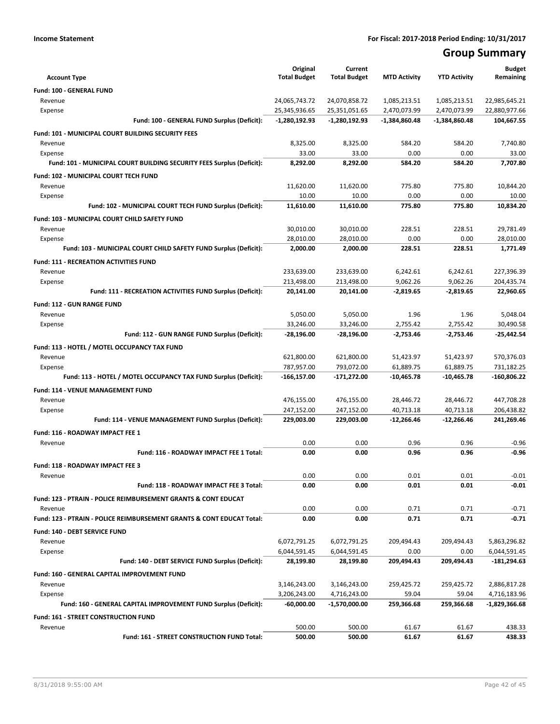# **Group Summary**

| <b>Account Type</b>                                                       | Original<br><b>Total Budget</b> | Current<br><b>Total Budget</b> | <b>MTD Activity</b> | <b>YTD Activity</b> | <b>Budget</b><br>Remaining |
|---------------------------------------------------------------------------|---------------------------------|--------------------------------|---------------------|---------------------|----------------------------|
| Fund: 100 - GENERAL FUND                                                  |                                 |                                |                     |                     |                            |
| Revenue                                                                   | 24,065,743.72                   | 24,070,858.72                  | 1,085,213.51        | 1,085,213.51        | 22,985,645.21              |
| Expense                                                                   | 25,345,936.65                   | 25,351,051.65                  | 2,470,073.99        | 2,470,073.99        | 22,880,977.66              |
| Fund: 100 - GENERAL FUND Surplus (Deficit):                               | $-1,280,192.93$                 | -1,280,192.93                  | -1,384,860.48       | -1,384,860.48       | 104,667.55                 |
| <b>Fund: 101 - MUNICIPAL COURT BUILDING SECURITY FEES</b>                 |                                 |                                |                     |                     |                            |
| Revenue                                                                   | 8,325.00                        | 8,325.00                       | 584.20              | 584.20              | 7,740.80                   |
| Expense                                                                   | 33.00                           | 33.00                          | 0.00                | 0.00                | 33.00                      |
| Fund: 101 - MUNICIPAL COURT BUILDING SECURITY FEES Surplus (Deficit):     | 8,292.00                        | 8,292.00                       | 584.20              | 584.20              | 7,707.80                   |
| <b>Fund: 102 - MUNICIPAL COURT TECH FUND</b>                              |                                 |                                |                     |                     |                            |
| Revenue                                                                   | 11,620.00                       | 11,620.00                      | 775.80              | 775.80              | 10,844.20                  |
| Expense                                                                   | 10.00                           | 10.00                          | 0.00                | 0.00                | 10.00                      |
| Fund: 102 - MUNICIPAL COURT TECH FUND Surplus (Deficit):                  | 11,610.00                       | 11,610.00                      | 775.80              | 775.80              | 10,834.20                  |
| Fund: 103 - MUNICIPAL COURT CHILD SAFETY FUND                             |                                 |                                |                     |                     |                            |
| Revenue                                                                   | 30,010.00                       | 30,010.00                      | 228.51              | 228.51              | 29,781.49                  |
| Expense                                                                   | 28,010.00                       | 28,010.00                      | 0.00                | 0.00                | 28,010.00                  |
| Fund: 103 - MUNICIPAL COURT CHILD SAFETY FUND Surplus (Deficit):          | 2,000.00                        | 2,000.00                       | 228.51              | 228.51              | 1,771.49                   |
| <b>Fund: 111 - RECREATION ACTIVITIES FUND</b>                             |                                 |                                |                     |                     |                            |
| Revenue                                                                   | 233,639.00                      | 233,639.00                     | 6,242.61            | 6,242.61            | 227,396.39                 |
| Expense                                                                   | 213,498.00                      | 213,498.00                     | 9,062.26            | 9,062.26            | 204,435.74                 |
| Fund: 111 - RECREATION ACTIVITIES FUND Surplus (Deficit):                 | 20,141.00                       | 20,141.00                      | -2,819.65           | $-2,819.65$         | 22,960.65                  |
| Fund: 112 - GUN RANGE FUND                                                |                                 |                                |                     |                     |                            |
| Revenue                                                                   | 5,050.00                        | 5,050.00                       | 1.96                | 1.96                | 5,048.04                   |
| Expense                                                                   | 33,246.00                       | 33,246.00                      | 2,755.42            | 2,755.42            | 30,490.58                  |
| Fund: 112 - GUN RANGE FUND Surplus (Deficit):                             | -28,196.00                      | -28,196.00                     | -2,753.46           | $-2,753.46$         | $-25,442.54$               |
| Fund: 113 - HOTEL / MOTEL OCCUPANCY TAX FUND                              |                                 |                                |                     |                     |                            |
| Revenue                                                                   | 621,800.00                      | 621,800.00                     | 51,423.97           | 51,423.97           | 570,376.03                 |
| Expense                                                                   | 787,957.00                      | 793,072.00                     | 61,889.75           | 61,889.75           | 731,182.25                 |
| Fund: 113 - HOTEL / MOTEL OCCUPANCY TAX FUND Surplus (Deficit):           | -166,157.00                     | -171,272.00                    | $-10,465.78$        | -10,465.78          | -160,806.22                |
| <b>Fund: 114 - VENUE MANAGEMENT FUND</b>                                  |                                 |                                |                     |                     |                            |
| Revenue                                                                   | 476,155.00                      | 476,155.00                     | 28,446.72           | 28,446.72           | 447,708.28                 |
| Expense                                                                   | 247,152.00                      | 247,152.00                     | 40,713.18           | 40,713.18           | 206,438.82                 |
| Fund: 114 - VENUE MANAGEMENT FUND Surplus (Deficit):                      | 229,003.00                      | 229,003.00                     | $-12,266.46$        | $-12,266.46$        | 241,269.46                 |
| Fund: 116 - ROADWAY IMPACT FEE 1                                          |                                 |                                |                     |                     |                            |
| Revenue                                                                   | 0.00                            | 0.00                           | 0.96                | 0.96                | $-0.96$                    |
| Fund: 116 - ROADWAY IMPACT FEE 1 Total:                                   | 0.00                            | 0.00                           | 0.96                | 0.96                | $-0.96$                    |
| <b>Fund: 118 - ROADWAY IMPACT FEE 3</b>                                   |                                 |                                |                     |                     |                            |
| Revenue                                                                   | 0.00                            | 0.00                           | 0.01                | 0.01                | $-0.01$                    |
| Fund: 118 - ROADWAY IMPACT FEE 3 Total:                                   | 0.00                            | 0.00                           | 0.01                | 0.01                | $-0.01$                    |
| <b>Fund: 123 - PTRAIN - POLICE REIMBURSEMENT GRANTS &amp; CONT EDUCAT</b> |                                 |                                |                     |                     |                            |
| Revenue                                                                   | 0.00                            | 0.00                           | 0.71                | 0.71                | $-0.71$                    |
| Fund: 123 - PTRAIN - POLICE REIMBURSEMENT GRANTS & CONT EDUCAT Total:     | 0.00                            | 0.00                           | 0.71                | 0.71                | $-0.71$                    |
| <b>Fund: 140 - DEBT SERVICE FUND</b>                                      |                                 |                                |                     |                     |                            |
| Revenue                                                                   | 6,072,791.25                    | 6,072,791.25                   | 209,494.43          | 209,494.43          | 5,863,296.82               |
| Expense                                                                   | 6,044,591.45                    | 6,044,591.45                   | 0.00                | 0.00                | 6,044,591.45               |
| Fund: 140 - DEBT SERVICE FUND Surplus (Deficit):                          | 28,199.80                       | 28,199.80                      | 209,494.43          | 209,494.43          | -181,294.63                |
| Fund: 160 - GENERAL CAPITAL IMPROVEMENT FUND                              |                                 |                                |                     |                     |                            |
| Revenue                                                                   | 3,146,243.00                    | 3,146,243.00                   | 259,425.72          | 259,425.72          | 2,886,817.28               |
| Expense                                                                   | 3,206,243.00                    | 4,716,243.00                   | 59.04               | 59.04               | 4,716,183.96               |
| Fund: 160 - GENERAL CAPITAL IMPROVEMENT FUND Surplus (Deficit):           | -60,000.00                      | -1,570,000.00                  | 259,366.68          | 259,366.68          | -1,829,366.68              |
| Fund: 161 - STREET CONSTRUCTION FUND                                      |                                 |                                |                     |                     |                            |
| Revenue                                                                   | 500.00                          | 500.00                         | 61.67               | 61.67               | 438.33                     |
| Fund: 161 - STREET CONSTRUCTION FUND Total:                               | 500.00                          | 500.00                         | 61.67               | 61.67               | 438.33                     |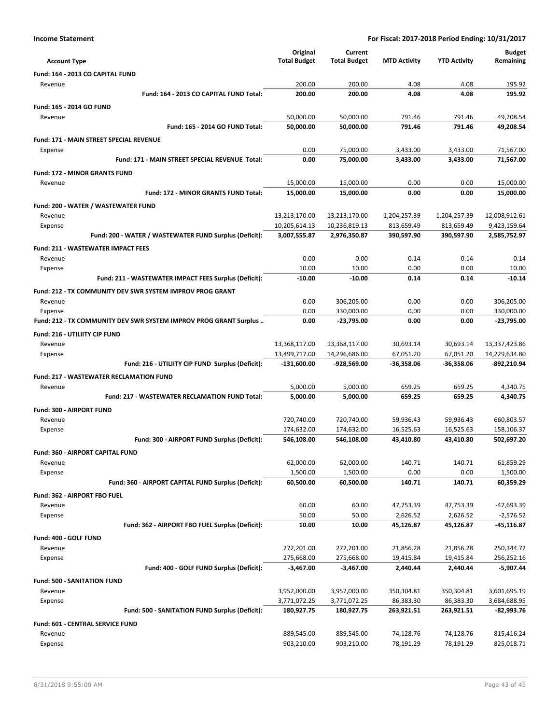| <b>Account Type</b>                                               | Original<br><b>Total Budget</b> | Current<br><b>Total Budget</b> | <b>MTD Activity</b>    | <b>YTD Activity</b>       | <b>Budget</b><br>Remaining   |
|-------------------------------------------------------------------|---------------------------------|--------------------------------|------------------------|---------------------------|------------------------------|
| Fund: 164 - 2013 CO CAPITAL FUND                                  |                                 |                                |                        |                           |                              |
| Revenue                                                           | 200.00                          | 200.00                         | 4.08                   | 4.08                      | 195.92                       |
| Fund: 164 - 2013 CO CAPITAL FUND Total:                           | 200.00                          | 200.00                         | 4.08                   | 4.08                      | 195.92                       |
| Fund: 165 - 2014 GO FUND                                          |                                 |                                |                        |                           |                              |
| Revenue                                                           | 50,000.00                       | 50,000.00                      | 791.46                 | 791.46                    | 49,208.54                    |
| <b>Fund: 165 - 2014 GO FUND Total:</b>                            | 50,000.00                       | 50,000.00                      | 791.46                 | 791.46                    | 49,208.54                    |
| <b>Fund: 171 - MAIN STREET SPECIAL REVENUE</b>                    |                                 |                                |                        |                           |                              |
| Expense                                                           | 0.00                            | 75,000.00                      | 3,433.00               | 3,433.00                  | 71,567.00                    |
| Fund: 171 - MAIN STREET SPECIAL REVENUE Total:                    | 0.00                            | 75,000.00                      | 3,433.00               | 3,433.00                  | 71,567.00                    |
| <b>Fund: 172 - MINOR GRANTS FUND</b>                              |                                 |                                |                        |                           |                              |
| Revenue                                                           | 15,000.00                       | 15,000.00                      | 0.00                   | 0.00                      | 15,000.00                    |
| <b>Fund: 172 - MINOR GRANTS FUND Total:</b>                       | 15,000.00                       | 15,000.00                      | 0.00                   | 0.00                      | 15,000.00                    |
| Fund: 200 - WATER / WASTEWATER FUND                               |                                 |                                |                        |                           |                              |
| Revenue                                                           | 13,213,170.00                   | 13,213,170.00                  | 1,204,257.39           | 1,204,257.39              | 12,008,912.61                |
| Expense                                                           | 10,205,614.13                   | 10,236,819.13                  | 813,659.49             | 813,659.49                | 9,423,159.64                 |
| Fund: 200 - WATER / WASTEWATER FUND Surplus (Deficit):            | 3,007,555.87                    | 2,976,350.87                   | 390,597.90             | 390,597.90                | 2,585,752.97                 |
| <b>Fund: 211 - WASTEWATER IMPACT FEES</b>                         |                                 |                                |                        |                           |                              |
| Revenue                                                           | 0.00                            | 0.00                           | 0.14                   | 0.14                      | $-0.14$                      |
| Expense                                                           | 10.00                           | 10.00                          | 0.00                   | 0.00                      | 10.00                        |
| Fund: 211 - WASTEWATER IMPACT FEES Surplus (Deficit):             | $-10.00$                        | $-10.00$                       | 0.14                   | 0.14                      | $-10.14$                     |
| Fund: 212 - TX COMMUNITY DEV SWR SYSTEM IMPROV PROG GRANT         |                                 |                                |                        |                           |                              |
| Revenue                                                           | 0.00                            | 306,205.00                     | 0.00                   | 0.00                      | 306,205.00                   |
| Expense                                                           | 0.00<br>0.00                    | 330,000.00                     | 0.00<br>0.00           | 0.00<br>0.00              | 330,000.00<br>$-23,795.00$   |
| Fund: 212 - TX COMMUNITY DEV SWR SYSTEM IMPROV PROG GRANT Surplus |                                 | -23,795.00                     |                        |                           |                              |
| Fund: 216 - UTILIITY CIP FUND                                     |                                 |                                |                        |                           |                              |
| Revenue                                                           | 13,368,117.00                   | 13,368,117.00                  | 30,693.14<br>67,051.20 | 30,693.14                 | 13,337,423.86                |
| Expense<br>Fund: 216 - UTILIITY CIP FUND Surplus (Deficit):       | 13,499,717.00<br>-131,600.00    | 14,296,686.00<br>-928,569.00   | -36,358.06             | 67,051.20<br>$-36,358.06$ | 14,229,634.80<br>-892,210.94 |
|                                                                   |                                 |                                |                        |                           |                              |
| <b>Fund: 217 - WASTEWATER RECLAMATION FUND</b>                    | 5,000.00                        | 5,000.00                       | 659.25                 | 659.25                    | 4,340.75                     |
| Revenue<br><b>Fund: 217 - WASTEWATER RECLAMATION FUND Total:</b>  | 5,000.00                        | 5,000.00                       | 659.25                 | 659.25                    | 4,340.75                     |
|                                                                   |                                 |                                |                        |                           |                              |
| Fund: 300 - AIRPORT FUND<br>Revenue                               | 720,740.00                      | 720,740.00                     | 59,936.43              | 59,936.43                 | 660,803.57                   |
| Expense                                                           | 174,632.00                      | 174,632.00                     | 16,525.63              | 16,525.63                 | 158,106.37                   |
| Fund: 300 - AIRPORT FUND Surplus (Deficit):                       | 546,108.00                      | 546,108.00                     | 43,410.80              | 43,410.80                 | 502,697.20                   |
| <b>Fund: 360 - AIRPORT CAPITAL FUND</b>                           |                                 |                                |                        |                           |                              |
| Revenue                                                           | 62,000.00                       | 62,000.00                      | 140.71                 | 140.71                    | 61,859.29                    |
| Expense                                                           | 1,500.00                        | 1,500.00                       | 0.00                   | 0.00                      | 1,500.00                     |
| Fund: 360 - AIRPORT CAPITAL FUND Surplus (Deficit):               | 60,500.00                       | 60,500.00                      | 140.71                 | 140.71                    | 60,359.29                    |
| Fund: 362 - AIRPORT FBO FUEL                                      |                                 |                                |                        |                           |                              |
| Revenue                                                           | 60.00                           | 60.00                          | 47,753.39              | 47,753.39                 | -47,693.39                   |
| Expense                                                           | 50.00                           | 50.00                          | 2,626.52               | 2,626.52                  | $-2,576.52$                  |
| Fund: 362 - AIRPORT FBO FUEL Surplus (Deficit):                   | 10.00                           | 10.00                          | 45,126.87              | 45,126.87                 | $-45,116.87$                 |
| Fund: 400 - GOLF FUND                                             |                                 |                                |                        |                           |                              |
| Revenue                                                           | 272,201.00                      | 272,201.00                     | 21,856.28              | 21,856.28                 | 250,344.72                   |
| Expense                                                           | 275,668.00                      | 275,668.00                     | 19,415.84              | 19,415.84                 | 256,252.16                   |
| Fund: 400 - GOLF FUND Surplus (Deficit):                          | $-3,467.00$                     | $-3,467.00$                    | 2,440.44               | 2,440.44                  | $-5,907.44$                  |
| <b>Fund: 500 - SANITATION FUND</b>                                |                                 |                                |                        |                           |                              |
| Revenue                                                           | 3,952,000.00                    | 3,952,000.00                   | 350,304.81             | 350,304.81                | 3,601,695.19                 |
| Expense                                                           | 3,771,072.25                    | 3,771,072.25                   | 86,383.30              | 86,383.30                 | 3,684,688.95                 |
| Fund: 500 - SANITATION FUND Surplus (Deficit):                    | 180,927.75                      | 180,927.75                     | 263,921.51             | 263,921.51                | -82,993.76                   |
| Fund: 601 - CENTRAL SERVICE FUND                                  |                                 |                                |                        |                           |                              |
| Revenue                                                           | 889,545.00                      | 889,545.00                     | 74,128.76              | 74,128.76                 | 815,416.24                   |
| Expense                                                           | 903,210.00                      | 903,210.00                     | 78,191.29              | 78,191.29                 | 825,018.71                   |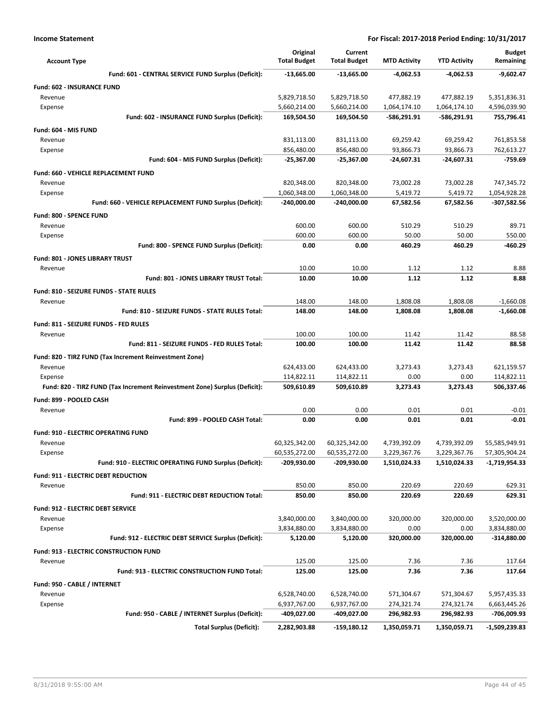| <b>Account Type</b>                                                                   | Original<br><b>Total Budget</b> | Current<br><b>Total Budget</b> | <b>MTD Activity</b> | <b>YTD Activity</b> | <b>Budget</b><br>Remaining |
|---------------------------------------------------------------------------------------|---------------------------------|--------------------------------|---------------------|---------------------|----------------------------|
| Fund: 601 - CENTRAL SERVICE FUND Surplus (Deficit):                                   | -13,665.00                      | $-13,665.00$                   | $-4,062.53$         | -4,062.53           | -9,602.47                  |
| <b>Fund: 602 - INSURANCE FUND</b>                                                     |                                 |                                |                     |                     |                            |
| Revenue                                                                               | 5,829,718.50                    | 5,829,718.50                   | 477,882.19          | 477,882.19          | 5,351,836.31               |
| Expense                                                                               | 5,660,214.00                    | 5,660,214.00                   | 1,064,174.10        | 1,064,174.10        | 4,596,039.90               |
| Fund: 602 - INSURANCE FUND Surplus (Deficit):                                         | 169,504.50                      | 169,504.50                     | -586,291.91         | -586,291.91         | 755,796.41                 |
| Fund: 604 - MIS FUND                                                                  |                                 |                                |                     |                     |                            |
| Revenue                                                                               | 831,113.00                      | 831,113.00                     | 69,259.42           | 69,259.42           | 761,853.58                 |
| Expense                                                                               | 856,480.00                      | 856,480.00                     | 93,866.73           | 93,866.73           | 762,613.27                 |
| Fund: 604 - MIS FUND Surplus (Deficit):                                               | $-25,367.00$                    | $-25,367.00$                   | $-24,607.31$        | -24,607.31          | $-759.69$                  |
| Fund: 660 - VEHICLE REPLACEMENT FUND                                                  |                                 |                                |                     |                     |                            |
| Revenue                                                                               | 820,348.00                      | 820,348.00                     | 73,002.28           | 73,002.28           | 747,345.72                 |
| Expense                                                                               | 1,060,348.00                    | 1,060,348.00                   | 5,419.72            | 5,419.72            | 1,054,928.28               |
| Fund: 660 - VEHICLE REPLACEMENT FUND Surplus (Deficit):                               | $-240,000.00$                   | -240,000.00                    | 67,582.56           | 67,582.56           | -307,582.56                |
| Fund: 800 - SPENCE FUND                                                               |                                 |                                |                     |                     |                            |
| Revenue                                                                               | 600.00                          | 600.00                         | 510.29              | 510.29              | 89.71                      |
| Expense                                                                               | 600.00                          | 600.00                         | 50.00               | 50.00               | 550.00<br>-460.29          |
| Fund: 800 - SPENCE FUND Surplus (Deficit):                                            | 0.00                            | 0.00                           | 460.29              | 460.29              |                            |
| <b>Fund: 801 - JONES LIBRARY TRUST</b>                                                |                                 |                                |                     |                     |                            |
| Revenue<br>Fund: 801 - JONES LIBRARY TRUST Total:                                     | 10.00<br>10.00                  | 10.00<br>10.00                 | 1.12<br>1.12        | 1.12<br>1.12        | 8.88<br>8.88               |
|                                                                                       |                                 |                                |                     |                     |                            |
| Fund: 810 - SEIZURE FUNDS - STATE RULES                                               |                                 |                                |                     |                     |                            |
| Revenue<br>Fund: 810 - SEIZURE FUNDS - STATE RULES Total:                             | 148.00<br>148.00                | 148.00<br>148.00               | 1,808.08            | 1,808.08            | $-1,660.08$<br>$-1,660.08$ |
|                                                                                       |                                 |                                | 1,808.08            | 1,808.08            |                            |
| Fund: 811 - SEIZURE FUNDS - FED RULES                                                 |                                 |                                |                     |                     |                            |
| Revenue<br>Fund: 811 - SEIZURE FUNDS - FED RULES Total:                               | 100.00<br>100.00                | 100.00<br>100.00               | 11.42<br>11.42      | 11.42<br>11.42      | 88.58<br>88.58             |
|                                                                                       |                                 |                                |                     |                     |                            |
| Fund: 820 - TIRZ FUND (Tax Increment Reinvestment Zone)                               |                                 |                                |                     |                     |                            |
| Revenue                                                                               | 624,433.00                      | 624,433.00                     | 3,273.43<br>0.00    | 3,273.43<br>0.00    | 621,159.57<br>114,822.11   |
| Expense<br>Fund: 820 - TIRZ FUND (Tax Increment Reinvestment Zone) Surplus (Deficit): | 114,822.11<br>509,610.89        | 114,822.11<br>509,610.89       | 3,273.43            | 3,273.43            | 506,337.46                 |
|                                                                                       |                                 |                                |                     |                     |                            |
| Fund: 899 - POOLED CASH                                                               | 0.00                            | 0.00                           | 0.01                | 0.01                | $-0.01$                    |
| Revenue<br>Fund: 899 - POOLED CASH Total:                                             | 0.00                            | 0.00                           | 0.01                | 0.01                | $-0.01$                    |
|                                                                                       |                                 |                                |                     |                     |                            |
| Fund: 910 - ELECTRIC OPERATING FUND<br>Revenue                                        | 60,325,342.00                   |                                | 4,739,392.09        | 4,739,392.09        | 55,585,949.91              |
| Expense                                                                               | 60,535,272.00                   | 60,325,342.00<br>60,535,272.00 | 3,229,367.76        | 3,229,367.76        | 57,305,904.24              |
| Fund: 910 - ELECTRIC OPERATING FUND Surplus (Deficit):                                | -209,930.00                     | -209,930.00                    | 1,510,024.33        | 1,510,024.33        | -1,719,954.33              |
| <b>Fund: 911 - ELECTRIC DEBT REDUCTION</b>                                            |                                 |                                |                     |                     |                            |
| Revenue                                                                               | 850.00                          | 850.00                         | 220.69              | 220.69              | 629.31                     |
| Fund: 911 - ELECTRIC DEBT REDUCTION Total:                                            | 850.00                          | 850.00                         | 220.69              | 220.69              | 629.31                     |
| Fund: 912 - ELECTRIC DEBT SERVICE                                                     |                                 |                                |                     |                     |                            |
| Revenue                                                                               | 3,840,000.00                    | 3,840,000.00                   | 320,000.00          | 320,000.00          | 3,520,000.00               |
| Expense                                                                               | 3,834,880.00                    | 3,834,880.00                   | 0.00                | 0.00                | 3,834,880.00               |
| Fund: 912 - ELECTRIC DEBT SERVICE Surplus (Deficit):                                  | 5,120.00                        | 5,120.00                       | 320,000.00          | 320,000.00          | $-314,880.00$              |
| Fund: 913 - ELECTRIC CONSTRUCTION FUND                                                |                                 |                                |                     |                     |                            |
| Revenue                                                                               | 125.00                          | 125.00                         | 7.36                | 7.36                | 117.64                     |
| Fund: 913 - ELECTRIC CONSTRUCTION FUND Total:                                         | 125.00                          | 125.00                         | 7.36                | 7.36                | 117.64                     |
| Fund: 950 - CABLE / INTERNET                                                          |                                 |                                |                     |                     |                            |
| Revenue                                                                               | 6,528,740.00                    | 6,528,740.00                   | 571,304.67          | 571,304.67          | 5,957,435.33               |
| Expense                                                                               | 6,937,767.00                    | 6,937,767.00                   | 274,321.74          | 274,321.74          | 6,663,445.26               |
| Fund: 950 - CABLE / INTERNET Surplus (Deficit):                                       | -409,027.00                     | -409,027.00                    | 296,982.93          | 296,982.93          | -706,009.93                |
| <b>Total Surplus (Deficit):</b>                                                       | 2,282,903.88                    | -159,180.12                    | 1,350,059.71        | 1,350,059.71        | $-1,509,239.83$            |